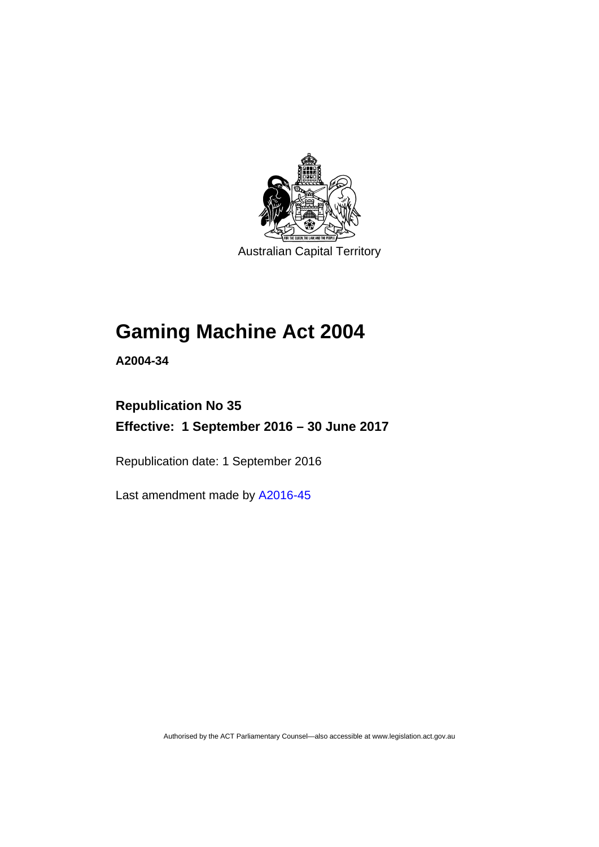

Australian Capital Territory

# **Gaming Machine Act 2004**

**A2004-34** 

# **Republication No 35 Effective: 1 September 2016 – 30 June 2017**

Republication date: 1 September 2016

Last amendment made by [A2016-45](http://www.legislation.act.gov.au/a/2016-45)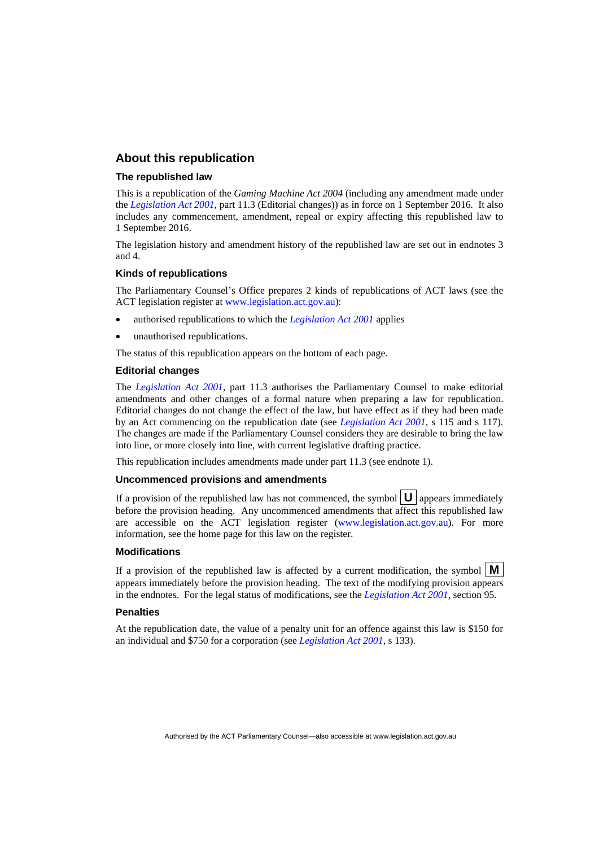### **About this republication**

### **The republished law**

This is a republication of the *Gaming Machine Act 2004* (including any amendment made under the *[Legislation Act 2001](http://www.legislation.act.gov.au/a/2001-14)*, part 11.3 (Editorial changes)) as in force on 1 September 2016*.* It also includes any commencement, amendment, repeal or expiry affecting this republished law to 1 September 2016.

The legislation history and amendment history of the republished law are set out in endnotes 3 and 4.

### **Kinds of republications**

The Parliamentary Counsel's Office prepares 2 kinds of republications of ACT laws (see the ACT legislation register at [www.legislation.act.gov.au](http://www.legislation.act.gov.au/)):

- authorised republications to which the *[Legislation Act 2001](http://www.legislation.act.gov.au/a/2001-14)* applies
- unauthorised republications.

The status of this republication appears on the bottom of each page.

#### **Editorial changes**

The *[Legislation Act 2001](http://www.legislation.act.gov.au/a/2001-14)*, part 11.3 authorises the Parliamentary Counsel to make editorial amendments and other changes of a formal nature when preparing a law for republication. Editorial changes do not change the effect of the law, but have effect as if they had been made by an Act commencing on the republication date (see *[Legislation Act 2001](http://www.legislation.act.gov.au/a/2001-14)*, s 115 and s 117). The changes are made if the Parliamentary Counsel considers they are desirable to bring the law into line, or more closely into line, with current legislative drafting practice.

This republication includes amendments made under part 11.3 (see endnote 1).

#### **Uncommenced provisions and amendments**

If a provision of the republished law has not commenced, the symbol  $\mathbf{U}$  appears immediately before the provision heading. Any uncommenced amendments that affect this republished law are accessible on the ACT legislation register [\(www.legislation.act.gov.au\)](http://www.legislation.act.gov.au/). For more information, see the home page for this law on the register.

#### **Modifications**

If a provision of the republished law is affected by a current modification, the symbol  $\mathbf{M}$ appears immediately before the provision heading. The text of the modifying provision appears in the endnotes. For the legal status of modifications, see the *[Legislation Act 2001](http://www.legislation.act.gov.au/a/2001-14)*, section 95.

#### **Penalties**

At the republication date, the value of a penalty unit for an offence against this law is \$150 for an individual and \$750 for a corporation (see *[Legislation Act 2001](http://www.legislation.act.gov.au/a/2001-14)*, s 133).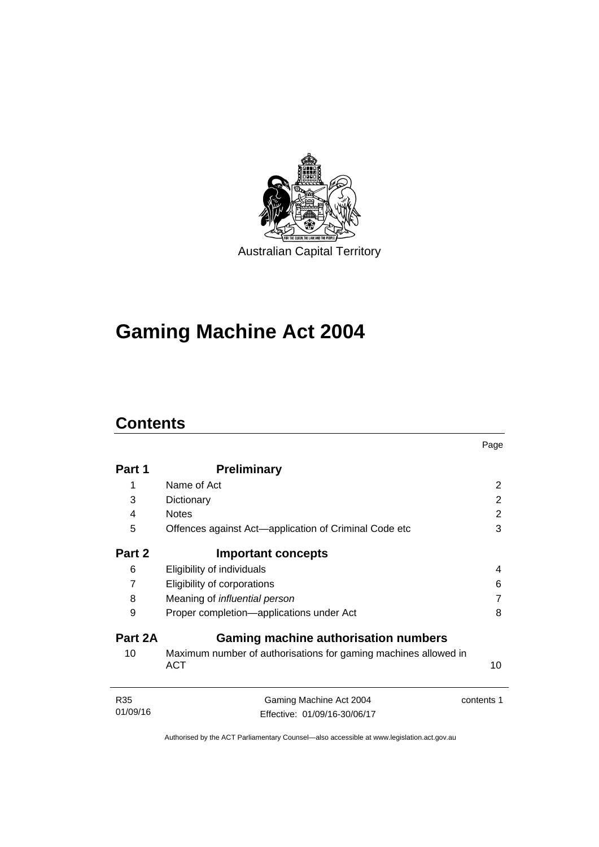

# **Gaming Machine Act 2004**

# **Contents**

|                 |                                                                               | Page       |
|-----------------|-------------------------------------------------------------------------------|------------|
| Part 1          | <b>Preliminary</b>                                                            |            |
| 1               | Name of Act                                                                   | 2          |
| 3               | Dictionary                                                                    | 2          |
| 4               | <b>Notes</b>                                                                  | 2          |
| 5               | Offences against Act—application of Criminal Code etc                         | 3          |
| Part 2          | <b>Important concepts</b>                                                     |            |
| 6               | Eligibility of individuals                                                    | 4          |
| $\overline{7}$  | Eligibility of corporations                                                   | 6          |
| 8               | Meaning of <i>influential</i> person                                          | 7          |
| 9               | Proper completion-applications under Act                                      | 8          |
| Part 2A         | <b>Gaming machine authorisation numbers</b>                                   |            |
| 10              | Maximum number of authorisations for gaming machines allowed in<br><b>ACT</b> | 10         |
| R <sub>35</sub> | Gaming Machine Act 2004                                                       | contents 1 |
| 01/09/16        | Effective: 01/09/16-30/06/17                                                  |            |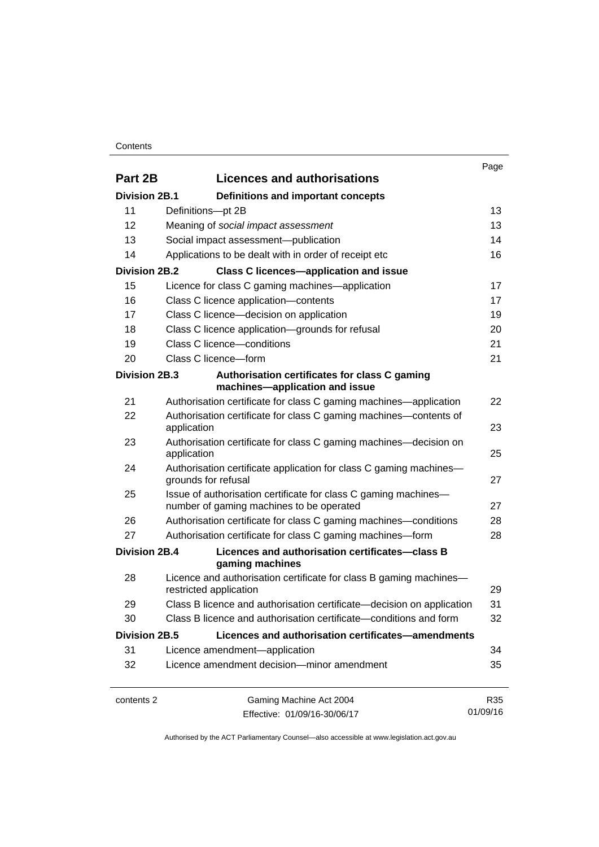### **Contents**

|                      |                                                                                                             | Page     |
|----------------------|-------------------------------------------------------------------------------------------------------------|----------|
| Part 2B              | <b>Licences and authorisations</b>                                                                          |          |
| <b>Division 2B.1</b> | Definitions and important concepts                                                                          |          |
| 11                   | Definitions-pt 2B                                                                                           | 13       |
| 12                   | Meaning of social impact assessment                                                                         | 13       |
| 13                   | Social impact assessment-publication                                                                        | 14       |
| 14                   | Applications to be dealt with in order of receipt etc                                                       | 16       |
| <b>Division 2B.2</b> | <b>Class C licences-application and issue</b>                                                               |          |
| 15                   | Licence for class C gaming machines—application                                                             | 17       |
| 16                   | Class C licence application-contents                                                                        | 17       |
| 17                   | Class C licence-decision on application                                                                     | 19       |
| 18                   | Class C licence application-grounds for refusal                                                             | 20       |
| 19                   | Class C licence-conditions                                                                                  | 21       |
| 20                   | Class C licence-form                                                                                        | 21       |
| Division 2B.3        | Authorisation certificates for class C gaming<br>machines-application and issue                             |          |
| 21                   | Authorisation certificate for class C gaming machines—application                                           | 22       |
| 22                   | Authorisation certificate for class C gaming machines—contents of<br>application                            | 23       |
| 23                   | Authorisation certificate for class C gaming machines—decision on<br>application                            | 25       |
| 24                   | Authorisation certificate application for class C gaming machines-<br>grounds for refusal                   | 27       |
| 25                   | Issue of authorisation certificate for class C gaming machines-<br>number of gaming machines to be operated | 27       |
| 26                   | Authorisation certificate for class C gaming machines—conditions                                            | 28       |
| 27                   | Authorisation certificate for class C gaming machines-form                                                  | 28       |
| <b>Division 2B.4</b> | Licences and authorisation certificates-class B<br>gaming machines                                          |          |
| 28                   | Licence and authorisation certificate for class B gaming machines-<br>restricted application                | 29       |
| 29                   | Class B licence and authorisation certificate-decision on application                                       | 31       |
| 30                   | Class B licence and authorisation certificate—conditions and form                                           | 32       |
| <b>Division 2B.5</b> | Licences and authorisation certificates-amendments                                                          |          |
| 31                   | Licence amendment-application                                                                               | 34       |
| 32                   | Licence amendment decision-minor amendment                                                                  | 35       |
| contents 2           | Gaming Machine Act 2004                                                                                     | R35      |
|                      | Effective: 01/09/16-30/06/17                                                                                | 01/09/16 |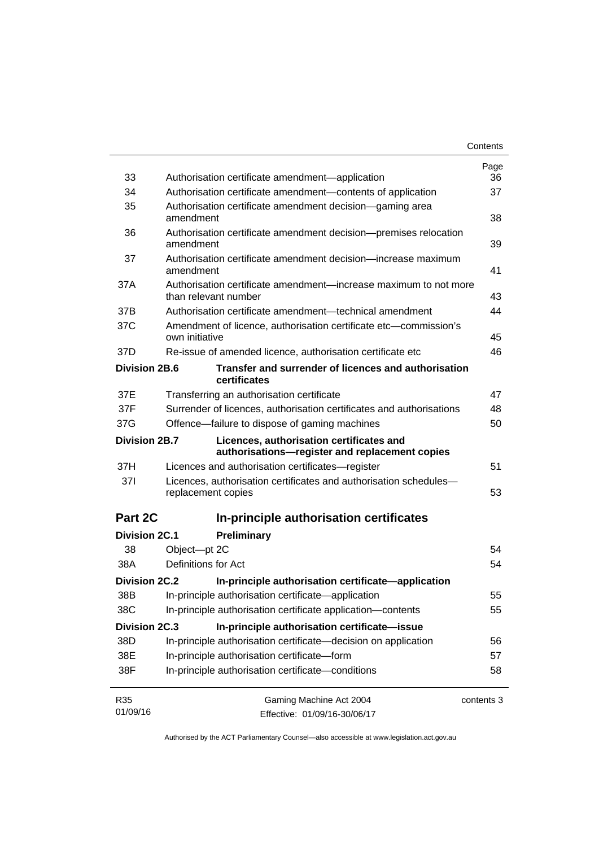|                      |                                                                                            | Contents   |
|----------------------|--------------------------------------------------------------------------------------------|------------|
|                      |                                                                                            | Page       |
| 33                   | Authorisation certificate amendment-application                                            | 36         |
| 34                   | Authorisation certificate amendment-contents of application                                | 37         |
| 35                   | Authorisation certificate amendment decision—gaming area<br>amendment                      | 38         |
| 36                   | Authorisation certificate amendment decision-premises relocation<br>amendment              | 39         |
| 37                   | Authorisation certificate amendment decision—increase maximum<br>amendment                 | 41         |
| 37A                  | Authorisation certificate amendment-increase maximum to not more<br>than relevant number   | 43         |
| 37B                  | Authorisation certificate amendment—technical amendment                                    | 44         |
| 37C                  | Amendment of licence, authorisation certificate etc-commission's<br>own initiative         | 45         |
| 37D                  | Re-issue of amended licence, authorisation certificate etc                                 | 46         |
| Division 2B.6        | Transfer and surrender of licences and authorisation<br>certificates                       |            |
| 37E                  | Transferring an authorisation certificate                                                  | 47         |
| 37F                  | Surrender of licences, authorisation certificates and authorisations                       | 48         |
| 37G                  | Offence-failure to dispose of gaming machines                                              | 50         |
| Division 2B.7        | Licences, authorisation certificates and<br>authorisations-register and replacement copies |            |
| 37H                  | Licences and authorisation certificates-register                                           | 51         |
| 371                  | Licences, authorisation certificates and authorisation schedules-<br>replacement copies    | 53         |
| Part 2C              | In-principle authorisation certificates                                                    |            |
| <b>Division 2C.1</b> | Preliminary                                                                                |            |
| 38                   | Object-pt 2C                                                                               | 54         |
| 38A                  | Definitions for Act                                                                        | 54         |
| Division 2C.2        | In-principle authorisation certificate-application                                         |            |
| 38B                  | In-principle authorisation certificate-application                                         | 55         |
| 38C                  | In-principle authorisation certificate application-contents                                | 55         |
| <b>Division 2C.3</b> | In-principle authorisation certificate-issue                                               |            |
| 38D                  | In-principle authorisation certificate-decision on application                             | 56         |
| 38E                  | In-principle authorisation certificate-form                                                | 57         |
| 38F                  | In-principle authorisation certificate-conditions                                          | 58         |
| R35                  | Gaming Machine Act 2004                                                                    | contents 3 |
| 01/09/16             | Effective: 01/09/16-30/06/17                                                               |            |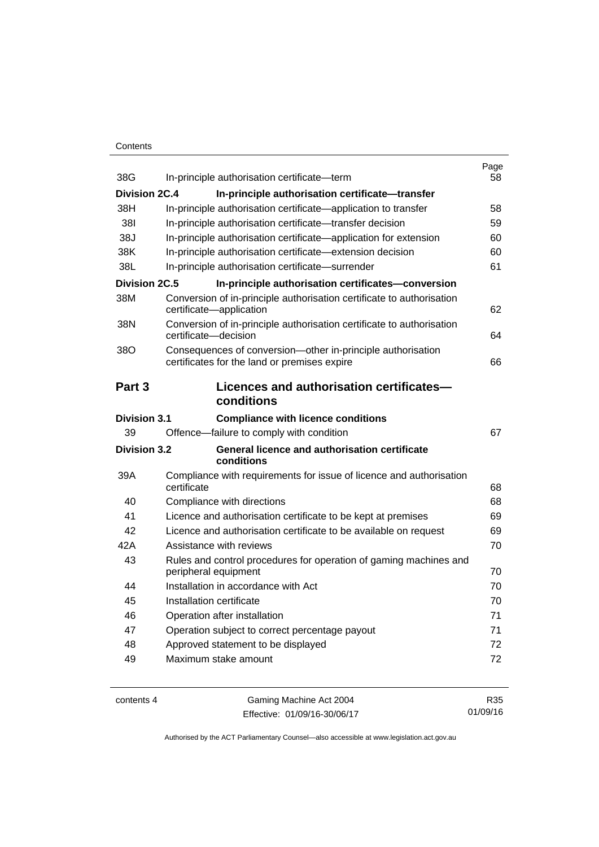## **Contents**

| 38G                  | In-principle authorisation certificate-term                                                                 | Page<br>58 |
|----------------------|-------------------------------------------------------------------------------------------------------------|------------|
| <b>Division 2C.4</b> | In-principle authorisation certificate-transfer                                                             |            |
| 38H                  | In-principle authorisation certificate-application to transfer                                              | 58         |
| 381                  | In-principle authorisation certificate—transfer decision                                                    | 59         |
| 38J                  | In-principle authorisation certificate—application for extension                                            | 60         |
| 38K                  | In-principle authorisation certificate-extension decision                                                   | 60         |
| 38L                  | In-principle authorisation certificate-surrender                                                            | 61         |
| Division 2C.5        | In-principle authorisation certificates-conversion                                                          |            |
| 38M                  | Conversion of in-principle authorisation certificate to authorisation<br>certificate-application            | 62         |
| 38N                  | Conversion of in-principle authorisation certificate to authorisation<br>certificate-decision               | 64         |
| 38O                  | Consequences of conversion-other in-principle authorisation<br>certificates for the land or premises expire | 66         |
| Part 3               | Licences and authorisation certificates-<br>conditions                                                      |            |
| <b>Division 3.1</b>  | <b>Compliance with licence conditions</b>                                                                   |            |
| 39                   | Offence-failure to comply with condition                                                                    | 67         |
| <b>Division 3.2</b>  | <b>General licence and authorisation certificate</b><br>conditions                                          |            |
| 39A                  | Compliance with requirements for issue of licence and authorisation<br>certificate                          | 68         |
| 40                   | Compliance with directions                                                                                  | 68         |
| 41                   | Licence and authorisation certificate to be kept at premises                                                | 69         |
| 42                   | Licence and authorisation certificate to be available on request                                            | 69         |
| 42A                  | Assistance with reviews                                                                                     | 70         |
| 43                   | Rules and control procedures for operation of gaming machines and<br>peripheral equipment                   | 70         |
| 44                   | Installation in accordance with Act                                                                         | 70         |
| 45                   | Installation certificate                                                                                    | 70         |
| 46                   | Operation after installation                                                                                | 71         |
| 47                   | Operation subject to correct percentage payout                                                              | 71         |
| 48                   | Approved statement to be displayed                                                                          | 72         |
| 49                   | Maximum stake amount                                                                                        | 72         |
|                      |                                                                                                             |            |

contents 4 Gaming Machine Act 2004 Effective: 01/09/16-30/06/17

R35 01/09/16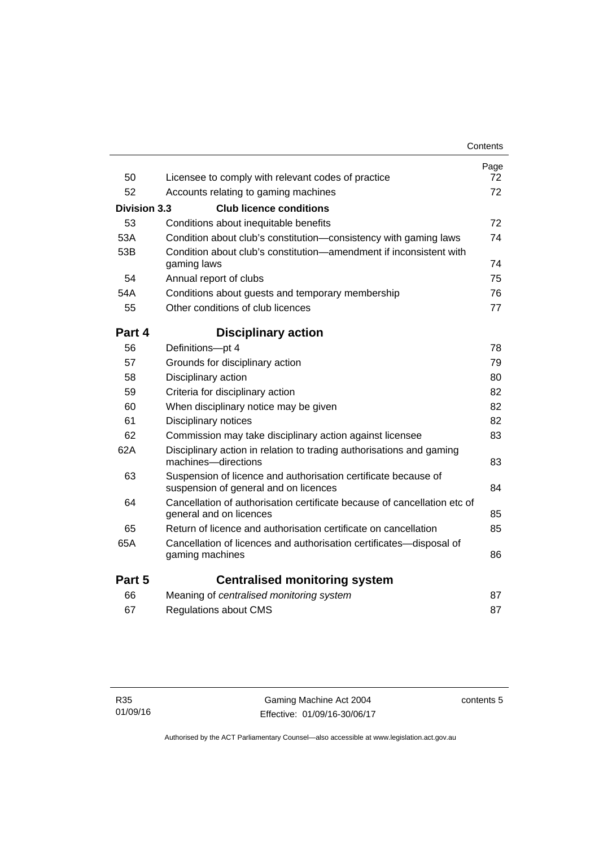|                     |                                                                                                         | Contents   |
|---------------------|---------------------------------------------------------------------------------------------------------|------------|
| 50                  | Licensee to comply with relevant codes of practice                                                      | Page<br>72 |
| 52                  | Accounts relating to gaming machines                                                                    | 72         |
|                     |                                                                                                         |            |
| <b>Division 3.3</b> | <b>Club licence conditions</b>                                                                          |            |
| 53                  | Conditions about inequitable benefits                                                                   | 72         |
| 53A                 | Condition about club's constitution—consistency with gaming laws                                        | 74         |
| 53B                 | Condition about club's constitution-amendment if inconsistent with<br>gaming laws                       | 74         |
| 54                  | Annual report of clubs                                                                                  | 75         |
| 54A                 | Conditions about guests and temporary membership                                                        | 76         |
| 55                  | Other conditions of club licences                                                                       | 77         |
| Part 4              | <b>Disciplinary action</b>                                                                              |            |
| 56                  | Definitions-pt 4                                                                                        | 78         |
| 57                  | Grounds for disciplinary action                                                                         | 79         |
| 58                  | Disciplinary action                                                                                     | 80         |
| 59                  | Criteria for disciplinary action                                                                        | 82         |
| 60                  | When disciplinary notice may be given                                                                   | 82         |
| 61                  | Disciplinary notices                                                                                    | 82         |
| 62                  | Commission may take disciplinary action against licensee                                                | 83         |
| 62A                 | Disciplinary action in relation to trading authorisations and gaming<br>machines-directions             | 83         |
| 63                  | Suspension of licence and authorisation certificate because of<br>suspension of general and on licences | 84         |
| 64                  | Cancellation of authorisation certificate because of cancellation etc of<br>general and on licences     | 85         |
| 65                  | Return of licence and authorisation certificate on cancellation                                         | 85         |
| 65A                 | Cancellation of licences and authorisation certificates-disposal of<br>gaming machines                  | 86         |
| Part 5              | <b>Centralised monitoring system</b>                                                                    |            |
| 66                  | Meaning of centralised monitoring system                                                                | 87         |
| 67                  | <b>Regulations about CMS</b>                                                                            | 87         |
|                     |                                                                                                         |            |

contents 5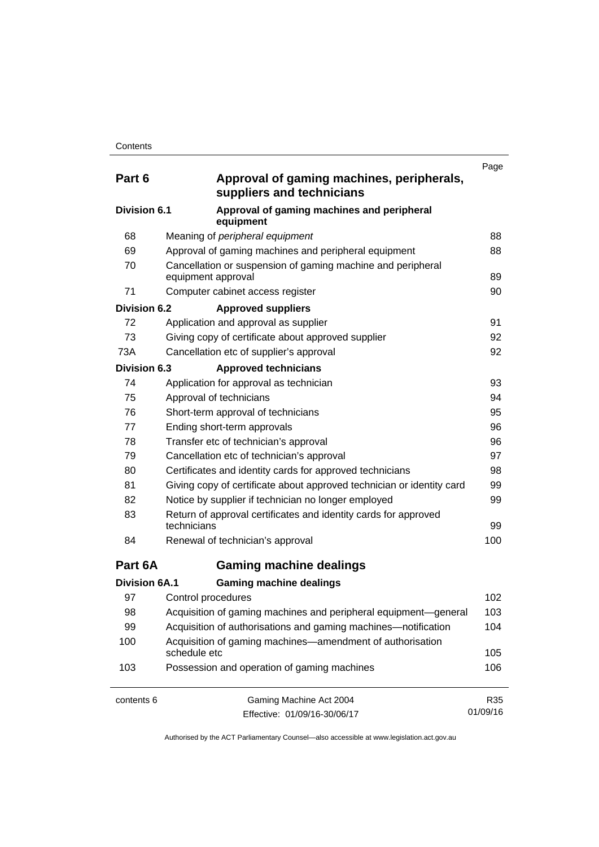| Part 6               | Approval of gaming machines, peripherals,<br>suppliers and technicians            | Page     |
|----------------------|-----------------------------------------------------------------------------------|----------|
| Division 6.1         | Approval of gaming machines and peripheral<br>equipment                           |          |
| 68                   | Meaning of peripheral equipment                                                   | 88       |
| 69                   | Approval of gaming machines and peripheral equipment                              | 88       |
| 70                   | Cancellation or suspension of gaming machine and peripheral<br>equipment approval | 89       |
| 71                   | Computer cabinet access register                                                  | 90       |
| Division 6.2         | <b>Approved suppliers</b>                                                         |          |
| 72                   | Application and approval as supplier                                              | 91       |
| 73                   | Giving copy of certificate about approved supplier                                | 92       |
| 73A                  | Cancellation etc of supplier's approval                                           | 92       |
| <b>Division 6.3</b>  | <b>Approved technicians</b>                                                       |          |
| 74                   | Application for approval as technician                                            | 93       |
| 75                   | Approval of technicians                                                           | 94       |
| 76                   | Short-term approval of technicians                                                | 95       |
| 77                   | Ending short-term approvals                                                       | 96       |
| 78                   | Transfer etc of technician's approval                                             | 96       |
| 79                   | Cancellation etc of technician's approval                                         | 97       |
| 80                   | Certificates and identity cards for approved technicians                          | 98       |
| 81                   | Giving copy of certificate about approved technician or identity card             | 99       |
| 82                   | Notice by supplier if technician no longer employed                               | 99       |
| 83                   | Return of approval certificates and identity cards for approved<br>technicians    | 99       |
| 84                   | Renewal of technician's approval                                                  | 100      |
| Part 6A              | <b>Gaming machine dealings</b>                                                    |          |
| <b>Division 6A.1</b> | <b>Gaming machine dealings</b>                                                    |          |
| 97                   | Control procedures                                                                | 102      |
| 98                   | Acquisition of gaming machines and peripheral equipment-general                   | 103      |
| 99                   | Acquisition of authorisations and gaming machines—notification                    | 104      |
| 100                  | Acquisition of gaming machines—amendment of authorisation<br>schedule etc         | 105      |
| 103                  | Possession and operation of gaming machines                                       | 106      |
| contents 6           | Gaming Machine Act 2004                                                           | R35      |
|                      | Effective: 01/09/16-30/06/17                                                      | 01/09/16 |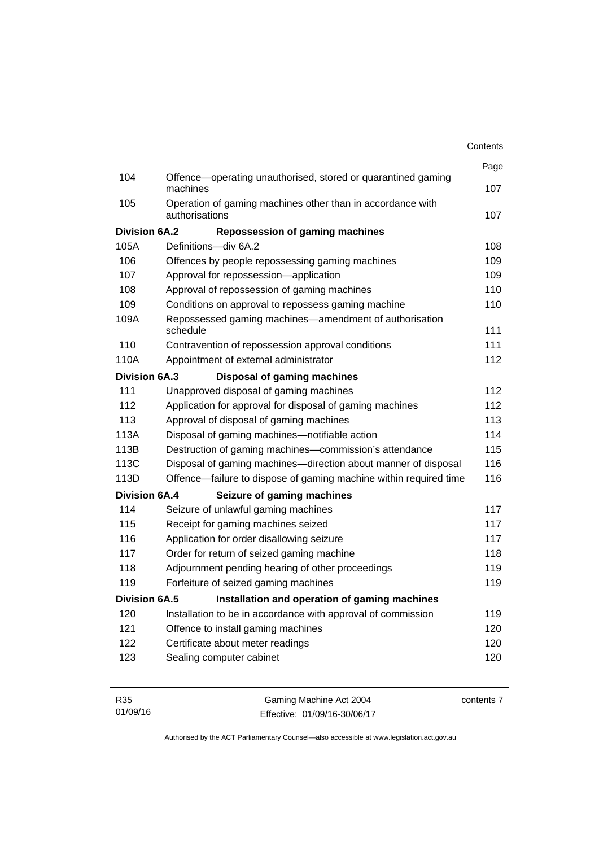|                      |                                                                              | Page |
|----------------------|------------------------------------------------------------------------------|------|
| 104                  | Offence—operating unauthorised, stored or quarantined gaming<br>machines     | 107  |
| 105                  | Operation of gaming machines other than in accordance with<br>authorisations | 107  |
| <b>Division 6A.2</b> | <b>Repossession of gaming machines</b>                                       |      |
| 105A                 | Definitions-div 6A.2                                                         | 108  |
| 106                  | Offences by people repossessing gaming machines                              | 109  |
| 107                  | Approval for repossession-application                                        | 109  |
| 108                  | Approval of repossession of gaming machines                                  | 110  |
| 109                  | Conditions on approval to repossess gaming machine                           | 110  |
| 109A                 | Repossessed gaming machines—amendment of authorisation<br>schedule           | 111  |
| 110                  | Contravention of repossession approval conditions                            | 111  |
| 110A                 | Appointment of external administrator                                        | 112  |
| <b>Division 6A.3</b> | <b>Disposal of gaming machines</b>                                           |      |
| 111                  | Unapproved disposal of gaming machines                                       | 112  |
| 112                  | Application for approval for disposal of gaming machines                     | 112  |
| 113                  | Approval of disposal of gaming machines                                      | 113  |
| 113A                 | Disposal of gaming machines-notifiable action                                | 114  |
| 113B                 | Destruction of gaming machines-commission's attendance                       | 115  |
| 113C                 | Disposal of gaming machines—direction about manner of disposal               | 116  |
| 113D                 | Offence—failure to dispose of gaming machine within required time            | 116  |
| <b>Division 6A.4</b> | Seizure of gaming machines                                                   |      |
| 114                  | Seizure of unlawful gaming machines                                          | 117  |
| 115                  | Receipt for gaming machines seized                                           | 117  |
| 116                  | Application for order disallowing seizure                                    | 117  |
| 117                  | Order for return of seized gaming machine                                    | 118  |
| 118                  | Adjournment pending hearing of other proceedings                             | 119  |
| 119                  | Forfeiture of seized gaming machines                                         | 119  |
| Division 6A.5        | Installation and operation of gaming machines                                |      |
| 120                  | Installation to be in accordance with approval of commission                 | 119  |
| 121                  | Offence to install gaming machines                                           | 120  |
| 122                  | Certificate about meter readings                                             | 120  |
| 123                  | Sealing computer cabinet                                                     | 120  |
|                      |                                                                              |      |
|                      |                                                                              |      |

| R35      | Gaming Machine Act 2004      | contents 7 |
|----------|------------------------------|------------|
| 01/09/16 | Effective: 01/09/16-30/06/17 |            |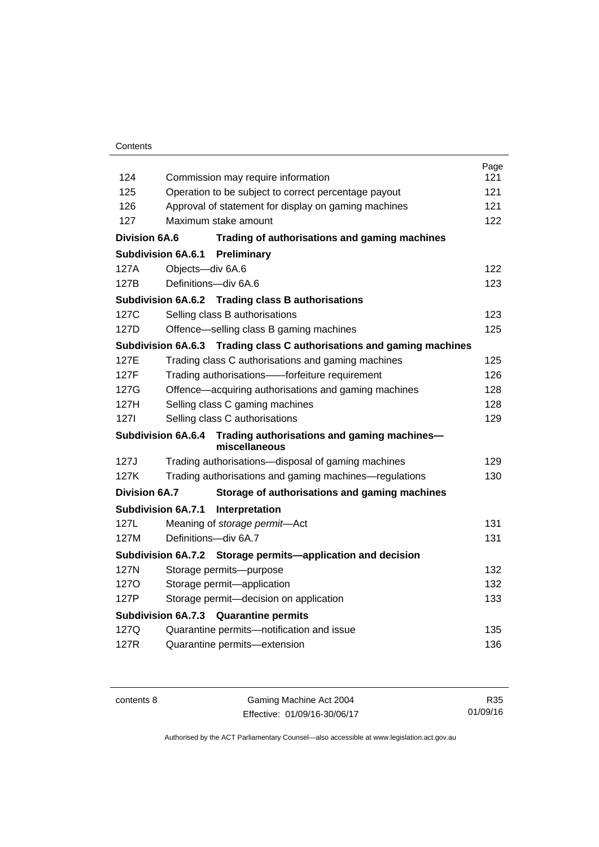## **Contents**

|                           |                                                                       | Page |
|---------------------------|-----------------------------------------------------------------------|------|
| 124                       | Commission may require information                                    | 121  |
| 125                       | Operation to be subject to correct percentage payout                  | 121  |
| 126                       | Approval of statement for display on gaming machines                  | 121  |
| 127                       | Maximum stake amount                                                  | 122  |
| <b>Division 6A.6</b>      | Trading of authorisations and gaming machines                         |      |
| <b>Subdivision 6A.6.1</b> | Preliminary                                                           |      |
| 127A                      | Objects-div 6A.6                                                      | 122  |
| 127B                      | Definitions-div 6A.6                                                  | 123  |
|                           | Subdivision 6A.6.2 Trading class B authorisations                     |      |
| 127C                      | Selling class B authorisations                                        | 123  |
| 127D                      | Offence—selling class B gaming machines                               | 125  |
|                           | Subdivision 6A.6.3 Trading class C authorisations and gaming machines |      |
| 127E                      | Trading class C authorisations and gaming machines                    | 125  |
| 127F                      | Trading authorisations——forfeiture requirement                        | 126  |
| 127G                      | Offence-acquiring authorisations and gaming machines                  | 128  |
| 127H                      | Selling class C gaming machines                                       | 128  |
| 1271                      | Selling class C authorisations                                        | 129  |
| <b>Subdivision 6A.6.4</b> | Trading authorisations and gaming machines-<br>miscellaneous          |      |
| 127J                      | Trading authorisations-disposal of gaming machines                    | 129  |
| 127K                      | Trading authorisations and gaming machines—regulations                | 130  |
| <b>Division 6A.7</b>      | Storage of authorisations and gaming machines                         |      |
| <b>Subdivision 6A.7.1</b> | Interpretation                                                        |      |
| 127L                      | Meaning of storage permit-Act                                         | 131  |
| 127M                      | Definitions-div 6A.7                                                  | 131  |
|                           | Subdivision 6A.7.2 Storage permits—application and decision           |      |
| 127N                      | Storage permits--purpose                                              | 132  |
| 1270                      | Storage permit-application                                            | 132  |
| 127P                      | Storage permit-decision on application                                | 133  |
|                           | <b>Subdivision 6A.7.3</b><br><b>Quarantine permits</b>                |      |
| 127Q                      | Quarantine permits-notification and issue                             | 135  |
| 127R                      | Quarantine permits-extension                                          | 136  |
|                           |                                                                       |      |

contents 8 Gaming Machine Act 2004 Effective: 01/09/16-30/06/17

R35 01/09/16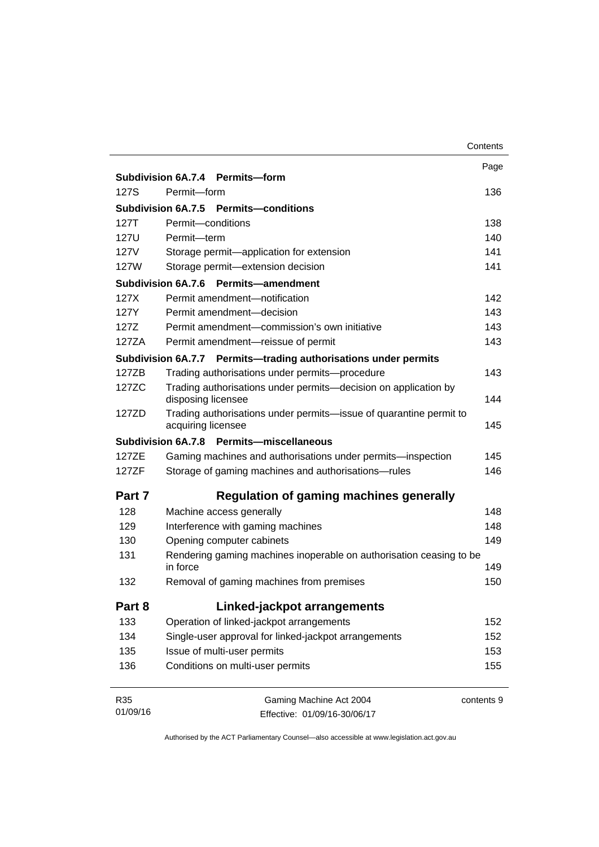|        |                                                                                          | Contents   |
|--------|------------------------------------------------------------------------------------------|------------|
|        |                                                                                          | Page       |
|        | Subdivision 6A.7.4 Permits-form                                                          |            |
| 127S   | Permit-form                                                                              | 136        |
|        | Subdivision 6A.7.5 Permits-conditions                                                    |            |
| 127T   | Permit-conditions                                                                        | 138        |
| 127U   | Permit-term                                                                              | 140        |
| 127V   | Storage permit-application for extension                                                 | 141        |
| 127W   | Storage permit-extension decision                                                        | 141        |
|        | Subdivision 6A.7.6<br>Permits-amendment                                                  |            |
| 127X   | Permit amendment-notification                                                            | 142        |
| 127Y   | Permit amendment-decision                                                                | 143        |
| 127Z   | Permit amendment-commission's own initiative                                             | 143        |
| 127ZA  | Permit amendment-reissue of permit                                                       | 143        |
|        | Subdivision 6A.7.7 Permits-trading authorisations under permits                          |            |
| 127ZB  | Trading authorisations under permits-procedure                                           | 143        |
| 127ZC  | Trading authorisations under permits-decision on application by<br>disposing licensee    | 144        |
| 127ZD  | Trading authorisations under permits-issue of quarantine permit to<br>acquiring licensee | 145        |
|        | Permits-miscellaneous<br><b>Subdivision 6A.7.8</b>                                       |            |
| 127ZE  | Gaming machines and authorisations under permits-inspection                              | 145        |
| 127ZF  | Storage of gaming machines and authorisations-rules                                      | 146        |
| Part 7 | Regulation of gaming machines generally                                                  |            |
| 128    | Machine access generally                                                                 | 148        |
| 129    | Interference with gaming machines                                                        | 148        |
| 130    | Opening computer cabinets                                                                | 149        |
| 131    | Rendering gaming machines inoperable on authorisation ceasing to be<br>in force          | 149        |
| 132    | Removal of gaming machines from premises                                                 | 150        |
| Part 8 | Linked-jackpot arrangements                                                              |            |
| 133    | Operation of linked-jackpot arrangements                                                 | 152        |
| 134    | Single-user approval for linked-jackpot arrangements                                     | 152        |
| 135    | Issue of multi-user permits                                                              | 153        |
| 136    | Conditions on multi-user permits                                                         | 155        |
| R35    | Gaming Machine Act 2004                                                                  | contents 9 |

Effective: 01/09/16-30/06/17

01/09/16

contents 9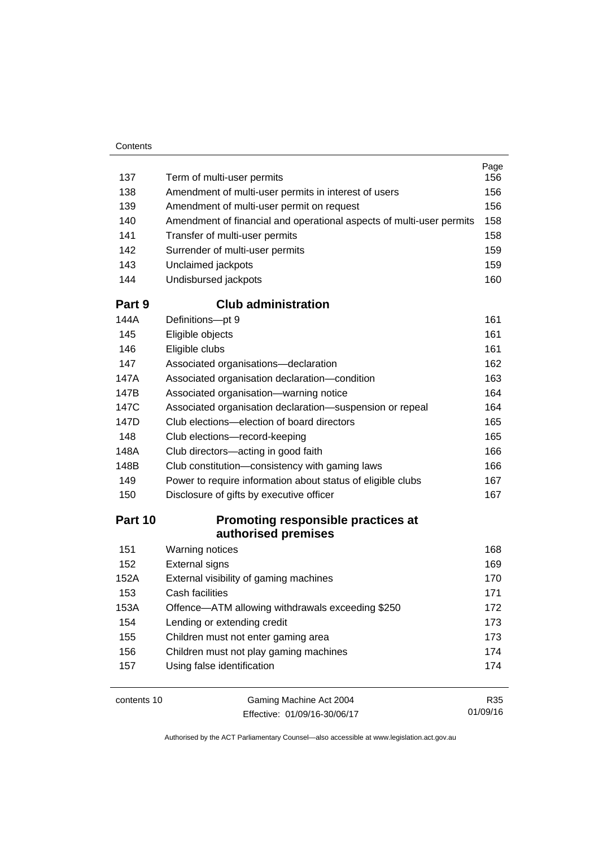| Contents |
|----------|
|----------|

|            |                                                                      | Page<br>156 |
|------------|----------------------------------------------------------------------|-------------|
| 137<br>138 | Term of multi-user permits                                           |             |
| 139        | Amendment of multi-user permits in interest of users                 |             |
| 140        | Amendment of multi-user permit on request                            |             |
| 141        | Amendment of financial and operational aspects of multi-user permits |             |
| 142        | Transfer of multi-user permits<br>Surrender of multi-user permits    |             |
| 143        | Unclaimed jackpots                                                   |             |
| 144        | Undisbursed jackpots                                                 |             |
|            |                                                                      | 160         |
| Part 9     | <b>Club administration</b>                                           |             |
| 144A       | Definitions-pt 9                                                     | 161         |
| 145        | Eligible objects                                                     | 161         |
| 146        | Eligible clubs                                                       | 161         |
| 147        | Associated organisations-declaration                                 | 162<br>163  |
| 147A       | Associated organisation declaration-condition                        |             |
| 147B       | Associated organisation-warning notice                               |             |
| 147C       | Associated organisation declaration-suspension or repeal             |             |
| 147D       | Club elections-election of board directors                           |             |
| 148        | Club elections-record-keeping                                        |             |
| 148A       | Club directors-acting in good faith                                  |             |
| 148B       | Club constitution-consistency with gaming laws                       |             |
| 149        | Power to require information about status of eligible clubs          |             |
| 150        | Disclosure of gifts by executive officer                             |             |
| Part 10    | Promoting responsible practices at                                   |             |
|            | authorised premises                                                  |             |
| 151        | <b>Warning notices</b>                                               | 168         |
| 152        | <b>External signs</b>                                                | 169         |
| 152A       | External visibility of gaming machines                               | 170         |
| 153        | Cash facilities                                                      | 171         |
| 153A       | Offence-ATM allowing withdrawals exceeding \$250                     | 172         |
| 154        | Lending or extending credit                                          | 173         |
| 155        | Children must not enter gaming area                                  | 173         |
| 156        | Children must not play gaming machines                               | 174         |
| 157        | Using false identification                                           | 174         |
|            |                                                                      |             |

contents 10 Gaming Machine Act 2004 Effective: 01/09/16-30/06/17

R35 01/09/16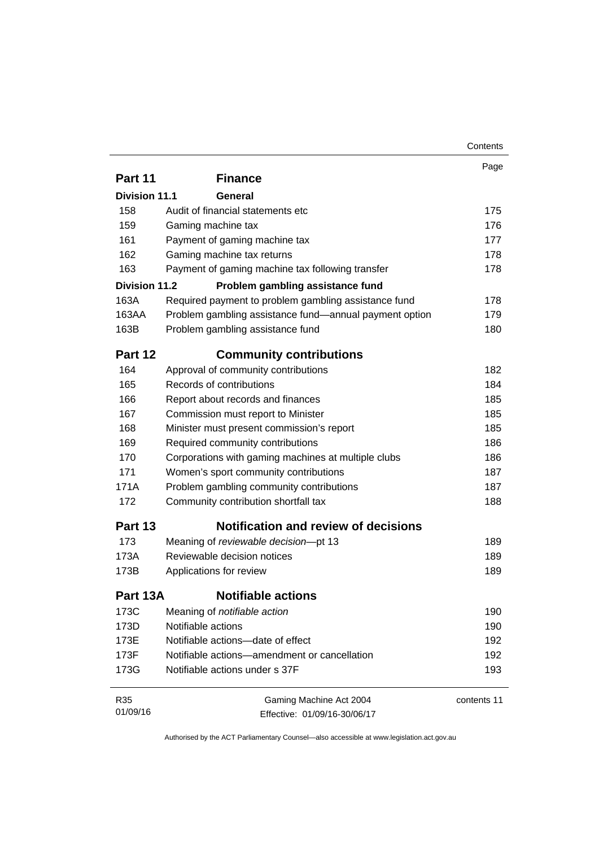|                      |                                                        | Contents    |
|----------------------|--------------------------------------------------------|-------------|
|                      |                                                        | Page        |
| Part 11              | <b>Finance</b>                                         |             |
| <b>Division 11.1</b> | General                                                |             |
| 158                  | Audit of financial statements etc                      | 175         |
| 159                  | Gaming machine tax                                     | 176         |
| 161                  | Payment of gaming machine tax                          | 177         |
| 162                  | Gaming machine tax returns                             | 178         |
| 163                  | Payment of gaming machine tax following transfer       | 178         |
| <b>Division 11.2</b> | Problem gambling assistance fund                       |             |
| 163A                 | Required payment to problem gambling assistance fund   | 178         |
| 163AA                | Problem gambling assistance fund—annual payment option | 179         |
| 163B                 | Problem gambling assistance fund                       | 180         |
| Part 12              | <b>Community contributions</b>                         |             |
| 164                  | Approval of community contributions                    | 182         |
| 165                  | Records of contributions                               | 184         |
| 166                  | Report about records and finances                      | 185         |
| 167                  | Commission must report to Minister                     | 185         |
| 168                  | Minister must present commission's report              | 185         |
| 169                  | Required community contributions                       | 186         |
| 170                  | Corporations with gaming machines at multiple clubs    | 186         |
| 171                  | Women's sport community contributions                  | 187         |
| 171A                 | Problem gambling community contributions               | 187         |
| 172                  | Community contribution shortfall tax                   | 188         |
| Part 13              | <b>Notification and review of decisions</b>            |             |
| 173                  | Meaning of reviewable decision-pt 13                   | 189         |
| 173A                 | Reviewable decision notices                            | 189         |
| 173B                 | Applications for review                                | 189         |
| Part 13A             | <b>Notifiable actions</b>                              |             |
| 173C                 | Meaning of notifiable action                           | 190         |
| 173D                 | Notifiable actions                                     | 190         |
| 173E                 | Notifiable actions-date of effect                      | 192         |
| 173F                 | Notifiable actions-amendment or cancellation           | 192         |
| 173G                 | Notifiable actions under s 37F                         | 193         |
|                      |                                                        |             |
| R35                  | Gaming Machine Act 2004                                | contents 11 |
| 01/09/16             | Effective: 01/09/16-30/06/17                           |             |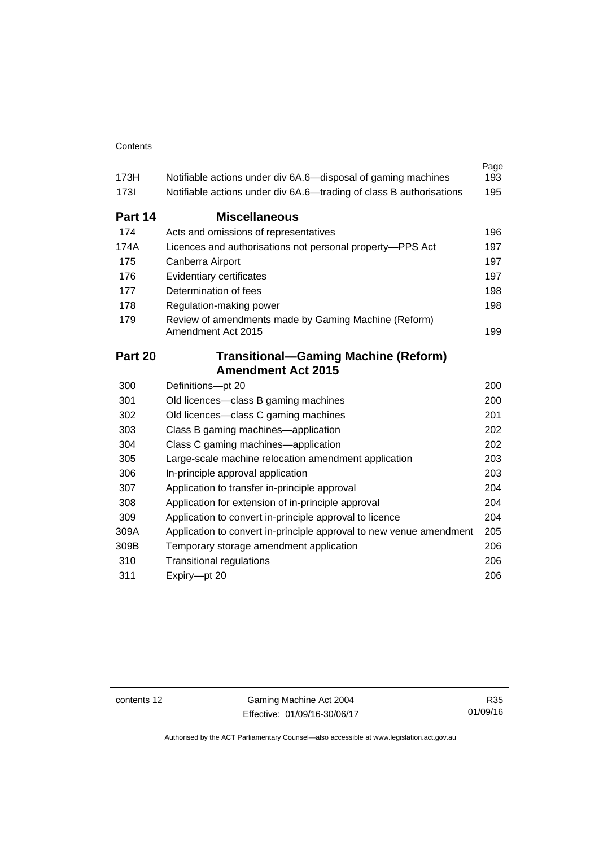| 173H        | Notifiable actions under div 6A.6—disposal of gaming machines              | Page<br>193 |
|-------------|----------------------------------------------------------------------------|-------------|
| <b>1731</b> | Notifiable actions under div 6A.6—trading of class B authorisations        |             |
| Part 14     | <b>Miscellaneous</b>                                                       |             |
| 174         | Acts and omissions of representatives                                      | 196         |
| 174A        | Licences and authorisations not personal property-PPS Act                  | 197         |
| 175         | Canberra Airport                                                           |             |
| 176         | Evidentiary certificates                                                   |             |
| 177         | Determination of fees                                                      |             |
| 178         | Regulation-making power                                                    |             |
| 179         | Review of amendments made by Gaming Machine (Reform)<br>Amendment Act 2015 | 199         |
| Part 20     | <b>Transitional-Gaming Machine (Reform)</b>                                |             |
|             | <b>Amendment Act 2015</b>                                                  |             |
| 300         | Definitions-pt 20                                                          | 200         |
| 301         | Old licences-class B gaming machines                                       | 200         |
| 302         | Old licences—class C gaming machines                                       | 201         |
| 303         | Class B gaming machines—application                                        | 202         |
| 304         | Class C gaming machines—application                                        | 202         |
| 305         | Large-scale machine relocation amendment application                       | 203         |
| 306         | In-principle approval application                                          | 203         |
| 307         | Application to transfer in-principle approval                              | 204         |
| 308         | Application for extension of in-principle approval                         | 204         |
| 309         | Application to convert in-principle approval to licence                    | 204         |
| 309A        | Application to convert in-principle approval to new venue amendment        | 205         |
| 309B        | Temporary storage amendment application                                    | 206         |
| 310         | <b>Transitional regulations</b>                                            | 206         |
| 311         | Expiry-pt 20                                                               | 206         |

contents 12 Gaming Machine Act 2004 Effective: 01/09/16-30/06/17

R35 01/09/16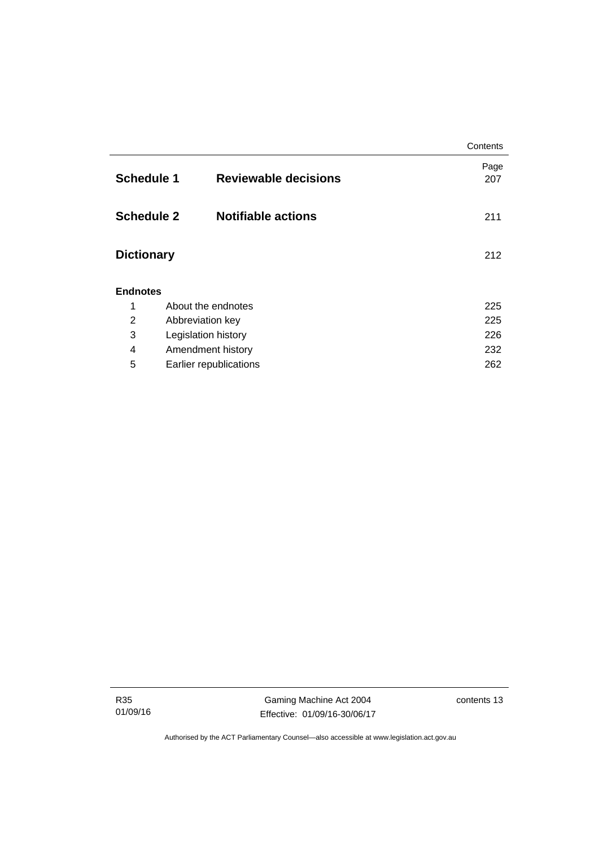|                   |                             | Contents    |  |  |  |
|-------------------|-----------------------------|-------------|--|--|--|
| <b>Schedule 1</b> | <b>Reviewable decisions</b> | Page<br>207 |  |  |  |
| <b>Schedule 2</b> | <b>Notifiable actions</b>   | 211         |  |  |  |
| <b>Dictionary</b> |                             |             |  |  |  |
| <b>Endnotes</b>   |                             |             |  |  |  |
| 1                 | About the endnotes          | 225         |  |  |  |
| $\overline{2}$    | Abbreviation key            | 225         |  |  |  |
| 3                 | Legislation history         | 226         |  |  |  |
| 4                 | Amendment history           | 232         |  |  |  |
| 5                 | Earlier republications      | 262         |  |  |  |

R35 01/09/16

Gaming Machine Act 2004 Effective: 01/09/16-30/06/17 contents 13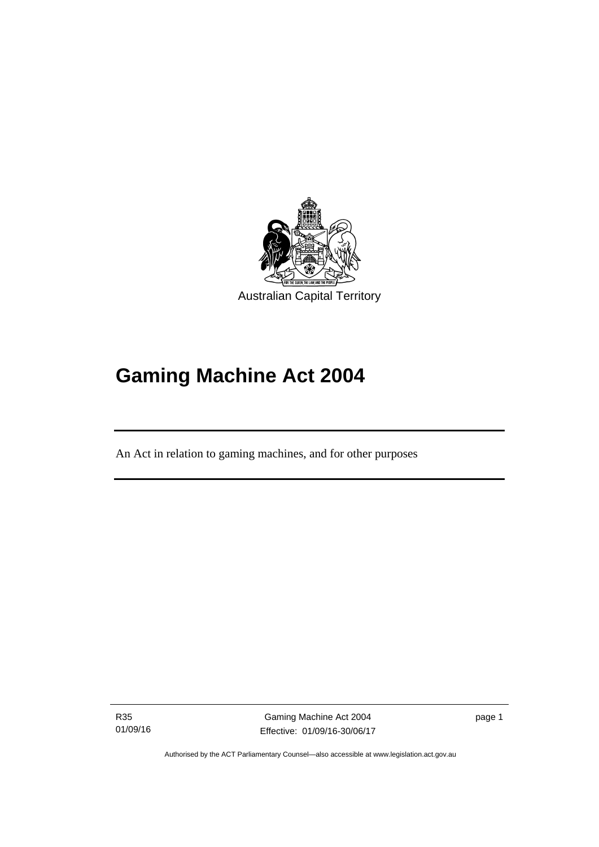

# **Gaming Machine Act 2004**

An Act in relation to gaming machines, and for other purposes

R35 01/09/16

l

Gaming Machine Act 2004 Effective: 01/09/16-30/06/17 page 1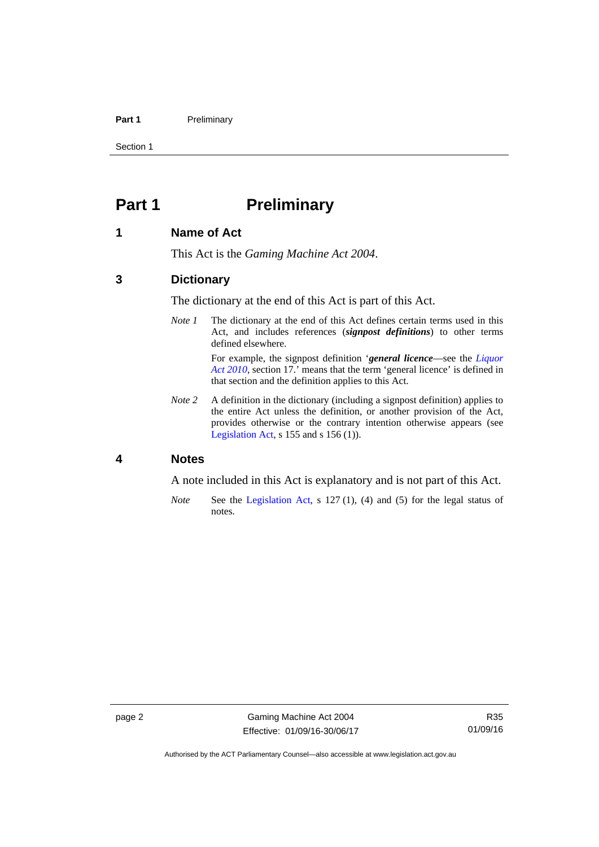### Part 1 **Preliminary**

Section 1

# <span id="page-17-0"></span>**Part 1** Preliminary

### <span id="page-17-1"></span>**1 Name of Act**

This Act is the *Gaming Machine Act 2004*.

### <span id="page-17-2"></span>**3 Dictionary**

The dictionary at the end of this Act is part of this Act.

*Note 1* The dictionary at the end of this Act defines certain terms used in this Act, and includes references (*signpost definitions*) to other terms defined elsewhere.

> For example, the signpost definition '*general licence*—see the *[Liquor](http://www.legislation.act.gov.au/a/2010-35)  [Act 2010](http://www.legislation.act.gov.au/a/2010-35)*, section 17.' means that the term 'general licence' is defined in that section and the definition applies to this Act.

*Note 2* A definition in the dictionary (including a signpost definition) applies to the entire Act unless the definition, or another provision of the Act, provides otherwise or the contrary intention otherwise appears (see [Legislation Act,](http://www.legislation.act.gov.au/a/2001-14) s 155 and s 156 (1)).

# <span id="page-17-3"></span>**4 Notes**

A note included in this Act is explanatory and is not part of this Act.

*Note* See the [Legislation Act,](http://www.legislation.act.gov.au/a/2001-14) s 127 (1), (4) and (5) for the legal status of notes.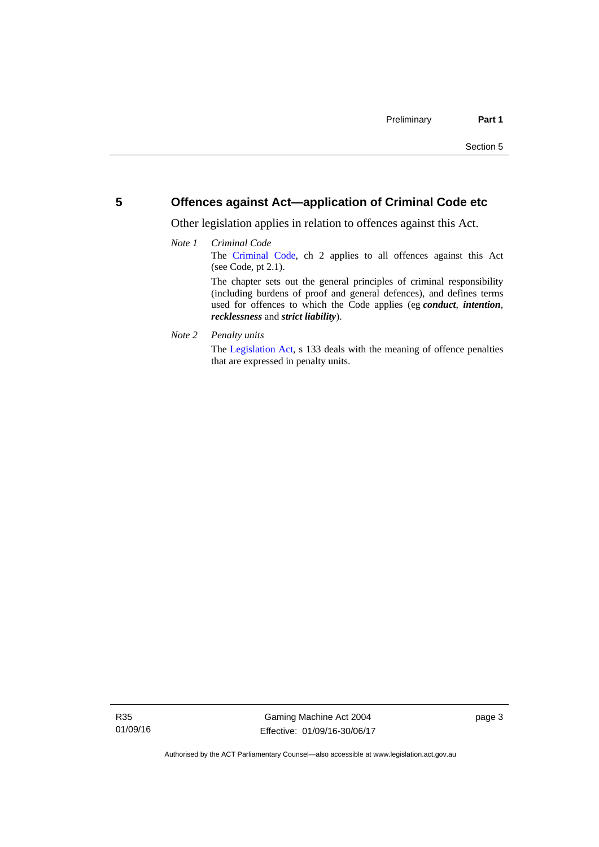# <span id="page-18-0"></span>**5 Offences against Act—application of Criminal Code etc**

Other legislation applies in relation to offences against this Act.

### *Note 1 Criminal Code* The [Criminal Code,](http://www.legislation.act.gov.au/a/2002-51) ch 2 applies to all offences against this Act (see Code, pt 2.1). The chapter sets out the general principles of criminal responsibility (including burdens of proof and general defences), and defines terms used for offences to which the Code applies (eg *conduct*, *intention*, *recklessness* and *strict liability*).

*Note 2 Penalty units* 

The [Legislation Act](http://www.legislation.act.gov.au/a/2001-14), s 133 deals with the meaning of offence penalties that are expressed in penalty units.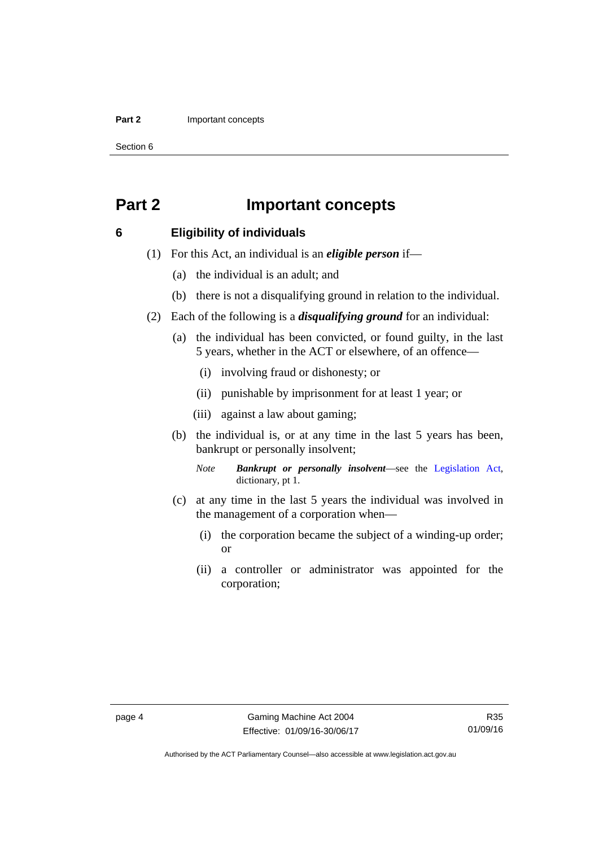### **Part 2 Important concepts**

Section 6

# <span id="page-19-0"></span>**Part 2 Important concepts**

## <span id="page-19-1"></span>**6 Eligibility of individuals**

- (1) For this Act, an individual is an *eligible person* if—
	- (a) the individual is an adult; and
	- (b) there is not a disqualifying ground in relation to the individual.
- (2) Each of the following is a *disqualifying ground* for an individual:
	- (a) the individual has been convicted, or found guilty, in the last 5 years, whether in the ACT or elsewhere, of an offence—
		- (i) involving fraud or dishonesty; or
		- (ii) punishable by imprisonment for at least 1 year; or
		- (iii) against a law about gaming;
	- (b) the individual is, or at any time in the last 5 years has been, bankrupt or personally insolvent;

*Note Bankrupt or personally insolvent*—see the [Legislation Act,](http://www.legislation.act.gov.au/a/2001-14) dictionary, pt 1.

- (c) at any time in the last 5 years the individual was involved in the management of a corporation when—
	- (i) the corporation became the subject of a winding-up order; or
	- (ii) a controller or administrator was appointed for the corporation;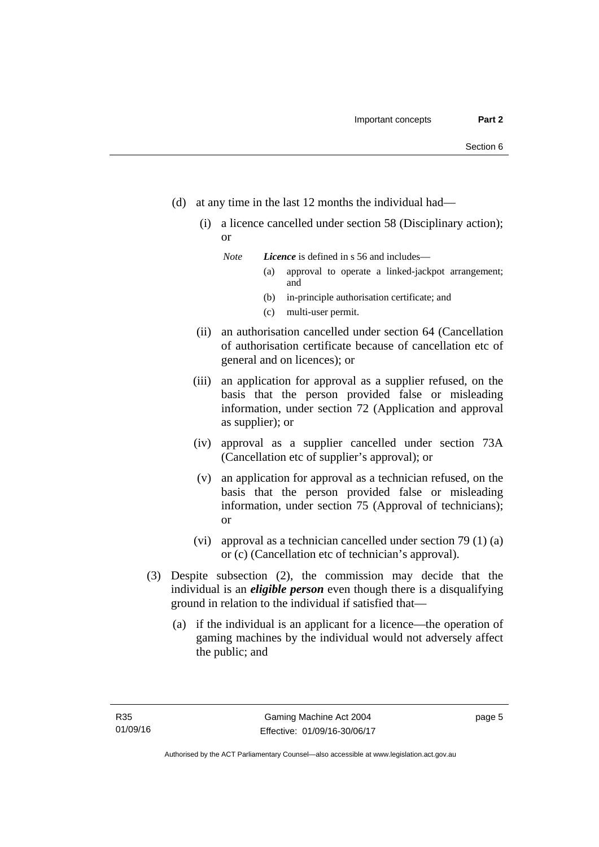- (d) at any time in the last 12 months the individual had—
	- (i) a licence cancelled under section 58 (Disciplinary action); or

*Note Licence* is defined in s 56 and includes—

- (a) approval to operate a linked-jackpot arrangement; and
- (b) in-principle authorisation certificate; and
- (c) multi-user permit.
- (ii) an authorisation cancelled under section 64 (Cancellation of authorisation certificate because of cancellation etc of general and on licences); or
- (iii) an application for approval as a supplier refused, on the basis that the person provided false or misleading information, under section 72 (Application and approval as supplier); or
- (iv) approval as a supplier cancelled under section 73A (Cancellation etc of supplier's approval); or
- (v) an application for approval as a technician refused, on the basis that the person provided false or misleading information, under section 75 (Approval of technicians); or
- (vi) approval as a technician cancelled under section 79 (1) (a) or (c) (Cancellation etc of technician's approval).
- (3) Despite subsection (2), the commission may decide that the individual is an *eligible person* even though there is a disqualifying ground in relation to the individual if satisfied that—
	- (a) if the individual is an applicant for a licence—the operation of gaming machines by the individual would not adversely affect the public; and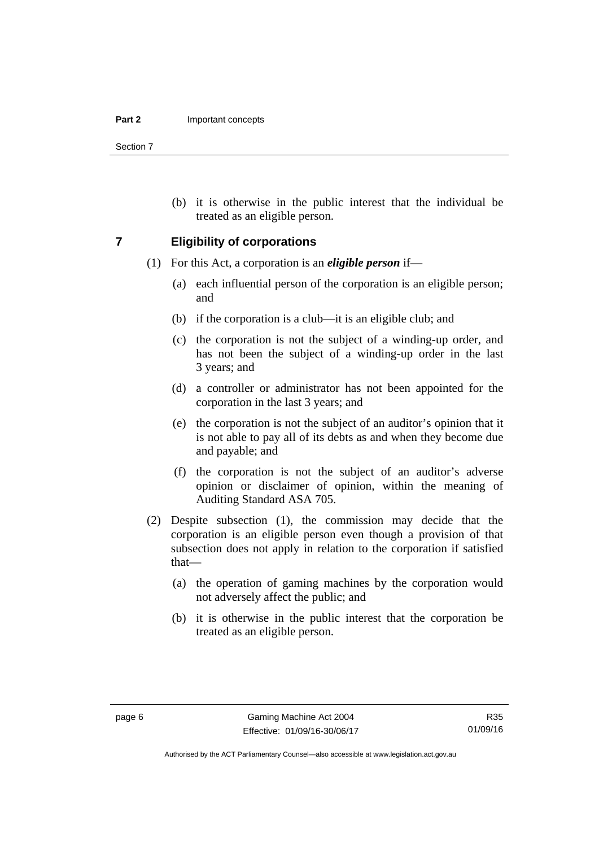Section 7

 (b) it is otherwise in the public interest that the individual be treated as an eligible person.

### <span id="page-21-0"></span>**7 Eligibility of corporations**

- (1) For this Act, a corporation is an *eligible person* if—
	- (a) each influential person of the corporation is an eligible person; and
	- (b) if the corporation is a club—it is an eligible club; and
	- (c) the corporation is not the subject of a winding-up order, and has not been the subject of a winding-up order in the last 3 years; and
	- (d) a controller or administrator has not been appointed for the corporation in the last 3 years; and
	- (e) the corporation is not the subject of an auditor's opinion that it is not able to pay all of its debts as and when they become due and payable; and
	- (f) the corporation is not the subject of an auditor's adverse opinion or disclaimer of opinion, within the meaning of Auditing Standard ASA 705.
- (2) Despite subsection (1), the commission may decide that the corporation is an eligible person even though a provision of that subsection does not apply in relation to the corporation if satisfied that—
	- (a) the operation of gaming machines by the corporation would not adversely affect the public; and
	- (b) it is otherwise in the public interest that the corporation be treated as an eligible person.

Authorised by the ACT Parliamentary Counsel—also accessible at www.legislation.act.gov.au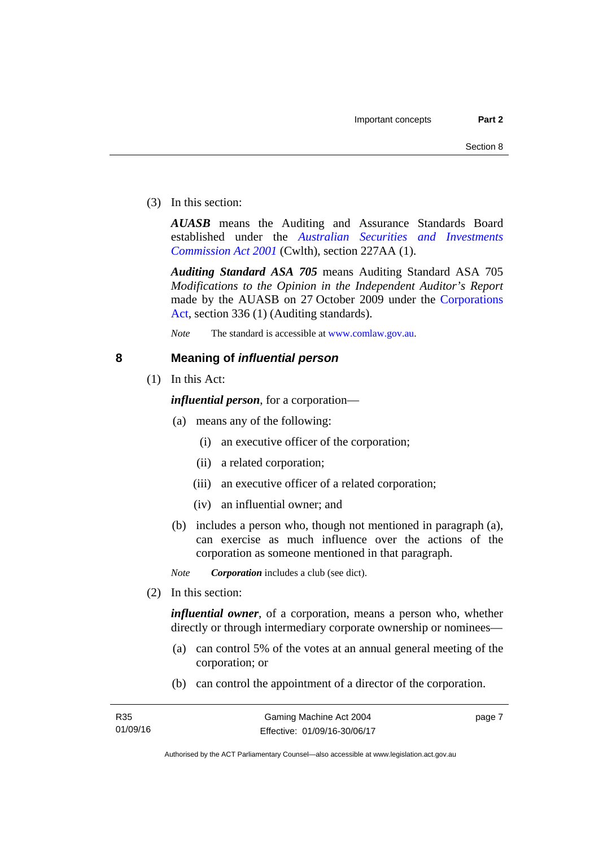(3) In this section:

*AUASB* means the Auditing and Assurance Standards Board established under the *[Australian Securities and Investments](http://www.comlaw.gov.au/Series/C2004A00819)  [Commission Act 2001](http://www.comlaw.gov.au/Series/C2004A00819)* (Cwlth), section 227AA (1).

*Auditing Standard ASA 705* means Auditing Standard ASA 705 *Modifications to the Opinion in the Independent Auditor's Report* made by the AUASB on 27 October 2009 under the [Corporations](http://www.comlaw.gov.au/Series/C2004A00818)  [Act](http://www.comlaw.gov.au/Series/C2004A00818), section 336 (1) (Auditing standards).

*Note* The standard is accessible at [www.comlaw.gov.au.](http://www.comlaw.gov.au/)

# <span id="page-22-0"></span>**8 Meaning of** *influential person*

(1) In this Act:

*influential person*, for a corporation—

- (a) means any of the following:
	- (i) an executive officer of the corporation;
	- (ii) a related corporation;
	- (iii) an executive officer of a related corporation;
	- (iv) an influential owner; and
- (b) includes a person who, though not mentioned in paragraph (a), can exercise as much influence over the actions of the corporation as someone mentioned in that paragraph.

*Note Corporation* includes a club (see dict).

(2) In this section:

*influential owner*, of a corporation, means a person who, whether directly or through intermediary corporate ownership or nominees—

- (a) can control 5% of the votes at an annual general meeting of the corporation; or
- (b) can control the appointment of a director of the corporation.

page 7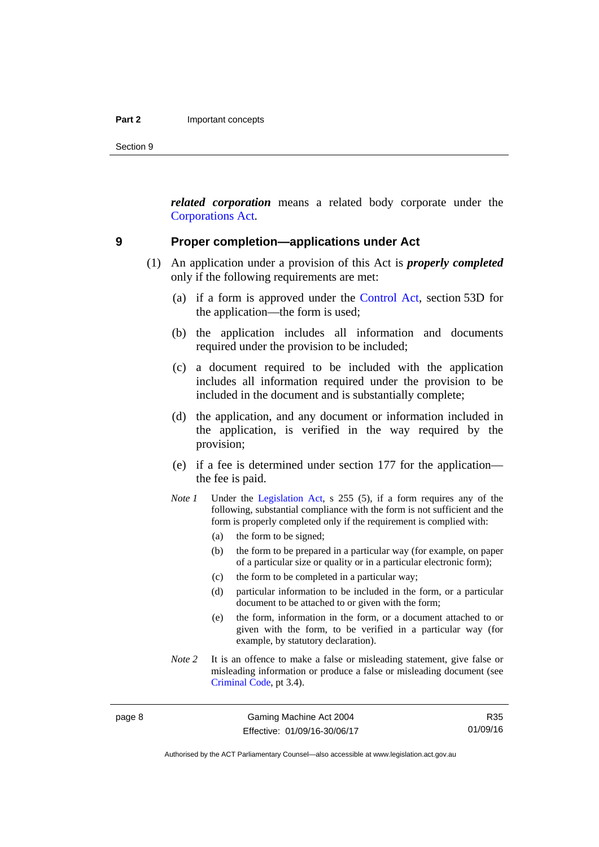Section 9

*related corporation* means a related body corporate under the [Corporations Act](http://www.comlaw.gov.au/Series/C2004A00818).

### <span id="page-23-0"></span>**9 Proper completion—applications under Act**

- (1) An application under a provision of this Act is *properly completed* only if the following requirements are met:
	- (a) if a form is approved under the [Control Act,](http://www.legislation.act.gov.au/a/1999-46/default.asp) section 53D for the application—the form is used;
	- (b) the application includes all information and documents required under the provision to be included;
	- (c) a document required to be included with the application includes all information required under the provision to be included in the document and is substantially complete;
	- (d) the application, and any document or information included in the application, is verified in the way required by the provision;
	- (e) if a fee is determined under section 177 for the application the fee is paid.
	- *Note 1* Under the [Legislation Act,](http://www.legislation.act.gov.au/a/2001-14) s 255 (5), if a form requires any of the following, substantial compliance with the form is not sufficient and the form is properly completed only if the requirement is complied with:
		- (a) the form to be signed;
		- (b) the form to be prepared in a particular way (for example, on paper of a particular size or quality or in a particular electronic form);
		- (c) the form to be completed in a particular way;
		- (d) particular information to be included in the form, or a particular document to be attached to or given with the form;
		- (e) the form, information in the form, or a document attached to or given with the form, to be verified in a particular way (for example, by statutory declaration).
	- *Note* 2 It is an offence to make a false or misleading statement, give false or misleading information or produce a false or misleading document (see [Criminal Code](http://www.legislation.act.gov.au/a/2002-51), pt 3.4).

R35 01/09/16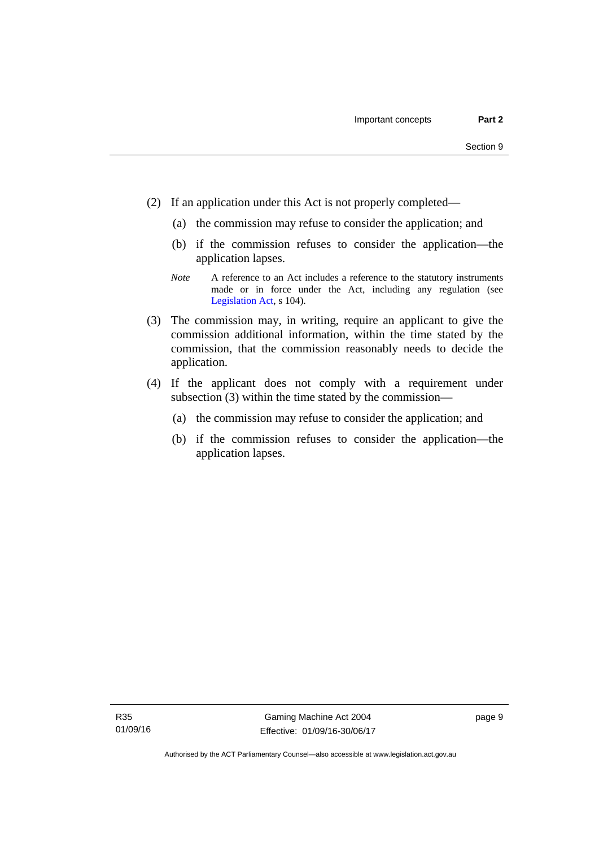- (2) If an application under this Act is not properly completed—
	- (a) the commission may refuse to consider the application; and
	- (b) if the commission refuses to consider the application—the application lapses.
	- *Note* A reference to an Act includes a reference to the statutory instruments made or in force under the Act, including any regulation (see [Legislation Act,](http://www.legislation.act.gov.au/a/2001-14) s 104).
- (3) The commission may, in writing, require an applicant to give the commission additional information, within the time stated by the commission, that the commission reasonably needs to decide the application.
- (4) If the applicant does not comply with a requirement under subsection (3) within the time stated by the commission—
	- (a) the commission may refuse to consider the application; and
	- (b) if the commission refuses to consider the application—the application lapses.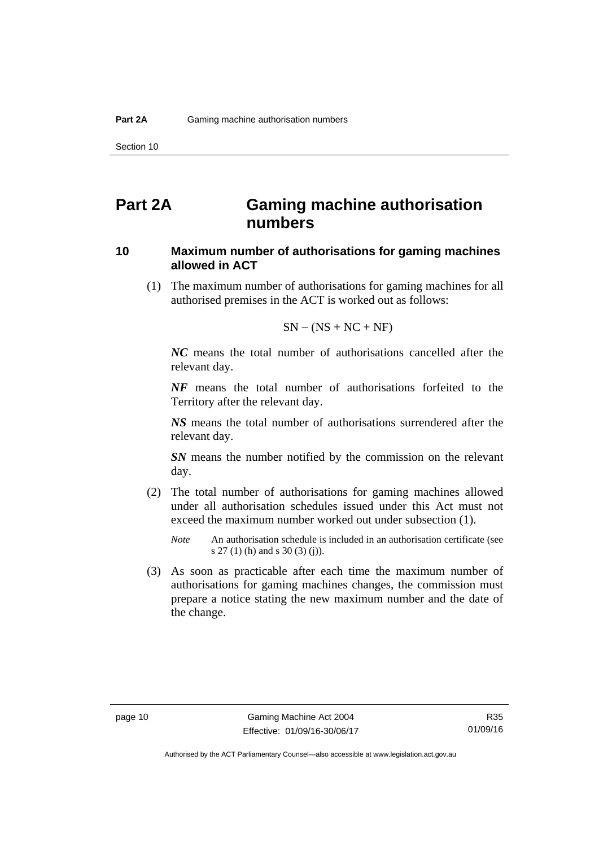# <span id="page-25-0"></span>**Part 2A Gaming machine authorisation numbers**

# <span id="page-25-1"></span>**10 Maximum number of authorisations for gaming machines allowed in ACT**

 (1) The maximum number of authorisations for gaming machines for all authorised premises in the ACT is worked out as follows:

$$
SN - (NS + NC + NF)
$$

*NC* means the total number of authorisations cancelled after the relevant day.

*NF* means the total number of authorisations forfeited to the Territory after the relevant day.

*NS* means the total number of authorisations surrendered after the relevant day.

*SN* means the number notified by the commission on the relevant day.

- (2) The total number of authorisations for gaming machines allowed under all authorisation schedules issued under this Act must not exceed the maximum number worked out under subsection (1).
	- *Note* An authorisation schedule is included in an authorisation certificate (see s 27 (1) (h) and s 30 (3) (j)).
- (3) As soon as practicable after each time the maximum number of authorisations for gaming machines changes, the commission must prepare a notice stating the new maximum number and the date of the change.

R35 01/09/16

Authorised by the ACT Parliamentary Counsel—also accessible at www.legislation.act.gov.au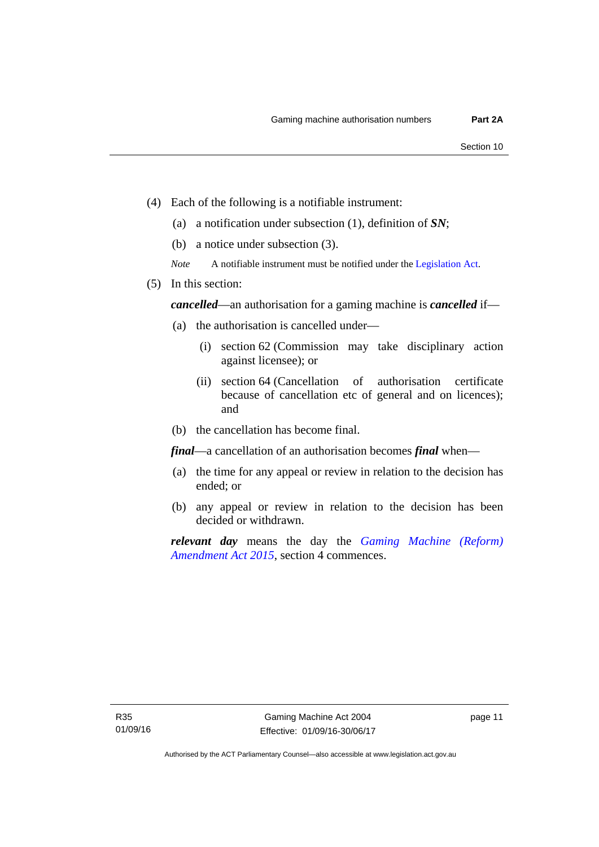- (4) Each of the following is a notifiable instrument:
	- (a) a notification under subsection (1), definition of *SN*;
	- (b) a notice under subsection (3).
	- *Note* A notifiable instrument must be notified under the [Legislation Act](http://www.legislation.act.gov.au/a/2001-14).
- (5) In this section:

*cancelled*—an authorisation for a gaming machine is *cancelled* if—

- (a) the authorisation is cancelled under—
	- (i) section 62 (Commission may take disciplinary action against licensee); or
	- (ii) section 64 (Cancellation of authorisation certificate because of cancellation etc of general and on licences); and
- (b) the cancellation has become final.

*final*—a cancellation of an authorisation becomes *final* when—

- (a) the time for any appeal or review in relation to the decision has ended; or
- (b) any appeal or review in relation to the decision has been decided or withdrawn.

*relevant day* means the day the *[Gaming Machine \(Reform\)](http://www.legislation.act.gov.au/a/2015-21/default.asp)  [Amendment Act 2015](http://www.legislation.act.gov.au/a/2015-21/default.asp)*, section 4 commences.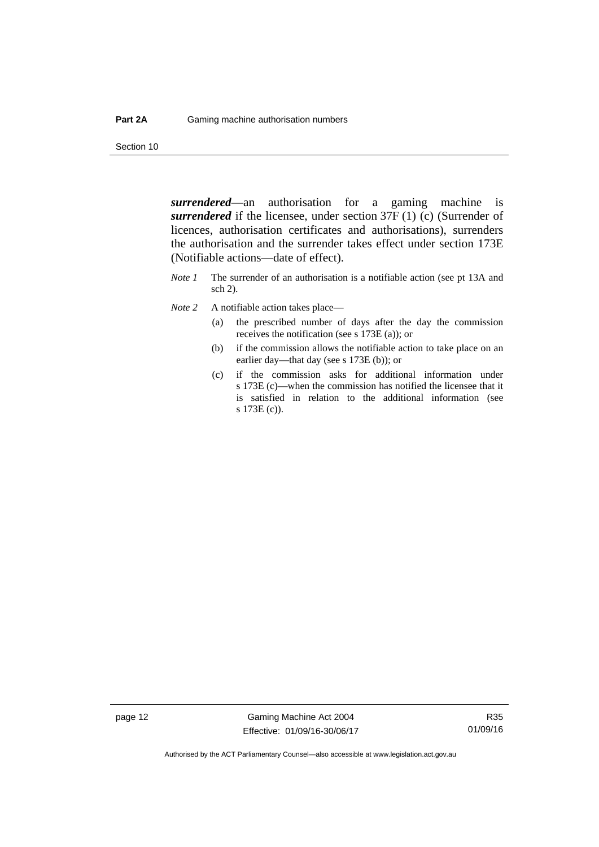Section 10

*surrendered*—an authorisation for a gaming machine is *surrendered* if the licensee, under section 37F (1) (c) (Surrender of licences, authorisation certificates and authorisations), surrenders the authorisation and the surrender takes effect under section 173E (Notifiable actions—date of effect).

- *Note 1* The surrender of an authorisation is a notifiable action (see pt 13A and sch 2).
- *Note* 2 A notifiable action takes place—
	- (a) the prescribed number of days after the day the commission receives the notification (see s 173E (a)); or
	- (b) if the commission allows the notifiable action to take place on an earlier day—that day (see s 173E (b)); or
	- (c) if the commission asks for additional information under s 173E (c)—when the commission has notified the licensee that it is satisfied in relation to the additional information (see s 173E (c)).

page 12 Gaming Machine Act 2004 Effective: 01/09/16-30/06/17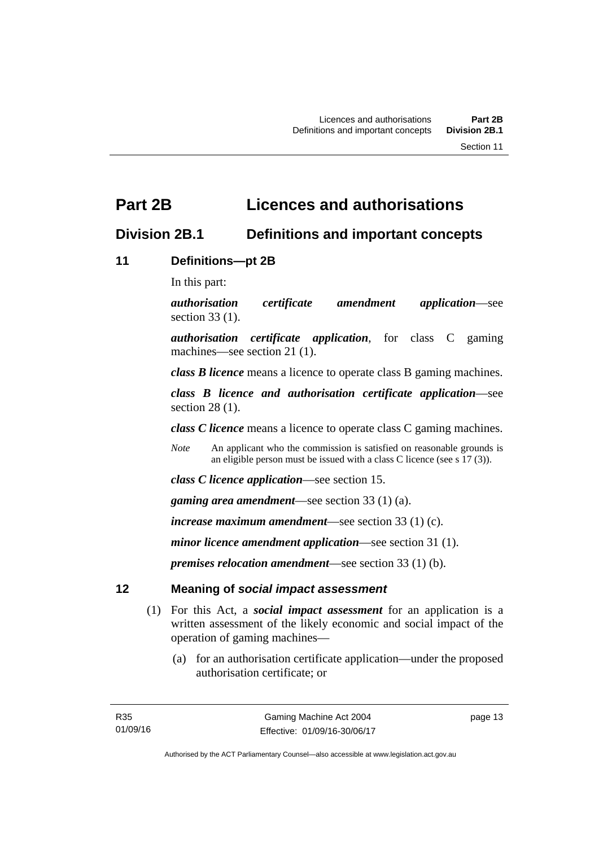# <span id="page-28-0"></span>**Part 2B Licences and authorisations**

# <span id="page-28-1"></span>**Division 2B.1 Definitions and important concepts**

# <span id="page-28-2"></span>**11 Definitions—pt 2B**

In this part:

*authorisation certificate amendment application*—see section 33 (1).

*authorisation certificate application*, for class C gaming machines—see section 21 (1).

*class B licence* means a licence to operate class B gaming machines.

*class B licence and authorisation certificate application*—see section 28 (1).

*class C licence* means a licence to operate class C gaming machines.

*Note* An applicant who the commission is satisfied on reasonable grounds is an eligible person must be issued with a class C licence (see s 17 (3)).

*class C licence application*—see section 15.

*gaming area amendment*—see section 33 (1) (a).

*increase maximum amendment*—see section 33 (1) (c).

*minor licence amendment application*—see section 31 (1).

*premises relocation amendment*—see section 33 (1) (b).

# <span id="page-28-3"></span>**12 Meaning of** *social impact assessment*

- (1) For this Act, a *social impact assessment* for an application is a written assessment of the likely economic and social impact of the operation of gaming machines—
	- (a) for an authorisation certificate application—under the proposed authorisation certificate; or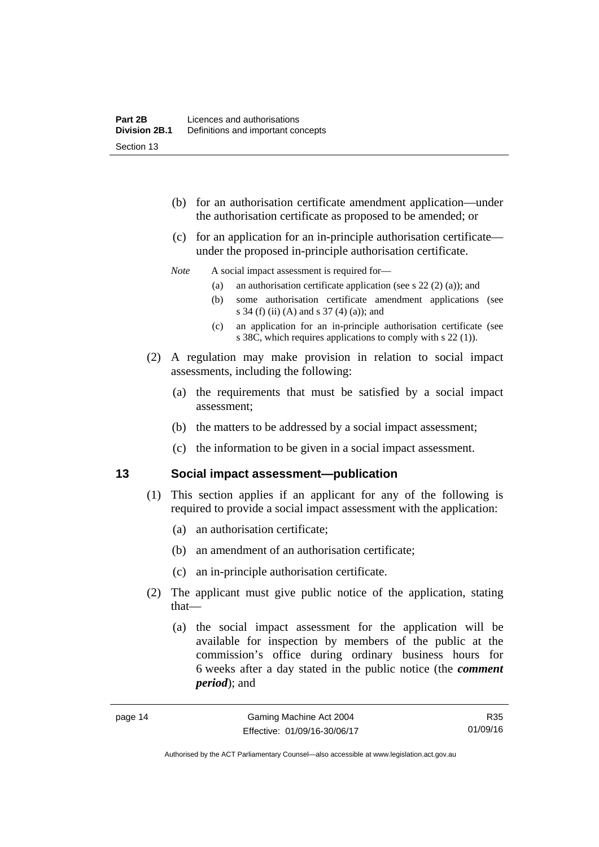- (b) for an authorisation certificate amendment application—under the authorisation certificate as proposed to be amended; or
- (c) for an application for an in-principle authorisation certificate under the proposed in-principle authorisation certificate.

### *Note* A social impact assessment is required for—

- (a) an authorisation certificate application (see s 22 (2) (a)); and
- (b) some authorisation certificate amendment applications (see s 34 (f) (ii) (A) and s 37 (4) (a)); and
- (c) an application for an in-principle authorisation certificate (see s 38C, which requires applications to comply with s 22 (1)).
- (2) A regulation may make provision in relation to social impact assessments, including the following:
	- (a) the requirements that must be satisfied by a social impact assessment;
	- (b) the matters to be addressed by a social impact assessment;
	- (c) the information to be given in a social impact assessment.

## <span id="page-29-0"></span>**13 Social impact assessment—publication**

- (1) This section applies if an applicant for any of the following is required to provide a social impact assessment with the application:
	- (a) an authorisation certificate;
	- (b) an amendment of an authorisation certificate;
	- (c) an in-principle authorisation certificate.
- (2) The applicant must give public notice of the application, stating that—
	- (a) the social impact assessment for the application will be available for inspection by members of the public at the commission's office during ordinary business hours for 6 weeks after a day stated in the public notice (the *comment period*); and

R35 01/09/16

Authorised by the ACT Parliamentary Counsel—also accessible at www.legislation.act.gov.au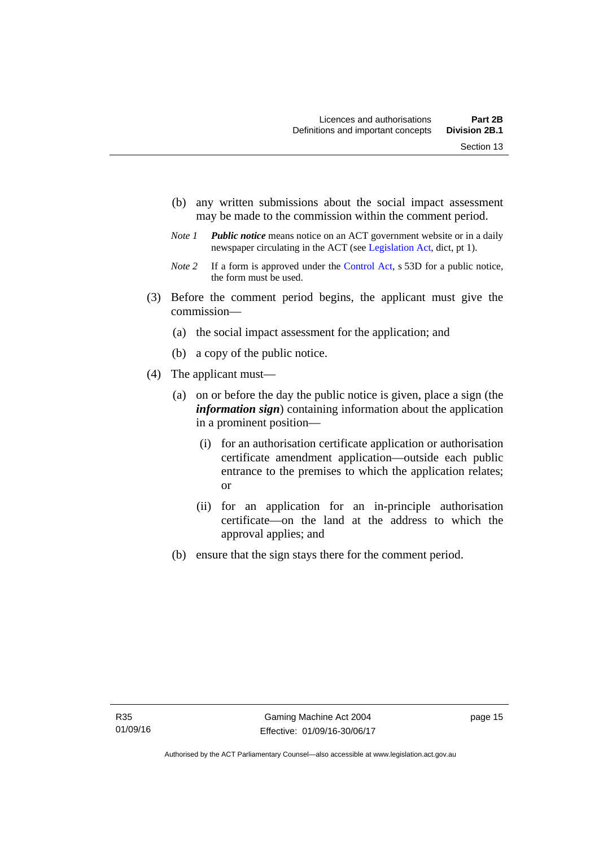- (b) any written submissions about the social impact assessment may be made to the commission within the comment period.
- *Note 1 Public notice* means notice on an ACT government website or in a daily newspaper circulating in the ACT (see [Legislation Act,](http://www.legislation.act.gov.au/a/2001-14) dict, pt 1).
- *Note 2* If a form is approved under the [Control Act](http://www.legislation.act.gov.au/a/1999-46), s 53D for a public notice, the form must be used.
- (3) Before the comment period begins, the applicant must give the commission—
	- (a) the social impact assessment for the application; and
	- (b) a copy of the public notice.
- (4) The applicant must—
	- (a) on or before the day the public notice is given, place a sign (the *information sign*) containing information about the application in a prominent position—
		- (i) for an authorisation certificate application or authorisation certificate amendment application—outside each public entrance to the premises to which the application relates; or
		- (ii) for an application for an in-principle authorisation certificate—on the land at the address to which the approval applies; and
	- (b) ensure that the sign stays there for the comment period.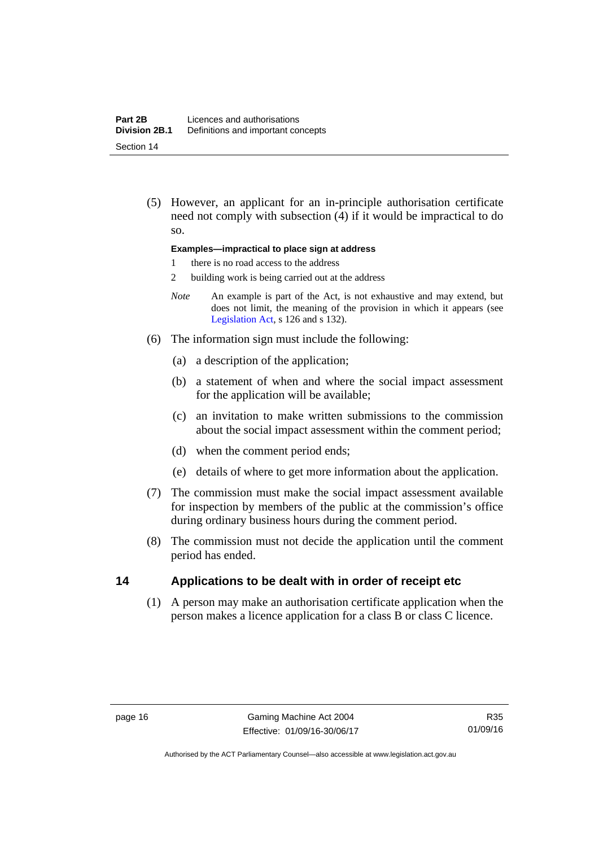(5) However, an applicant for an in-principle authorisation certificate need not comply with subsection (4) if it would be impractical to do so.

### **Examples—impractical to place sign at address**

- 1 there is no road access to the address
- 2 building work is being carried out at the address
- *Note* An example is part of the Act, is not exhaustive and may extend, but does not limit, the meaning of the provision in which it appears (see [Legislation Act,](http://www.legislation.act.gov.au/a/2001-14) s 126 and s 132).
- (6) The information sign must include the following:
	- (a) a description of the application;
	- (b) a statement of when and where the social impact assessment for the application will be available;
	- (c) an invitation to make written submissions to the commission about the social impact assessment within the comment period;
	- (d) when the comment period ends;
	- (e) details of where to get more information about the application.
- (7) The commission must make the social impact assessment available for inspection by members of the public at the commission's office during ordinary business hours during the comment period.
- (8) The commission must not decide the application until the comment period has ended.

# <span id="page-31-0"></span>**14 Applications to be dealt with in order of receipt etc**

(1) A person may make an authorisation certificate application when the person makes a licence application for a class B or class C licence.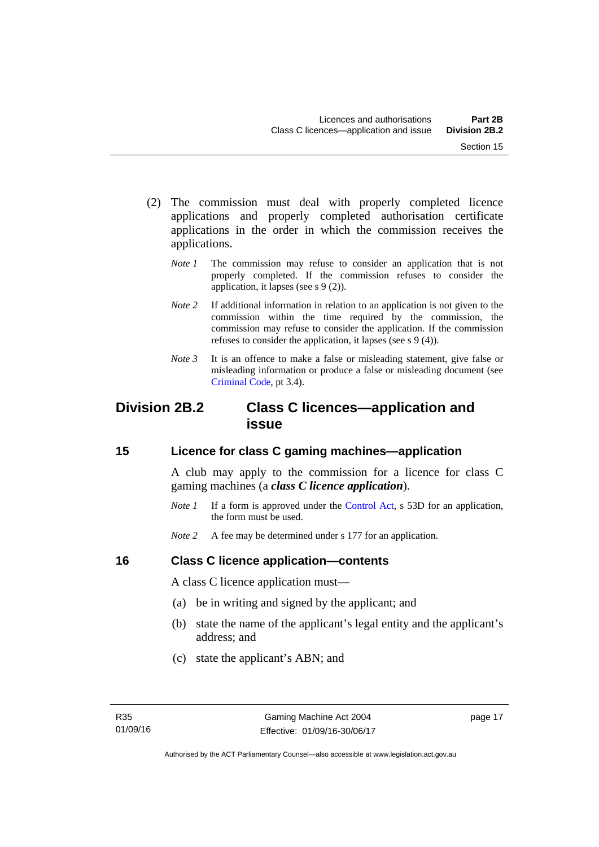- (2) The commission must deal with properly completed licence applications and properly completed authorisation certificate applications in the order in which the commission receives the applications.
	- *Note 1* The commission may refuse to consider an application that is not properly completed. If the commission refuses to consider the application, it lapses (see s 9 (2)).
	- *Note* 2 If additional information in relation to an application is not given to the commission within the time required by the commission, the commission may refuse to consider the application. If the commission refuses to consider the application, it lapses (see s 9 (4)).
	- *Note* 3 It is an offence to make a false or misleading statement, give false or misleading information or produce a false or misleading document (see [Criminal Code](http://www.legislation.act.gov.au/a/2002-51), pt 3.4).

# <span id="page-32-0"></span>**Division 2B.2 Class C licences—application and issue**

# <span id="page-32-1"></span>**15 Licence for class C gaming machines—application**

A club may apply to the commission for a licence for class C gaming machines (a *class C licence application*).

- *Note 1* If a form is approved under the [Control Act,](http://www.legislation.act.gov.au/a/1999-46/default.asp) s 53D for an application, the form must be used.
- *Note* 2 A fee may be determined under s 177 for an application.

# <span id="page-32-2"></span>**16 Class C licence application—contents**

A class C licence application must—

- (a) be in writing and signed by the applicant; and
- (b) state the name of the applicant's legal entity and the applicant's address; and
- (c) state the applicant's ABN; and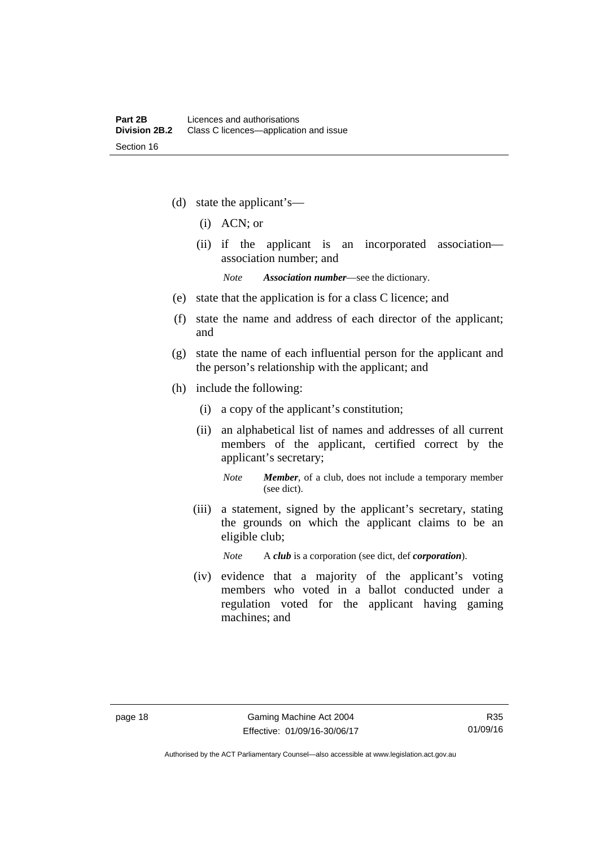- (d) state the applicant's—
	- (i) ACN; or
	- (ii) if the applicant is an incorporated association association number; and

*Note Association number*—see the dictionary.

- (e) state that the application is for a class C licence; and
- (f) state the name and address of each director of the applicant; and
- (g) state the name of each influential person for the applicant and the person's relationship with the applicant; and
- (h) include the following:
	- (i) a copy of the applicant's constitution;
	- (ii) an alphabetical list of names and addresses of all current members of the applicant, certified correct by the applicant's secretary;
		- *Note Member*, of a club, does not include a temporary member (see dict).
	- (iii) a statement, signed by the applicant's secretary, stating the grounds on which the applicant claims to be an eligible club;

*Note* A *club* is a corporation (see dict, def *corporation*).

(iv) evidence that a majority of the applicant's voting members who voted in a ballot conducted under a regulation voted for the applicant having gaming machines; and

Authorised by the ACT Parliamentary Counsel—also accessible at www.legislation.act.gov.au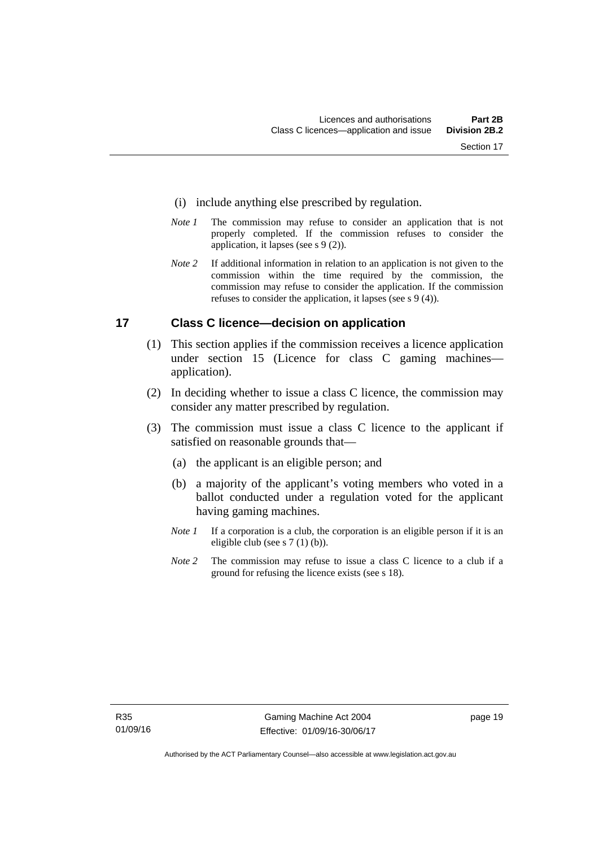- (i) include anything else prescribed by regulation.
- *Note 1* The commission may refuse to consider an application that is not properly completed. If the commission refuses to consider the application, it lapses (see s 9 (2)).
- *Note 2* If additional information in relation to an application is not given to the commission within the time required by the commission, the commission may refuse to consider the application. If the commission refuses to consider the application, it lapses (see s 9 (4)).

# <span id="page-34-0"></span>**17 Class C licence—decision on application**

- (1) This section applies if the commission receives a licence application under section 15 (Licence for class C gaming machines application).
- (2) In deciding whether to issue a class C licence, the commission may consider any matter prescribed by regulation.
- (3) The commission must issue a class C licence to the applicant if satisfied on reasonable grounds that—
	- (a) the applicant is an eligible person; and
	- (b) a majority of the applicant's voting members who voted in a ballot conducted under a regulation voted for the applicant having gaming machines.
	- *Note 1* If a corporation is a club, the corporation is an eligible person if it is an eligible club (see s 7 (1) (b)).
	- *Note* 2 The commission may refuse to issue a class C licence to a club if a ground for refusing the licence exists (see s 18).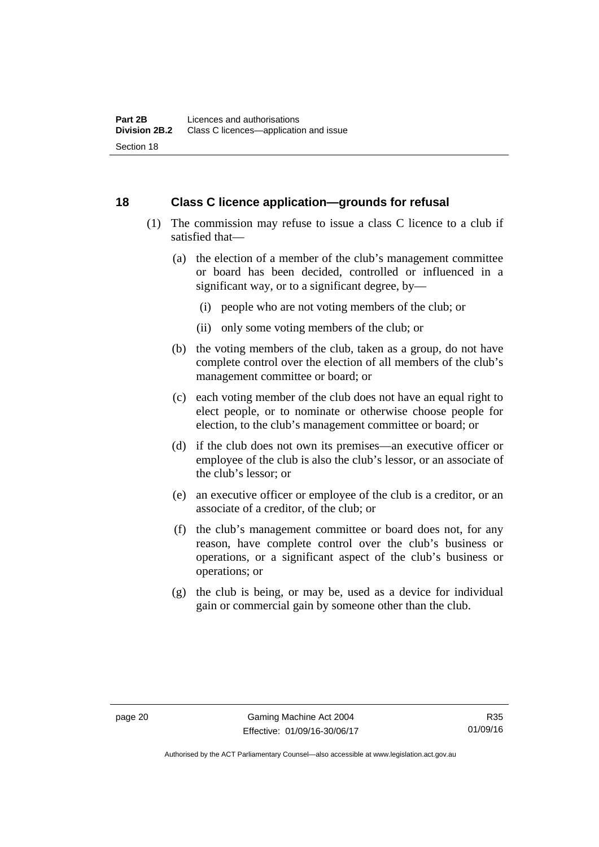# <span id="page-35-0"></span>**18 Class C licence application—grounds for refusal**

- (1) The commission may refuse to issue a class C licence to a club if satisfied that—
	- (a) the election of a member of the club's management committee or board has been decided, controlled or influenced in a significant way, or to a significant degree, by—
		- (i) people who are not voting members of the club; or
		- (ii) only some voting members of the club; or
	- (b) the voting members of the club, taken as a group, do not have complete control over the election of all members of the club's management committee or board; or
	- (c) each voting member of the club does not have an equal right to elect people, or to nominate or otherwise choose people for election, to the club's management committee or board; or
	- (d) if the club does not own its premises—an executive officer or employee of the club is also the club's lessor, or an associate of the club's lessor; or
	- (e) an executive officer or employee of the club is a creditor, or an associate of a creditor, of the club; or
	- (f) the club's management committee or board does not, for any reason, have complete control over the club's business or operations, or a significant aspect of the club's business or operations; or
	- (g) the club is being, or may be, used as a device for individual gain or commercial gain by someone other than the club.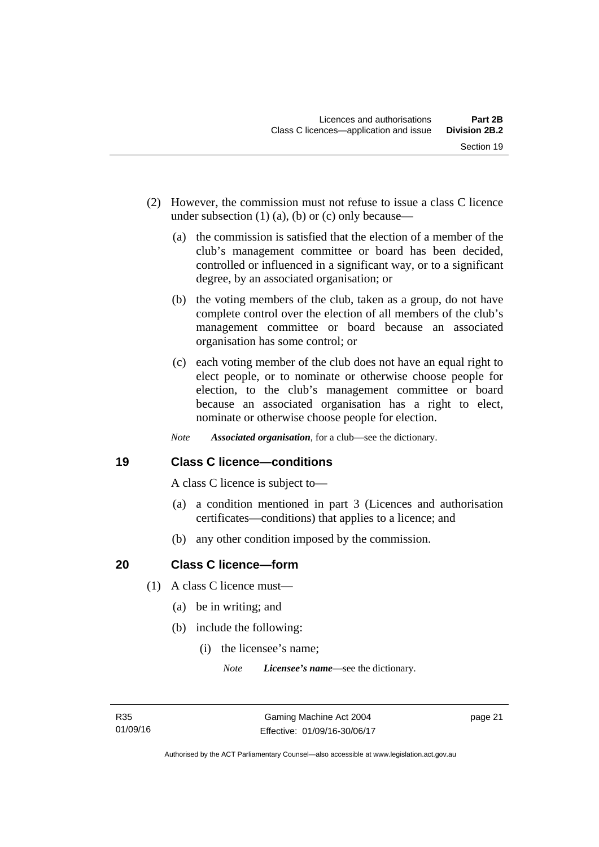- (2) However, the commission must not refuse to issue a class C licence under subsection  $(1)$   $(a)$ ,  $(b)$  or  $(c)$  only because—
	- (a) the commission is satisfied that the election of a member of the club's management committee or board has been decided, controlled or influenced in a significant way, or to a significant degree, by an associated organisation; or
	- (b) the voting members of the club, taken as a group, do not have complete control over the election of all members of the club's management committee or board because an associated organisation has some control; or
	- (c) each voting member of the club does not have an equal right to elect people, or to nominate or otherwise choose people for election, to the club's management committee or board because an associated organisation has a right to elect, nominate or otherwise choose people for election.
	- *Note Associated organisation*, for a club—see the dictionary.

# **19 Class C licence—conditions**

A class C licence is subject to—

- (a) a condition mentioned in part 3 (Licences and authorisation certificates—conditions) that applies to a licence; and
- (b) any other condition imposed by the commission.

# **20 Class C licence—form**

- (1) A class C licence must—
	- (a) be in writing; and
	- (b) include the following:
		- (i) the licensee's name;

*Note Licensee's name*—see the dictionary.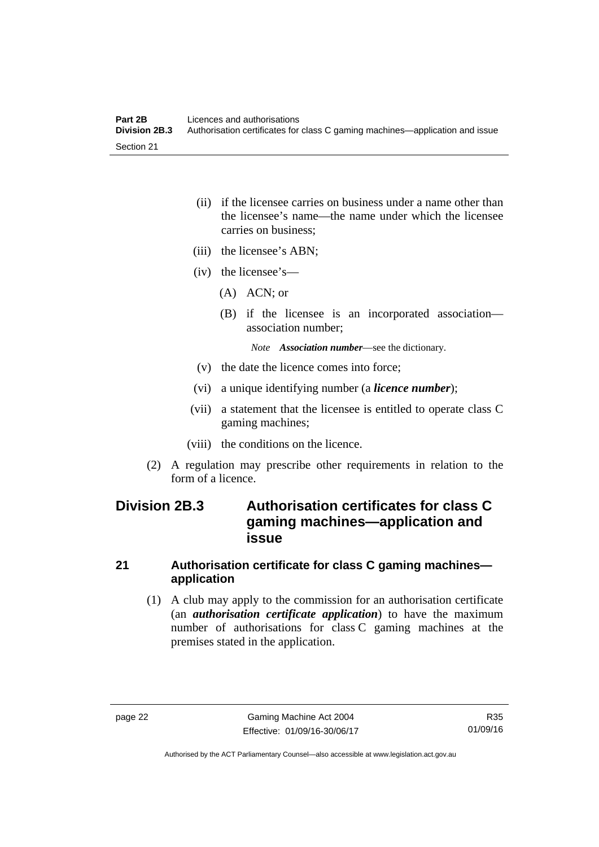- (ii) if the licensee carries on business under a name other than the licensee's name—the name under which the licensee carries on business;
- (iii) the licensee's ABN;
- (iv) the licensee's—
	- (A) ACN; or
	- (B) if the licensee is an incorporated association association number;

*Note Association number*—see the dictionary.

- (v) the date the licence comes into force;
- (vi) a unique identifying number (a *licence number*);
- (vii) a statement that the licensee is entitled to operate class C gaming machines;
- (viii) the conditions on the licence.
- (2) A regulation may prescribe other requirements in relation to the form of a licence.

# **Division 2B.3 Authorisation certificates for class C gaming machines—application and issue**

## **21 Authorisation certificate for class C gaming machines application**

 (1) A club may apply to the commission for an authorisation certificate (an *authorisation certificate application*) to have the maximum number of authorisations for class C gaming machines at the premises stated in the application.

Authorised by the ACT Parliamentary Counsel—also accessible at www.legislation.act.gov.au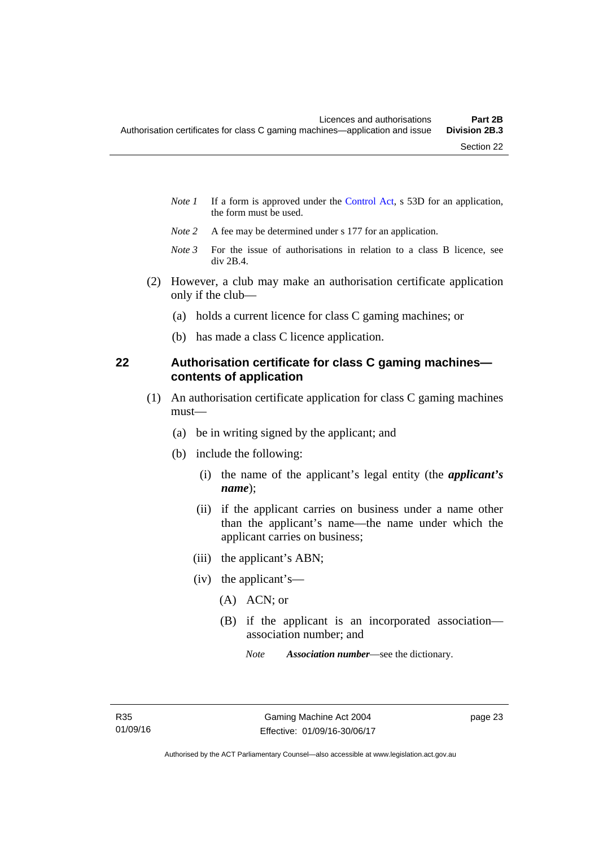- *Note 1* If a form is approved under the [Control Act,](http://www.legislation.act.gov.au/a/1999-46/default.asp) s 53D for an application, the form must be used.
- *Note 2* A fee may be determined under s 177 for an application.
- *Note 3* For the issue of authorisations in relation to a class B licence, see div 2B.4.
- (2) However, a club may make an authorisation certificate application only if the club—
	- (a) holds a current licence for class C gaming machines; or
	- (b) has made a class C licence application.

# **22 Authorisation certificate for class C gaming machines contents of application**

- (1) An authorisation certificate application for class C gaming machines must—
	- (a) be in writing signed by the applicant; and
	- (b) include the following:
		- (i) the name of the applicant's legal entity (the *applicant's name*);
		- (ii) if the applicant carries on business under a name other than the applicant's name—the name under which the applicant carries on business;
		- (iii) the applicant's ABN;
		- (iv) the applicant's—
			- (A) ACN; or
			- (B) if the applicant is an incorporated association association number; and
				- *Note Association number*—see the dictionary.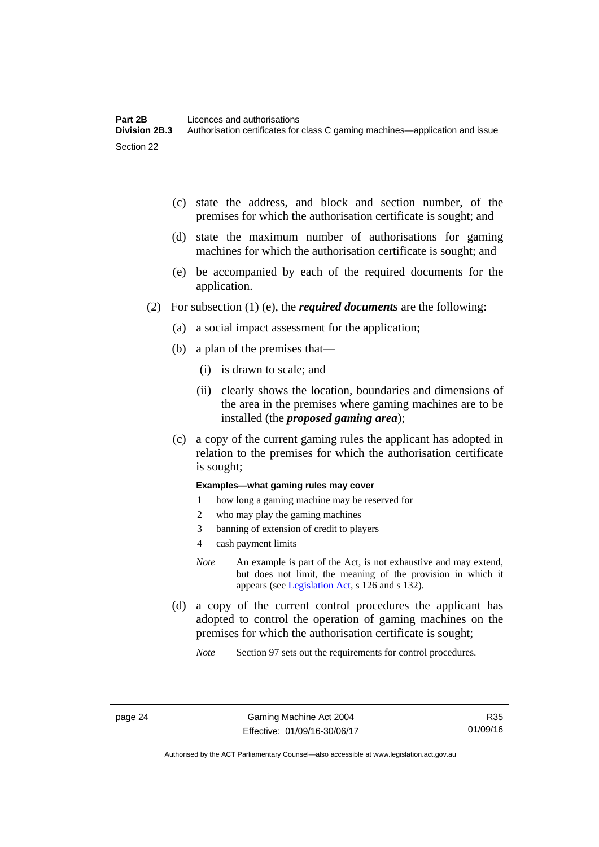- (c) state the address, and block and section number, of the premises for which the authorisation certificate is sought; and
- (d) state the maximum number of authorisations for gaming machines for which the authorisation certificate is sought; and
- (e) be accompanied by each of the required documents for the application.
- (2) For subsection (1) (e), the *required documents* are the following:
	- (a) a social impact assessment for the application;
	- (b) a plan of the premises that—
		- (i) is drawn to scale; and
		- (ii) clearly shows the location, boundaries and dimensions of the area in the premises where gaming machines are to be installed (the *proposed gaming area*);
	- (c) a copy of the current gaming rules the applicant has adopted in relation to the premises for which the authorisation certificate is sought;

#### **Examples—what gaming rules may cover**

- 1 how long a gaming machine may be reserved for
- 2 who may play the gaming machines
- 3 banning of extension of credit to players
- 4 cash payment limits
- *Note* An example is part of the Act, is not exhaustive and may extend, but does not limit, the meaning of the provision in which it appears (see [Legislation Act,](http://www.legislation.act.gov.au/a/2001-14) s 126 and s 132).
- (d) a copy of the current control procedures the applicant has adopted to control the operation of gaming machines on the premises for which the authorisation certificate is sought;
	- *Note* Section 97 sets out the requirements for control procedures.

R35 01/09/16

Authorised by the ACT Parliamentary Counsel—also accessible at www.legislation.act.gov.au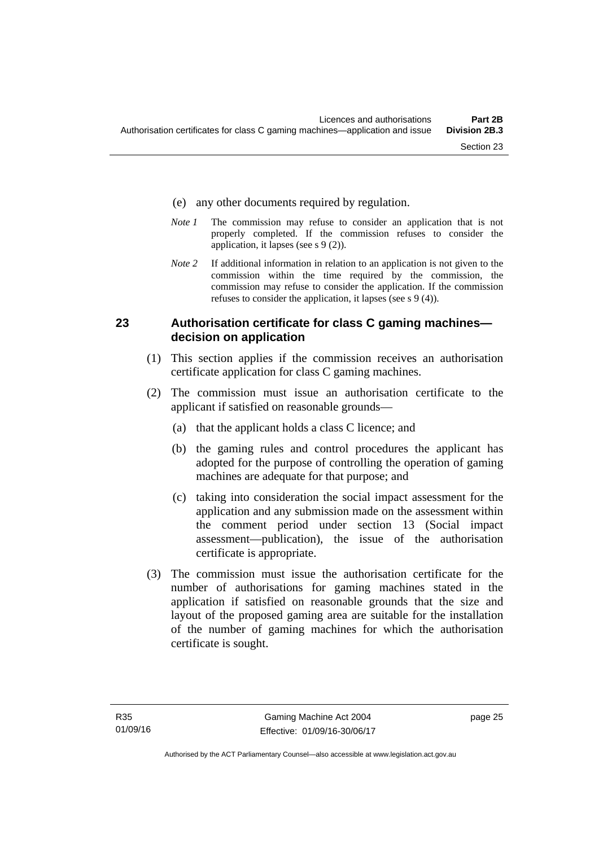- (e) any other documents required by regulation.
- *Note 1* The commission may refuse to consider an application that is not properly completed. If the commission refuses to consider the application, it lapses (see s 9 (2)).
- *Note 2* If additional information in relation to an application is not given to the commission within the time required by the commission, the commission may refuse to consider the application. If the commission refuses to consider the application, it lapses (see s 9 (4)).

## **23 Authorisation certificate for class C gaming machines decision on application**

- (1) This section applies if the commission receives an authorisation certificate application for class C gaming machines.
- (2) The commission must issue an authorisation certificate to the applicant if satisfied on reasonable grounds—
	- (a) that the applicant holds a class C licence; and
	- (b) the gaming rules and control procedures the applicant has adopted for the purpose of controlling the operation of gaming machines are adequate for that purpose; and
	- (c) taking into consideration the social impact assessment for the application and any submission made on the assessment within the comment period under section 13 (Social impact assessment—publication), the issue of the authorisation certificate is appropriate.
- (3) The commission must issue the authorisation certificate for the number of authorisations for gaming machines stated in the application if satisfied on reasonable grounds that the size and layout of the proposed gaming area are suitable for the installation of the number of gaming machines for which the authorisation certificate is sought.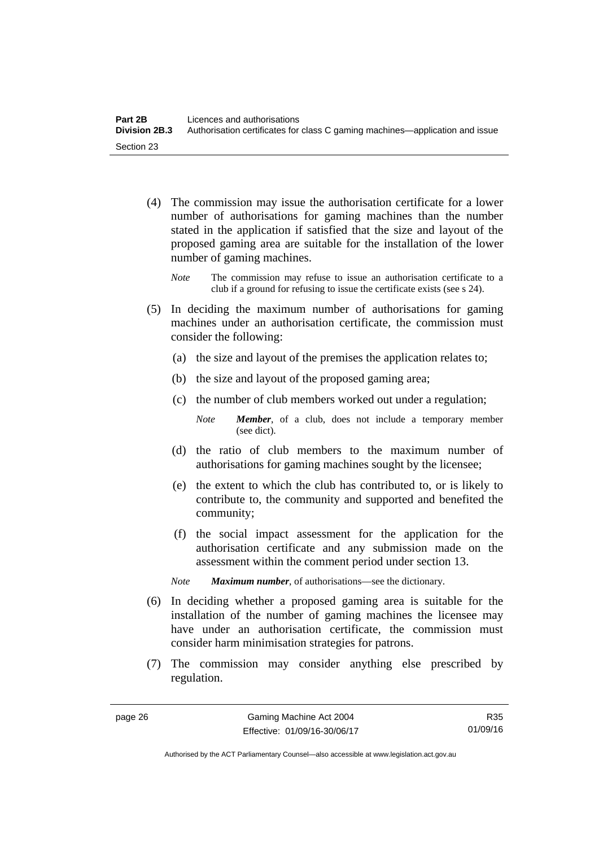- (4) The commission may issue the authorisation certificate for a lower number of authorisations for gaming machines than the number stated in the application if satisfied that the size and layout of the proposed gaming area are suitable for the installation of the lower number of gaming machines.
	- *Note* The commission may refuse to issue an authorisation certificate to a club if a ground for refusing to issue the certificate exists (see s 24).
- (5) In deciding the maximum number of authorisations for gaming machines under an authorisation certificate, the commission must consider the following:
	- (a) the size and layout of the premises the application relates to;
	- (b) the size and layout of the proposed gaming area;
	- (c) the number of club members worked out under a regulation;

*Note Member*, of a club, does not include a temporary member (see dict).

- (d) the ratio of club members to the maximum number of authorisations for gaming machines sought by the licensee;
- (e) the extent to which the club has contributed to, or is likely to contribute to, the community and supported and benefited the community;
- (f) the social impact assessment for the application for the authorisation certificate and any submission made on the assessment within the comment period under section 13.
- *Note Maximum number*, of authorisations—see the dictionary.
- (6) In deciding whether a proposed gaming area is suitable for the installation of the number of gaming machines the licensee may have under an authorisation certificate, the commission must consider harm minimisation strategies for patrons.
- (7) The commission may consider anything else prescribed by regulation.

R35 01/09/16

Authorised by the ACT Parliamentary Counsel—also accessible at www.legislation.act.gov.au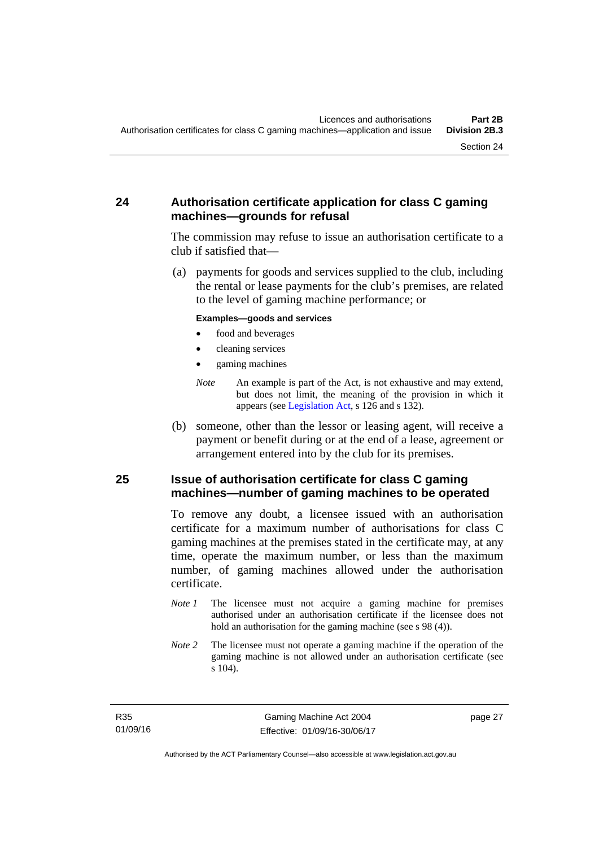# **24 Authorisation certificate application for class C gaming machines—grounds for refusal**

The commission may refuse to issue an authorisation certificate to a club if satisfied that—

 (a) payments for goods and services supplied to the club, including the rental or lease payments for the club's premises, are related to the level of gaming machine performance; or

#### **Examples—goods and services**

- food and beverages
- cleaning services
- gaming machines
- *Note* An example is part of the Act, is not exhaustive and may extend, but does not limit, the meaning of the provision in which it appears (see [Legislation Act,](http://www.legislation.act.gov.au/a/2001-14) s 126 and s 132).
- (b) someone, other than the lessor or leasing agent, will receive a payment or benefit during or at the end of a lease, agreement or arrangement entered into by the club for its premises.

## **25 Issue of authorisation certificate for class C gaming machines—number of gaming machines to be operated**

To remove any doubt, a licensee issued with an authorisation certificate for a maximum number of authorisations for class C gaming machines at the premises stated in the certificate may, at any time, operate the maximum number, or less than the maximum number, of gaming machines allowed under the authorisation certificate.

- *Note 1* The licensee must not acquire a gaming machine for premises authorised under an authorisation certificate if the licensee does not hold an authorisation for the gaming machine (see s 98 (4)).
- *Note* 2 The licensee must not operate a gaming machine if the operation of the gaming machine is not allowed under an authorisation certificate (see s 104).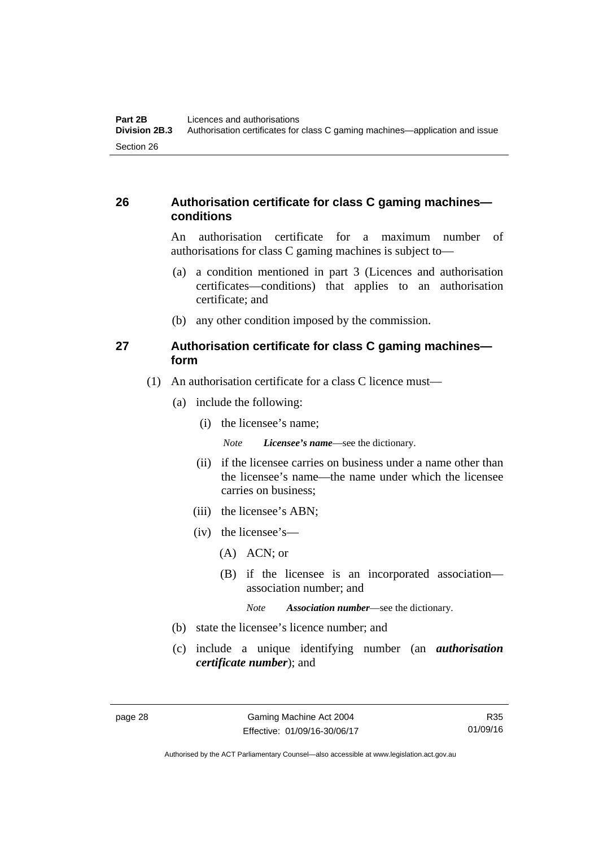# **26 Authorisation certificate for class C gaming machines conditions**

An authorisation certificate for a maximum number of authorisations for class C gaming machines is subject to—

- (a) a condition mentioned in part 3 (Licences and authorisation certificates—conditions) that applies to an authorisation certificate; and
- (b) any other condition imposed by the commission.

## **27 Authorisation certificate for class C gaming machines form**

- (1) An authorisation certificate for a class C licence must—
	- (a) include the following:
		- (i) the licensee's name;

*Note Licensee's name*—see the dictionary.

- (ii) if the licensee carries on business under a name other than the licensee's name—the name under which the licensee carries on business;
- (iii) the licensee's ABN;
- (iv) the licensee's—
	- (A) ACN; or
	- (B) if the licensee is an incorporated association association number; and

*Note Association number*—see the dictionary.

- (b) state the licensee's licence number; and
- (c) include a unique identifying number (an *authorisation certificate number*); and

R35 01/09/16

Authorised by the ACT Parliamentary Counsel—also accessible at www.legislation.act.gov.au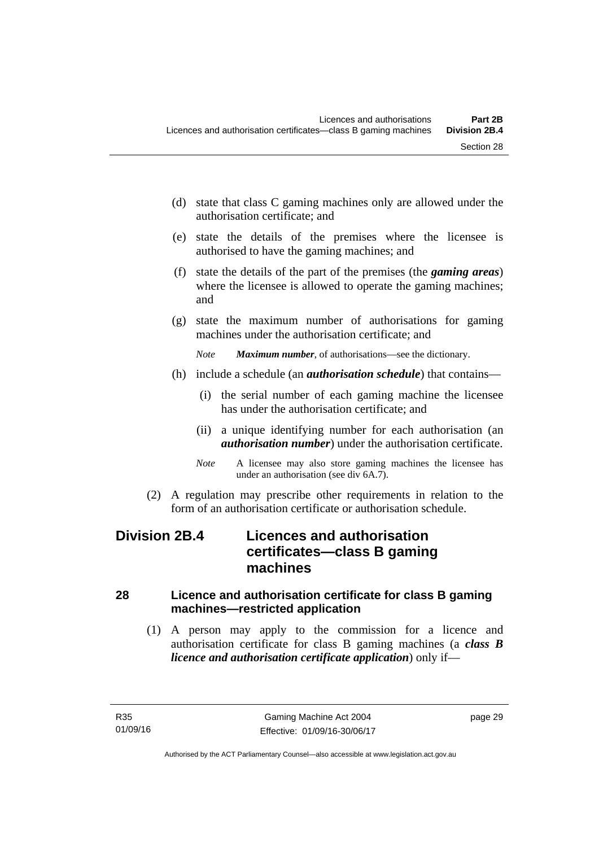- (d) state that class C gaming machines only are allowed under the authorisation certificate; and
- (e) state the details of the premises where the licensee is authorised to have the gaming machines; and
- (f) state the details of the part of the premises (the *gaming areas*) where the licensee is allowed to operate the gaming machines; and
- (g) state the maximum number of authorisations for gaming machines under the authorisation certificate; and
	- *Note Maximum number*, of authorisations—see the dictionary.
- (h) include a schedule (an *authorisation schedule*) that contains—
	- (i) the serial number of each gaming machine the licensee has under the authorisation certificate; and
	- (ii) a unique identifying number for each authorisation (an *authorisation number*) under the authorisation certificate.
	- *Note* A licensee may also store gaming machines the licensee has under an authorisation (see div 6A.7).
- (2) A regulation may prescribe other requirements in relation to the form of an authorisation certificate or authorisation schedule.

# **Division 2B.4 Licences and authorisation certificates—class B gaming machines**

# **28 Licence and authorisation certificate for class B gaming machines—restricted application**

 (1) A person may apply to the commission for a licence and authorisation certificate for class B gaming machines (a *class B licence and authorisation certificate application*) only if—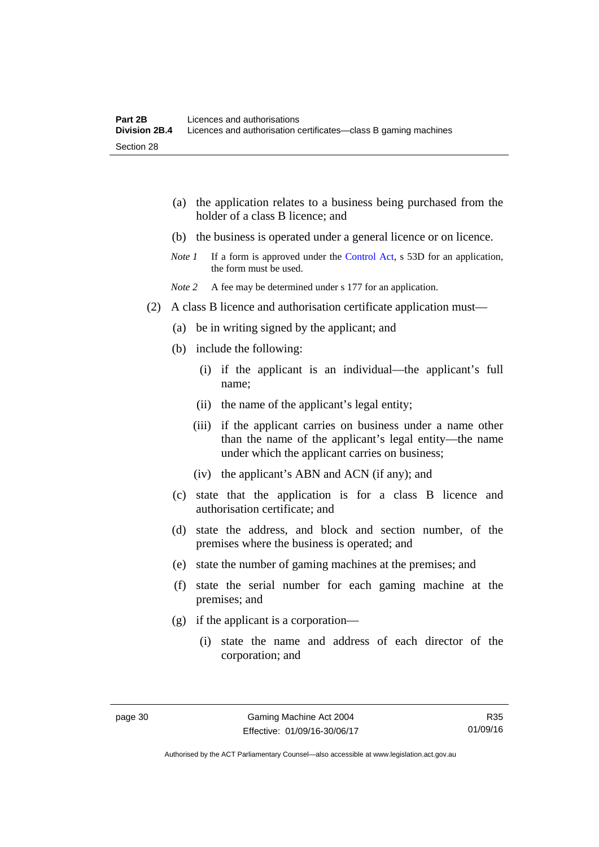|         | the application relates to a business being purchased from the<br>(a)<br>holder of a class B licence; and                                                                 |
|---------|---------------------------------------------------------------------------------------------------------------------------------------------------------------------------|
|         | (b) the business is operated under a general licence or on licence.                                                                                                       |
|         | If a form is approved under the Control Act, s 53D for an application,<br>Note 1<br>the form must be used.                                                                |
|         | Note 2<br>A fee may be determined under s 177 for an application.                                                                                                         |
| (2)     | A class B licence and authorisation certificate application must—                                                                                                         |
|         | be in writing signed by the applicant; and<br>(a)                                                                                                                         |
|         | (b) include the following:                                                                                                                                                |
|         | (i) if the applicant is an individual—the applicant's full<br>name;                                                                                                       |
|         | (ii) the name of the applicant's legal entity;                                                                                                                            |
|         | (iii) if the applicant carries on business under a name other<br>than the name of the applicant's legal entity—the name<br>under which the applicant carries on business; |
|         | (iv) the applicant's ABN and ACN (if any); and                                                                                                                            |
|         | (c) state that the application is for a class B licence and<br>authorisation certificate; and                                                                             |
|         | state the address, and block and section number, of the<br>(d)<br>premises where the business is operated; and                                                            |
|         | state the number of gaming machines at the premises; and<br>(e)                                                                                                           |
|         | (f)<br>state the serial number for each gaming machine at the<br>premises; and                                                                                            |
|         | if the applicant is a corporation—<br>(g)                                                                                                                                 |
|         | (i) state the name and address of each director of the<br>corporation; and                                                                                                |
| page 30 | Gaming Machine Act 2004<br>R35                                                                                                                                            |

01/09/16

Authorised by the ACT Parliamentary Counsel—also accessible at www.legislation.act.gov.au

Effective: 01/09/16-30/06/17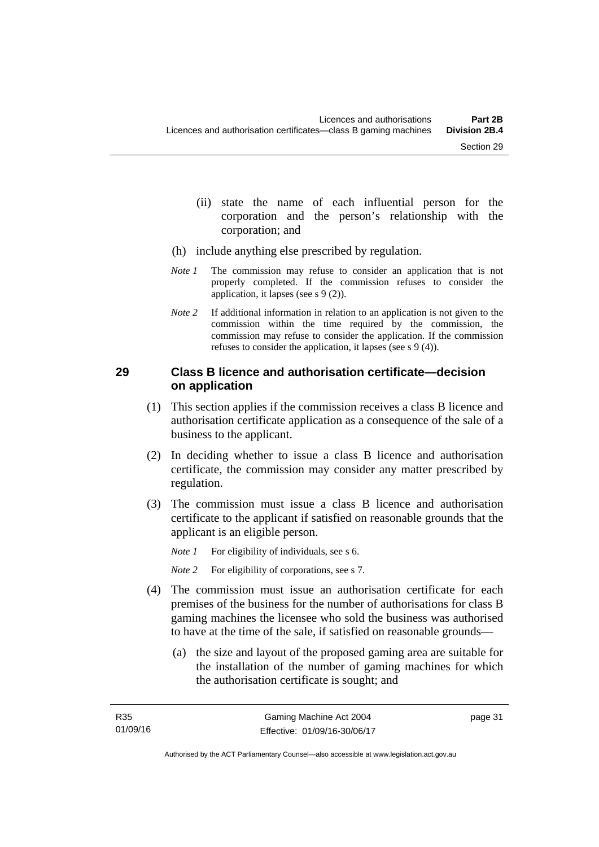- (ii) state the name of each influential person for the corporation and the person's relationship with the corporation; and
- (h) include anything else prescribed by regulation.
- *Note 1* The commission may refuse to consider an application that is not properly completed. If the commission refuses to consider the application, it lapses (see s 9 (2)).
- *Note 2* If additional information in relation to an application is not given to the commission within the time required by the commission, the commission may refuse to consider the application. If the commission refuses to consider the application, it lapses (see s 9 (4)).

## **29 Class B licence and authorisation certificate—decision on application**

- (1) This section applies if the commission receives a class B licence and authorisation certificate application as a consequence of the sale of a business to the applicant.
- (2) In deciding whether to issue a class B licence and authorisation certificate, the commission may consider any matter prescribed by regulation.
- (3) The commission must issue a class B licence and authorisation certificate to the applicant if satisfied on reasonable grounds that the applicant is an eligible person.

*Note 1* For eligibility of individuals, see s 6.

*Note 2* For eligibility of corporations, see s 7.

- (4) The commission must issue an authorisation certificate for each premises of the business for the number of authorisations for class B gaming machines the licensee who sold the business was authorised to have at the time of the sale, if satisfied on reasonable grounds—
	- (a) the size and layout of the proposed gaming area are suitable for the installation of the number of gaming machines for which the authorisation certificate is sought; and

page 31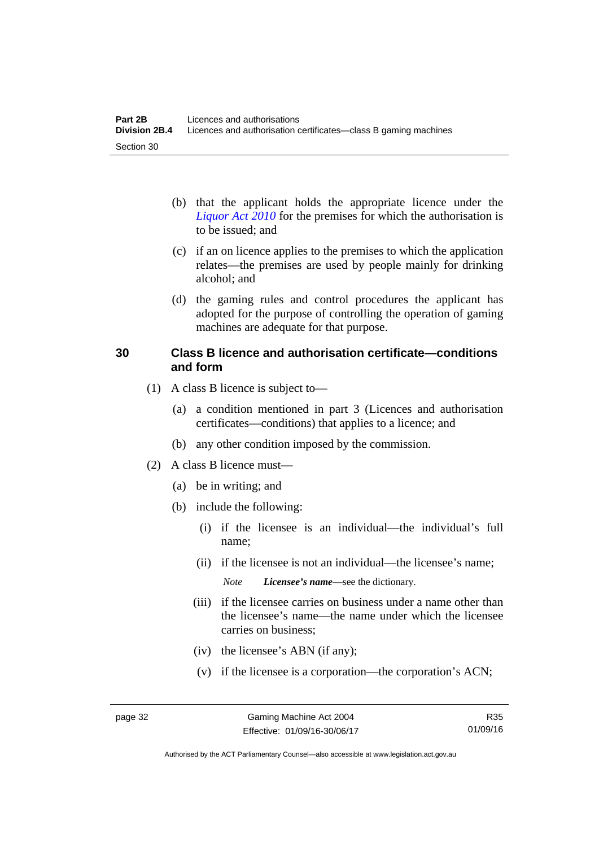- (b) that the applicant holds the appropriate licence under the *[Liquor Act 2010](http://www.legislation.act.gov.au/a/2010-35)* for the premises for which the authorisation is to be issued; and
- (c) if an on licence applies to the premises to which the application relates—the premises are used by people mainly for drinking alcohol; and
- (d) the gaming rules and control procedures the applicant has adopted for the purpose of controlling the operation of gaming machines are adequate for that purpose.

## **30 Class B licence and authorisation certificate—conditions and form**

- (1) A class B licence is subject to—
	- (a) a condition mentioned in part 3 (Licences and authorisation certificates—conditions) that applies to a licence; and
	- (b) any other condition imposed by the commission.
- (2) A class B licence must—
	- (a) be in writing; and
	- (b) include the following:
		- (i) if the licensee is an individual—the individual's full name;
		- (ii) if the licensee is not an individual—the licensee's name;

*Note Licensee's name*—see the dictionary.

- (iii) if the licensee carries on business under a name other than the licensee's name—the name under which the licensee carries on business;
- (iv) the licensee's ABN (if any);
- (v) if the licensee is a corporation—the corporation's ACN;

R35 01/09/16

Authorised by the ACT Parliamentary Counsel—also accessible at www.legislation.act.gov.au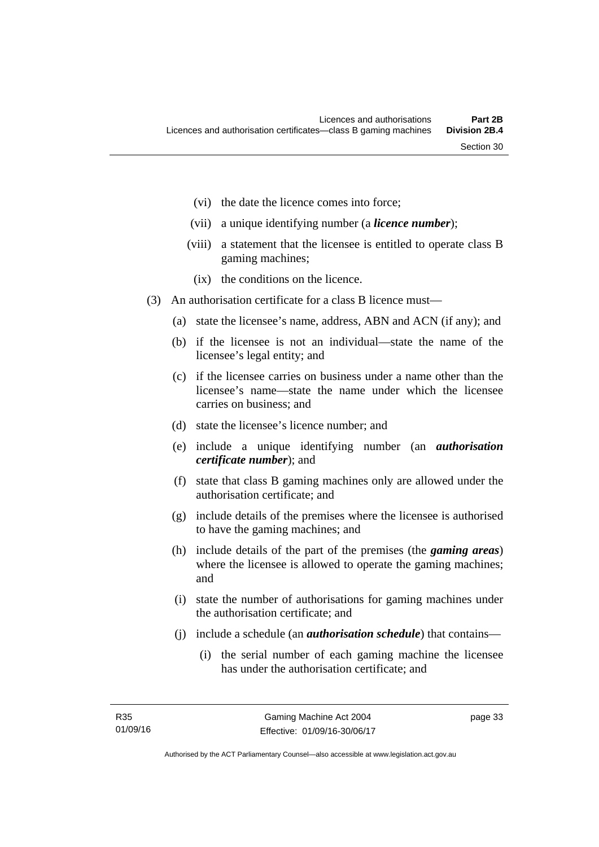- (vi) the date the licence comes into force;
- (vii) a unique identifying number (a *licence number*);
- (viii) a statement that the licensee is entitled to operate class B gaming machines;
	- (ix) the conditions on the licence.
- (3) An authorisation certificate for a class B licence must—
	- (a) state the licensee's name, address, ABN and ACN (if any); and
	- (b) if the licensee is not an individual—state the name of the licensee's legal entity; and
	- (c) if the licensee carries on business under a name other than the licensee's name—state the name under which the licensee carries on business; and
	- (d) state the licensee's licence number; and
	- (e) include a unique identifying number (an *authorisation certificate number*); and
	- (f) state that class B gaming machines only are allowed under the authorisation certificate; and
	- (g) include details of the premises where the licensee is authorised to have the gaming machines; and
	- (h) include details of the part of the premises (the *gaming areas*) where the licensee is allowed to operate the gaming machines; and
	- (i) state the number of authorisations for gaming machines under the authorisation certificate; and
	- (j) include a schedule (an *authorisation schedule*) that contains—
		- (i) the serial number of each gaming machine the licensee has under the authorisation certificate; and

page 33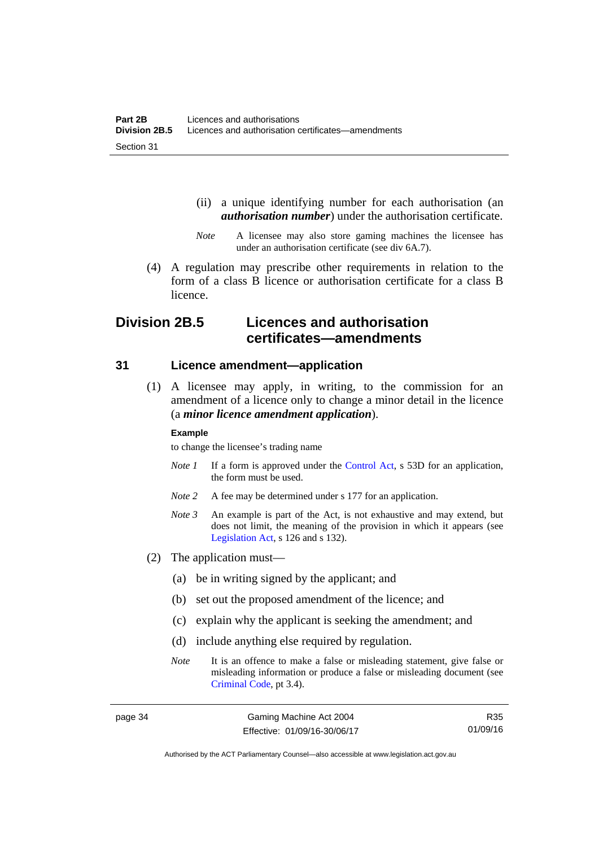- (ii) a unique identifying number for each authorisation (an *authorisation number*) under the authorisation certificate.
- *Note* A licensee may also store gaming machines the licensee has under an authorisation certificate (see div 6A.7).
- (4) A regulation may prescribe other requirements in relation to the form of a class B licence or authorisation certificate for a class B licence.

# **Division 2B.5 Licences and authorisation certificates—amendments**

#### **31 Licence amendment—application**

 (1) A licensee may apply, in writing, to the commission for an amendment of a licence only to change a minor detail in the licence (a *minor licence amendment application*).

#### **Example**

to change the licensee's trading name

- *Note 1* If a form is approved under the [Control Act,](http://www.legislation.act.gov.au/a/1999-46/default.asp) s 53D for an application, the form must be used.
- *Note* 2 A fee may be determined under s 177 for an application.
- *Note 3* An example is part of the Act, is not exhaustive and may extend, but does not limit, the meaning of the provision in which it appears (see [Legislation Act,](http://www.legislation.act.gov.au/a/2001-14) s 126 and s 132).
- (2) The application must—
	- (a) be in writing signed by the applicant; and
	- (b) set out the proposed amendment of the licence; and
	- (c) explain why the applicant is seeking the amendment; and
	- (d) include anything else required by regulation.
	- *Note* It is an offence to make a false or misleading statement, give false or misleading information or produce a false or misleading document (see [Criminal Code](http://www.legislation.act.gov.au/a/2002-51), pt 3.4).

R35 01/09/16

Authorised by the ACT Parliamentary Counsel—also accessible at www.legislation.act.gov.au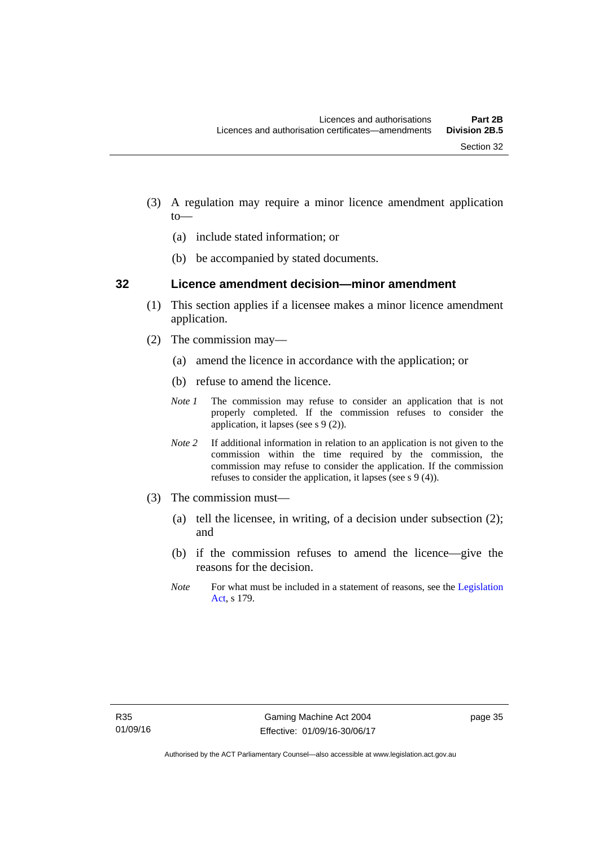- (3) A regulation may require a minor licence amendment application to—
	- (a) include stated information; or
	- (b) be accompanied by stated documents.

#### **32 Licence amendment decision—minor amendment**

- (1) This section applies if a licensee makes a minor licence amendment application.
- (2) The commission may—
	- (a) amend the licence in accordance with the application; or
	- (b) refuse to amend the licence.
	- *Note 1* The commission may refuse to consider an application that is not properly completed. If the commission refuses to consider the application, it lapses (see s 9 (2)).
	- *Note 2* If additional information in relation to an application is not given to the commission within the time required by the commission, the commission may refuse to consider the application. If the commission refuses to consider the application, it lapses (see s 9 (4)).
- (3) The commission must—
	- (a) tell the licensee, in writing, of a decision under subsection (2); and
	- (b) if the commission refuses to amend the licence—give the reasons for the decision.
	- *Note* For what must be included in a statement of reasons, see the Legislation [Act](http://www.legislation.act.gov.au/a/2001-14), s 179.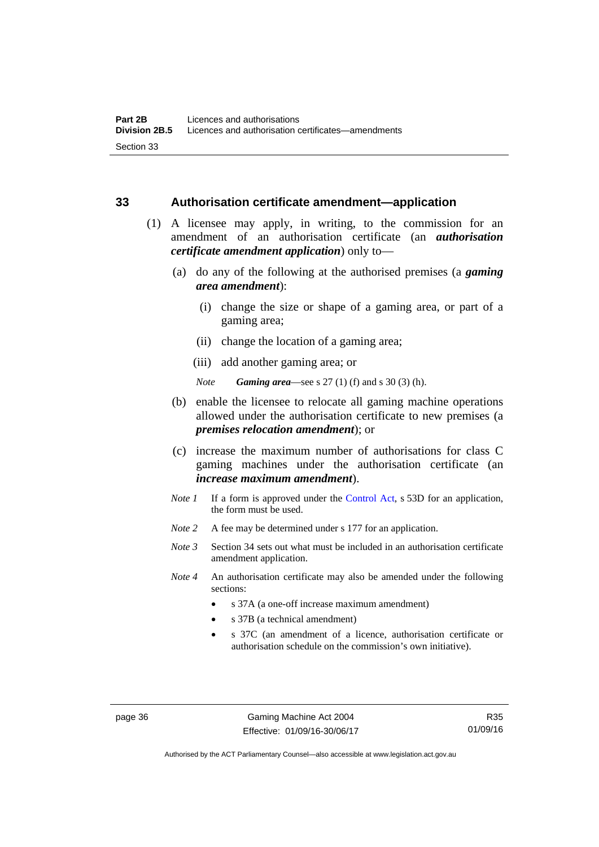#### **33 Authorisation certificate amendment—application**

- (1) A licensee may apply, in writing, to the commission for an amendment of an authorisation certificate (an *authorisation certificate amendment application*) only to—
	- (a) do any of the following at the authorised premises (a *gaming area amendment*):
		- (i) change the size or shape of a gaming area, or part of a gaming area;
		- (ii) change the location of a gaming area;
		- (iii) add another gaming area; or

*Note Gaming area*—see s 27 (1) (f) and s 30 (3) (h).

- (b) enable the licensee to relocate all gaming machine operations allowed under the authorisation certificate to new premises (a *premises relocation amendment*); or
- (c) increase the maximum number of authorisations for class C gaming machines under the authorisation certificate (an *increase maximum amendment*).
- *Note 1* If a form is approved under the [Control Act](http://www.legislation.act.gov.au/a/1999-46/default.asp), s 53D for an application, the form must be used.
- *Note* 2 A fee may be determined under s 177 for an application.
- *Note 3* Section 34 sets out what must be included in an authorisation certificate amendment application.
- *Note 4* An authorisation certificate may also be amended under the following sections:
	- s 37A (a one-off increase maximum amendment)
	- s 37B (a technical amendment)
	- s 37C (an amendment of a licence, authorisation certificate or authorisation schedule on the commission's own initiative).

page 36 Gaming Machine Act 2004 Effective: 01/09/16-30/06/17

Authorised by the ACT Parliamentary Counsel—also accessible at www.legislation.act.gov.au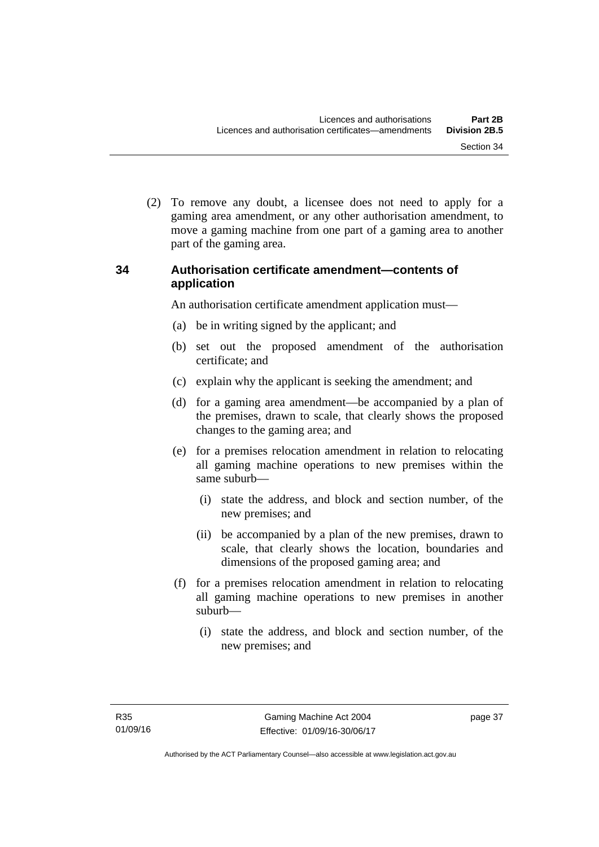(2) To remove any doubt, a licensee does not need to apply for a gaming area amendment, or any other authorisation amendment, to move a gaming machine from one part of a gaming area to another part of the gaming area.

# **34 Authorisation certificate amendment—contents of application**

An authorisation certificate amendment application must—

- (a) be in writing signed by the applicant; and
- (b) set out the proposed amendment of the authorisation certificate; and
- (c) explain why the applicant is seeking the amendment; and
- (d) for a gaming area amendment—be accompanied by a plan of the premises, drawn to scale, that clearly shows the proposed changes to the gaming area; and
- (e) for a premises relocation amendment in relation to relocating all gaming machine operations to new premises within the same suburb—
	- (i) state the address, and block and section number, of the new premises; and
	- (ii) be accompanied by a plan of the new premises, drawn to scale, that clearly shows the location, boundaries and dimensions of the proposed gaming area; and
- (f) for a premises relocation amendment in relation to relocating all gaming machine operations to new premises in another suburb—
	- (i) state the address, and block and section number, of the new premises; and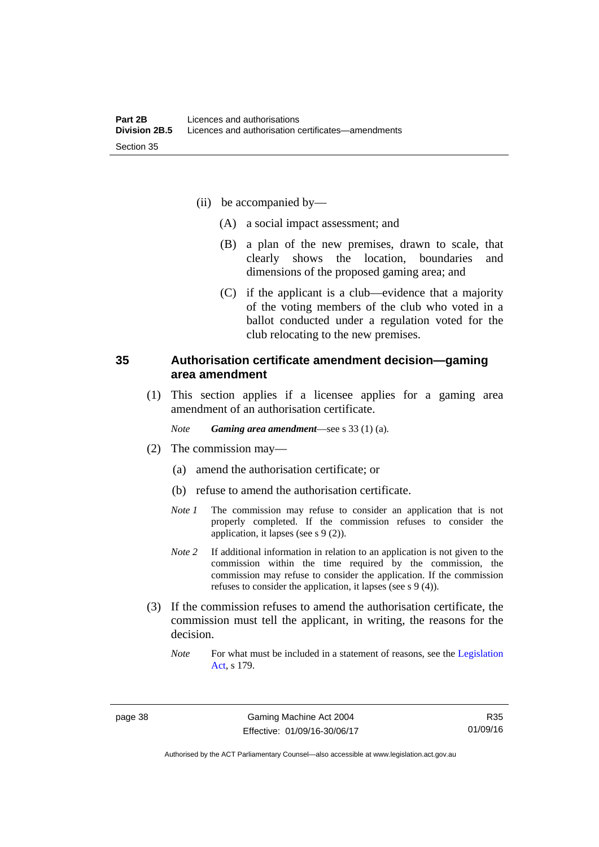- (ii) be accompanied by—
	- (A) a social impact assessment; and
	- (B) a plan of the new premises, drawn to scale, that clearly shows the location, boundaries and dimensions of the proposed gaming area; and
	- (C) if the applicant is a club—evidence that a majority of the voting members of the club who voted in a ballot conducted under a regulation voted for the club relocating to the new premises.

## **35 Authorisation certificate amendment decision—gaming area amendment**

 (1) This section applies if a licensee applies for a gaming area amendment of an authorisation certificate.

*Note Gaming area amendment*—see s 33 (1) (a).

- (2) The commission may—
	- (a) amend the authorisation certificate; or
	- (b) refuse to amend the authorisation certificate.
	- *Note 1* The commission may refuse to consider an application that is not properly completed. If the commission refuses to consider the application, it lapses (see s 9 (2)).
	- *Note 2* If additional information in relation to an application is not given to the commission within the time required by the commission, the commission may refuse to consider the application. If the commission refuses to consider the application, it lapses (see s 9 (4)).
- (3) If the commission refuses to amend the authorisation certificate, the commission must tell the applicant, in writing, the reasons for the decision.
	- *Note* For what must be included in a statement of reasons, see the Legislation [Act](http://www.legislation.act.gov.au/a/2001-14), s 179.

R35 01/09/16

Authorised by the ACT Parliamentary Counsel—also accessible at www.legislation.act.gov.au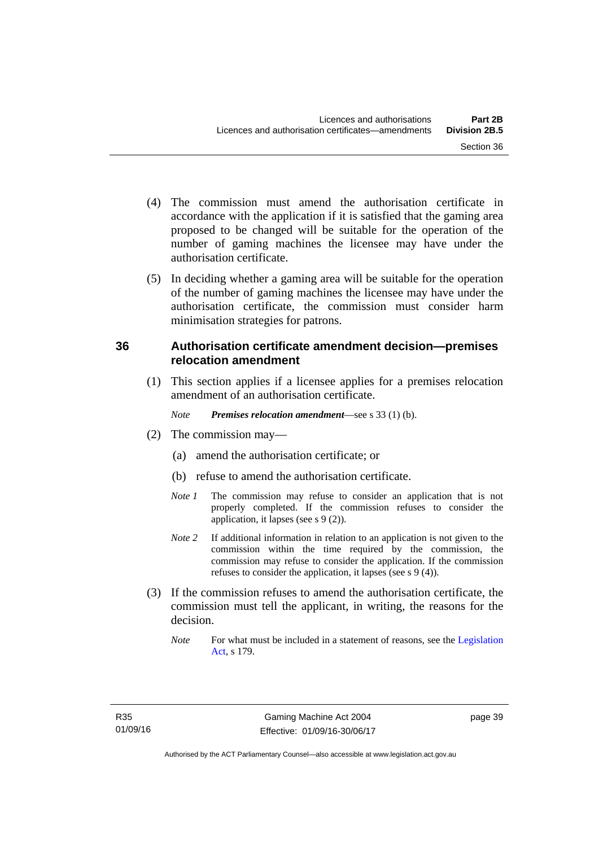- (4) The commission must amend the authorisation certificate in accordance with the application if it is satisfied that the gaming area proposed to be changed will be suitable for the operation of the number of gaming machines the licensee may have under the authorisation certificate.
- (5) In deciding whether a gaming area will be suitable for the operation of the number of gaming machines the licensee may have under the authorisation certificate, the commission must consider harm minimisation strategies for patrons.

# **36 Authorisation certificate amendment decision—premises relocation amendment**

(1) This section applies if a licensee applies for a premises relocation amendment of an authorisation certificate.

*Note Premises relocation amendment*—see s 33 (1) (b).

- (2) The commission may—
	- (a) amend the authorisation certificate; or
	- (b) refuse to amend the authorisation certificate.
	- *Note 1* The commission may refuse to consider an application that is not properly completed. If the commission refuses to consider the application, it lapses (see s 9 (2)).
	- *Note* 2 If additional information in relation to an application is not given to the commission within the time required by the commission, the commission may refuse to consider the application. If the commission refuses to consider the application, it lapses (see s 9 (4)).
- (3) If the commission refuses to amend the authorisation certificate, the commission must tell the applicant, in writing, the reasons for the decision.
	- *Note* For what must be included in a statement of reasons, see the Legislation [Act](http://www.legislation.act.gov.au/a/2001-14), s 179.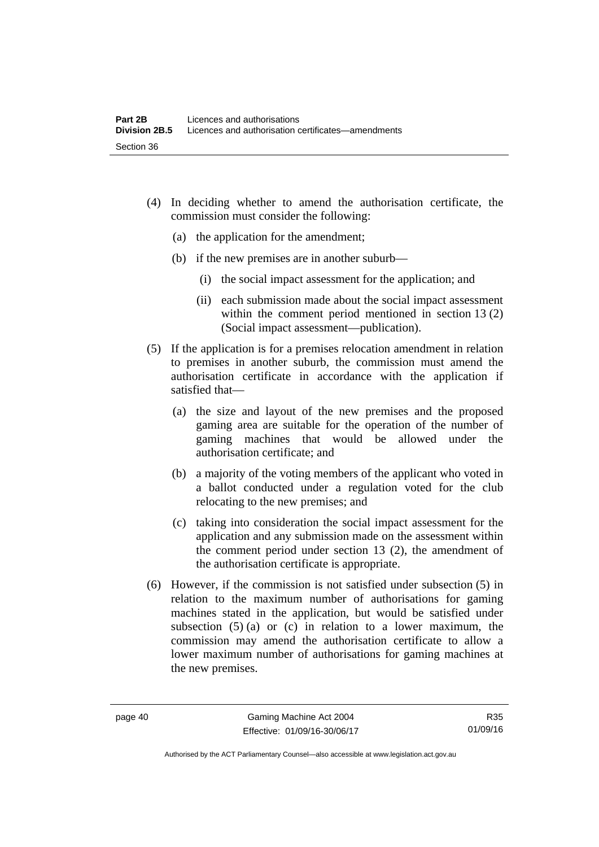- (4) In deciding whether to amend the authorisation certificate, the commission must consider the following:
	- (a) the application for the amendment;
	- (b) if the new premises are in another suburb—
		- (i) the social impact assessment for the application; and
		- (ii) each submission made about the social impact assessment within the comment period mentioned in section 13 (2) (Social impact assessment—publication).
- (5) If the application is for a premises relocation amendment in relation to premises in another suburb, the commission must amend the authorisation certificate in accordance with the application if satisfied that—
	- (a) the size and layout of the new premises and the proposed gaming area are suitable for the operation of the number of gaming machines that would be allowed under the authorisation certificate; and
	- (b) a majority of the voting members of the applicant who voted in a ballot conducted under a regulation voted for the club relocating to the new premises; and
	- (c) taking into consideration the social impact assessment for the application and any submission made on the assessment within the comment period under section 13 (2), the amendment of the authorisation certificate is appropriate.
- (6) However, if the commission is not satisfied under subsection (5) in relation to the maximum number of authorisations for gaming machines stated in the application, but would be satisfied under subsection  $(5)$  (a) or (c) in relation to a lower maximum, the commission may amend the authorisation certificate to allow a lower maximum number of authorisations for gaming machines at the new premises.

Authorised by the ACT Parliamentary Counsel—also accessible at www.legislation.act.gov.au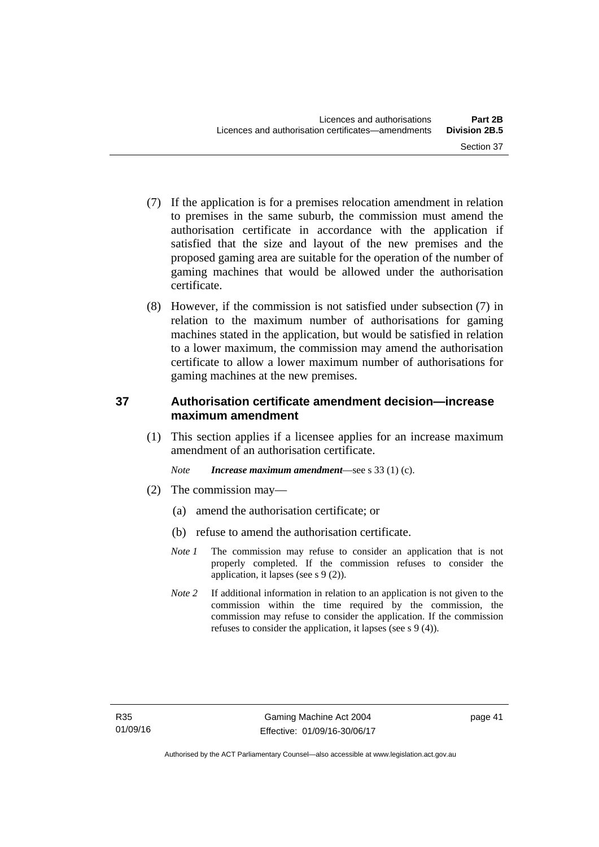- (7) If the application is for a premises relocation amendment in relation to premises in the same suburb, the commission must amend the authorisation certificate in accordance with the application if satisfied that the size and layout of the new premises and the proposed gaming area are suitable for the operation of the number of gaming machines that would be allowed under the authorisation certificate.
- (8) However, if the commission is not satisfied under subsection (7) in relation to the maximum number of authorisations for gaming machines stated in the application, but would be satisfied in relation to a lower maximum, the commission may amend the authorisation certificate to allow a lower maximum number of authorisations for gaming machines at the new premises.

# **37 Authorisation certificate amendment decision—increase maximum amendment**

(1) This section applies if a licensee applies for an increase maximum amendment of an authorisation certificate.

*Note Increase maximum amendment*—see s 33 (1) (c).

- (2) The commission may—
	- (a) amend the authorisation certificate; or
	- (b) refuse to amend the authorisation certificate.
	- *Note 1* The commission may refuse to consider an application that is not properly completed. If the commission refuses to consider the application, it lapses (see s 9 (2)).
	- *Note* 2 If additional information in relation to an application is not given to the commission within the time required by the commission, the commission may refuse to consider the application. If the commission refuses to consider the application, it lapses (see s 9 (4)).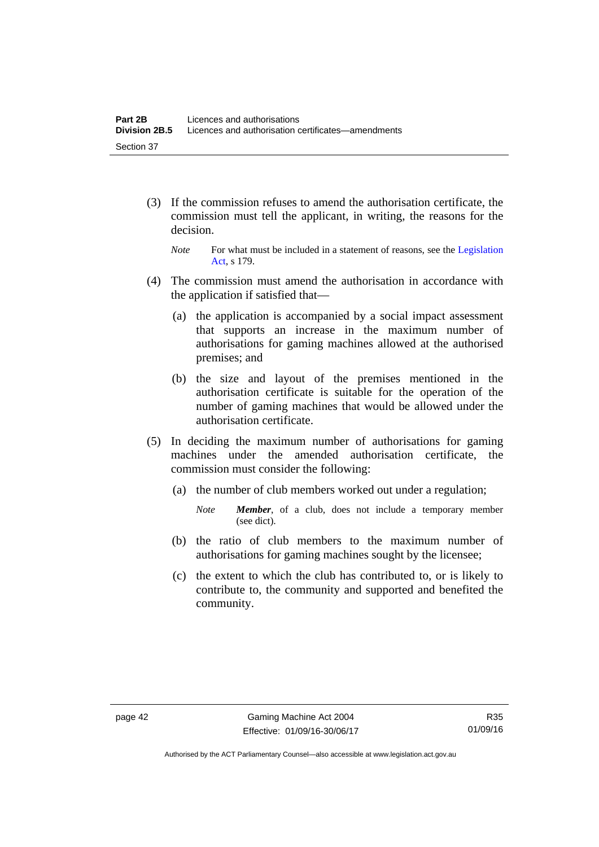- (3) If the commission refuses to amend the authorisation certificate, the commission must tell the applicant, in writing, the reasons for the decision.
	- *Note* For what must be included in a statement of reasons, see the Legislation [Act](http://www.legislation.act.gov.au/a/2001-14), s 179.
- (4) The commission must amend the authorisation in accordance with the application if satisfied that—
	- (a) the application is accompanied by a social impact assessment that supports an increase in the maximum number of authorisations for gaming machines allowed at the authorised premises; and
	- (b) the size and layout of the premises mentioned in the authorisation certificate is suitable for the operation of the number of gaming machines that would be allowed under the authorisation certificate.
- (5) In deciding the maximum number of authorisations for gaming machines under the amended authorisation certificate, the commission must consider the following:
	- (a) the number of club members worked out under a regulation;
		- *Note Member*, of a club, does not include a temporary member (see dict).
	- (b) the ratio of club members to the maximum number of authorisations for gaming machines sought by the licensee;
	- (c) the extent to which the club has contributed to, or is likely to contribute to, the community and supported and benefited the community.

Authorised by the ACT Parliamentary Counsel—also accessible at www.legislation.act.gov.au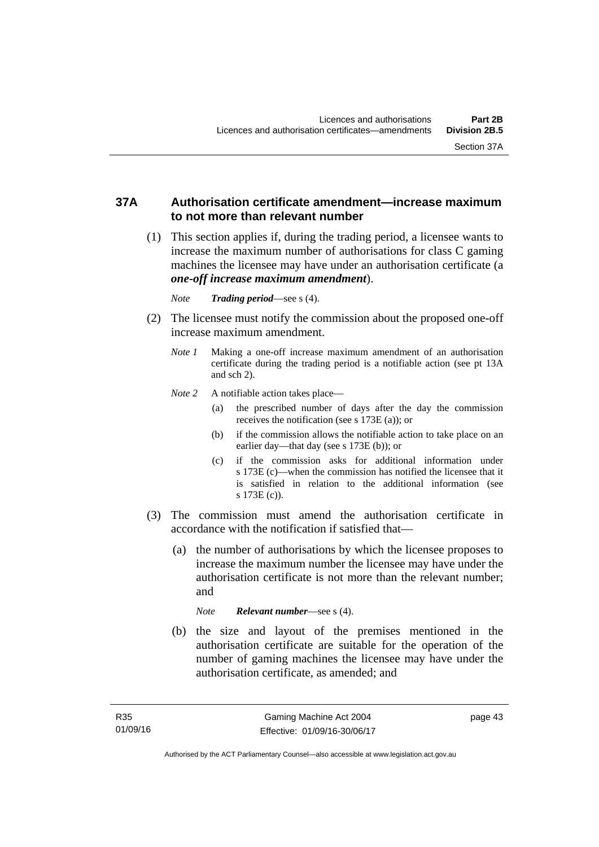## **37A Authorisation certificate amendment—increase maximum to not more than relevant number**

- (1) This section applies if, during the trading period, a licensee wants to increase the maximum number of authorisations for class C gaming machines the licensee may have under an authorisation certificate (a *one-off increase maximum amendment*).
	- *Note Trading period*—see s (4).
- (2) The licensee must notify the commission about the proposed one-off increase maximum amendment.
	- *Note 1* Making a one-off increase maximum amendment of an authorisation certificate during the trading period is a notifiable action (see pt 13A and sch 2).
	- *Note* 2 A notifiable action takes place—
		- (a) the prescribed number of days after the day the commission receives the notification (see s 173E (a)); or
		- (b) if the commission allows the notifiable action to take place on an earlier day—that day (see s 173E (b)); or
		- (c) if the commission asks for additional information under s 173E (c)—when the commission has notified the licensee that it is satisfied in relation to the additional information (see s 173E (c)).
- (3) The commission must amend the authorisation certificate in accordance with the notification if satisfied that—
	- (a) the number of authorisations by which the licensee proposes to increase the maximum number the licensee may have under the authorisation certificate is not more than the relevant number; and

*Note Relevant number*—see s (4).

 (b) the size and layout of the premises mentioned in the authorisation certificate are suitable for the operation of the number of gaming machines the licensee may have under the authorisation certificate, as amended; and

page 43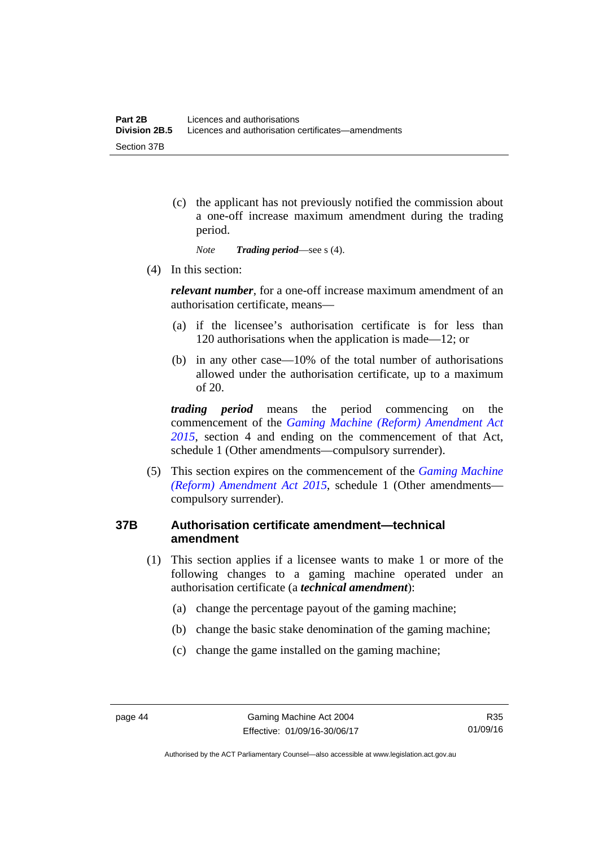(c) the applicant has not previously notified the commission about a one-off increase maximum amendment during the trading period.

*Note Trading period*—see s (4).

(4) In this section:

*relevant number*, for a one-off increase maximum amendment of an authorisation certificate, means—

- (a) if the licensee's authorisation certificate is for less than 120 authorisations when the application is made—12; or
- (b) in any other case—10% of the total number of authorisations allowed under the authorisation certificate, up to a maximum of 20.

*trading period* means the period commencing on the commencement of the *[Gaming Machine \(Reform\) Amendment Act](http://www.legislation.act.gov.au/a/2015-21/default.asp)  [2015](http://www.legislation.act.gov.au/a/2015-21/default.asp)*, section 4 and ending on the commencement of that Act, schedule 1 (Other amendments—compulsory surrender).

 (5) This section expires on the commencement of the *[Gaming Machine](http://www.legislation.act.gov.au/a/2015-21/default.asp)  [\(Reform\) Amendment Act 2015](http://www.legislation.act.gov.au/a/2015-21/default.asp)*, schedule 1 (Other amendments compulsory surrender).

# **37B Authorisation certificate amendment—technical amendment**

- (1) This section applies if a licensee wants to make 1 or more of the following changes to a gaming machine operated under an authorisation certificate (a *technical amendment*):
	- (a) change the percentage payout of the gaming machine;
	- (b) change the basic stake denomination of the gaming machine;
	- (c) change the game installed on the gaming machine;

Authorised by the ACT Parliamentary Counsel—also accessible at www.legislation.act.gov.au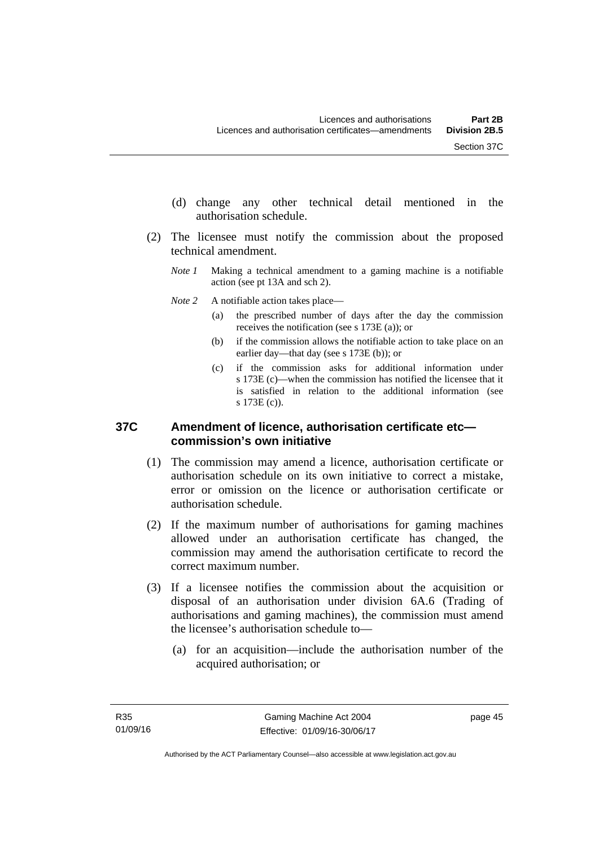- (d) change any other technical detail mentioned in the authorisation schedule.
- (2) The licensee must notify the commission about the proposed technical amendment.
	- *Note 1* Making a technical amendment to a gaming machine is a notifiable action (see pt 13A and sch 2).
	- *Note* 2 A notifiable action takes place—
		- (a) the prescribed number of days after the day the commission receives the notification (see s 173E (a)); or
		- (b) if the commission allows the notifiable action to take place on an earlier day—that day (see s 173E (b)); or
		- (c) if the commission asks for additional information under s 173E (c)—when the commission has notified the licensee that it is satisfied in relation to the additional information (see s 173E (c)).

## **37C Amendment of licence, authorisation certificate etc commission's own initiative**

- (1) The commission may amend a licence, authorisation certificate or authorisation schedule on its own initiative to correct a mistake, error or omission on the licence or authorisation certificate or authorisation schedule.
- (2) If the maximum number of authorisations for gaming machines allowed under an authorisation certificate has changed, the commission may amend the authorisation certificate to record the correct maximum number.
- (3) If a licensee notifies the commission about the acquisition or disposal of an authorisation under division 6A.6 (Trading of authorisations and gaming machines), the commission must amend the licensee's authorisation schedule to—
	- (a) for an acquisition—include the authorisation number of the acquired authorisation; or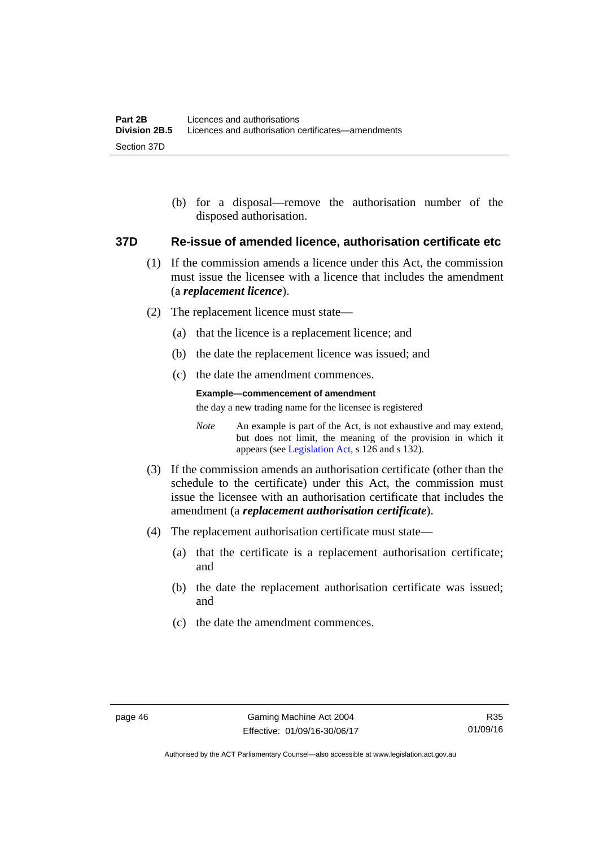(b) for a disposal—remove the authorisation number of the disposed authorisation.

#### **37D Re-issue of amended licence, authorisation certificate etc**

- (1) If the commission amends a licence under this Act, the commission must issue the licensee with a licence that includes the amendment (a *replacement licence*).
- (2) The replacement licence must state—
	- (a) that the licence is a replacement licence; and
	- (b) the date the replacement licence was issued; and
	- (c) the date the amendment commences.

#### **Example—commencement of amendment**

the day a new trading name for the licensee is registered

*Note* An example is part of the Act, is not exhaustive and may extend, but does not limit, the meaning of the provision in which it appears (see [Legislation Act,](http://www.legislation.act.gov.au/a/2001-14) s 126 and s 132).

- (3) If the commission amends an authorisation certificate (other than the schedule to the certificate) under this Act, the commission must issue the licensee with an authorisation certificate that includes the amendment (a *replacement authorisation certificate*).
- (4) The replacement authorisation certificate must state—
	- (a) that the certificate is a replacement authorisation certificate; and
	- (b) the date the replacement authorisation certificate was issued; and
	- (c) the date the amendment commences.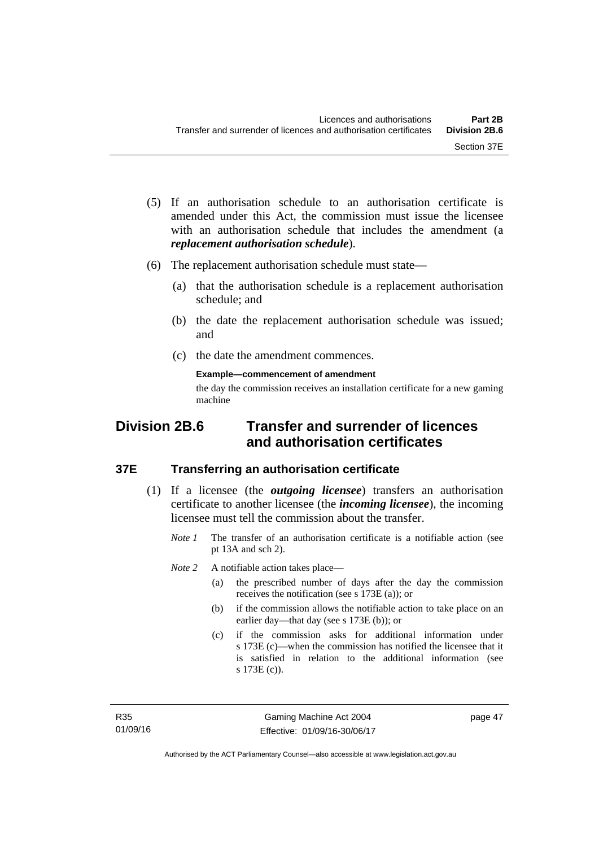- (5) If an authorisation schedule to an authorisation certificate is amended under this Act, the commission must issue the licensee with an authorisation schedule that includes the amendment (a *replacement authorisation schedule*).
- (6) The replacement authorisation schedule must state—
	- (a) that the authorisation schedule is a replacement authorisation schedule; and
	- (b) the date the replacement authorisation schedule was issued; and
	- (c) the date the amendment commences.

**Example—commencement of amendment** 

the day the commission receives an installation certificate for a new gaming machine

# **Division 2B.6 Transfer and surrender of licences and authorisation certificates**

## **37E Transferring an authorisation certificate**

- (1) If a licensee (the *outgoing licensee*) transfers an authorisation certificate to another licensee (the *incoming licensee*), the incoming licensee must tell the commission about the transfer.
	- *Note 1* The transfer of an authorisation certificate is a notifiable action (see pt 13A and sch 2).

*Note* 2 A notifiable action takes place—

- (a) the prescribed number of days after the day the commission receives the notification (see s 173E (a)); or
- (b) if the commission allows the notifiable action to take place on an earlier day—that day (see s 173E (b)); or
- (c) if the commission asks for additional information under s 173E (c)—when the commission has notified the licensee that it is satisfied in relation to the additional information (see s 173E (c)).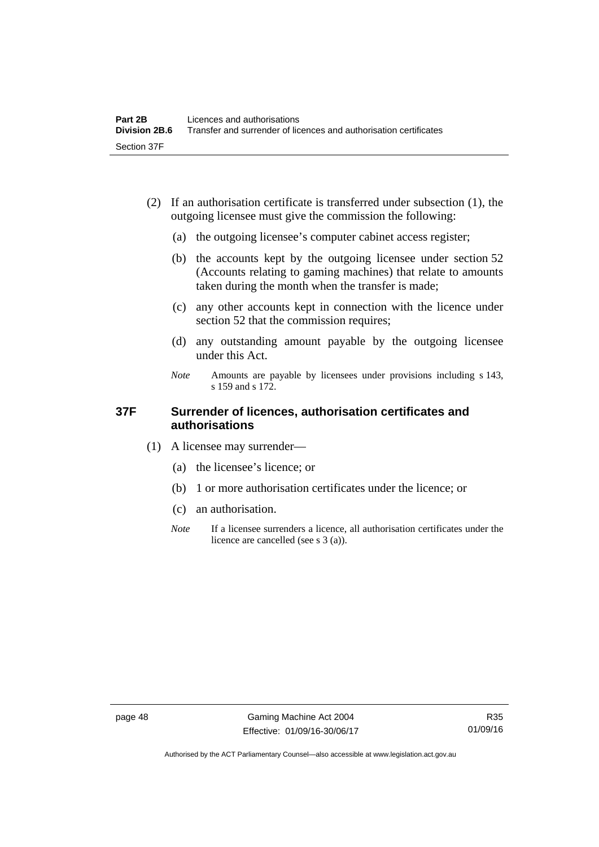- (2) If an authorisation certificate is transferred under subsection (1), the outgoing licensee must give the commission the following:
	- (a) the outgoing licensee's computer cabinet access register;
	- (b) the accounts kept by the outgoing licensee under section 52 (Accounts relating to gaming machines) that relate to amounts taken during the month when the transfer is made;
	- (c) any other accounts kept in connection with the licence under section 52 that the commission requires;
	- (d) any outstanding amount payable by the outgoing licensee under this Act.
	- *Note* Amounts are payable by licensees under provisions including s 143, s 159 and s 172.

## **37F Surrender of licences, authorisation certificates and authorisations**

- (1) A licensee may surrender—
	- (a) the licensee's licence; or
	- (b) 1 or more authorisation certificates under the licence; or
	- (c) an authorisation.
	- *Note* If a licensee surrenders a licence, all authorisation certificates under the licence are cancelled (see s 3 (a)).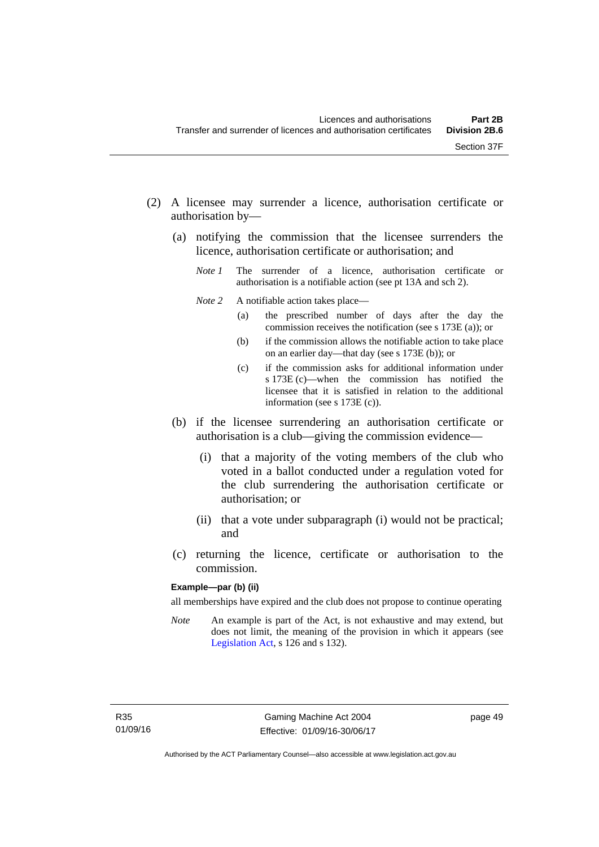- (2) A licensee may surrender a licence, authorisation certificate or authorisation by—
	- (a) notifying the commission that the licensee surrenders the licence, authorisation certificate or authorisation; and
		- *Note 1* The surrender of a licence, authorisation certificate or authorisation is a notifiable action (see pt 13A and sch 2).
		- *Note* 2 A notifiable action takes place—
			- (a) the prescribed number of days after the day the commission receives the notification (see s 173E (a)); or
			- (b) if the commission allows the notifiable action to take place on an earlier day—that day (see s 173E (b)); or
			- (c) if the commission asks for additional information under s 173E (c)—when the commission has notified the licensee that it is satisfied in relation to the additional information (see s 173E (c)).
	- (b) if the licensee surrendering an authorisation certificate or authorisation is a club—giving the commission evidence—
		- (i) that a majority of the voting members of the club who voted in a ballot conducted under a regulation voted for the club surrendering the authorisation certificate or authorisation; or
		- (ii) that a vote under subparagraph (i) would not be practical; and
	- (c) returning the licence, certificate or authorisation to the commission.

#### **Example—par (b) (ii)**

all memberships have expired and the club does not propose to continue operating

*Note* An example is part of the Act, is not exhaustive and may extend, but does not limit, the meaning of the provision in which it appears (see [Legislation Act,](http://www.legislation.act.gov.au/a/2001-14) s 126 and s 132).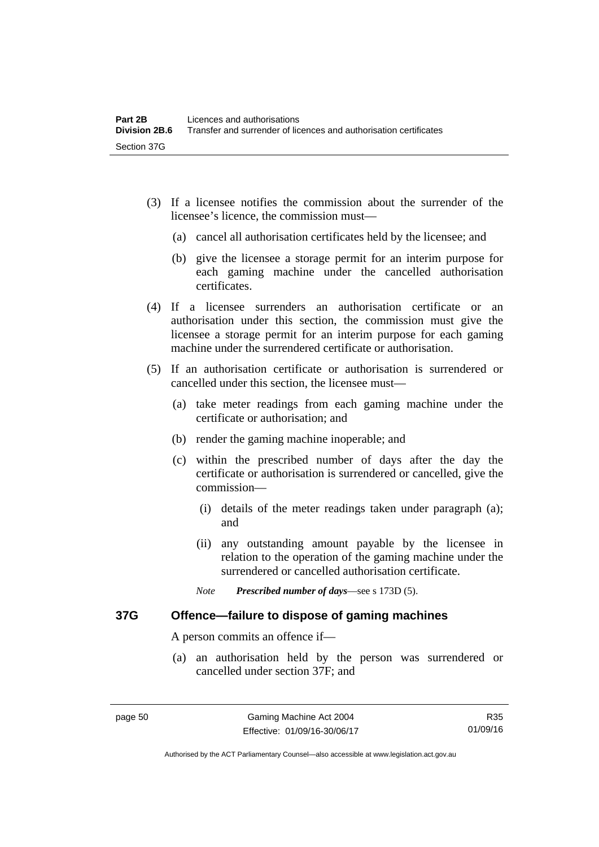- (3) If a licensee notifies the commission about the surrender of the licensee's licence, the commission must—
	- (a) cancel all authorisation certificates held by the licensee; and
	- (b) give the licensee a storage permit for an interim purpose for each gaming machine under the cancelled authorisation certificates.
- (4) If a licensee surrenders an authorisation certificate or an authorisation under this section, the commission must give the licensee a storage permit for an interim purpose for each gaming machine under the surrendered certificate or authorisation.
- (5) If an authorisation certificate or authorisation is surrendered or cancelled under this section, the licensee must—
	- (a) take meter readings from each gaming machine under the certificate or authorisation; and
	- (b) render the gaming machine inoperable; and
	- (c) within the prescribed number of days after the day the certificate or authorisation is surrendered or cancelled, give the commission—
		- (i) details of the meter readings taken under paragraph (a); and
		- (ii) any outstanding amount payable by the licensee in relation to the operation of the gaming machine under the surrendered or cancelled authorisation certificate.
		- *Note Prescribed number of days*—see s 173D (5).

## **37G Offence—failure to dispose of gaming machines**

A person commits an offence if—

 (a) an authorisation held by the person was surrendered or cancelled under section 37F; and

R35 01/09/16

Authorised by the ACT Parliamentary Counsel—also accessible at www.legislation.act.gov.au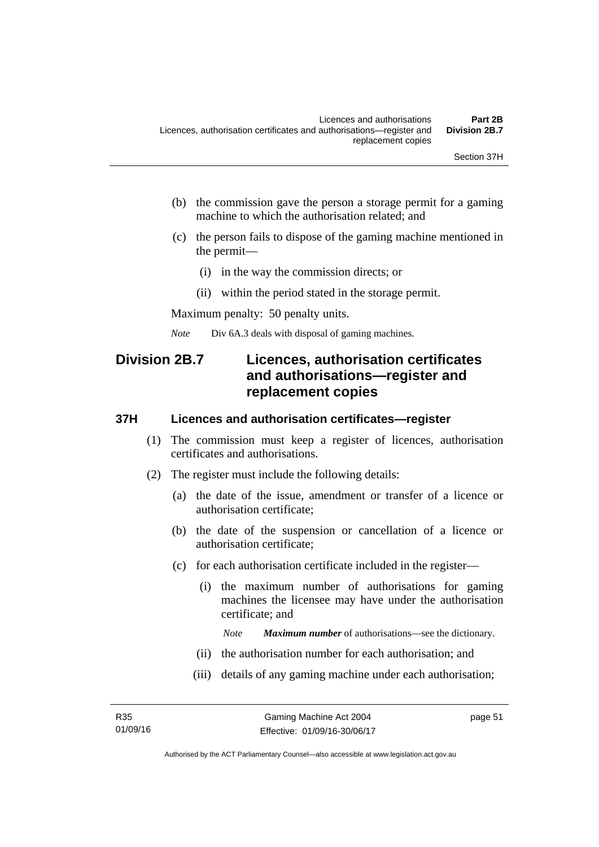- (b) the commission gave the person a storage permit for a gaming machine to which the authorisation related; and
- (c) the person fails to dispose of the gaming machine mentioned in the permit—
	- (i) in the way the commission directs; or
	- (ii) within the period stated in the storage permit.

Maximum penalty: 50 penalty units.

*Note* Div 6A.3 deals with disposal of gaming machines.

# **Division 2B.7 Licences, authorisation certificates and authorisations—register and replacement copies**

#### **37H Licences and authorisation certificates—register**

- (1) The commission must keep a register of licences, authorisation certificates and authorisations.
- (2) The register must include the following details:
	- (a) the date of the issue, amendment or transfer of a licence or authorisation certificate;
	- (b) the date of the suspension or cancellation of a licence or authorisation certificate;
	- (c) for each authorisation certificate included in the register—
		- (i) the maximum number of authorisations for gaming machines the licensee may have under the authorisation certificate; and

*Note Maximum number* of authorisations—see the dictionary.

- (ii) the authorisation number for each authorisation; and
- (iii) details of any gaming machine under each authorisation;

page 51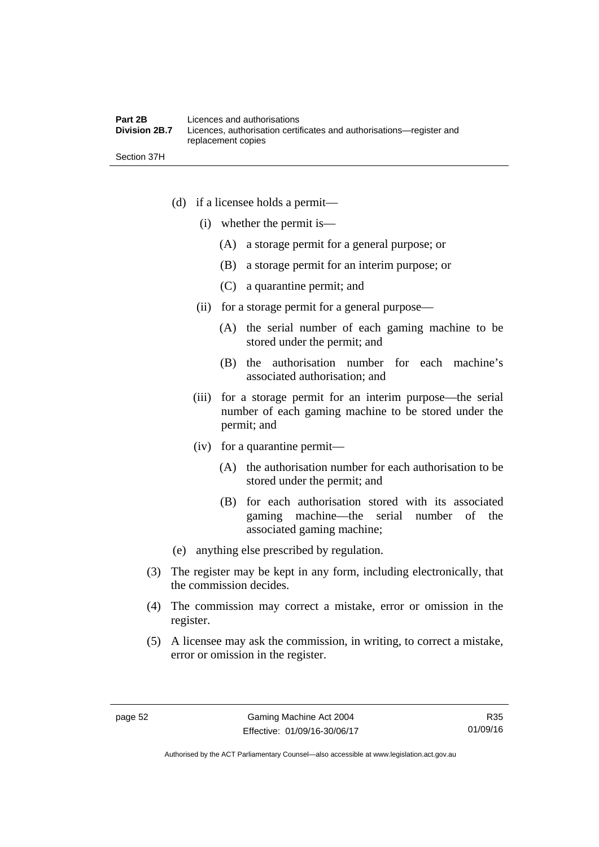Section 37H

- (d) if a licensee holds a permit—
	- (i) whether the permit is—
		- (A) a storage permit for a general purpose; or
		- (B) a storage permit for an interim purpose; or
		- (C) a quarantine permit; and
	- (ii) for a storage permit for a general purpose—
		- (A) the serial number of each gaming machine to be stored under the permit; and
		- (B) the authorisation number for each machine's associated authorisation; and
	- (iii) for a storage permit for an interim purpose—the serial number of each gaming machine to be stored under the permit; and
	- (iv) for a quarantine permit—
		- (A) the authorisation number for each authorisation to be stored under the permit; and
		- (B) for each authorisation stored with its associated gaming machine—the serial number of the associated gaming machine;
- (e) anything else prescribed by regulation.
- (3) The register may be kept in any form, including electronically, that the commission decides.
- (4) The commission may correct a mistake, error or omission in the register.
- (5) A licensee may ask the commission, in writing, to correct a mistake, error or omission in the register.

R35 01/09/16

Authorised by the ACT Parliamentary Counsel—also accessible at www.legislation.act.gov.au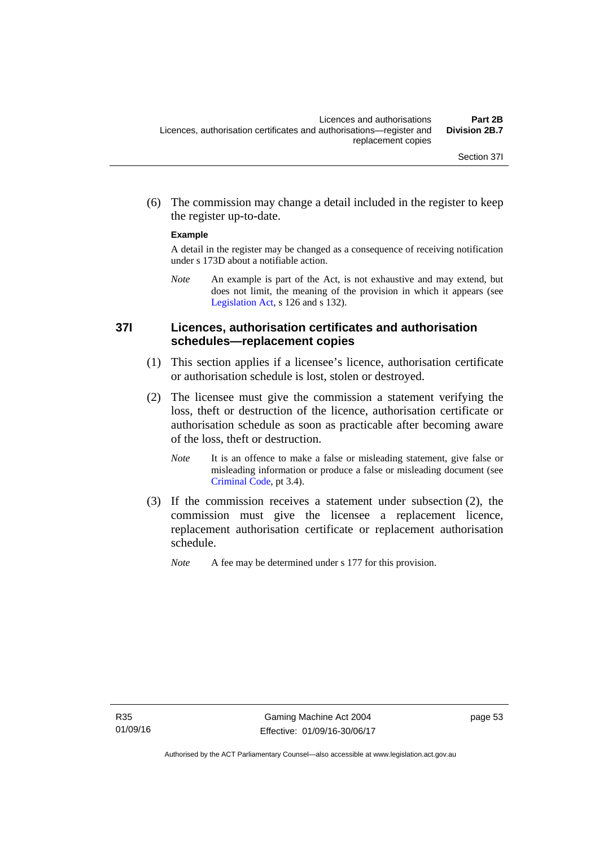(6) The commission may change a detail included in the register to keep the register up-to-date.

#### **Example**

A detail in the register may be changed as a consequence of receiving notification under s 173D about a notifiable action.

*Note* An example is part of the Act, is not exhaustive and may extend, but does not limit, the meaning of the provision in which it appears (see [Legislation Act,](http://www.legislation.act.gov.au/a/2001-14) s 126 and s 132).

## **37I Licences, authorisation certificates and authorisation schedules—replacement copies**

- (1) This section applies if a licensee's licence, authorisation certificate or authorisation schedule is lost, stolen or destroyed.
- (2) The licensee must give the commission a statement verifying the loss, theft or destruction of the licence, authorisation certificate or authorisation schedule as soon as practicable after becoming aware of the loss, theft or destruction.
	- *Note* It is an offence to make a false or misleading statement, give false or misleading information or produce a false or misleading document (see [Criminal Code](http://www.legislation.act.gov.au/a/2002-51), pt 3.4).
- (3) If the commission receives a statement under subsection (2), the commission must give the licensee a replacement licence, replacement authorisation certificate or replacement authorisation schedule.
	- *Note* A fee may be determined under s 177 for this provision.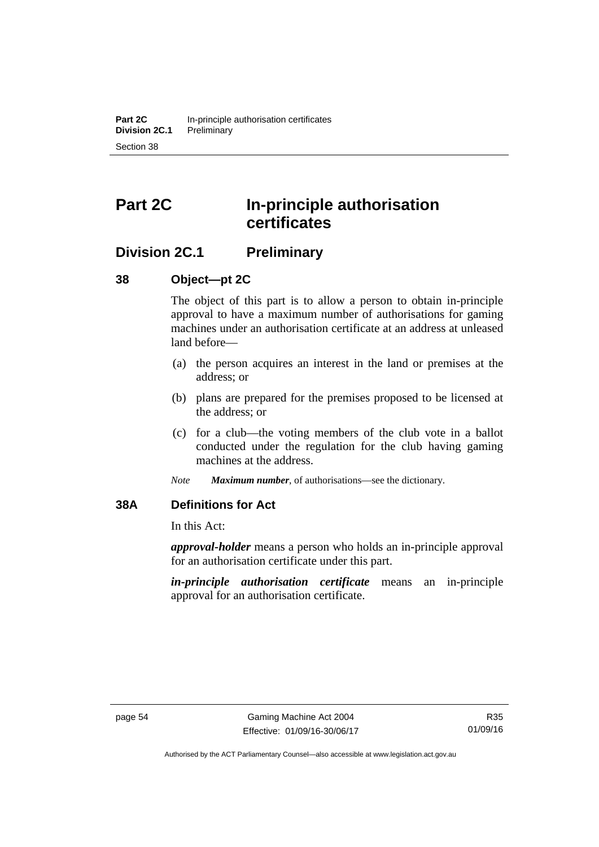# **Part 2C In-principle authorisation certificates**

# **Division 2C.1 Preliminary**

# **38 Object—pt 2C**

The object of this part is to allow a person to obtain in-principle approval to have a maximum number of authorisations for gaming machines under an authorisation certificate at an address at unleased land before—

- (a) the person acquires an interest in the land or premises at the address; or
- (b) plans are prepared for the premises proposed to be licensed at the address; or
- (c) for a club—the voting members of the club vote in a ballot conducted under the regulation for the club having gaming machines at the address.
- *Note Maximum number*, of authorisations—see the dictionary.

# **38A Definitions for Act**

In this Act:

*approval-holder* means a person who holds an in-principle approval for an authorisation certificate under this part.

*in-principle authorisation certificate* means an in-principle approval for an authorisation certificate.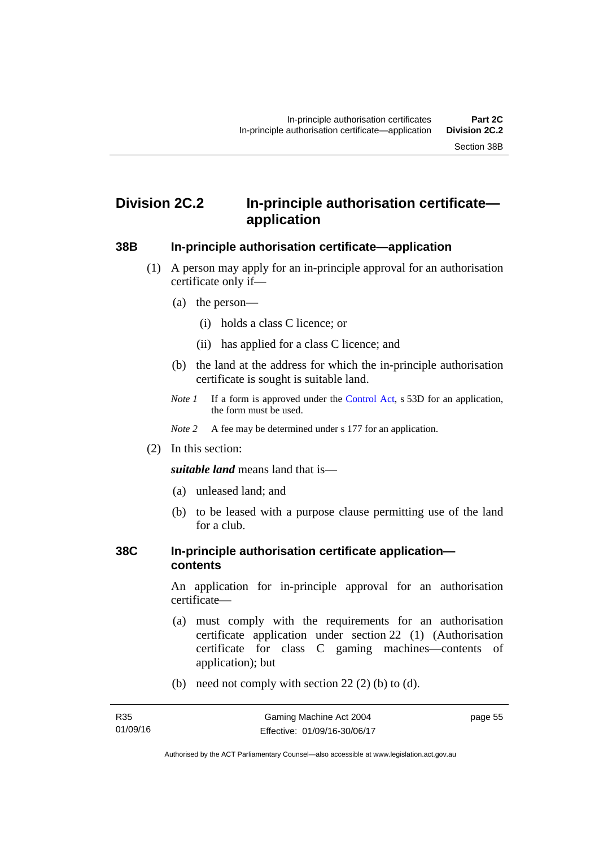# **Division 2C.2 In-principle authorisation certificate application**

#### **38B In-principle authorisation certificate—application**

- (1) A person may apply for an in-principle approval for an authorisation certificate only if—
	- (a) the person—
		- (i) holds a class C licence; or
		- (ii) has applied for a class C licence; and
	- (b) the land at the address for which the in-principle authorisation certificate is sought is suitable land.
	- *Note 1* If a form is approved under the [Control Act](http://www.legislation.act.gov.au/a/1999-46/default.asp), s 53D for an application, the form must be used.

*Note* 2 A fee may be determined under s 177 for an application.

(2) In this section:

*suitable land* means land that is—

- (a) unleased land; and
- (b) to be leased with a purpose clause permitting use of the land for a club.

## **38C In-principle authorisation certificate application contents**

An application for in-principle approval for an authorisation certificate—

- (a) must comply with the requirements for an authorisation certificate application under section 22 (1) (Authorisation certificate for class C gaming machines—contents of application); but
- (b) need not comply with section  $22(2)$  (b) to (d).

page 55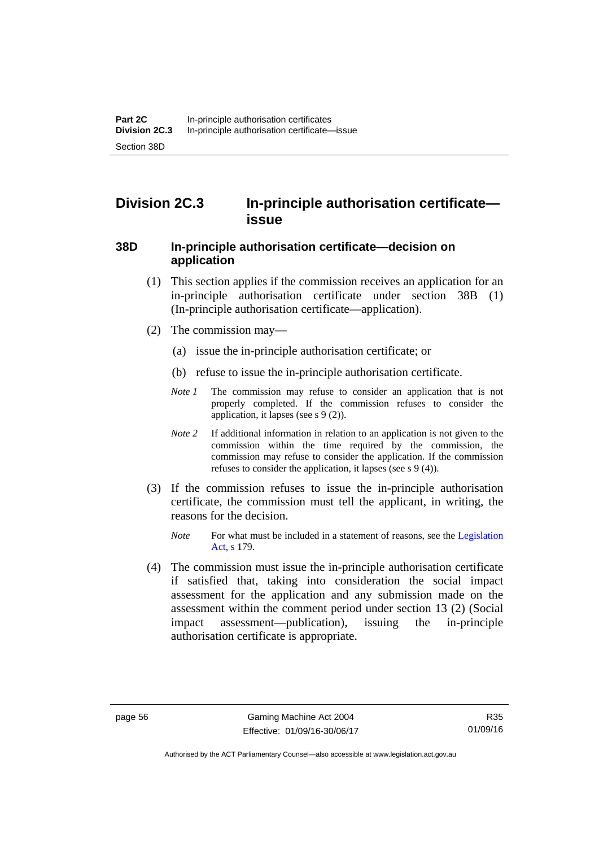# **Division 2C.3 In-principle authorisation certificate issue**

## **38D In-principle authorisation certificate—decision on application**

- (1) This section applies if the commission receives an application for an in-principle authorisation certificate under section 38B (1) (In-principle authorisation certificate—application).
- (2) The commission may—
	- (a) issue the in-principle authorisation certificate; or
	- (b) refuse to issue the in-principle authorisation certificate.
	- *Note 1* The commission may refuse to consider an application that is not properly completed. If the commission refuses to consider the application, it lapses (see s 9 (2)).
	- *Note 2* If additional information in relation to an application is not given to the commission within the time required by the commission, the commission may refuse to consider the application. If the commission refuses to consider the application, it lapses (see s 9 (4)).
- (3) If the commission refuses to issue the in-principle authorisation certificate, the commission must tell the applicant, in writing, the reasons for the decision.
	- *Note* For what must be included in a statement of reasons, see the Legislation [Act](http://www.legislation.act.gov.au/a/2001-14), s 179.
- (4) The commission must issue the in-principle authorisation certificate if satisfied that, taking into consideration the social impact assessment for the application and any submission made on the assessment within the comment period under section 13 (2) (Social impact assessment—publication), issuing the in-principle authorisation certificate is appropriate.

Authorised by the ACT Parliamentary Counsel—also accessible at www.legislation.act.gov.au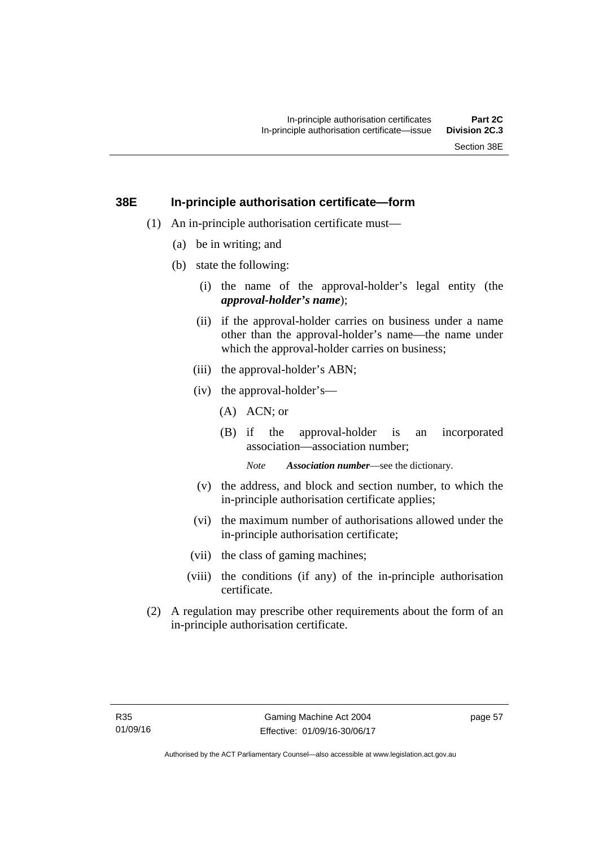### **38E In-principle authorisation certificate—form**

- (1) An in-principle authorisation certificate must—
	- (a) be in writing; and
	- (b) state the following:
		- (i) the name of the approval-holder's legal entity (the *approval-holder's name*);
		- (ii) if the approval-holder carries on business under a name other than the approval-holder's name—the name under which the approval-holder carries on business:
		- (iii) the approval-holder's ABN;
		- (iv) the approval-holder's—
			- (A) ACN; or
			- (B) if the approval-holder is an incorporated association—association number;

*Note Association number*—see the dictionary.

- (v) the address, and block and section number, to which the in-principle authorisation certificate applies;
- (vi) the maximum number of authorisations allowed under the in-principle authorisation certificate;
- (vii) the class of gaming machines;
- (viii) the conditions (if any) of the in-principle authorisation certificate.
- (2) A regulation may prescribe other requirements about the form of an in-principle authorisation certificate.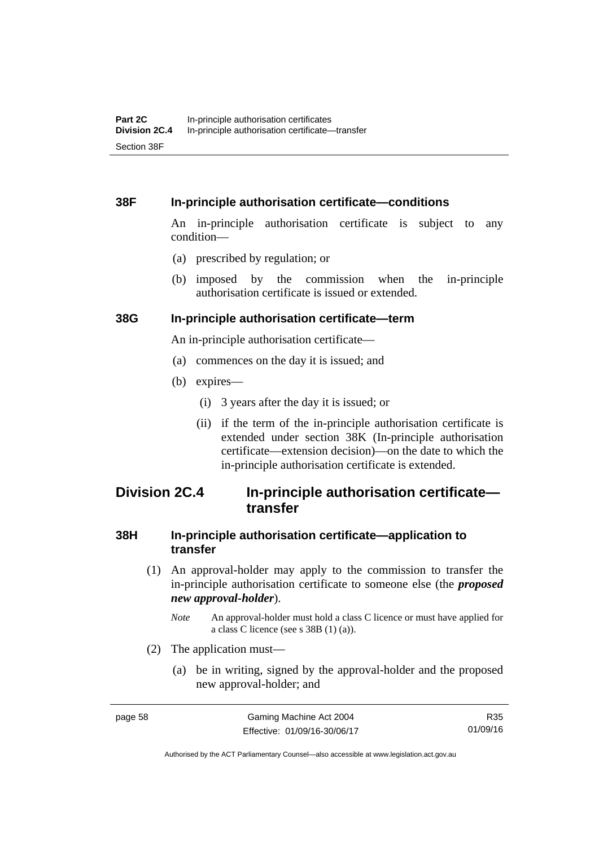### **38F In-principle authorisation certificate—conditions**

An in-principle authorisation certificate is subject to any condition—

- (a) prescribed by regulation; or
- (b) imposed by the commission when the in-principle authorisation certificate is issued or extended.

#### **38G In-principle authorisation certificate—term**

An in-principle authorisation certificate—

- (a) commences on the day it is issued; and
- (b) expires—
	- (i) 3 years after the day it is issued; or
	- (ii) if the term of the in-principle authorisation certificate is extended under section 38K (In-principle authorisation certificate—extension decision)—on the date to which the in-principle authorisation certificate is extended.

## **Division 2C.4 In-principle authorisation certificate transfer**

### **38H In-principle authorisation certificate—application to transfer**

- (1) An approval-holder may apply to the commission to transfer the in-principle authorisation certificate to someone else (the *proposed new approval-holder*).
	- *Note* An approval-holder must hold a class C licence or must have applied for a class C licence (see s 38B (1) (a)).
- (2) The application must—
	- (a) be in writing, signed by the approval-holder and the proposed new approval-holder; and

R35 01/09/16

Authorised by the ACT Parliamentary Counsel—also accessible at www.legislation.act.gov.au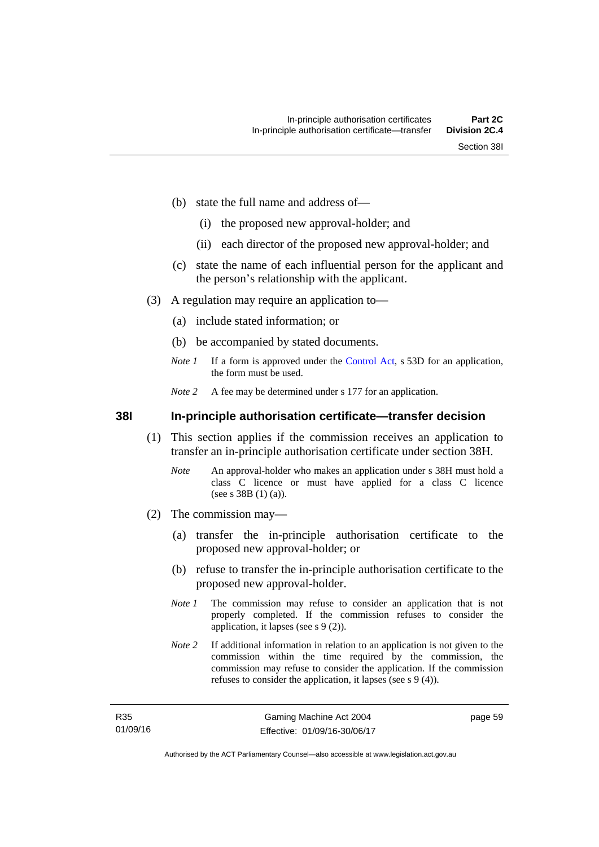- (b) state the full name and address of—
	- (i) the proposed new approval-holder; and
	- (ii) each director of the proposed new approval-holder; and
- (c) state the name of each influential person for the applicant and the person's relationship with the applicant.
- (3) A regulation may require an application to—
	- (a) include stated information; or
	- (b) be accompanied by stated documents.
	- *Note 1* If a form is approved under the [Control Act](http://www.legislation.act.gov.au/a/1999-46/default.asp), s 53D for an application, the form must be used.
	- *Note* 2 A fee may be determined under s 177 for an application.

**38I In-principle authorisation certificate—transfer decision** 

- (1) This section applies if the commission receives an application to transfer an in-principle authorisation certificate under section 38H.
	- *Note* An approval-holder who makes an application under s 38H must hold a class C licence or must have applied for a class C licence (see s 38B (1) (a)).
- (2) The commission may—
	- (a) transfer the in-principle authorisation certificate to the proposed new approval-holder; or
	- (b) refuse to transfer the in-principle authorisation certificate to the proposed new approval-holder.
	- *Note 1* The commission may refuse to consider an application that is not properly completed. If the commission refuses to consider the application, it lapses (see s 9 (2)).
	- *Note 2* If additional information in relation to an application is not given to the commission within the time required by the commission, the commission may refuse to consider the application. If the commission refuses to consider the application, it lapses (see s 9 (4)).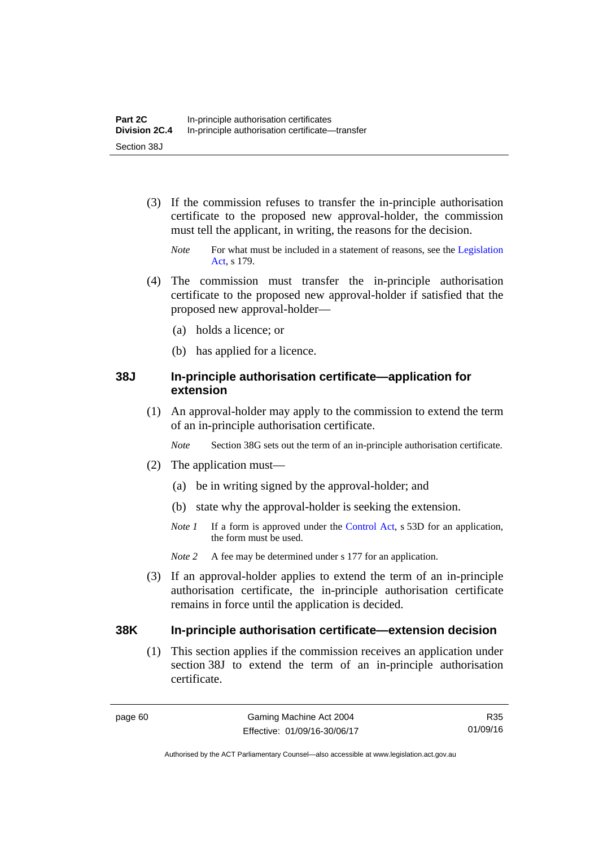- (3) If the commission refuses to transfer the in-principle authorisation certificate to the proposed new approval-holder, the commission must tell the applicant, in writing, the reasons for the decision.
	- *Note* For what must be included in a statement of reasons, see the Legislation [Act](http://www.legislation.act.gov.au/a/2001-14), s 179.
- (4) The commission must transfer the in-principle authorisation certificate to the proposed new approval-holder if satisfied that the proposed new approval-holder—
	- (a) holds a licence; or
	- (b) has applied for a licence.

### **38J In-principle authorisation certificate—application for extension**

 (1) An approval-holder may apply to the commission to extend the term of an in-principle authorisation certificate.

*Note* Section 38G sets out the term of an in-principle authorisation certificate.

- (2) The application must—
	- (a) be in writing signed by the approval-holder; and
	- (b) state why the approval-holder is seeking the extension.
	- *Note 1* If a form is approved under the [Control Act](http://www.legislation.act.gov.au/a/1999-46/default.asp), s 53D for an application, the form must be used.
	- *Note 2* A fee may be determined under s 177 for an application.
- (3) If an approval-holder applies to extend the term of an in-principle authorisation certificate, the in-principle authorisation certificate remains in force until the application is decided.

### **38K In-principle authorisation certificate—extension decision**

(1) This section applies if the commission receives an application under section 38J to extend the term of an in-principle authorisation certificate.

R35 01/09/16

Authorised by the ACT Parliamentary Counsel—also accessible at www.legislation.act.gov.au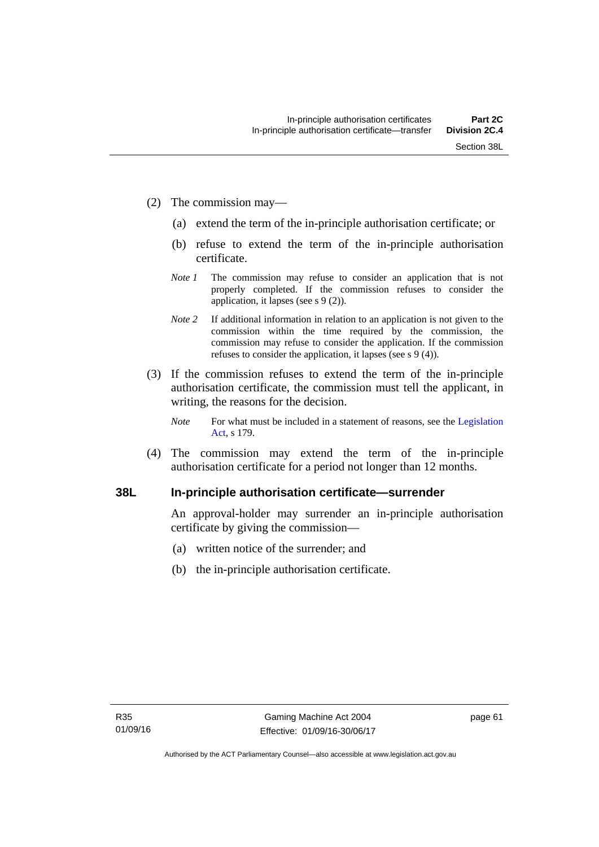- (2) The commission may—
	- (a) extend the term of the in-principle authorisation certificate; or
	- (b) refuse to extend the term of the in-principle authorisation certificate.
	- *Note 1* The commission may refuse to consider an application that is not properly completed. If the commission refuses to consider the application, it lapses (see s 9 (2)).
	- *Note 2* If additional information in relation to an application is not given to the commission within the time required by the commission, the commission may refuse to consider the application. If the commission refuses to consider the application, it lapses (see s 9 (4)).
- (3) If the commission refuses to extend the term of the in-principle authorisation certificate, the commission must tell the applicant, in writing, the reasons for the decision.
	- *Note* For what must be included in a statement of reasons, see the Legislation [Act](http://www.legislation.act.gov.au/a/2001-14), s 179.
- (4) The commission may extend the term of the in-principle authorisation certificate for a period not longer than 12 months.

### **38L In-principle authorisation certificate—surrender**

An approval-holder may surrender an in-principle authorisation certificate by giving the commission—

- (a) written notice of the surrender; and
- (b) the in-principle authorisation certificate.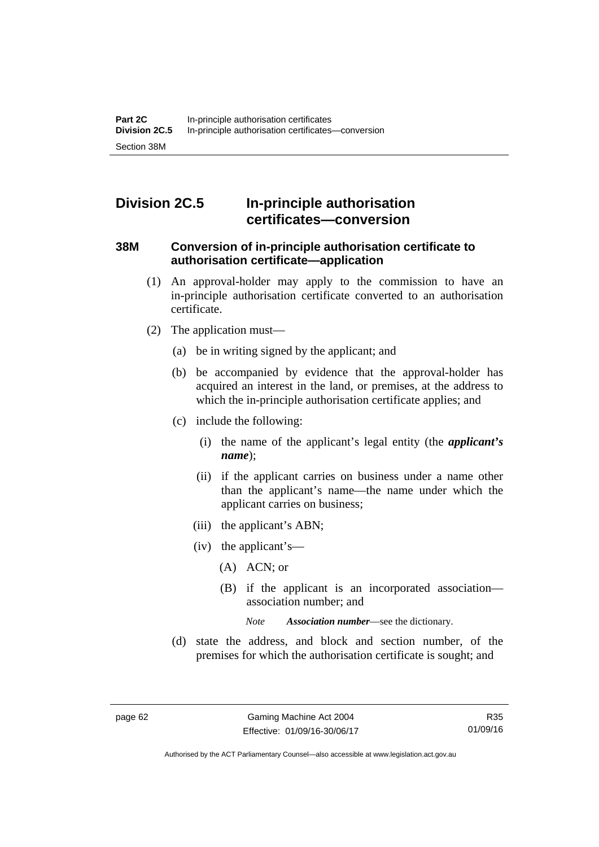# **Division 2C.5 In-principle authorisation certificates—conversion**

### **38M Conversion of in-principle authorisation certificate to authorisation certificate—application**

- (1) An approval-holder may apply to the commission to have an in-principle authorisation certificate converted to an authorisation certificate.
- (2) The application must—
	- (a) be in writing signed by the applicant; and
	- (b) be accompanied by evidence that the approval-holder has acquired an interest in the land, or premises, at the address to which the in-principle authorisation certificate applies; and
	- (c) include the following:
		- (i) the name of the applicant's legal entity (the *applicant's name*);
		- (ii) if the applicant carries on business under a name other than the applicant's name—the name under which the applicant carries on business;
		- (iii) the applicant's ABN;
		- (iv) the applicant's—
			- (A) ACN; or
			- (B) if the applicant is an incorporated association association number; and

*Note Association number*—see the dictionary.

 (d) state the address, and block and section number, of the premises for which the authorisation certificate is sought; and

Authorised by the ACT Parliamentary Counsel—also accessible at www.legislation.act.gov.au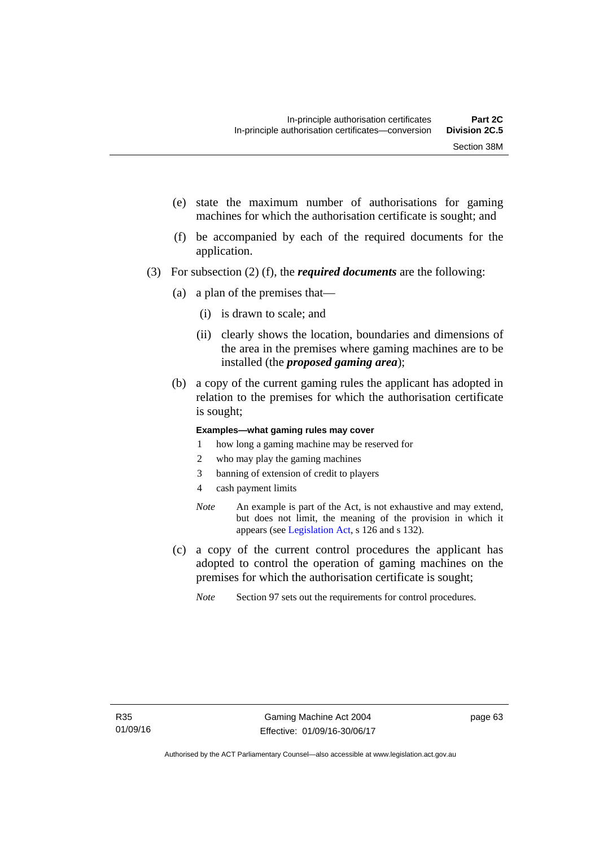- (e) state the maximum number of authorisations for gaming machines for which the authorisation certificate is sought; and
- (f) be accompanied by each of the required documents for the application.
- (3) For subsection (2) (f), the *required documents* are the following:
	- (a) a plan of the premises that—
		- (i) is drawn to scale; and
		- (ii) clearly shows the location, boundaries and dimensions of the area in the premises where gaming machines are to be installed (the *proposed gaming area*);
	- (b) a copy of the current gaming rules the applicant has adopted in relation to the premises for which the authorisation certificate is sought;

#### **Examples—what gaming rules may cover**

- 1 how long a gaming machine may be reserved for
- 2 who may play the gaming machines
- 3 banning of extension of credit to players
- 4 cash payment limits
- *Note* An example is part of the Act, is not exhaustive and may extend, but does not limit, the meaning of the provision in which it appears (see [Legislation Act,](http://www.legislation.act.gov.au/a/2001-14) s 126 and s 132).
- (c) a copy of the current control procedures the applicant has adopted to control the operation of gaming machines on the premises for which the authorisation certificate is sought;
	- *Note* Section 97 sets out the requirements for control procedures.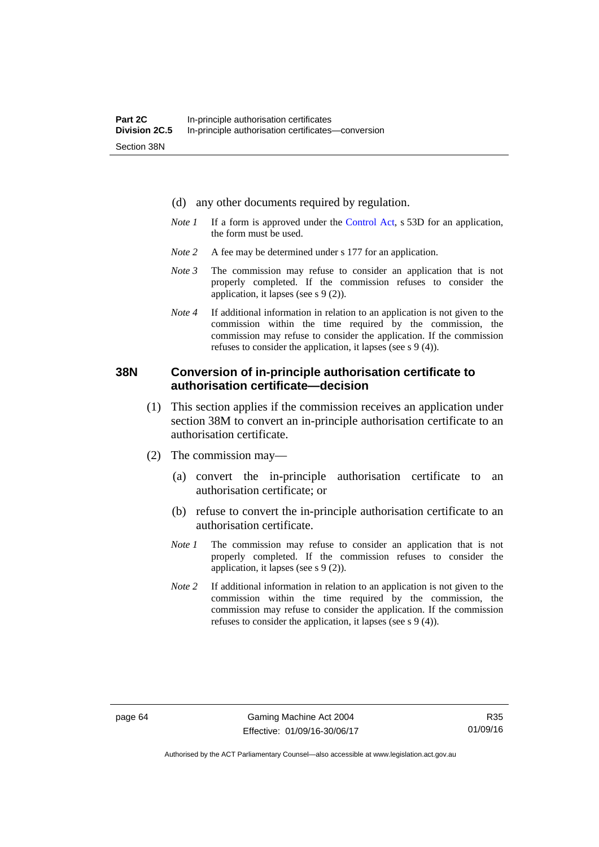- (d) any other documents required by regulation.
- *Note 1* If a form is approved under the [Control Act](http://www.legislation.act.gov.au/a/1999-46/default.asp), s 53D for an application, the form must be used.
- *Note* 2 A fee may be determined under s 177 for an application.
- *Note 3* The commission may refuse to consider an application that is not properly completed. If the commission refuses to consider the application, it lapses (see s 9 (2)).
- *Note 4* If additional information in relation to an application is not given to the commission within the time required by the commission, the commission may refuse to consider the application. If the commission refuses to consider the application, it lapses (see s 9 (4)).

### **38N Conversion of in-principle authorisation certificate to authorisation certificate—decision**

- (1) This section applies if the commission receives an application under section 38M to convert an in-principle authorisation certificate to an authorisation certificate.
- (2) The commission may—
	- (a) convert the in-principle authorisation certificate to an authorisation certificate; or
	- (b) refuse to convert the in-principle authorisation certificate to an authorisation certificate.
	- *Note 1* The commission may refuse to consider an application that is not properly completed. If the commission refuses to consider the application, it lapses (see s 9 (2)).
	- *Note 2* If additional information in relation to an application is not given to the commission within the time required by the commission, the commission may refuse to consider the application. If the commission refuses to consider the application, it lapses (see s 9 (4)).

R35 01/09/16

Authorised by the ACT Parliamentary Counsel—also accessible at www.legislation.act.gov.au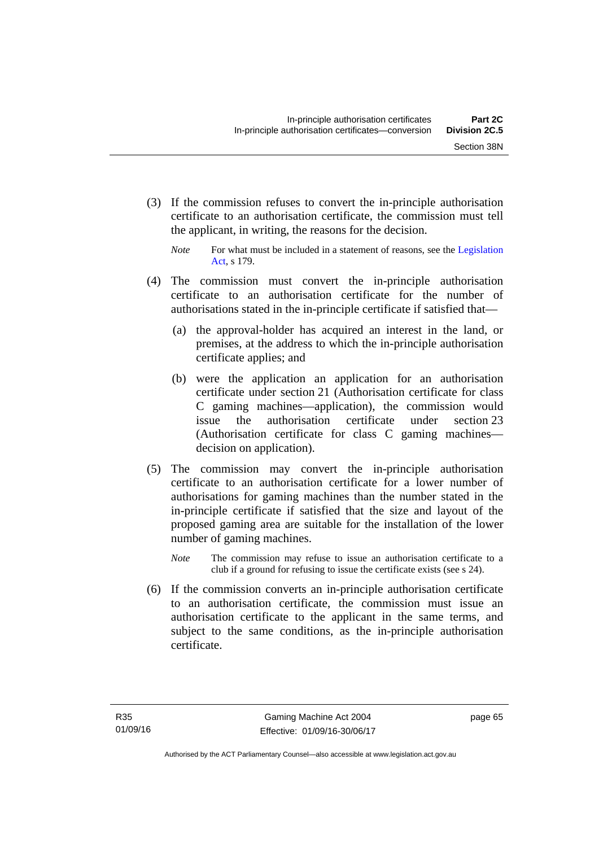(3) If the commission refuses to convert the in-principle authorisation certificate to an authorisation certificate, the commission must tell the applicant, in writing, the reasons for the decision.

- (4) The commission must convert the in-principle authorisation certificate to an authorisation certificate for the number of authorisations stated in the in-principle certificate if satisfied that—
	- (a) the approval-holder has acquired an interest in the land, or premises, at the address to which the in-principle authorisation certificate applies; and
	- (b) were the application an application for an authorisation certificate under section 21 (Authorisation certificate for class C gaming machines—application), the commission would issue the authorisation certificate under section 23 (Authorisation certificate for class C gaming machines decision on application).
- (5) The commission may convert the in-principle authorisation certificate to an authorisation certificate for a lower number of authorisations for gaming machines than the number stated in the in-principle certificate if satisfied that the size and layout of the proposed gaming area are suitable for the installation of the lower number of gaming machines.
	- *Note* The commission may refuse to issue an authorisation certificate to a club if a ground for refusing to issue the certificate exists (see s 24).
- (6) If the commission converts an in-principle authorisation certificate to an authorisation certificate, the commission must issue an authorisation certificate to the applicant in the same terms, and subject to the same conditions, as the in-principle authorisation certificate.

*Note* For what must be included in a statement of reasons, see the Legislation [Act](http://www.legislation.act.gov.au/a/2001-14), s 179.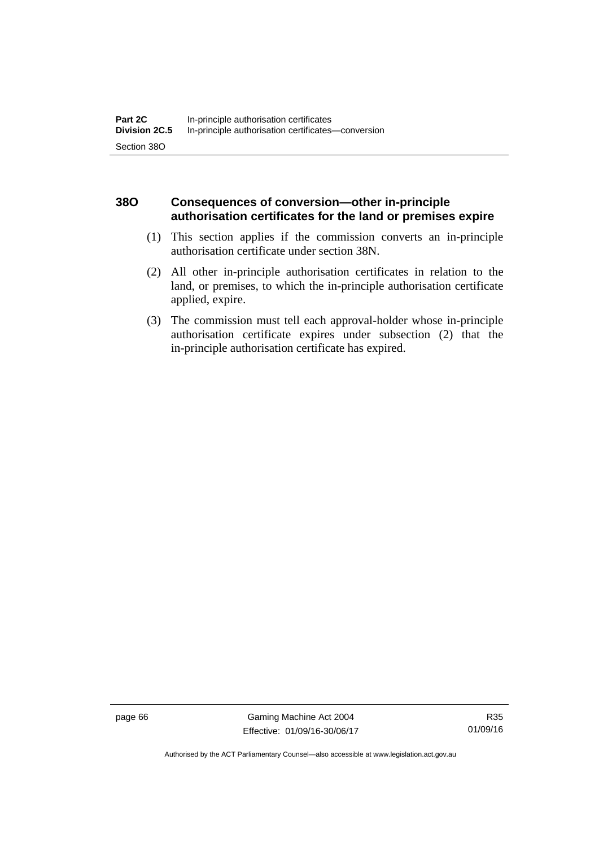### **38O Consequences of conversion—other in-principle authorisation certificates for the land or premises expire**

- (1) This section applies if the commission converts an in-principle authorisation certificate under section 38N.
- (2) All other in-principle authorisation certificates in relation to the land, or premises, to which the in-principle authorisation certificate applied, expire.
- (3) The commission must tell each approval-holder whose in-principle authorisation certificate expires under subsection (2) that the in-principle authorisation certificate has expired.

page 66 Gaming Machine Act 2004 Effective: 01/09/16-30/06/17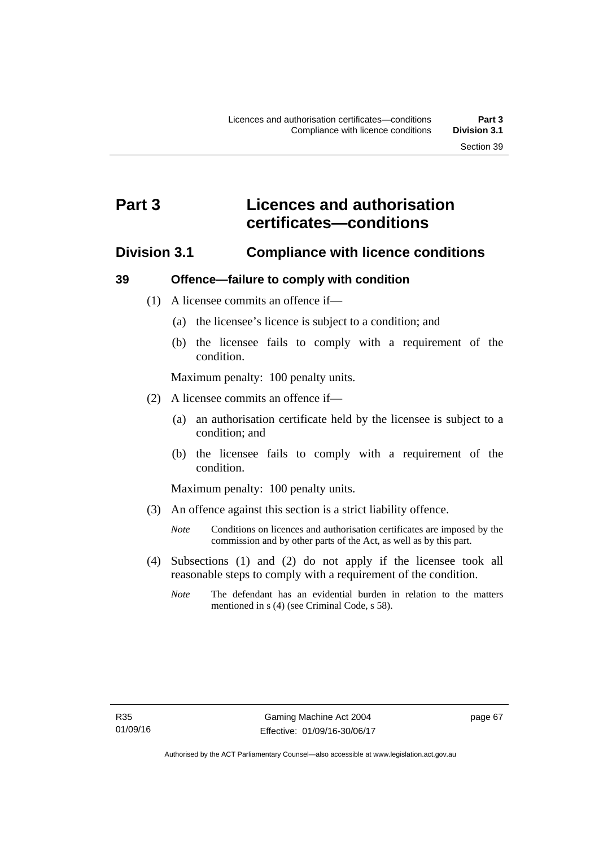# **Part 3 Licences and authorisation certificates—conditions**

### **Division 3.1 Compliance with licence conditions**

### **39 Offence—failure to comply with condition**

- (1) A licensee commits an offence if—
	- (a) the licensee's licence is subject to a condition; and
	- (b) the licensee fails to comply with a requirement of the condition.

Maximum penalty: 100 penalty units.

- (2) A licensee commits an offence if—
	- (a) an authorisation certificate held by the licensee is subject to a condition; and
	- (b) the licensee fails to comply with a requirement of the condition.

Maximum penalty: 100 penalty units.

- (3) An offence against this section is a strict liability offence.
	- *Note* Conditions on licences and authorisation certificates are imposed by the commission and by other parts of the Act, as well as by this part.
- (4) Subsections (1) and (2) do not apply if the licensee took all reasonable steps to comply with a requirement of the condition.
	- *Note* The defendant has an evidential burden in relation to the matters mentioned in s (4) (see Criminal Code, s 58).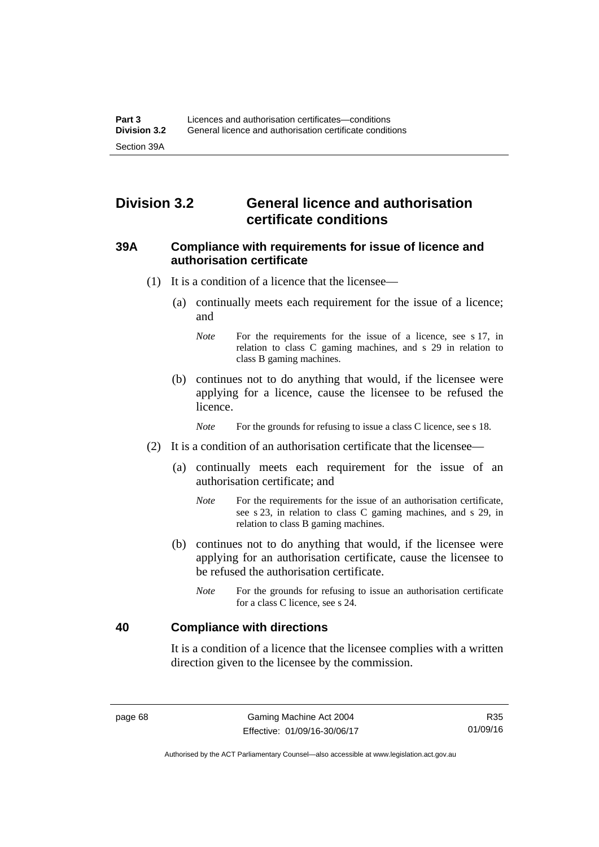# **Division 3.2 General licence and authorisation certificate conditions**

### **39A Compliance with requirements for issue of licence and authorisation certificate**

- (1) It is a condition of a licence that the licensee—
	- (a) continually meets each requirement for the issue of a licence; and
		- *Note* For the requirements for the issue of a licence, see s 17, in relation to class C gaming machines, and s 29 in relation to class B gaming machines.
	- (b) continues not to do anything that would, if the licensee were applying for a licence, cause the licensee to be refused the licence.

*Note* For the grounds for refusing to issue a class C licence, see s 18.

- (2) It is a condition of an authorisation certificate that the licensee—
	- (a) continually meets each requirement for the issue of an authorisation certificate; and
		- *Note* For the requirements for the issue of an authorisation certificate, see s 23, in relation to class C gaming machines, and s 29, in relation to class B gaming machines.
	- (b) continues not to do anything that would, if the licensee were applying for an authorisation certificate, cause the licensee to be refused the authorisation certificate.
		- *Note* For the grounds for refusing to issue an authorisation certificate for a class C licence, see s 24.

### **40 Compliance with directions**

It is a condition of a licence that the licensee complies with a written direction given to the licensee by the commission.

R35 01/09/16

Authorised by the ACT Parliamentary Counsel—also accessible at www.legislation.act.gov.au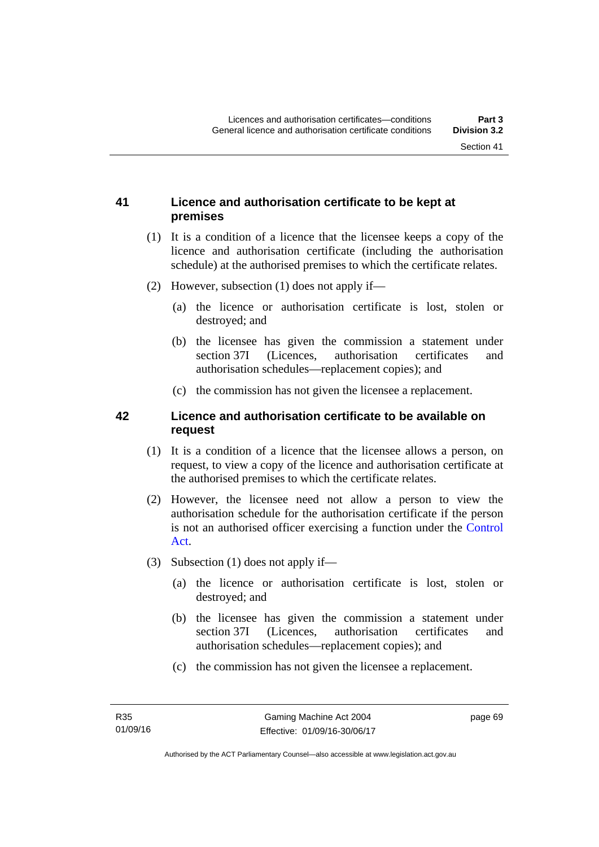### **41 Licence and authorisation certificate to be kept at premises**

- (1) It is a condition of a licence that the licensee keeps a copy of the licence and authorisation certificate (including the authorisation schedule) at the authorised premises to which the certificate relates.
- (2) However, subsection (1) does not apply if—
	- (a) the licence or authorisation certificate is lost, stolen or destroyed; and
	- (b) the licensee has given the commission a statement under section 37I (Licences, authorisation certificates and authorisation schedules—replacement copies); and
	- (c) the commission has not given the licensee a replacement.

### **42 Licence and authorisation certificate to be available on request**

- (1) It is a condition of a licence that the licensee allows a person, on request, to view a copy of the licence and authorisation certificate at the authorised premises to which the certificate relates.
- (2) However, the licensee need not allow a person to view the authorisation schedule for the authorisation certificate if the person is not an authorised officer exercising a function under the [Control](http://www.legislation.act.gov.au/a/1999-46)  [Act](http://www.legislation.act.gov.au/a/1999-46).
- (3) Subsection (1) does not apply if—
	- (a) the licence or authorisation certificate is lost, stolen or destroyed; and
	- (b) the licensee has given the commission a statement under section 37I (Licences, authorisation certificates and authorisation schedules—replacement copies); and
	- (c) the commission has not given the licensee a replacement.

page 69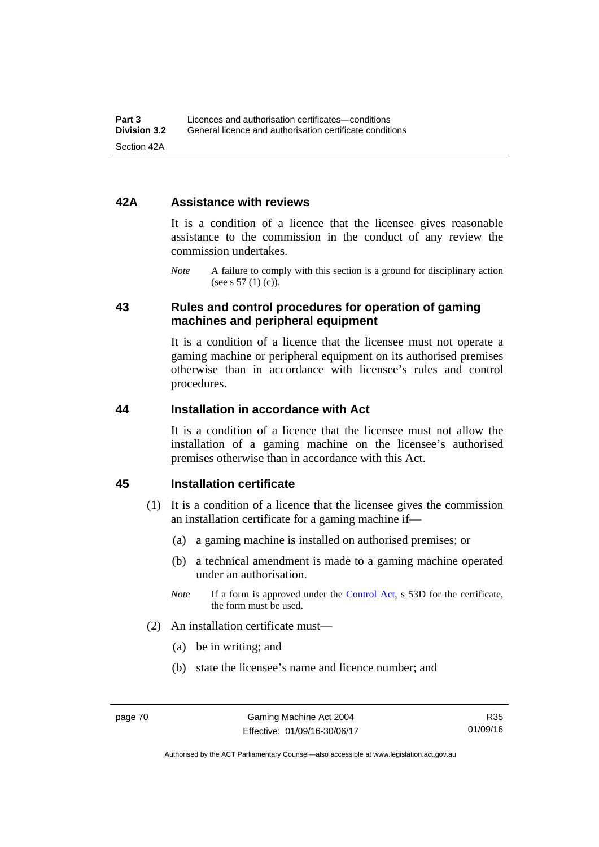### **42A Assistance with reviews**

It is a condition of a licence that the licensee gives reasonable assistance to the commission in the conduct of any review the commission undertakes.

*Note* A failure to comply with this section is a ground for disciplinary action (see s  $57(1)(c)$ ).

### **43 Rules and control procedures for operation of gaming machines and peripheral equipment**

It is a condition of a licence that the licensee must not operate a gaming machine or peripheral equipment on its authorised premises otherwise than in accordance with licensee's rules and control procedures.

### **44 Installation in accordance with Act**

It is a condition of a licence that the licensee must not allow the installation of a gaming machine on the licensee's authorised premises otherwise than in accordance with this Act.

### **45 Installation certificate**

- (1) It is a condition of a licence that the licensee gives the commission an installation certificate for a gaming machine if—
	- (a) a gaming machine is installed on authorised premises; or
	- (b) a technical amendment is made to a gaming machine operated under an authorisation.
	- *Note* If a form is approved under the [Control Act,](http://www.legislation.act.gov.au/a/1999-46) s 53D for the certificate, the form must be used.
- (2) An installation certificate must—
	- (a) be in writing; and
	- (b) state the licensee's name and licence number; and

Authorised by the ACT Parliamentary Counsel—also accessible at www.legislation.act.gov.au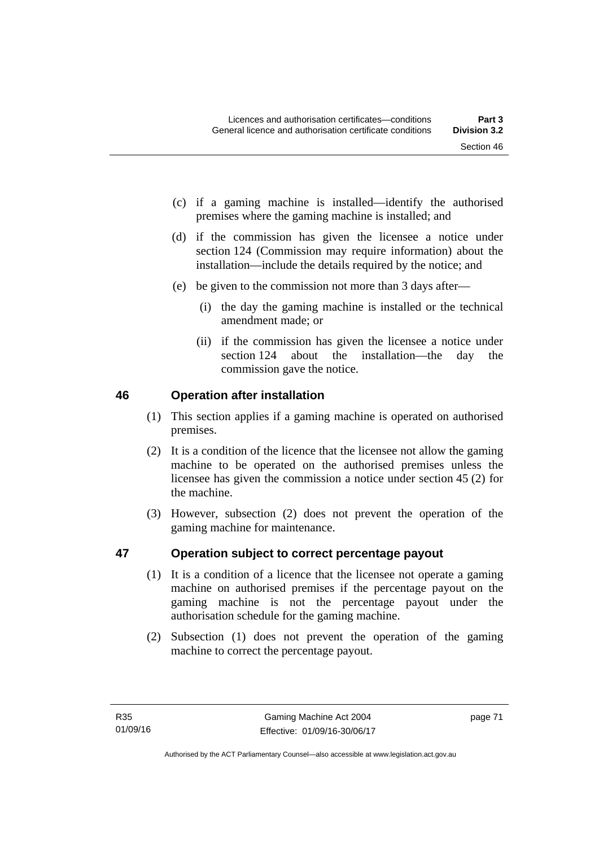- (c) if a gaming machine is installed—identify the authorised premises where the gaming machine is installed; and
- (d) if the commission has given the licensee a notice under section 124 (Commission may require information) about the installation—include the details required by the notice; and
- (e) be given to the commission not more than 3 days after—
	- (i) the day the gaming machine is installed or the technical amendment made; or
	- (ii) if the commission has given the licensee a notice under section 124 about the installation—the day the commission gave the notice.

### **46 Operation after installation**

- (1) This section applies if a gaming machine is operated on authorised premises.
- (2) It is a condition of the licence that the licensee not allow the gaming machine to be operated on the authorised premises unless the licensee has given the commission a notice under section 45 (2) for the machine.
- (3) However, subsection (2) does not prevent the operation of the gaming machine for maintenance.

### **47 Operation subject to correct percentage payout**

- (1) It is a condition of a licence that the licensee not operate a gaming machine on authorised premises if the percentage payout on the gaming machine is not the percentage payout under the authorisation schedule for the gaming machine.
- (2) Subsection (1) does not prevent the operation of the gaming machine to correct the percentage payout.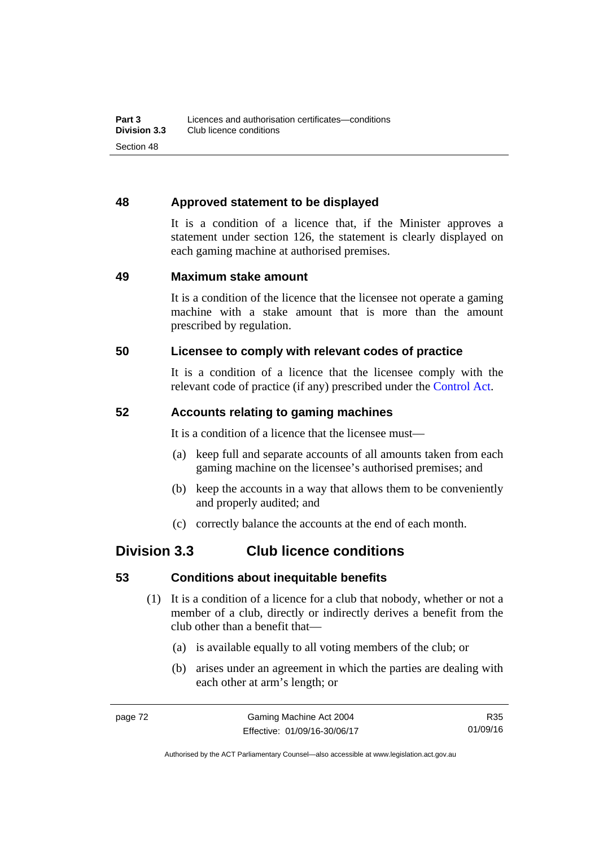### **48 Approved statement to be displayed**

It is a condition of a licence that, if the Minister approves a statement under section 126, the statement is clearly displayed on each gaming machine at authorised premises.

### **49 Maximum stake amount**

It is a condition of the licence that the licensee not operate a gaming machine with a stake amount that is more than the amount prescribed by regulation.

### **50 Licensee to comply with relevant codes of practice**

It is a condition of a licence that the licensee comply with the relevant code of practice (if any) prescribed under the [Control Act.](http://www.legislation.act.gov.au/a/1999-46)

### **52 Accounts relating to gaming machines**

It is a condition of a licence that the licensee must—

- (a) keep full and separate accounts of all amounts taken from each gaming machine on the licensee's authorised premises; and
- (b) keep the accounts in a way that allows them to be conveniently and properly audited; and
- (c) correctly balance the accounts at the end of each month.

### **Division 3.3 Club licence conditions**

### **53 Conditions about inequitable benefits**

- (1) It is a condition of a licence for a club that nobody, whether or not a member of a club, directly or indirectly derives a benefit from the club other than a benefit that—
	- (a) is available equally to all voting members of the club; or
	- (b) arises under an agreement in which the parties are dealing with each other at arm's length; or

Authorised by the ACT Parliamentary Counsel—also accessible at www.legislation.act.gov.au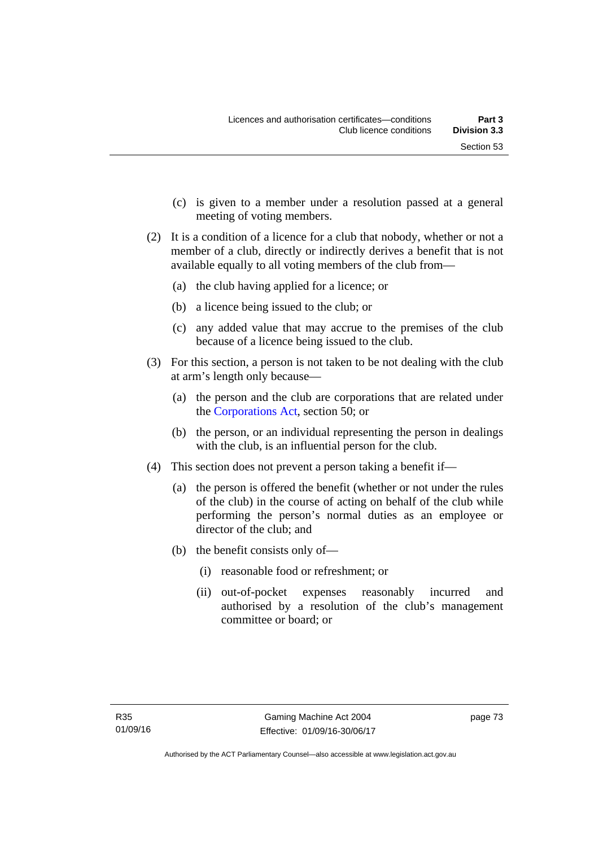- (c) is given to a member under a resolution passed at a general meeting of voting members.
- (2) It is a condition of a licence for a club that nobody, whether or not a member of a club, directly or indirectly derives a benefit that is not available equally to all voting members of the club from—
	- (a) the club having applied for a licence; or
	- (b) a licence being issued to the club; or
	- (c) any added value that may accrue to the premises of the club because of a licence being issued to the club.
- (3) For this section, a person is not taken to be not dealing with the club at arm's length only because—
	- (a) the person and the club are corporations that are related under the [Corporations Act,](http://www.comlaw.gov.au/Series/C2004A00818) section 50; or
	- (b) the person, or an individual representing the person in dealings with the club, is an influential person for the club.
- (4) This section does not prevent a person taking a benefit if—
	- (a) the person is offered the benefit (whether or not under the rules of the club) in the course of acting on behalf of the club while performing the person's normal duties as an employee or director of the club; and
	- (b) the benefit consists only of—
		- (i) reasonable food or refreshment; or
		- (ii) out-of-pocket expenses reasonably incurred and authorised by a resolution of the club's management committee or board; or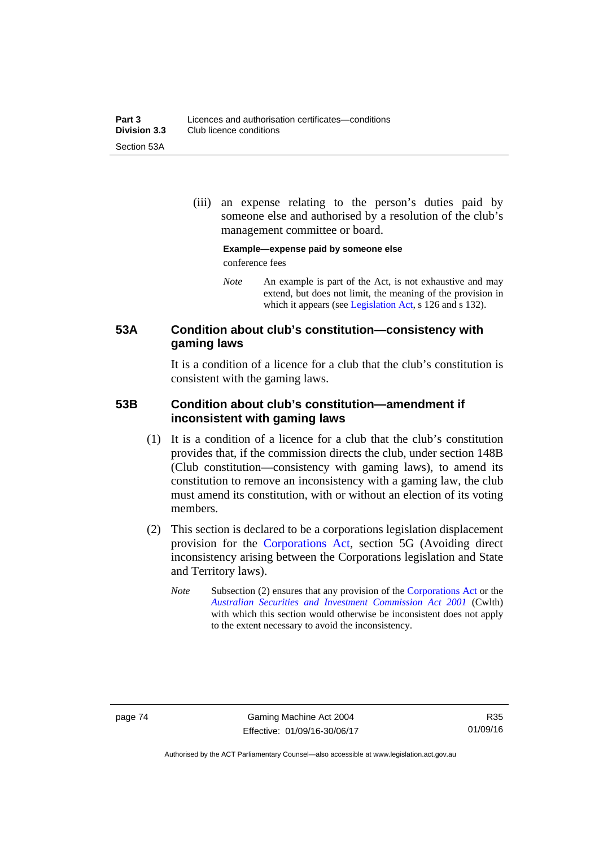(iii) an expense relating to the person's duties paid by someone else and authorised by a resolution of the club's management committee or board.

**Example—expense paid by someone else** 

conference fees

*Note* An example is part of the Act, is not exhaustive and may extend, but does not limit, the meaning of the provision in which it appears (see [Legislation Act,](http://www.legislation.act.gov.au/a/2001-14) s 126 and s 132).

### **53A Condition about club's constitution—consistency with gaming laws**

It is a condition of a licence for a club that the club's constitution is consistent with the gaming laws.

### **53B Condition about club's constitution—amendment if inconsistent with gaming laws**

- (1) It is a condition of a licence for a club that the club's constitution provides that, if the commission directs the club, under section 148B (Club constitution—consistency with gaming laws), to amend its constitution to remove an inconsistency with a gaming law, the club must amend its constitution, with or without an election of its voting members.
- (2) This section is declared to be a corporations legislation displacement provision for the [Corporations Act](http://www.comlaw.gov.au/Series/C2004A00818), section 5G (Avoiding direct inconsistency arising between the Corporations legislation and State and Territory laws).
	- *Note* Subsection (2) ensures that any provision of the [Corporations Act](http://www.comlaw.gov.au/Series/C2004A00818) or the *[Australian Securities and Investment Commission Act 2001](http://www.comlaw.gov.au/Series/C2004A00819)* (Cwlth) with which this section would otherwise be inconsistent does not apply to the extent necessary to avoid the inconsistency.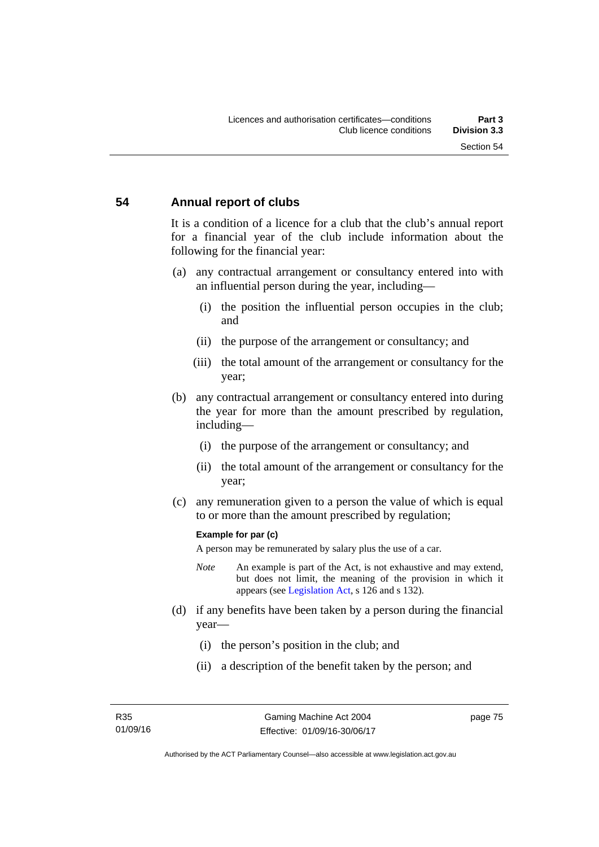### **54 Annual report of clubs**

It is a condition of a licence for a club that the club's annual report for a financial year of the club include information about the following for the financial year:

- (a) any contractual arrangement or consultancy entered into with an influential person during the year, including—
	- (i) the position the influential person occupies in the club; and
	- (ii) the purpose of the arrangement or consultancy; and
	- (iii) the total amount of the arrangement or consultancy for the year;
- (b) any contractual arrangement or consultancy entered into during the year for more than the amount prescribed by regulation, including—
	- (i) the purpose of the arrangement or consultancy; and
	- (ii) the total amount of the arrangement or consultancy for the year;
- (c) any remuneration given to a person the value of which is equal to or more than the amount prescribed by regulation;

#### **Example for par (c)**

A person may be remunerated by salary plus the use of a car.

- *Note* An example is part of the Act, is not exhaustive and may extend, but does not limit, the meaning of the provision in which it appears (see [Legislation Act,](http://www.legislation.act.gov.au/a/2001-14) s 126 and s 132).
- (d) if any benefits have been taken by a person during the financial year—
	- (i) the person's position in the club; and
	- (ii) a description of the benefit taken by the person; and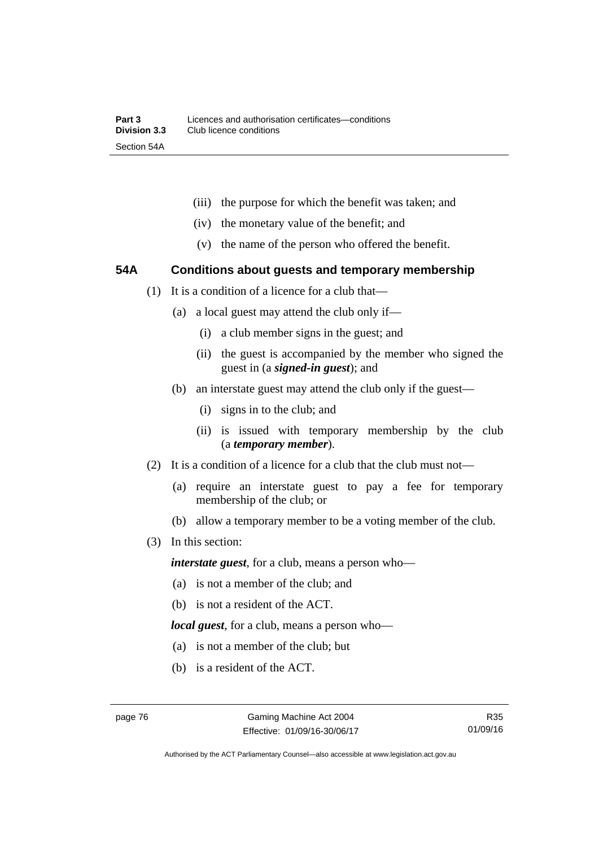- (iii) the purpose for which the benefit was taken; and
- (iv) the monetary value of the benefit; and
- (v) the name of the person who offered the benefit.

### **54A Conditions about guests and temporary membership**

- (1) It is a condition of a licence for a club that—
	- (a) a local guest may attend the club only if—
		- (i) a club member signs in the guest; and
		- (ii) the guest is accompanied by the member who signed the guest in (a *signed-in guest*); and
	- (b) an interstate guest may attend the club only if the guest—
		- (i) signs in to the club; and
		- (ii) is issued with temporary membership by the club (a *temporary member*).
- (2) It is a condition of a licence for a club that the club must not—
	- (a) require an interstate guest to pay a fee for temporary membership of the club; or
	- (b) allow a temporary member to be a voting member of the club.
- (3) In this section:

*interstate guest*, for a club, means a person who—

- (a) is not a member of the club; and
- (b) is not a resident of the ACT.

*local guest*, for a club, means a person who—

- (a) is not a member of the club; but
- (b) is a resident of the ACT.

Authorised by the ACT Parliamentary Counsel—also accessible at www.legislation.act.gov.au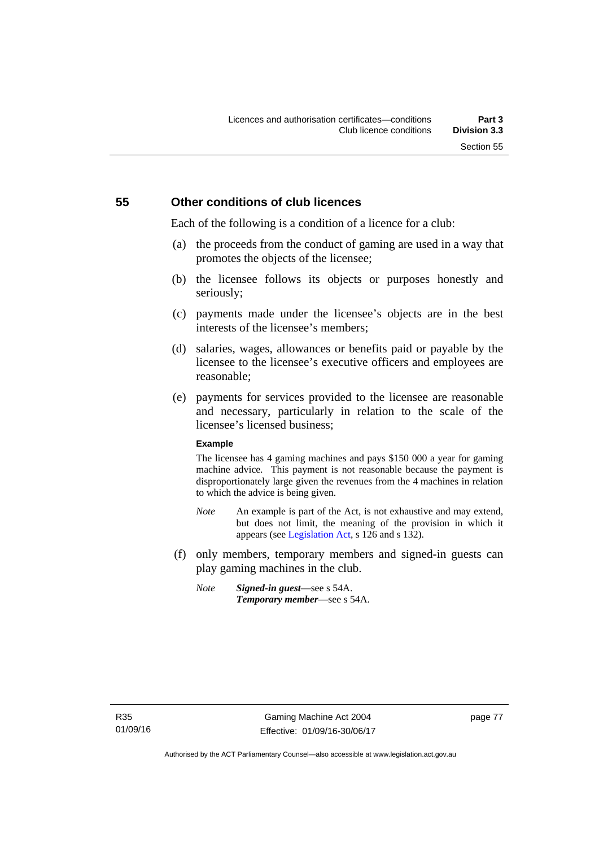### **55 Other conditions of club licences**

Each of the following is a condition of a licence for a club:

- (a) the proceeds from the conduct of gaming are used in a way that promotes the objects of the licensee;
- (b) the licensee follows its objects or purposes honestly and seriously;
- (c) payments made under the licensee's objects are in the best interests of the licensee's members;
- (d) salaries, wages, allowances or benefits paid or payable by the licensee to the licensee's executive officers and employees are reasonable;
- (e) payments for services provided to the licensee are reasonable and necessary, particularly in relation to the scale of the licensee's licensed business;

#### **Example**

The licensee has 4 gaming machines and pays \$150 000 a year for gaming machine advice. This payment is not reasonable because the payment is disproportionately large given the revenues from the 4 machines in relation to which the advice is being given.

- *Note* An example is part of the Act, is not exhaustive and may extend, but does not limit, the meaning of the provision in which it appears (see [Legislation Act,](http://www.legislation.act.gov.au/a/2001-14) s 126 and s 132).
- (f) only members, temporary members and signed-in guests can play gaming machines in the club.
	- *Note Signed-in guest*—see s 54A. *Temporary member*—see s 54A.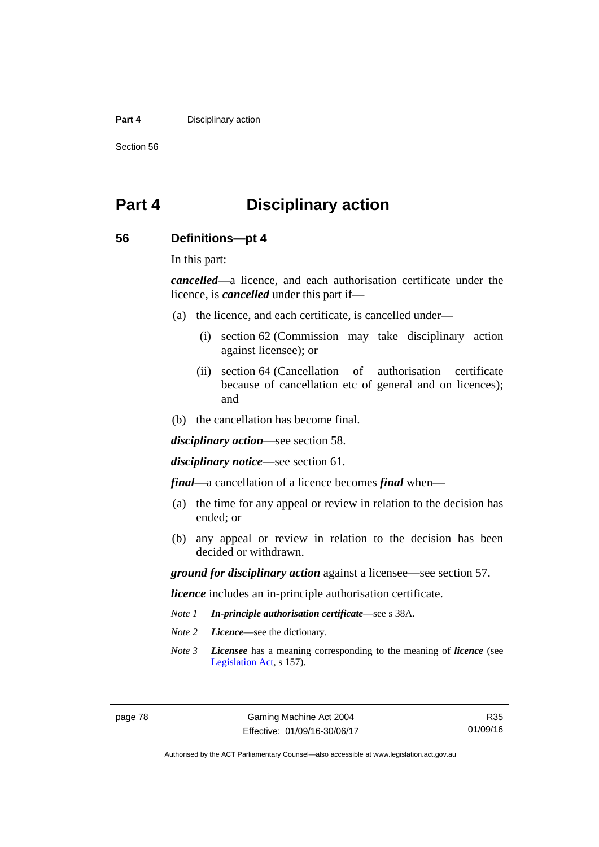#### **Part 4 Disciplinary action**

Section 56

# **Part 4 Disciplinary action**

### **56 Definitions—pt 4**

In this part:

*cancelled*—a licence, and each authorisation certificate under the licence, is *cancelled* under this part if—

- (a) the licence, and each certificate, is cancelled under—
	- (i) section 62 (Commission may take disciplinary action against licensee); or
	- (ii) section 64 (Cancellation of authorisation certificate because of cancellation etc of general and on licences); and
- (b) the cancellation has become final.

*disciplinary action*—see section 58.

*disciplinary notice*—see section 61.

*final*—a cancellation of a licence becomes *final* when—

- (a) the time for any appeal or review in relation to the decision has ended; or
- (b) any appeal or review in relation to the decision has been decided or withdrawn.

*ground for disciplinary action* against a licensee—see section 57.

*licence* includes an in-principle authorisation certificate.

- *Note 1 In-principle authorisation certificate*—see s 38A.
- *Note 2 Licence*—see the dictionary.
- *Note 3 Licensee* has a meaning corresponding to the meaning of *licence* (see [Legislation Act,](http://www.legislation.act.gov.au/a/2001-14) s 157).

Authorised by the ACT Parliamentary Counsel—also accessible at www.legislation.act.gov.au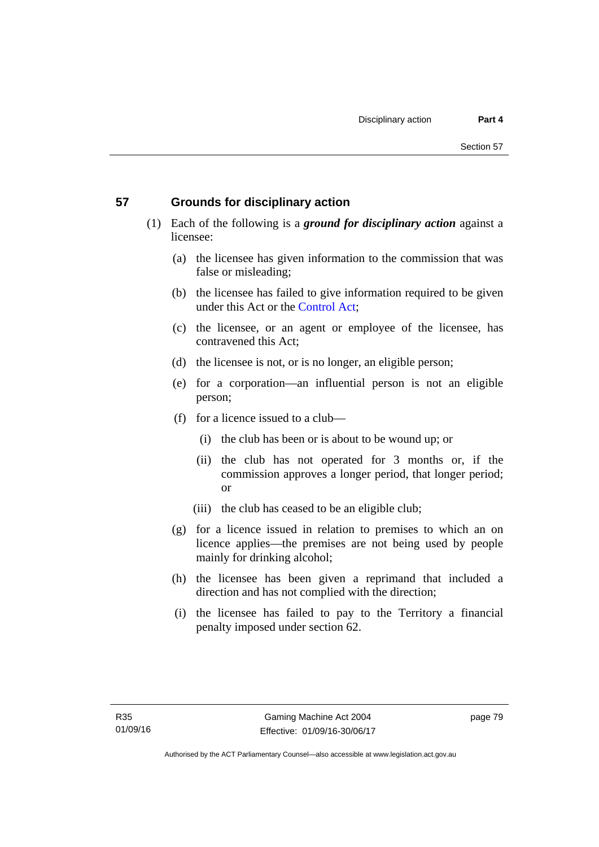### **57 Grounds for disciplinary action**

- (1) Each of the following is a *ground for disciplinary action* against a licensee:
	- (a) the licensee has given information to the commission that was false or misleading;
	- (b) the licensee has failed to give information required to be given under this Act or the [Control Act;](http://www.legislation.act.gov.au/a/1999-46)
	- (c) the licensee, or an agent or employee of the licensee, has contravened this Act;
	- (d) the licensee is not, or is no longer, an eligible person;
	- (e) for a corporation—an influential person is not an eligible person;
	- (f) for a licence issued to a club—
		- (i) the club has been or is about to be wound up; or
		- (ii) the club has not operated for 3 months or, if the commission approves a longer period, that longer period; or
		- (iii) the club has ceased to be an eligible club;
	- (g) for a licence issued in relation to premises to which an on licence applies—the premises are not being used by people mainly for drinking alcohol;
	- (h) the licensee has been given a reprimand that included a direction and has not complied with the direction;
	- (i) the licensee has failed to pay to the Territory a financial penalty imposed under section 62.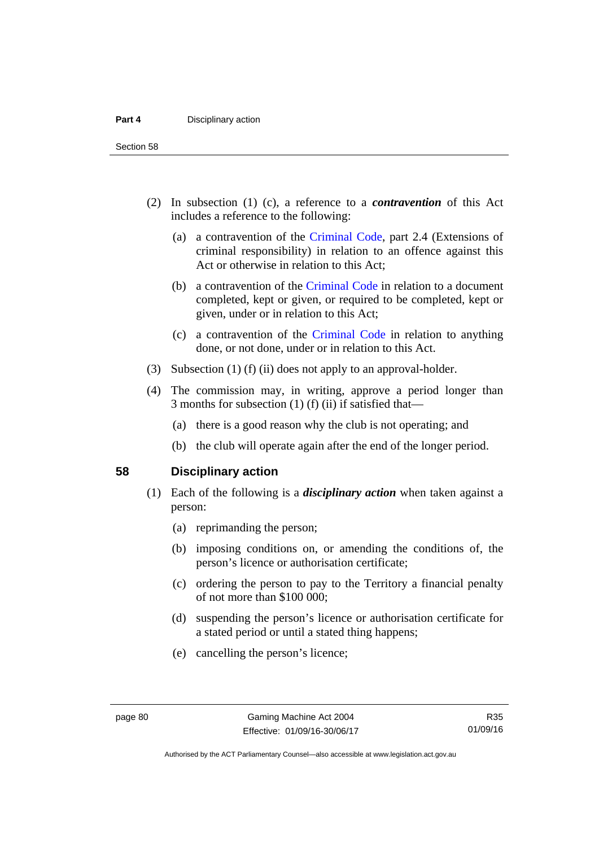Section 58

- (2) In subsection (1) (c), a reference to a *contravention* of this Act includes a reference to the following:
	- (a) a contravention of the [Criminal Code](http://www.legislation.act.gov.au/a/2002-51), part 2.4 (Extensions of criminal responsibility) in relation to an offence against this Act or otherwise in relation to this Act;
	- (b) a contravention of the [Criminal Code](http://www.legislation.act.gov.au/a/2002-51) in relation to a document completed, kept or given, or required to be completed, kept or given, under or in relation to this Act;
	- (c) a contravention of the [Criminal Code](http://www.legislation.act.gov.au/a/2002-51) in relation to anything done, or not done, under or in relation to this Act.
- (3) Subsection (1) (f) (ii) does not apply to an approval-holder.
- (4) The commission may, in writing, approve a period longer than 3 months for subsection (1) (f) (ii) if satisfied that—
	- (a) there is a good reason why the club is not operating; and
	- (b) the club will operate again after the end of the longer period.

### **58 Disciplinary action**

- (1) Each of the following is a *disciplinary action* when taken against a person:
	- (a) reprimanding the person;
	- (b) imposing conditions on, or amending the conditions of, the person's licence or authorisation certificate;
	- (c) ordering the person to pay to the Territory a financial penalty of not more than \$100 000;
	- (d) suspending the person's licence or authorisation certificate for a stated period or until a stated thing happens;
	- (e) cancelling the person's licence;

R35 01/09/16

Authorised by the ACT Parliamentary Counsel—also accessible at www.legislation.act.gov.au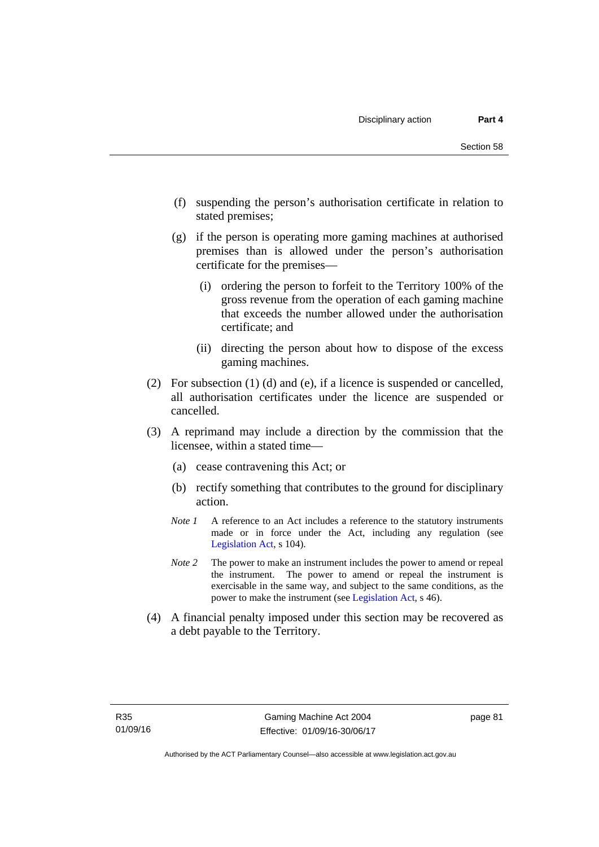- (f) suspending the person's authorisation certificate in relation to stated premises;
- (g) if the person is operating more gaming machines at authorised premises than is allowed under the person's authorisation certificate for the premises—
	- (i) ordering the person to forfeit to the Territory 100% of the gross revenue from the operation of each gaming machine that exceeds the number allowed under the authorisation certificate; and
	- (ii) directing the person about how to dispose of the excess gaming machines.
- (2) For subsection (1) (d) and (e), if a licence is suspended or cancelled, all authorisation certificates under the licence are suspended or cancelled.
- (3) A reprimand may include a direction by the commission that the licensee, within a stated time—
	- (a) cease contravening this Act; or
	- (b) rectify something that contributes to the ground for disciplinary action.
	- *Note 1* A reference to an Act includes a reference to the statutory instruments made or in force under the Act, including any regulation (see [Legislation Act,](http://www.legislation.act.gov.au/a/2001-14) s 104).
	- *Note 2* The power to make an instrument includes the power to amend or repeal the instrument. The power to amend or repeal the instrument is exercisable in the same way, and subject to the same conditions, as the power to make the instrument (see [Legislation Act,](http://www.legislation.act.gov.au/a/2001-14) s 46).
- (4) A financial penalty imposed under this section may be recovered as a debt payable to the Territory.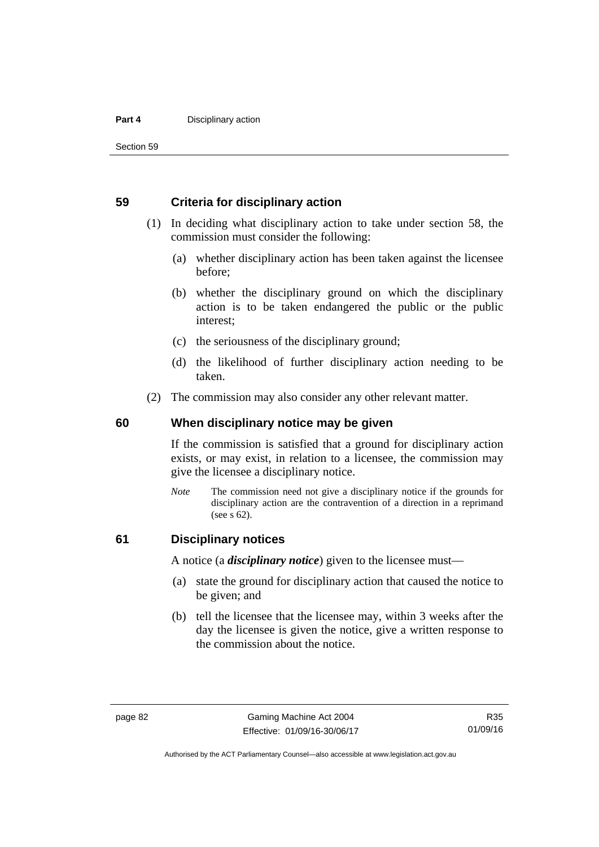#### **Part 4 Disciplinary action**

Section 59

### **59 Criteria for disciplinary action**

- (1) In deciding what disciplinary action to take under section 58, the commission must consider the following:
	- (a) whether disciplinary action has been taken against the licensee before;
	- (b) whether the disciplinary ground on which the disciplinary action is to be taken endangered the public or the public interest;
	- (c) the seriousness of the disciplinary ground;
	- (d) the likelihood of further disciplinary action needing to be taken.
- (2) The commission may also consider any other relevant matter.

#### **60 When disciplinary notice may be given**

If the commission is satisfied that a ground for disciplinary action exists, or may exist, in relation to a licensee, the commission may give the licensee a disciplinary notice.

*Note* The commission need not give a disciplinary notice if the grounds for disciplinary action are the contravention of a direction in a reprimand (see s 62).

### **61 Disciplinary notices**

A notice (a *disciplinary notice*) given to the licensee must—

- (a) state the ground for disciplinary action that caused the notice to be given; and
- (b) tell the licensee that the licensee may, within 3 weeks after the day the licensee is given the notice, give a written response to the commission about the notice.

R35 01/09/16

Authorised by the ACT Parliamentary Counsel—also accessible at www.legislation.act.gov.au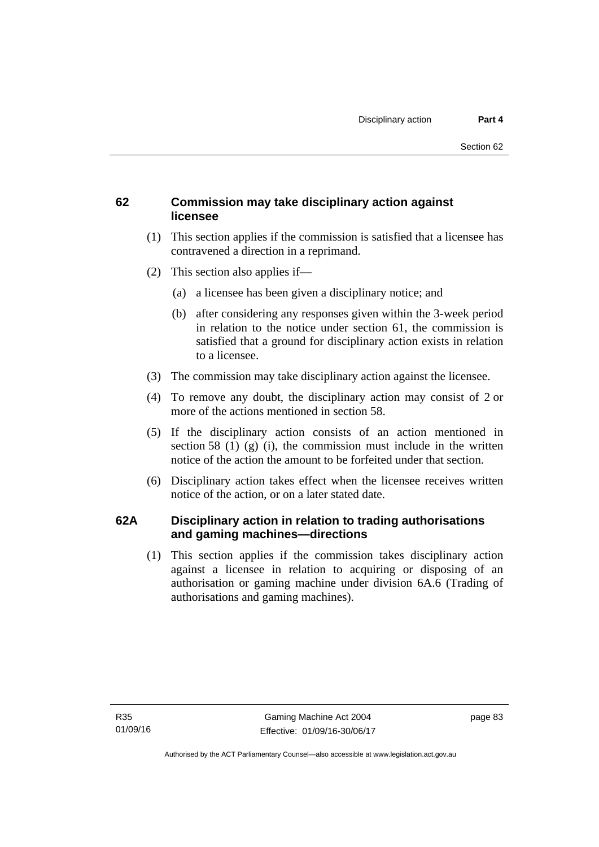### **62 Commission may take disciplinary action against licensee**

- (1) This section applies if the commission is satisfied that a licensee has contravened a direction in a reprimand.
- (2) This section also applies if—
	- (a) a licensee has been given a disciplinary notice; and
	- (b) after considering any responses given within the 3-week period in relation to the notice under section 61, the commission is satisfied that a ground for disciplinary action exists in relation to a licensee.
- (3) The commission may take disciplinary action against the licensee.
- (4) To remove any doubt, the disciplinary action may consist of 2 or more of the actions mentioned in section 58.
- (5) If the disciplinary action consists of an action mentioned in section 58 (1) (g) (i), the commission must include in the written notice of the action the amount to be forfeited under that section.
- (6) Disciplinary action takes effect when the licensee receives written notice of the action, or on a later stated date.

### **62A Disciplinary action in relation to trading authorisations and gaming machines—directions**

(1) This section applies if the commission takes disciplinary action against a licensee in relation to acquiring or disposing of an authorisation or gaming machine under division 6A.6 (Trading of authorisations and gaming machines).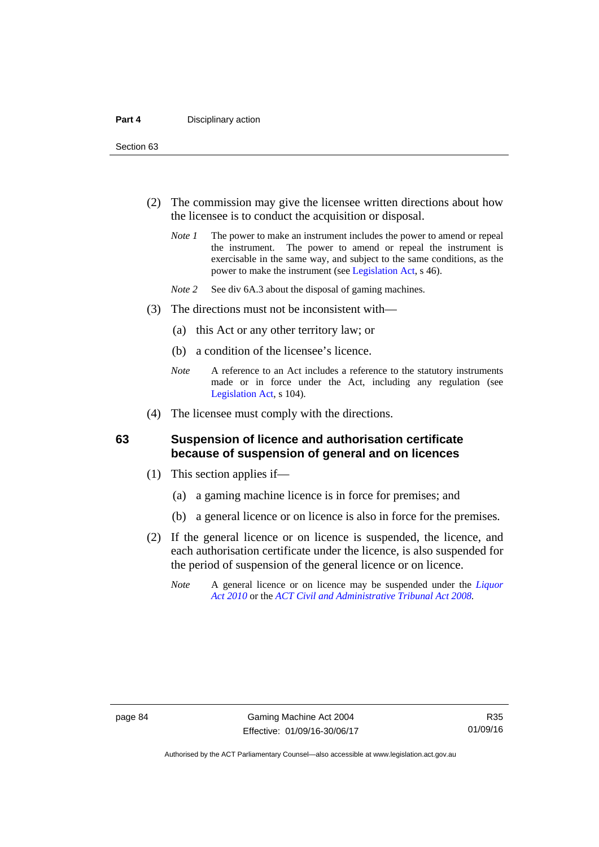Section 63

- (2) The commission may give the licensee written directions about how the licensee is to conduct the acquisition or disposal.
	- *Note 1* The power to make an instrument includes the power to amend or repeal the instrument. The power to amend or repeal the instrument is exercisable in the same way, and subject to the same conditions, as the power to make the instrument (see [Legislation Act,](http://www.legislation.act.gov.au/a/2001-14) s 46).
	- *Note 2* See div 6A.3 about the disposal of gaming machines.
- (3) The directions must not be inconsistent with—
	- (a) this Act or any other territory law; or
	- (b) a condition of the licensee's licence.
	- *Note* A reference to an Act includes a reference to the statutory instruments made or in force under the Act, including any regulation (see [Legislation Act,](http://www.legislation.act.gov.au/a/2001-14) s 104).
- (4) The licensee must comply with the directions.

### **63 Suspension of licence and authorisation certificate because of suspension of general and on licences**

- (1) This section applies if—
	- (a) a gaming machine licence is in force for premises; and
	- (b) a general licence or on licence is also in force for the premises.
- (2) If the general licence or on licence is suspended, the licence, and each authorisation certificate under the licence, is also suspended for the period of suspension of the general licence or on licence.
	- *Note* A general licence or on licence may be suspended under the *[Liquor](http://www.legislation.act.gov.au/a/2010-35)  [Act 2010](http://www.legislation.act.gov.au/a/2010-35)* or the *[ACT Civil and Administrative Tribunal Act 2008.](http://www.legislation.act.gov.au/a/2008-35)*

Authorised by the ACT Parliamentary Counsel—also accessible at www.legislation.act.gov.au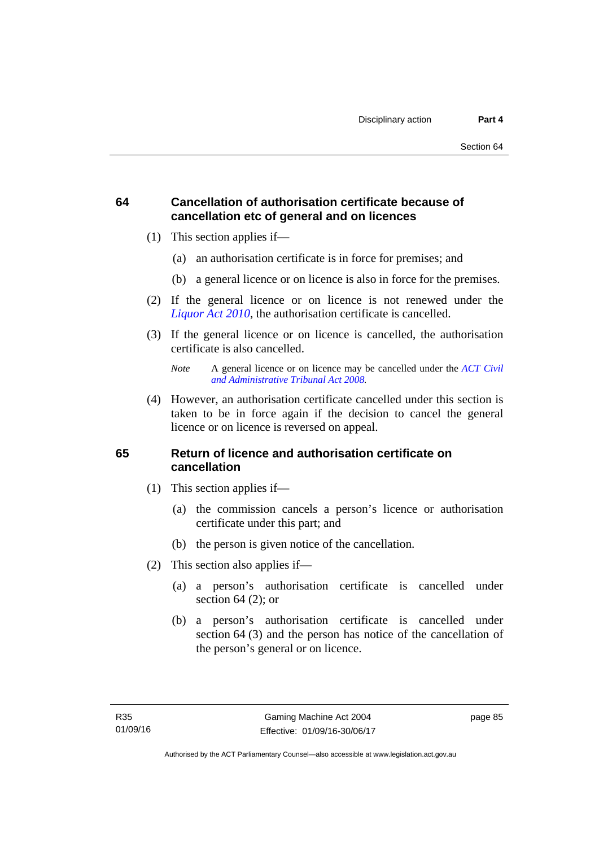### **64 Cancellation of authorisation certificate because of cancellation etc of general and on licences**

- (1) This section applies if—
	- (a) an authorisation certificate is in force for premises; and
	- (b) a general licence or on licence is also in force for the premises.
- (2) If the general licence or on licence is not renewed under the *[Liquor Act 2010](http://www.legislation.act.gov.au/a/2010-35)*, the authorisation certificate is cancelled.
- (3) If the general licence or on licence is cancelled, the authorisation certificate is also cancelled.

 (4) However, an authorisation certificate cancelled under this section is taken to be in force again if the decision to cancel the general licence or on licence is reversed on appeal.

### **65 Return of licence and authorisation certificate on cancellation**

- (1) This section applies if—
	- (a) the commission cancels a person's licence or authorisation certificate under this part; and
	- (b) the person is given notice of the cancellation.
- (2) This section also applies if—
	- (a) a person's authorisation certificate is cancelled under section  $64$  (2); or
	- (b) a person's authorisation certificate is cancelled under section 64 (3) and the person has notice of the cancellation of the person's general or on licence.

*Note* A general licence or on licence may be cancelled under the *[ACT Civil](http://www.legislation.act.gov.au/a/2008-35)  [and Administrative Tribunal Act 2008](http://www.legislation.act.gov.au/a/2008-35).*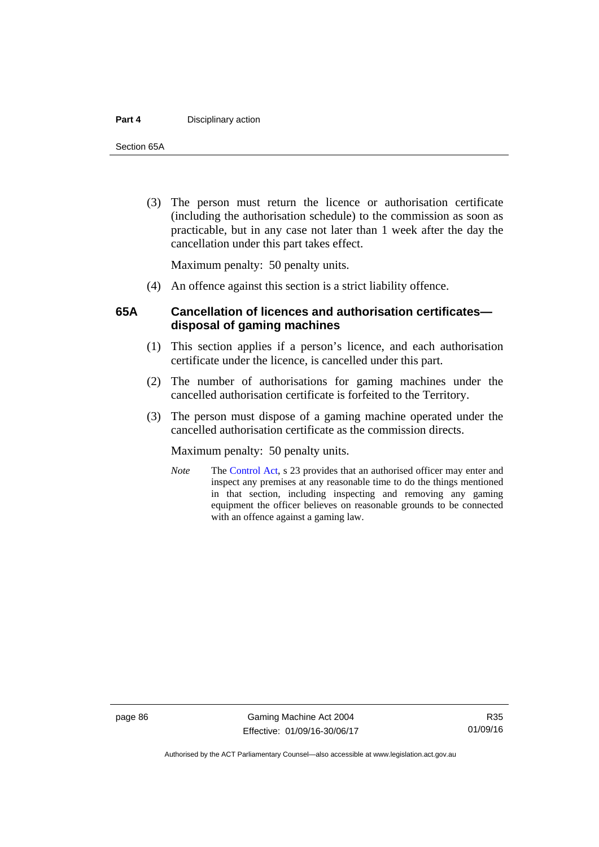#### **Part 4 Disciplinary action**

Section 65A

 (3) The person must return the licence or authorisation certificate (including the authorisation schedule) to the commission as soon as practicable, but in any case not later than 1 week after the day the cancellation under this part takes effect.

Maximum penalty: 50 penalty units.

(4) An offence against this section is a strict liability offence.

### **65A Cancellation of licences and authorisation certificates disposal of gaming machines**

- (1) This section applies if a person's licence, and each authorisation certificate under the licence, is cancelled under this part.
- (2) The number of authorisations for gaming machines under the cancelled authorisation certificate is forfeited to the Territory.
- (3) The person must dispose of a gaming machine operated under the cancelled authorisation certificate as the commission directs.

Maximum penalty: 50 penalty units.

*Note* The [Control Act](http://www.legislation.act.gov.au/a/1999-46/default.asp), s 23 provides that an authorised officer may enter and inspect any premises at any reasonable time to do the things mentioned in that section, including inspecting and removing any gaming equipment the officer believes on reasonable grounds to be connected with an offence against a gaming law.

page 86 Gaming Machine Act 2004 Effective: 01/09/16-30/06/17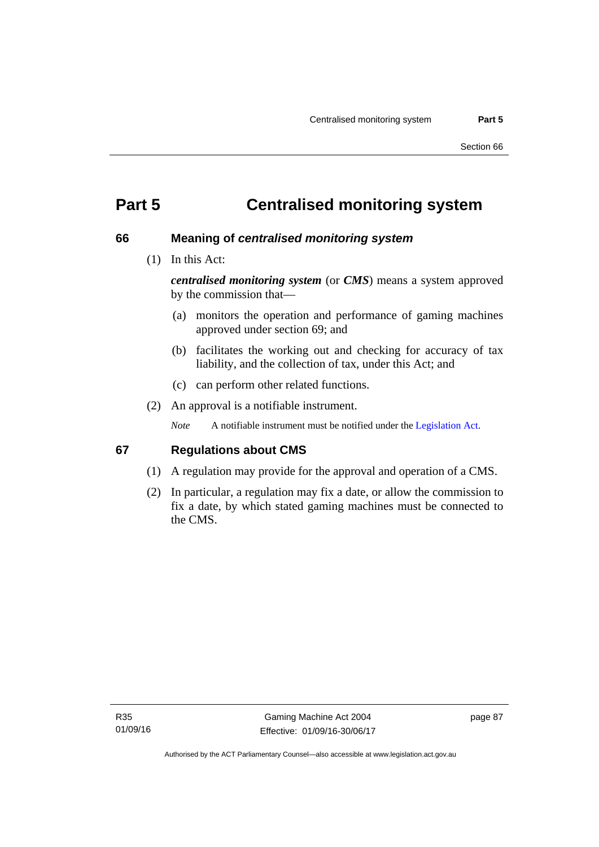# **Part 5 Centralised monitoring system**

### **66 Meaning of** *centralised monitoring system*

(1) In this Act:

*centralised monitoring system* (or *CMS*) means a system approved by the commission that—

- (a) monitors the operation and performance of gaming machines approved under section 69; and
- (b) facilitates the working out and checking for accuracy of tax liability, and the collection of tax, under this Act; and
- (c) can perform other related functions.
- (2) An approval is a notifiable instrument.

*Note* A notifiable instrument must be notified under the [Legislation Act](http://www.legislation.act.gov.au/a/2001-14).

### **67 Regulations about CMS**

- (1) A regulation may provide for the approval and operation of a CMS.
- (2) In particular, a regulation may fix a date, or allow the commission to fix a date, by which stated gaming machines must be connected to the CMS.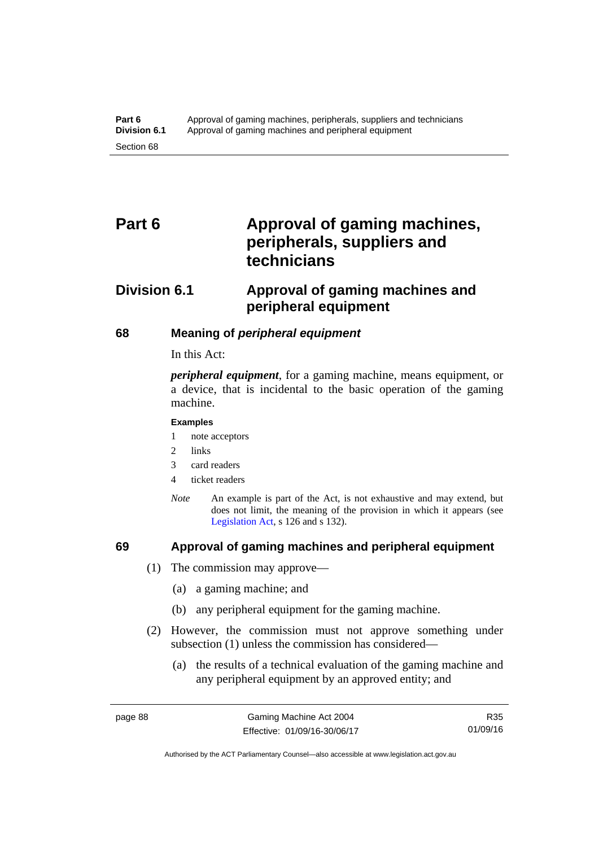# Part 6 **Approval of gaming machines, peripherals, suppliers and technicians**

# **Division 6.1 Approval of gaming machines and peripheral equipment**

### **68 Meaning of** *peripheral equipment*

In this Act:

*peripheral equipment*, for a gaming machine, means equipment, or a device, that is incidental to the basic operation of the gaming machine.

#### **Examples**

- 1 note acceptors
- 2 links
- 3 card readers
- 4 ticket readers
- *Note* An example is part of the Act, is not exhaustive and may extend, but does not limit, the meaning of the provision in which it appears (see [Legislation Act,](http://www.legislation.act.gov.au/a/2001-14) s 126 and s 132).

### **69 Approval of gaming machines and peripheral equipment**

- (1) The commission may approve—
	- (a) a gaming machine; and
	- (b) any peripheral equipment for the gaming machine.
- (2) However, the commission must not approve something under subsection (1) unless the commission has considered—
	- (a) the results of a technical evaluation of the gaming machine and any peripheral equipment by an approved entity; and

R35 01/09/16

Authorised by the ACT Parliamentary Counsel—also accessible at www.legislation.act.gov.au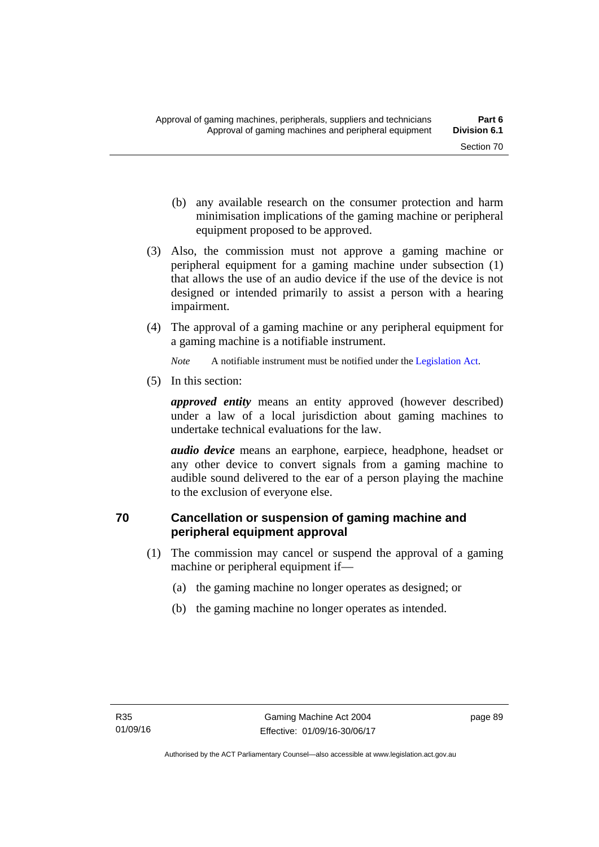- (b) any available research on the consumer protection and harm minimisation implications of the gaming machine or peripheral equipment proposed to be approved.
- (3) Also, the commission must not approve a gaming machine or peripheral equipment for a gaming machine under subsection (1) that allows the use of an audio device if the use of the device is not designed or intended primarily to assist a person with a hearing impairment.
- (4) The approval of a gaming machine or any peripheral equipment for a gaming machine is a notifiable instrument.

*Note* A notifiable instrument must be notified under the [Legislation Act](http://www.legislation.act.gov.au/a/2001-14).

(5) In this section:

*approved entity* means an entity approved (however described) under a law of a local jurisdiction about gaming machines to undertake technical evaluations for the law.

*audio device* means an earphone, earpiece, headphone, headset or any other device to convert signals from a gaming machine to audible sound delivered to the ear of a person playing the machine to the exclusion of everyone else.

### **70 Cancellation or suspension of gaming machine and peripheral equipment approval**

- (1) The commission may cancel or suspend the approval of a gaming machine or peripheral equipment if—
	- (a) the gaming machine no longer operates as designed; or
	- (b) the gaming machine no longer operates as intended.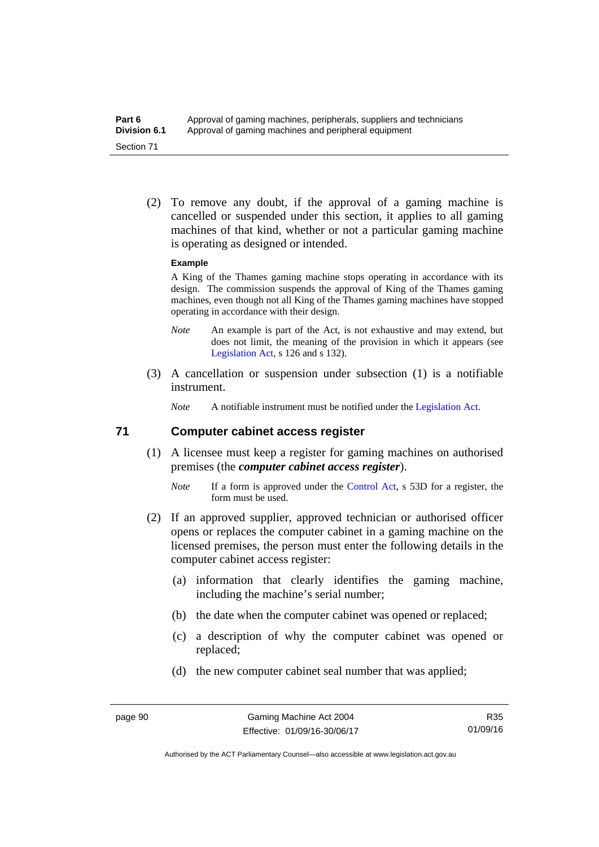(2) To remove any doubt, if the approval of a gaming machine is cancelled or suspended under this section, it applies to all gaming machines of that kind, whether or not a particular gaming machine is operating as designed or intended.

#### **Example**

A King of the Thames gaming machine stops operating in accordance with its design. The commission suspends the approval of King of the Thames gaming machines, even though not all King of the Thames gaming machines have stopped operating in accordance with their design.

- *Note* An example is part of the Act, is not exhaustive and may extend, but does not limit, the meaning of the provision in which it appears (see [Legislation Act,](http://www.legislation.act.gov.au/a/2001-14) s 126 and s 132).
- (3) A cancellation or suspension under subsection (1) is a notifiable instrument.

*Note* A notifiable instrument must be notified under the [Legislation Act](http://www.legislation.act.gov.au/a/2001-14).

### **71 Computer cabinet access register**

- (1) A licensee must keep a register for gaming machines on authorised premises (the *computer cabinet access register*).
	- *Note* If a form is approved under the [Control Act,](http://www.legislation.act.gov.au/a/1999-46/) s 53D for a register, the form must be used.
- (2) If an approved supplier, approved technician or authorised officer opens or replaces the computer cabinet in a gaming machine on the licensed premises, the person must enter the following details in the computer cabinet access register:
	- (a) information that clearly identifies the gaming machine, including the machine's serial number;
	- (b) the date when the computer cabinet was opened or replaced;
	- (c) a description of why the computer cabinet was opened or replaced;
	- (d) the new computer cabinet seal number that was applied;

R35 01/09/16

Authorised by the ACT Parliamentary Counsel—also accessible at www.legislation.act.gov.au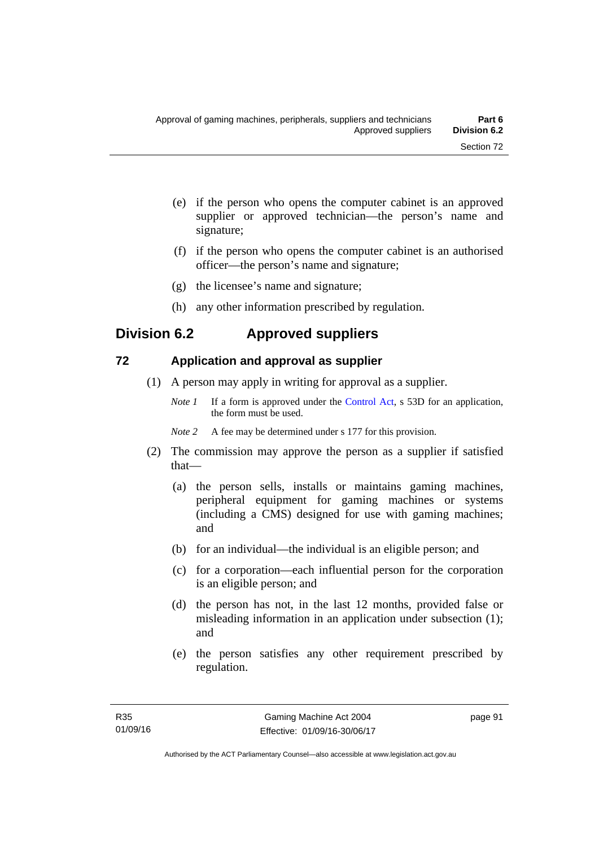- (e) if the person who opens the computer cabinet is an approved supplier or approved technician—the person's name and signature;
- (f) if the person who opens the computer cabinet is an authorised officer—the person's name and signature;
- (g) the licensee's name and signature;
- (h) any other information prescribed by regulation.

# **Division 6.2 Approved suppliers**

### **72 Application and approval as supplier**

- (1) A person may apply in writing for approval as a supplier.
	- *Note 1* If a form is approved under the [Control Act,](http://www.legislation.act.gov.au/a/1999-46) s 53D for an application, the form must be used.
	- *Note* 2 A fee may be determined under s 177 for this provision.
- (2) The commission may approve the person as a supplier if satisfied that—
	- (a) the person sells, installs or maintains gaming machines, peripheral equipment for gaming machines or systems (including a CMS) designed for use with gaming machines; and
	- (b) for an individual—the individual is an eligible person; and
	- (c) for a corporation—each influential person for the corporation is an eligible person; and
	- (d) the person has not, in the last 12 months, provided false or misleading information in an application under subsection (1); and
	- (e) the person satisfies any other requirement prescribed by regulation.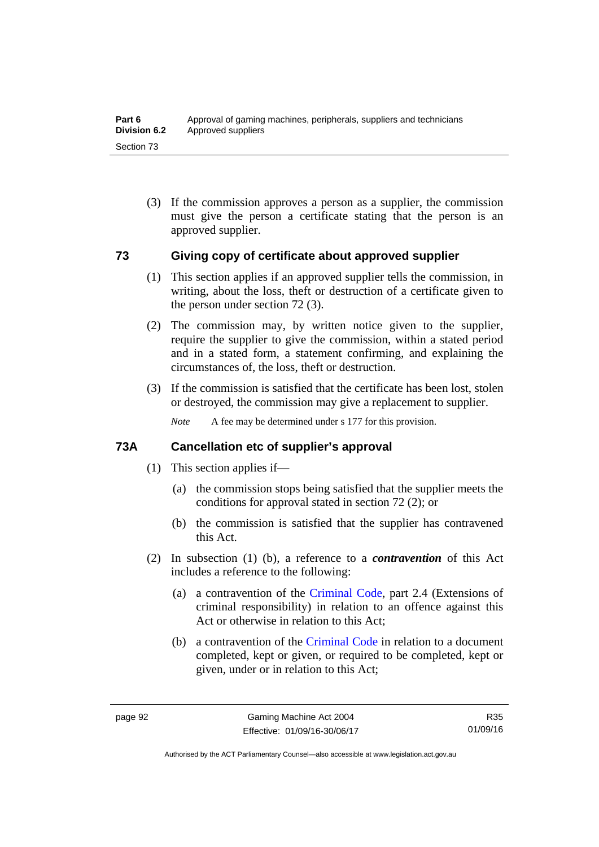(3) If the commission approves a person as a supplier, the commission must give the person a certificate stating that the person is an approved supplier.

### **73 Giving copy of certificate about approved supplier**

- (1) This section applies if an approved supplier tells the commission, in writing, about the loss, theft or destruction of a certificate given to the person under section 72 (3).
- (2) The commission may, by written notice given to the supplier, require the supplier to give the commission, within a stated period and in a stated form, a statement confirming, and explaining the circumstances of, the loss, theft or destruction.
- (3) If the commission is satisfied that the certificate has been lost, stolen or destroyed, the commission may give a replacement to supplier.

*Note* A fee may be determined under s 177 for this provision.

### **73A Cancellation etc of supplier's approval**

- (1) This section applies if—
	- (a) the commission stops being satisfied that the supplier meets the conditions for approval stated in section 72 (2); or
	- (b) the commission is satisfied that the supplier has contravened this Act.
- (2) In subsection (1) (b), a reference to a *contravention* of this Act includes a reference to the following:
	- (a) a contravention of the [Criminal Code](http://www.legislation.act.gov.au/a/2002-51), part 2.4 (Extensions of criminal responsibility) in relation to an offence against this Act or otherwise in relation to this Act;
	- (b) a contravention of the [Criminal Code](http://www.legislation.act.gov.au/a/2002-51) in relation to a document completed, kept or given, or required to be completed, kept or given, under or in relation to this Act;

R35 01/09/16

Authorised by the ACT Parliamentary Counsel—also accessible at www.legislation.act.gov.au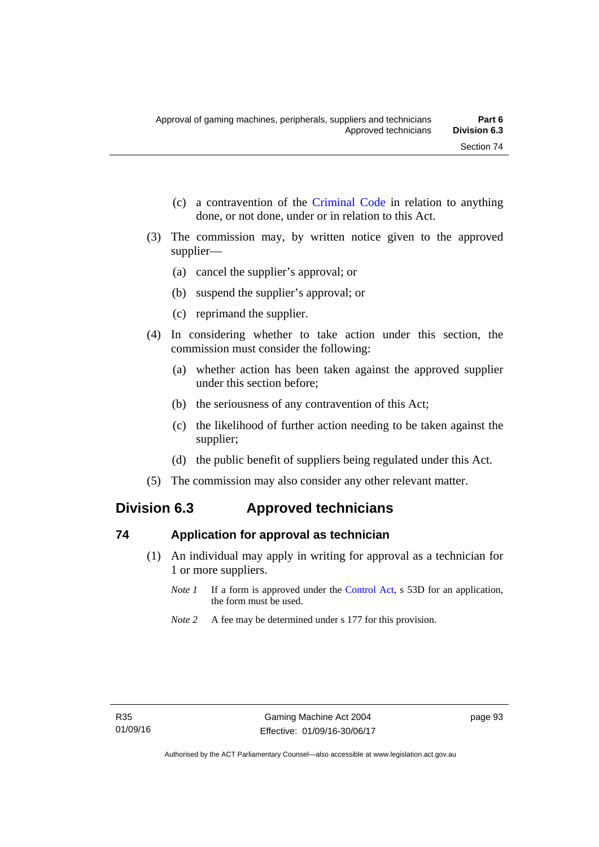- (c) a contravention of the [Criminal Code](http://www.legislation.act.gov.au/a/2002-51) in relation to anything done, or not done, under or in relation to this Act.
- (3) The commission may, by written notice given to the approved supplier—
	- (a) cancel the supplier's approval; or
	- (b) suspend the supplier's approval; or
	- (c) reprimand the supplier.
- (4) In considering whether to take action under this section, the commission must consider the following:
	- (a) whether action has been taken against the approved supplier under this section before;
	- (b) the seriousness of any contravention of this Act;
	- (c) the likelihood of further action needing to be taken against the supplier;
	- (d) the public benefit of suppliers being regulated under this Act.
- (5) The commission may also consider any other relevant matter.

# **Division 6.3 Approved technicians**

# **74 Application for approval as technician**

- (1) An individual may apply in writing for approval as a technician for 1 or more suppliers.
	- *Note 1* If a form is approved under the [Control Act,](http://www.legislation.act.gov.au/a/1999-46) s 53D for an application, the form must be used.
	- *Note* 2 A fee may be determined under s 177 for this provision.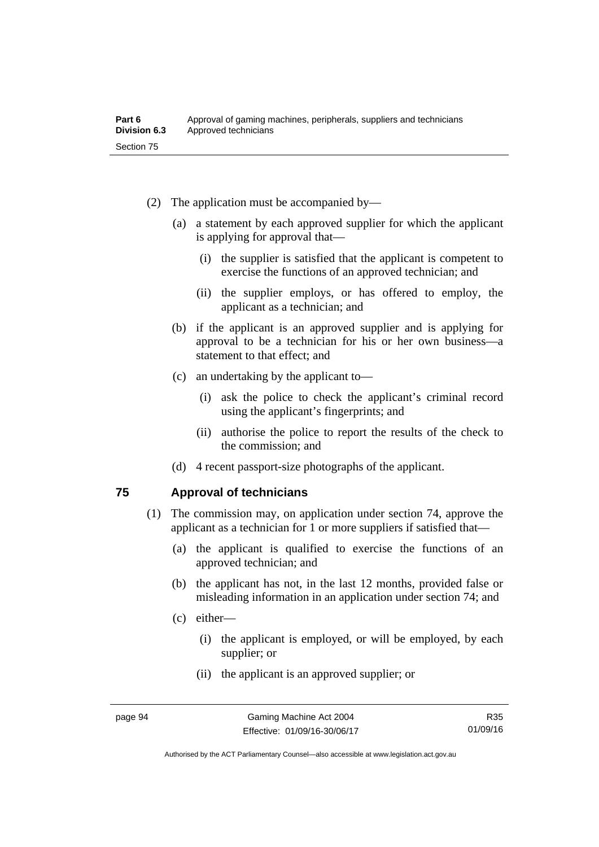- (2) The application must be accompanied by—
	- (a) a statement by each approved supplier for which the applicant is applying for approval that—
		- (i) the supplier is satisfied that the applicant is competent to exercise the functions of an approved technician; and
		- (ii) the supplier employs, or has offered to employ, the applicant as a technician; and
	- (b) if the applicant is an approved supplier and is applying for approval to be a technician for his or her own business—a statement to that effect; and
	- (c) an undertaking by the applicant to—
		- (i) ask the police to check the applicant's criminal record using the applicant's fingerprints; and
		- (ii) authorise the police to report the results of the check to the commission; and
	- (d) 4 recent passport-size photographs of the applicant.

#### **75 Approval of technicians**

- (1) The commission may, on application under section 74, approve the applicant as a technician for 1 or more suppliers if satisfied that—
	- (a) the applicant is qualified to exercise the functions of an approved technician; and
	- (b) the applicant has not, in the last 12 months, provided false or misleading information in an application under section 74; and
	- (c) either—
		- (i) the applicant is employed, or will be employed, by each supplier; or
		- (ii) the applicant is an approved supplier; or

R35 01/09/16

Authorised by the ACT Parliamentary Counsel—also accessible at www.legislation.act.gov.au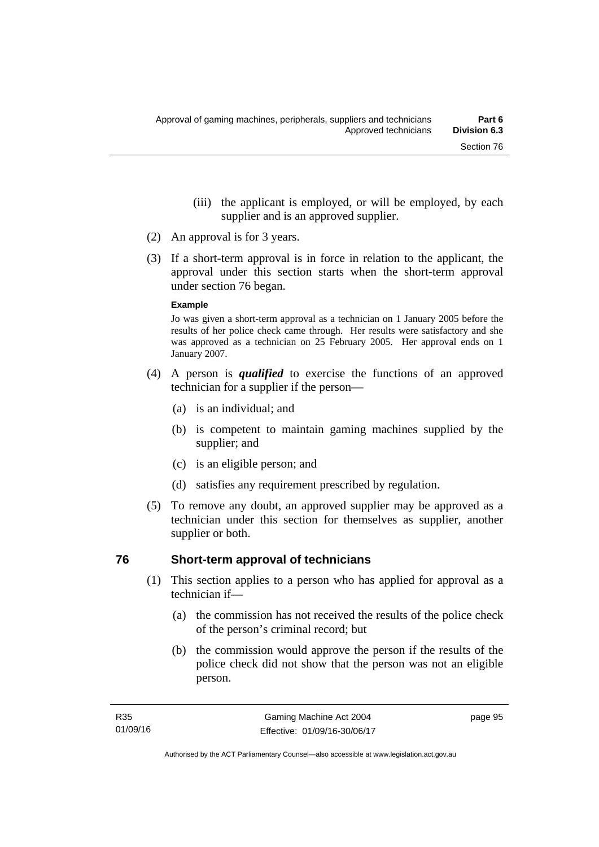- (iii) the applicant is employed, or will be employed, by each supplier and is an approved supplier.
- (2) An approval is for 3 years.
- (3) If a short-term approval is in force in relation to the applicant, the approval under this section starts when the short-term approval under section 76 began.

#### **Example**

Jo was given a short-term approval as a technician on 1 January 2005 before the results of her police check came through. Her results were satisfactory and she was approved as a technician on 25 February 2005. Her approval ends on 1 January 2007.

- (4) A person is *qualified* to exercise the functions of an approved technician for a supplier if the person—
	- (a) is an individual; and
	- (b) is competent to maintain gaming machines supplied by the supplier; and
	- (c) is an eligible person; and
	- (d) satisfies any requirement prescribed by regulation.
- (5) To remove any doubt, an approved supplier may be approved as a technician under this section for themselves as supplier, another supplier or both.

# **76 Short-term approval of technicians**

- (1) This section applies to a person who has applied for approval as a technician if—
	- (a) the commission has not received the results of the police check of the person's criminal record; but
	- (b) the commission would approve the person if the results of the police check did not show that the person was not an eligible person.

page 95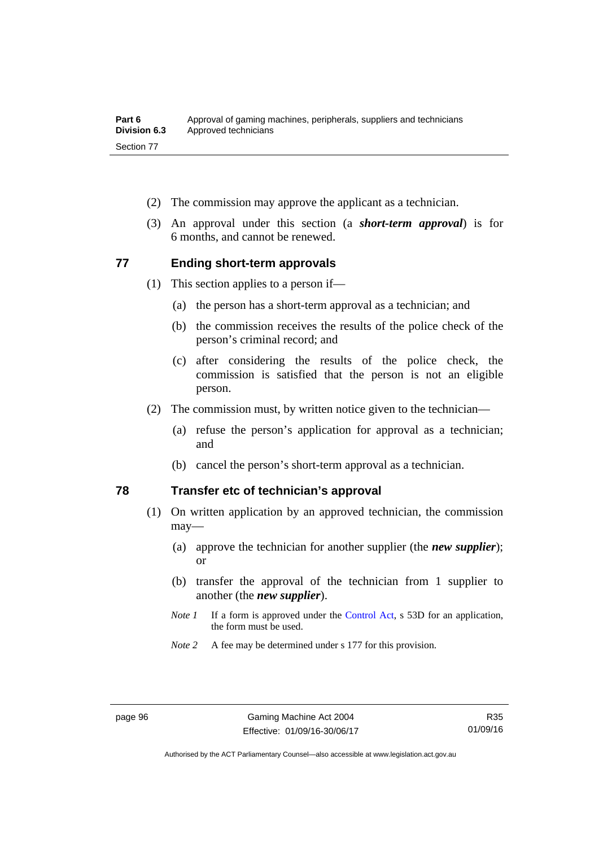- (2) The commission may approve the applicant as a technician.
- (3) An approval under this section (a *short-term approval*) is for 6 months, and cannot be renewed.

# **77 Ending short-term approvals**

- (1) This section applies to a person if—
	- (a) the person has a short-term approval as a technician; and
	- (b) the commission receives the results of the police check of the person's criminal record; and
	- (c) after considering the results of the police check, the commission is satisfied that the person is not an eligible person.
- (2) The commission must, by written notice given to the technician—
	- (a) refuse the person's application for approval as a technician; and
	- (b) cancel the person's short-term approval as a technician.

## **78 Transfer etc of technician's approval**

- (1) On written application by an approved technician, the commission may—
	- (a) approve the technician for another supplier (the *new supplier*); or
	- (b) transfer the approval of the technician from 1 supplier to another (the *new supplier*).
	- *Note 1* If a form is approved under the [Control Act,](http://www.legislation.act.gov.au/a/1999-46) s 53D for an application, the form must be used.
	- *Note 2* A fee may be determined under s 177 for this provision.

R35 01/09/16

Authorised by the ACT Parliamentary Counsel—also accessible at www.legislation.act.gov.au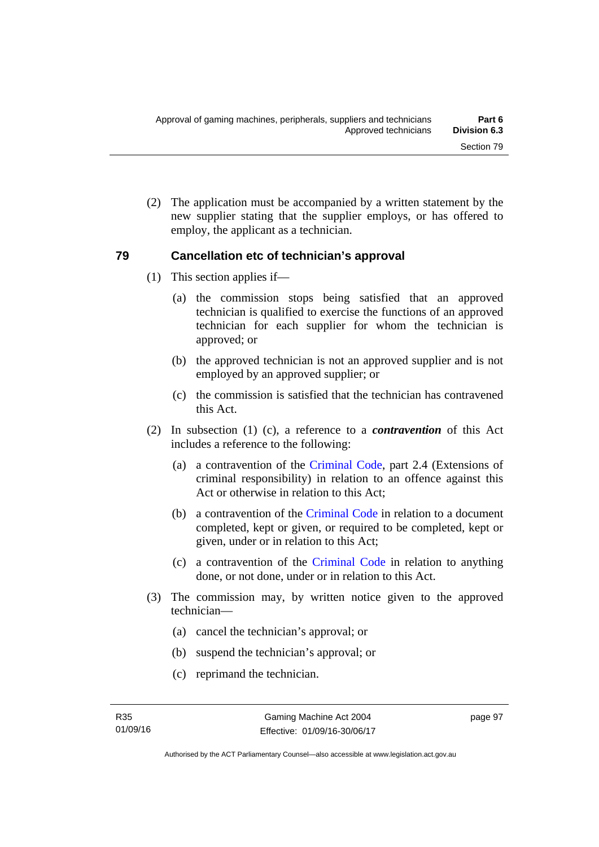(2) The application must be accompanied by a written statement by the new supplier stating that the supplier employs, or has offered to employ, the applicant as a technician.

## **79 Cancellation etc of technician's approval**

- (1) This section applies if—
	- (a) the commission stops being satisfied that an approved technician is qualified to exercise the functions of an approved technician for each supplier for whom the technician is approved; or
	- (b) the approved technician is not an approved supplier and is not employed by an approved supplier; or
	- (c) the commission is satisfied that the technician has contravened this Act.
- (2) In subsection (1) (c), a reference to a *contravention* of this Act includes a reference to the following:
	- (a) a contravention of the [Criminal Code](http://www.legislation.act.gov.au/a/2002-51), part 2.4 (Extensions of criminal responsibility) in relation to an offence against this Act or otherwise in relation to this Act:
	- (b) a contravention of the [Criminal Code](http://www.legislation.act.gov.au/a/2002-51) in relation to a document completed, kept or given, or required to be completed, kept or given, under or in relation to this Act;
	- (c) a contravention of the [Criminal Code](http://www.legislation.act.gov.au/a/2002-51) in relation to anything done, or not done, under or in relation to this Act.
- (3) The commission may, by written notice given to the approved technician—
	- (a) cancel the technician's approval; or
	- (b) suspend the technician's approval; or
	- (c) reprimand the technician.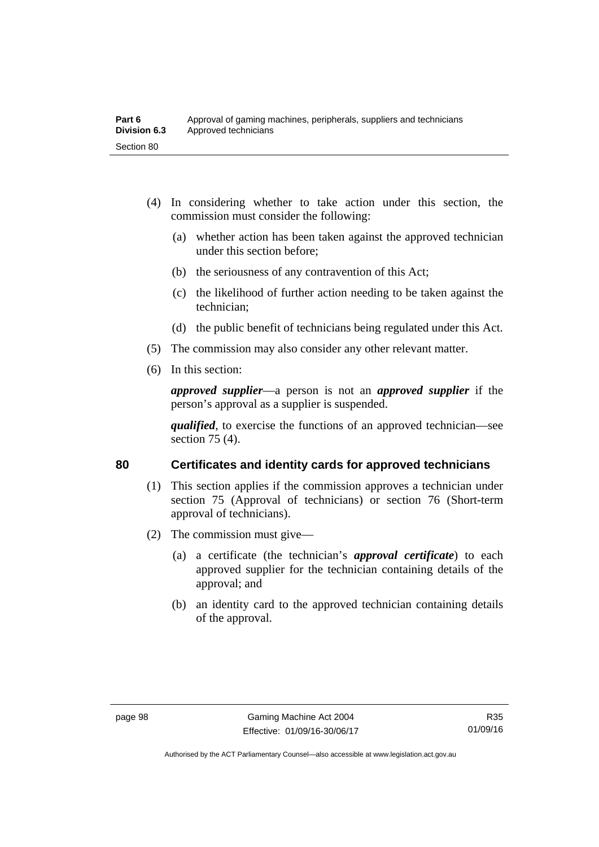- (4) In considering whether to take action under this section, the commission must consider the following:
	- (a) whether action has been taken against the approved technician under this section before;
	- (b) the seriousness of any contravention of this Act;
	- (c) the likelihood of further action needing to be taken against the technician;
	- (d) the public benefit of technicians being regulated under this Act.
- (5) The commission may also consider any other relevant matter.
- (6) In this section:

*approved supplier*—a person is not an *approved supplier* if the person's approval as a supplier is suspended.

*qualified*, to exercise the functions of an approved technician—see section 75 (4).

#### **80 Certificates and identity cards for approved technicians**

- (1) This section applies if the commission approves a technician under section 75 (Approval of technicians) or section 76 (Short-term approval of technicians).
- (2) The commission must give—
	- (a) a certificate (the technician's *approval certificate*) to each approved supplier for the technician containing details of the approval; and
	- (b) an identity card to the approved technician containing details of the approval.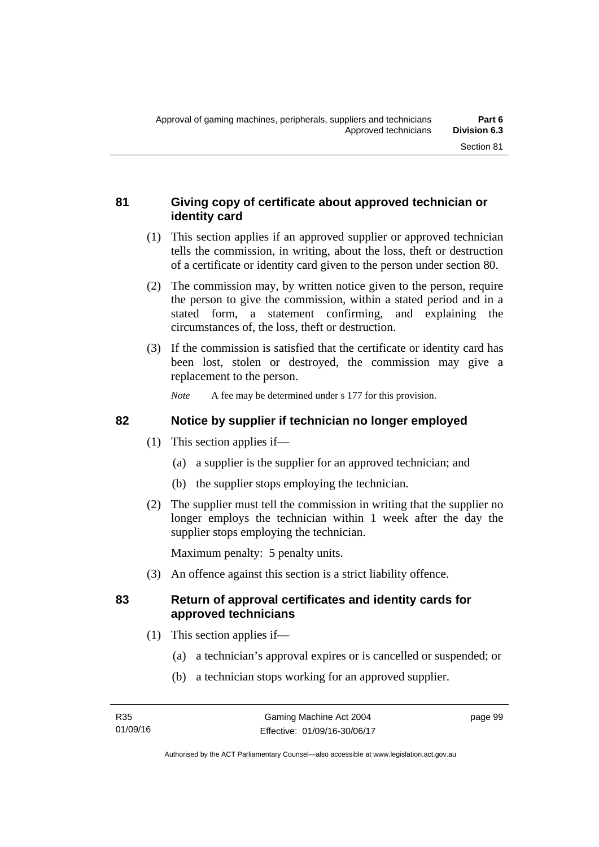# **81 Giving copy of certificate about approved technician or identity card**

- (1) This section applies if an approved supplier or approved technician tells the commission, in writing, about the loss, theft or destruction of a certificate or identity card given to the person under section 80.
- (2) The commission may, by written notice given to the person, require the person to give the commission, within a stated period and in a stated form, a statement confirming, and explaining the circumstances of, the loss, theft or destruction.
- (3) If the commission is satisfied that the certificate or identity card has been lost, stolen or destroyed, the commission may give a replacement to the person.

*Note* A fee may be determined under s 177 for this provision.

## **82 Notice by supplier if technician no longer employed**

- (1) This section applies if—
	- (a) a supplier is the supplier for an approved technician; and
	- (b) the supplier stops employing the technician.
- (2) The supplier must tell the commission in writing that the supplier no longer employs the technician within 1 week after the day the supplier stops employing the technician.

Maximum penalty: 5 penalty units.

(3) An offence against this section is a strict liability offence.

## **83 Return of approval certificates and identity cards for approved technicians**

- (1) This section applies if—
	- (a) a technician's approval expires or is cancelled or suspended; or
	- (b) a technician stops working for an approved supplier.

page 99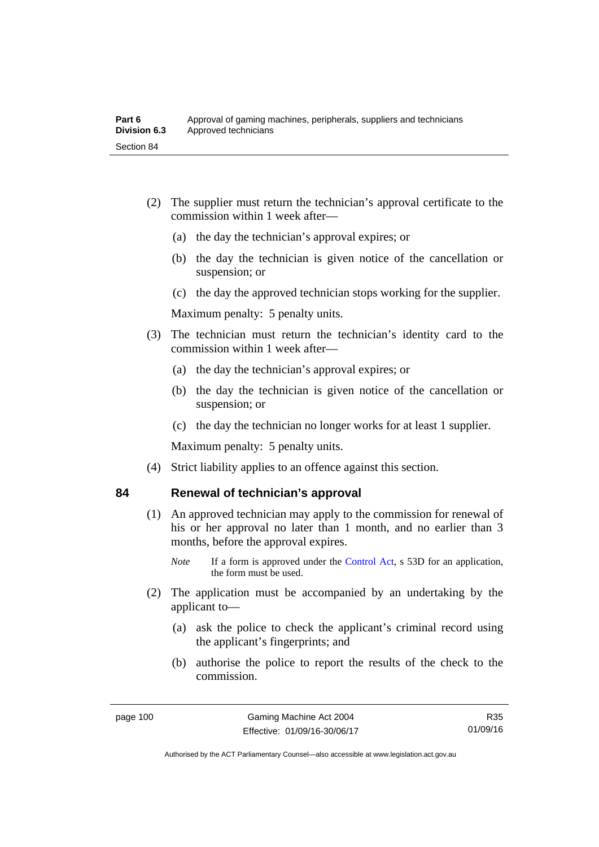- (2) The supplier must return the technician's approval certificate to the commission within 1 week after—
	- (a) the day the technician's approval expires; or
	- (b) the day the technician is given notice of the cancellation or suspension; or
	- (c) the day the approved technician stops working for the supplier.

Maximum penalty: 5 penalty units.

- (3) The technician must return the technician's identity card to the commission within 1 week after—
	- (a) the day the technician's approval expires; or
	- (b) the day the technician is given notice of the cancellation or suspension; or
	- (c) the day the technician no longer works for at least 1 supplier.

Maximum penalty: 5 penalty units.

(4) Strict liability applies to an offence against this section.

# **84 Renewal of technician's approval**

- (1) An approved technician may apply to the commission for renewal of his or her approval no later than 1 month, and no earlier than 3 months, before the approval expires.
	- *Note* If a form is approved under the [Control Act,](http://www.legislation.act.gov.au/a/1999-46) s 53D for an application, the form must be used.
- (2) The application must be accompanied by an undertaking by the applicant to—
	- (a) ask the police to check the applicant's criminal record using the applicant's fingerprints; and
	- (b) authorise the police to report the results of the check to the commission.

R35 01/09/16

Authorised by the ACT Parliamentary Counsel—also accessible at www.legislation.act.gov.au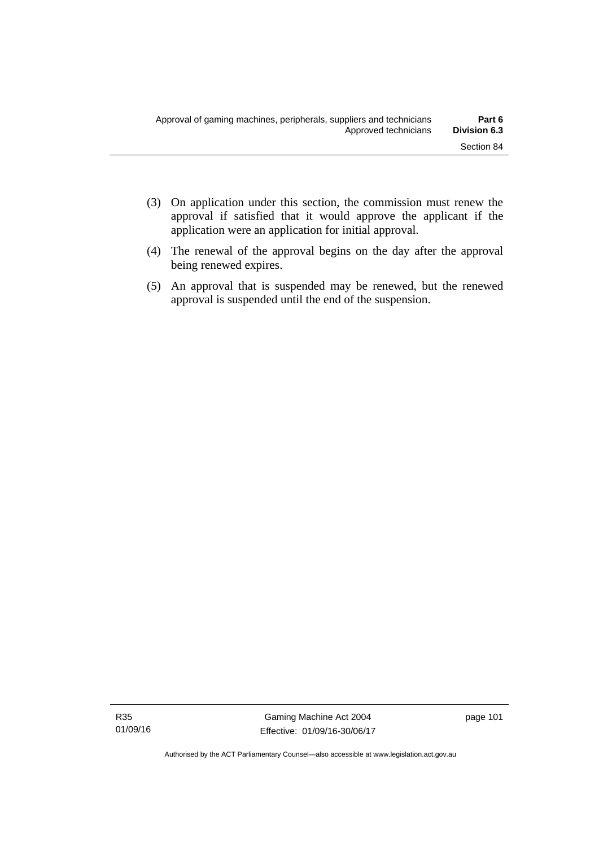- (3) On application under this section, the commission must renew the approval if satisfied that it would approve the applicant if the application were an application for initial approval.
- (4) The renewal of the approval begins on the day after the approval being renewed expires.
- (5) An approval that is suspended may be renewed, but the renewed approval is suspended until the end of the suspension.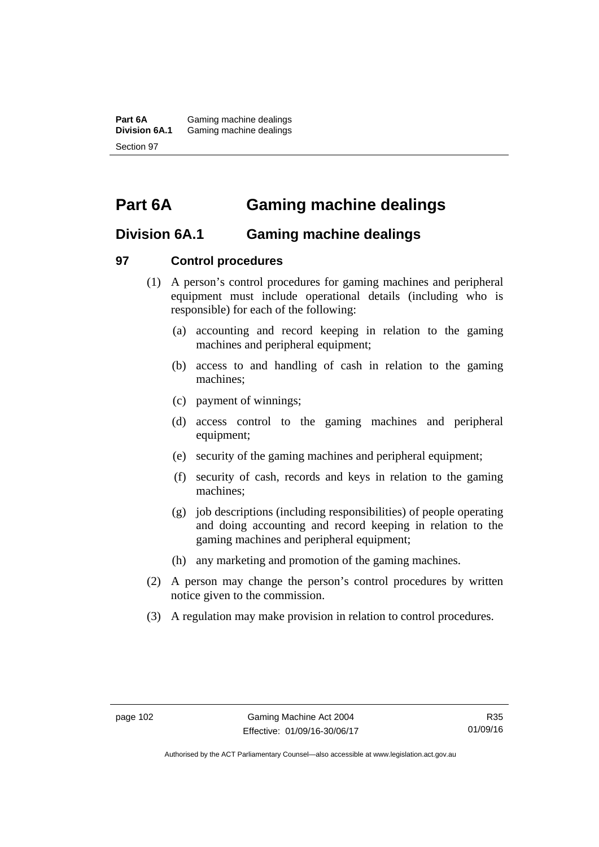**Part 6A** Gaming machine dealings<br>**Division 6A.1** Gaming machine dealings Gaming machine dealings Section 97

# **Part 6A Gaming machine dealings**

# **Division 6A.1 Gaming machine dealings**

#### **97 Control procedures**

- (1) A person's control procedures for gaming machines and peripheral equipment must include operational details (including who is responsible) for each of the following:
	- (a) accounting and record keeping in relation to the gaming machines and peripheral equipment;
	- (b) access to and handling of cash in relation to the gaming machines;
	- (c) payment of winnings;
	- (d) access control to the gaming machines and peripheral equipment;
	- (e) security of the gaming machines and peripheral equipment;
	- (f) security of cash, records and keys in relation to the gaming machines;
	- (g) job descriptions (including responsibilities) of people operating and doing accounting and record keeping in relation to the gaming machines and peripheral equipment;
	- (h) any marketing and promotion of the gaming machines.
- (2) A person may change the person's control procedures by written notice given to the commission.
- (3) A regulation may make provision in relation to control procedures.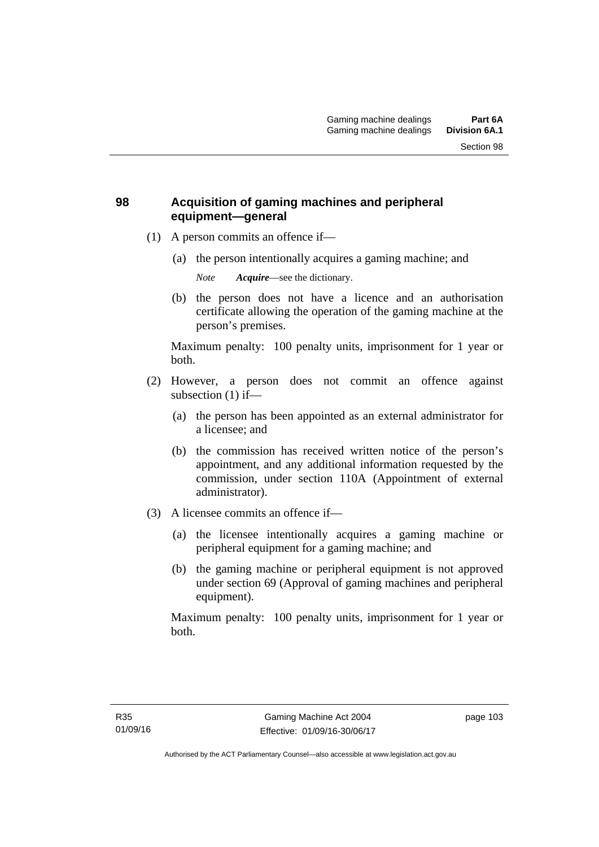# **98 Acquisition of gaming machines and peripheral equipment—general**

- (1) A person commits an offence if—
	- (a) the person intentionally acquires a gaming machine; and

*Note Acquire*—see the dictionary.

 (b) the person does not have a licence and an authorisation certificate allowing the operation of the gaming machine at the person's premises.

Maximum penalty: 100 penalty units, imprisonment for 1 year or both.

- (2) However, a person does not commit an offence against subsection (1) if—
	- (a) the person has been appointed as an external administrator for a licensee; and
	- (b) the commission has received written notice of the person's appointment, and any additional information requested by the commission, under section 110A (Appointment of external administrator).
- (3) A licensee commits an offence if—
	- (a) the licensee intentionally acquires a gaming machine or peripheral equipment for a gaming machine; and
	- (b) the gaming machine or peripheral equipment is not approved under section 69 (Approval of gaming machines and peripheral equipment).

Maximum penalty: 100 penalty units, imprisonment for 1 year or both.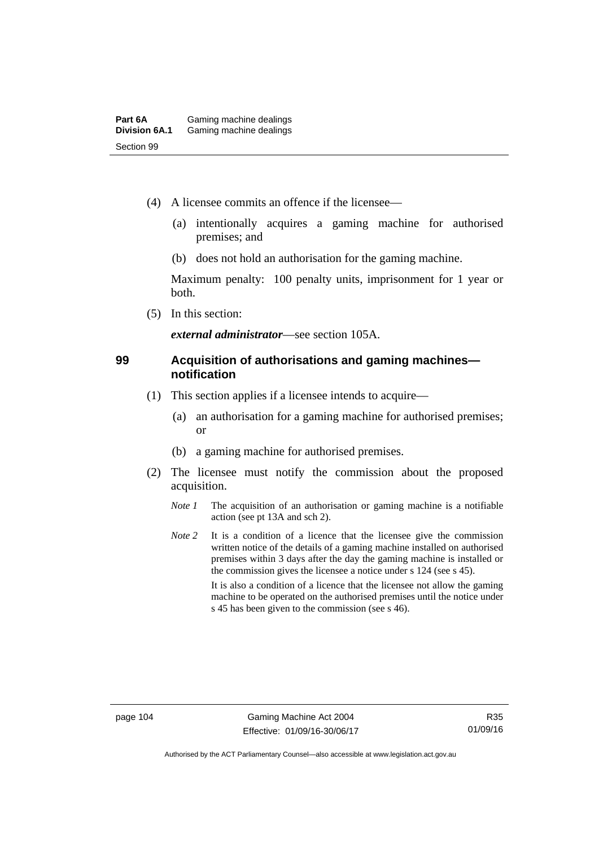- (4) A licensee commits an offence if the licensee—
	- (a) intentionally acquires a gaming machine for authorised premises; and
	- (b) does not hold an authorisation for the gaming machine.

Maximum penalty: 100 penalty units, imprisonment for 1 year or both.

(5) In this section:

*external administrator*—see section 105A.

#### **99 Acquisition of authorisations and gaming machines notification**

- (1) This section applies if a licensee intends to acquire—
	- (a) an authorisation for a gaming machine for authorised premises; or
	- (b) a gaming machine for authorised premises.
- (2) The licensee must notify the commission about the proposed acquisition.
	- *Note 1* The acquisition of an authorisation or gaming machine is a notifiable action (see pt 13A and sch 2).
	- *Note* 2 It is a condition of a licence that the licensee give the commission written notice of the details of a gaming machine installed on authorised premises within 3 days after the day the gaming machine is installed or the commission gives the licensee a notice under s 124 (see s 45). It is also a condition of a licence that the licensee not allow the gaming machine to be operated on the authorised premises until the notice under s 45 has been given to the commission (see s 46).

Authorised by the ACT Parliamentary Counsel—also accessible at www.legislation.act.gov.au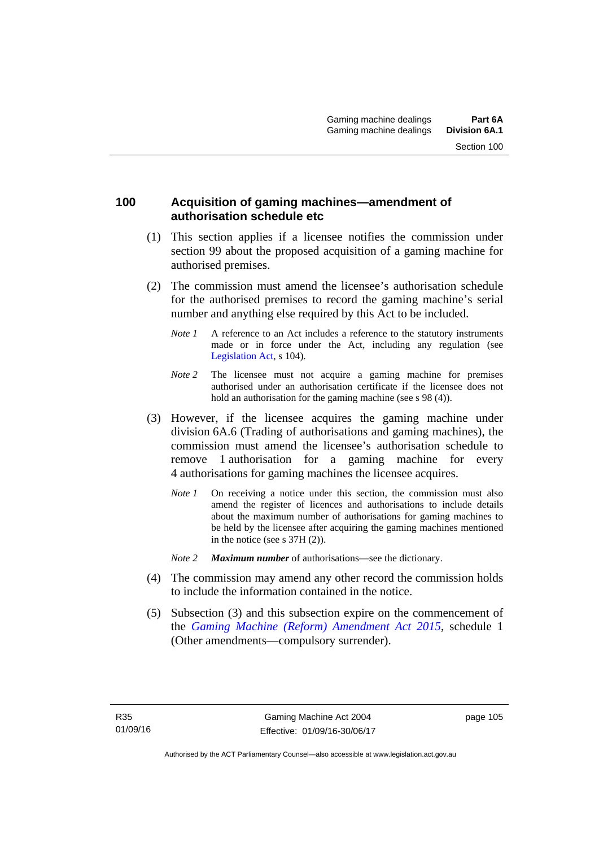#### **100 Acquisition of gaming machines—amendment of authorisation schedule etc**

- (1) This section applies if a licensee notifies the commission under section 99 about the proposed acquisition of a gaming machine for authorised premises.
- (2) The commission must amend the licensee's authorisation schedule for the authorised premises to record the gaming machine's serial number and anything else required by this Act to be included.
	- *Note 1* A reference to an Act includes a reference to the statutory instruments made or in force under the Act, including any regulation (see [Legislation Act,](http://www.legislation.act.gov.au/a/2001-14) s 104).
	- *Note* 2 The licensee must not acquire a gaming machine for premises authorised under an authorisation certificate if the licensee does not hold an authorisation for the gaming machine (see s 98 (4)).
- (3) However, if the licensee acquires the gaming machine under division 6A.6 (Trading of authorisations and gaming machines), the commission must amend the licensee's authorisation schedule to remove 1 authorisation for a gaming machine for every 4 authorisations for gaming machines the licensee acquires.
	- *Note 1* On receiving a notice under this section, the commission must also amend the register of licences and authorisations to include details about the maximum number of authorisations for gaming machines to be held by the licensee after acquiring the gaming machines mentioned in the notice (see s 37H (2)).
	- *Note 2 Maximum number* of authorisations—see the dictionary.
- (4) The commission may amend any other record the commission holds to include the information contained in the notice.
- (5) Subsection (3) and this subsection expire on the commencement of the *[Gaming Machine \(Reform\) Amendment Act 2015](http://www.legislation.act.gov.au/a/2015-21/default.asp)*, schedule 1 (Other amendments—compulsory surrender).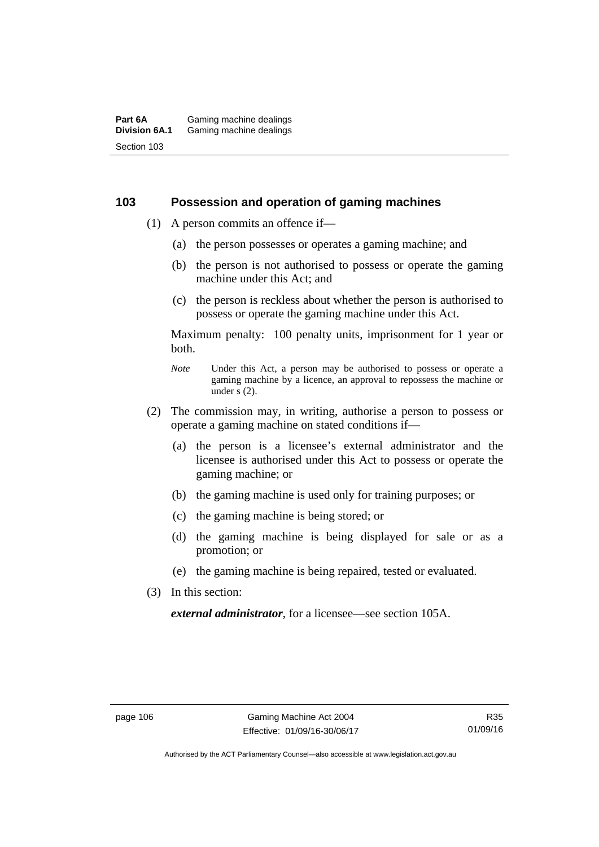#### **103 Possession and operation of gaming machines**

- (1) A person commits an offence if—
	- (a) the person possesses or operates a gaming machine; and
	- (b) the person is not authorised to possess or operate the gaming machine under this Act; and
	- (c) the person is reckless about whether the person is authorised to possess or operate the gaming machine under this Act.

Maximum penalty: 100 penalty units, imprisonment for 1 year or both.

- *Note* Under this Act, a person may be authorised to possess or operate a gaming machine by a licence, an approval to repossess the machine or under  $\overline{s}$  (2).
- (2) The commission may, in writing, authorise a person to possess or operate a gaming machine on stated conditions if—
	- (a) the person is a licensee's external administrator and the licensee is authorised under this Act to possess or operate the gaming machine; or
	- (b) the gaming machine is used only for training purposes; or
	- (c) the gaming machine is being stored; or
	- (d) the gaming machine is being displayed for sale or as a promotion; or
	- (e) the gaming machine is being repaired, tested or evaluated.
- (3) In this section:

*external administrator*, for a licensee—see section 105A.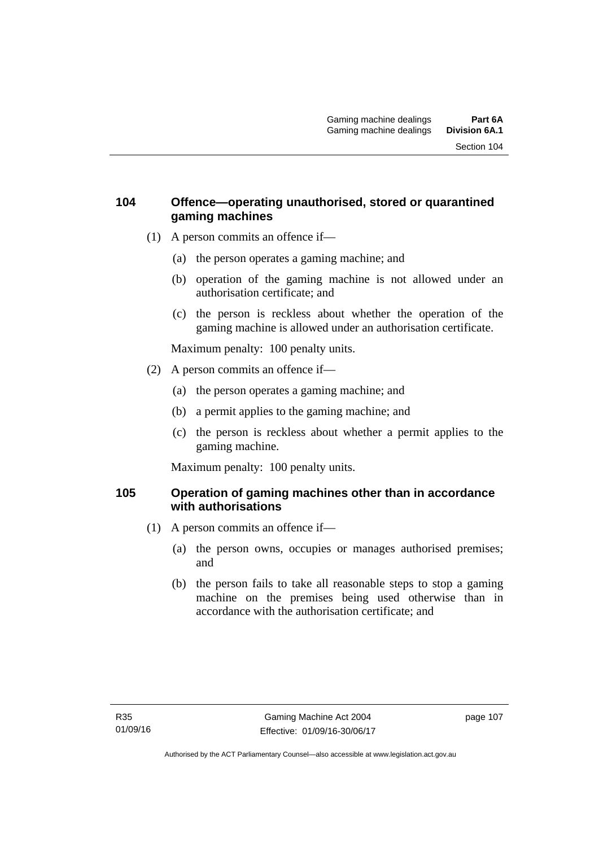## **104 Offence—operating unauthorised, stored or quarantined gaming machines**

- (1) A person commits an offence if—
	- (a) the person operates a gaming machine; and
	- (b) operation of the gaming machine is not allowed under an authorisation certificate; and
	- (c) the person is reckless about whether the operation of the gaming machine is allowed under an authorisation certificate.

Maximum penalty: 100 penalty units.

- (2) A person commits an offence if—
	- (a) the person operates a gaming machine; and
	- (b) a permit applies to the gaming machine; and
	- (c) the person is reckless about whether a permit applies to the gaming machine.

Maximum penalty: 100 penalty units.

## **105 Operation of gaming machines other than in accordance with authorisations**

- (1) A person commits an offence if—
	- (a) the person owns, occupies or manages authorised premises; and
	- (b) the person fails to take all reasonable steps to stop a gaming machine on the premises being used otherwise than in accordance with the authorisation certificate; and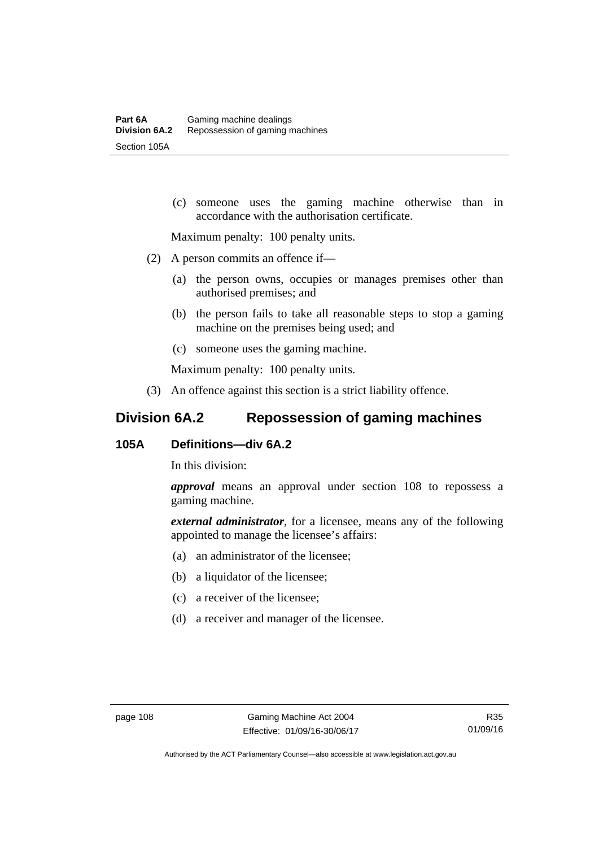(c) someone uses the gaming machine otherwise than in accordance with the authorisation certificate.

Maximum penalty: 100 penalty units.

- (2) A person commits an offence if—
	- (a) the person owns, occupies or manages premises other than authorised premises; and
	- (b) the person fails to take all reasonable steps to stop a gaming machine on the premises being used; and
	- (c) someone uses the gaming machine.

Maximum penalty: 100 penalty units.

(3) An offence against this section is a strict liability offence.

# **Division 6A.2 Repossession of gaming machines**

# **105A Definitions—div 6A.2**

In this division:

*approval* means an approval under section 108 to repossess a gaming machine.

*external administrator*, for a licensee, means any of the following appointed to manage the licensee's affairs:

- (a) an administrator of the licensee;
- (b) a liquidator of the licensee;
- (c) a receiver of the licensee;
- (d) a receiver and manager of the licensee.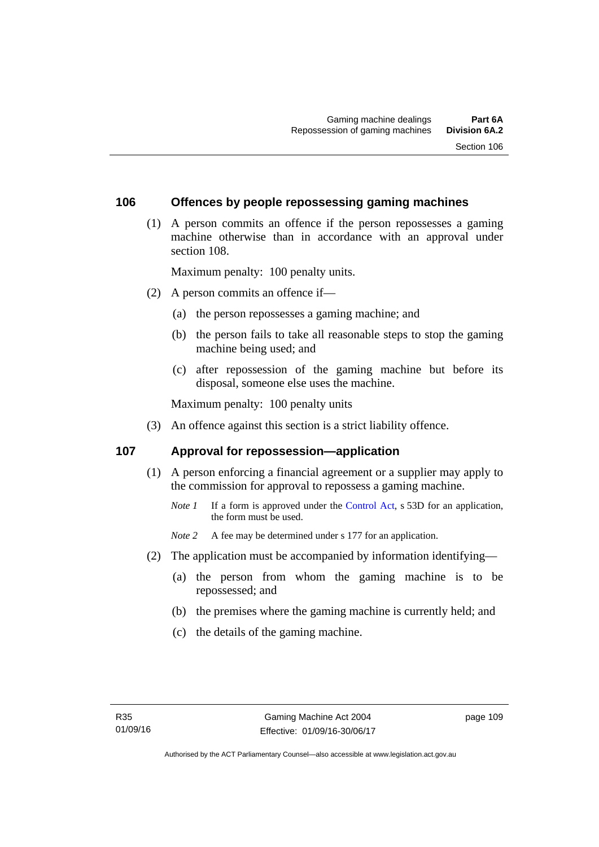#### **106 Offences by people repossessing gaming machines**

 (1) A person commits an offence if the person repossesses a gaming machine otherwise than in accordance with an approval under section 108.

Maximum penalty: 100 penalty units.

- (2) A person commits an offence if—
	- (a) the person repossesses a gaming machine; and
	- (b) the person fails to take all reasonable steps to stop the gaming machine being used; and
	- (c) after repossession of the gaming machine but before its disposal, someone else uses the machine.

Maximum penalty: 100 penalty units

(3) An offence against this section is a strict liability offence.

#### **107 Approval for repossession—application**

- (1) A person enforcing a financial agreement or a supplier may apply to the commission for approval to repossess a gaming machine.
	- *Note 1* If a form is approved under the [Control Act](http://www.legislation.act.gov.au/a/1999-46/default.asp), s 53D for an application, the form must be used.

*Note* 2 A fee may be determined under s 177 for an application.

- (2) The application must be accompanied by information identifying—
	- (a) the person from whom the gaming machine is to be repossessed; and
	- (b) the premises where the gaming machine is currently held; and
	- (c) the details of the gaming machine.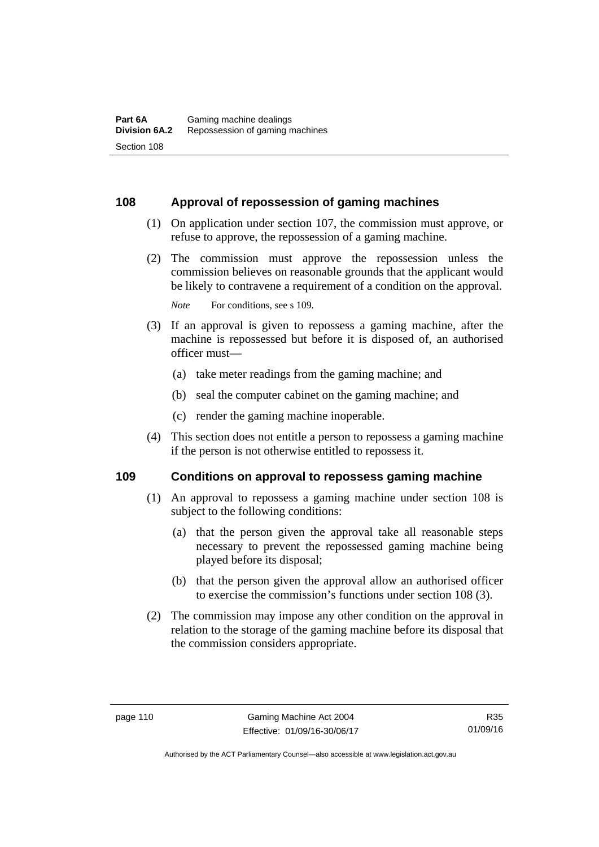## **108 Approval of repossession of gaming machines**

- (1) On application under section 107, the commission must approve, or refuse to approve, the repossession of a gaming machine.
- (2) The commission must approve the repossession unless the commission believes on reasonable grounds that the applicant would be likely to contravene a requirement of a condition on the approval.

*Note* For conditions, see s 109.

- (3) If an approval is given to repossess a gaming machine, after the machine is repossessed but before it is disposed of, an authorised officer must—
	- (a) take meter readings from the gaming machine; and
	- (b) seal the computer cabinet on the gaming machine; and
	- (c) render the gaming machine inoperable.
- (4) This section does not entitle a person to repossess a gaming machine if the person is not otherwise entitled to repossess it.

#### **109 Conditions on approval to repossess gaming machine**

- (1) An approval to repossess a gaming machine under section 108 is subject to the following conditions:
	- (a) that the person given the approval take all reasonable steps necessary to prevent the repossessed gaming machine being played before its disposal;
	- (b) that the person given the approval allow an authorised officer to exercise the commission's functions under section 108 (3).
- (2) The commission may impose any other condition on the approval in relation to the storage of the gaming machine before its disposal that the commission considers appropriate.

R35 01/09/16

Authorised by the ACT Parliamentary Counsel—also accessible at www.legislation.act.gov.au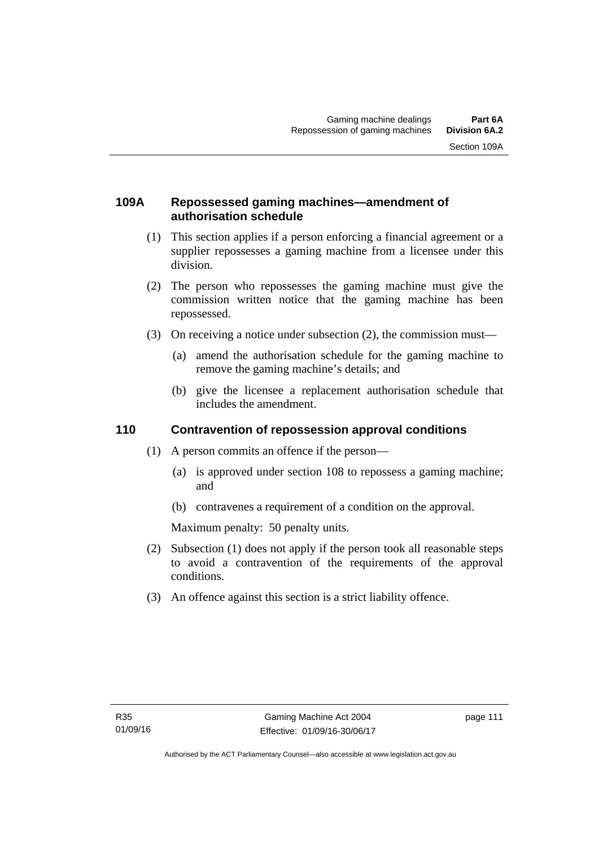## **109A Repossessed gaming machines—amendment of authorisation schedule**

- (1) This section applies if a person enforcing a financial agreement or a supplier repossesses a gaming machine from a licensee under this division.
- (2) The person who repossesses the gaming machine must give the commission written notice that the gaming machine has been repossessed.
- (3) On receiving a notice under subsection (2), the commission must—
	- (a) amend the authorisation schedule for the gaming machine to remove the gaming machine's details; and
	- (b) give the licensee a replacement authorisation schedule that includes the amendment.

# **110 Contravention of repossession approval conditions**

- (1) A person commits an offence if the person—
	- (a) is approved under section 108 to repossess a gaming machine; and
	- (b) contravenes a requirement of a condition on the approval.

Maximum penalty: 50 penalty units.

- (2) Subsection (1) does not apply if the person took all reasonable steps to avoid a contravention of the requirements of the approval conditions.
- (3) An offence against this section is a strict liability offence.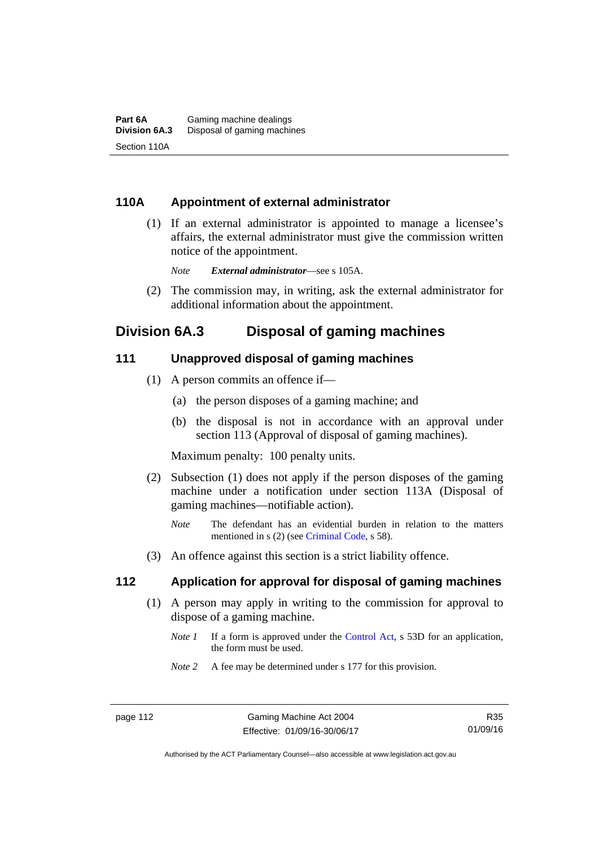## **110A Appointment of external administrator**

 (1) If an external administrator is appointed to manage a licensee's affairs, the external administrator must give the commission written notice of the appointment.

*Note External administrator*—see s 105A.

 (2) The commission may, in writing, ask the external administrator for additional information about the appointment.

# **Division 6A.3 Disposal of gaming machines**

#### **111 Unapproved disposal of gaming machines**

- (1) A person commits an offence if—
	- (a) the person disposes of a gaming machine; and
	- (b) the disposal is not in accordance with an approval under section 113 (Approval of disposal of gaming machines).

Maximum penalty: 100 penalty units.

- (2) Subsection (1) does not apply if the person disposes of the gaming machine under a notification under section 113A (Disposal of gaming machines—notifiable action).
	- *Note* The defendant has an evidential burden in relation to the matters mentioned in s (2) (see [Criminal Code](http://www.legislation.act.gov.au/a/2002-51), s 58).
- (3) An offence against this section is a strict liability offence.

#### **112 Application for approval for disposal of gaming machines**

- (1) A person may apply in writing to the commission for approval to dispose of a gaming machine.
	- *Note 1* If a form is approved under the [Control Act,](http://www.legislation.act.gov.au/a/1999-46) s 53D for an application, the form must be used.
	- *Note 2* A fee may be determined under s 177 for this provision.

Authorised by the ACT Parliamentary Counsel—also accessible at www.legislation.act.gov.au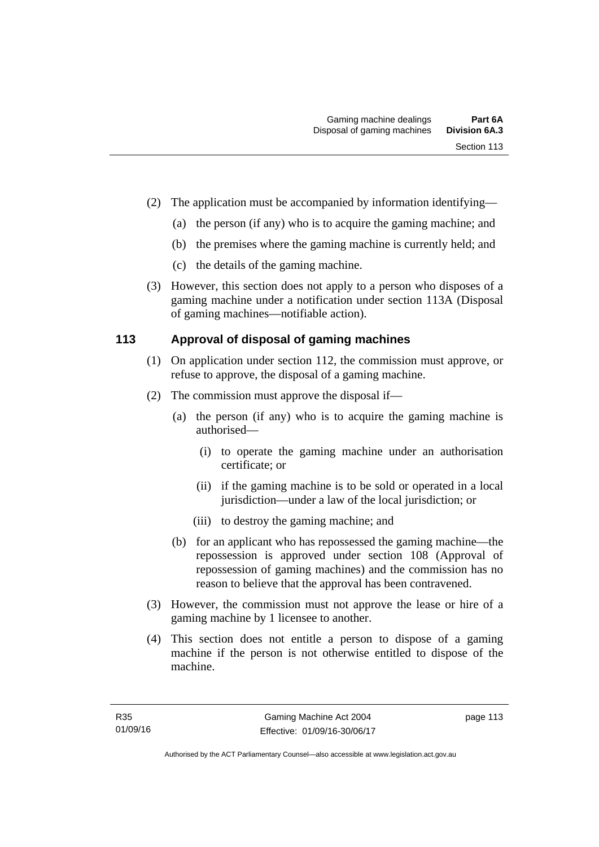- (2) The application must be accompanied by information identifying—
	- (a) the person (if any) who is to acquire the gaming machine; and
	- (b) the premises where the gaming machine is currently held; and
	- (c) the details of the gaming machine.
- (3) However, this section does not apply to a person who disposes of a gaming machine under a notification under section 113A (Disposal of gaming machines—notifiable action).

# **113 Approval of disposal of gaming machines**

- (1) On application under section 112, the commission must approve, or refuse to approve, the disposal of a gaming machine.
- (2) The commission must approve the disposal if—
	- (a) the person (if any) who is to acquire the gaming machine is authorised—
		- (i) to operate the gaming machine under an authorisation certificate; or
		- (ii) if the gaming machine is to be sold or operated in a local jurisdiction—under a law of the local jurisdiction; or
		- (iii) to destroy the gaming machine; and
	- (b) for an applicant who has repossessed the gaming machine—the repossession is approved under section 108 (Approval of repossession of gaming machines) and the commission has no reason to believe that the approval has been contravened.
- (3) However, the commission must not approve the lease or hire of a gaming machine by 1 licensee to another.
- (4) This section does not entitle a person to dispose of a gaming machine if the person is not otherwise entitled to dispose of the machine.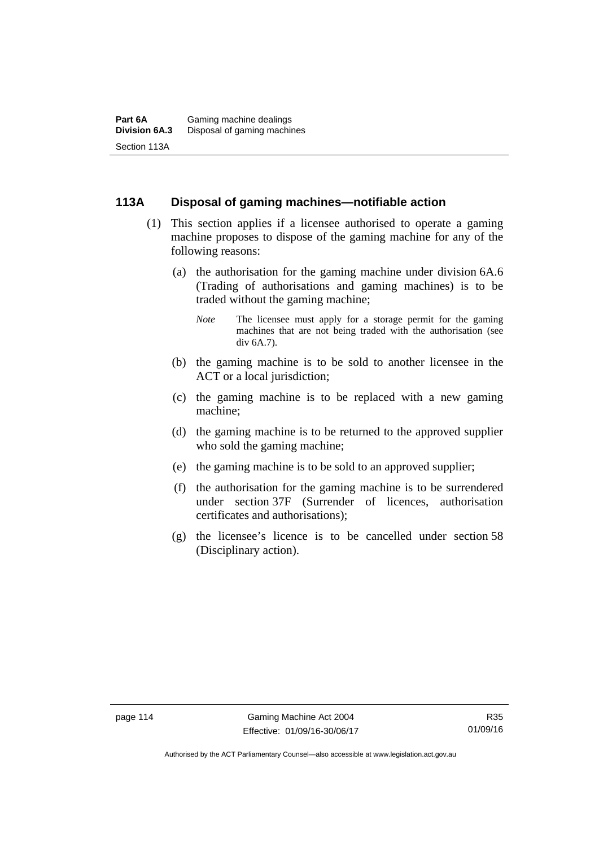## **113A Disposal of gaming machines—notifiable action**

- (1) This section applies if a licensee authorised to operate a gaming machine proposes to dispose of the gaming machine for any of the following reasons:
	- (a) the authorisation for the gaming machine under division 6A.6 (Trading of authorisations and gaming machines) is to be traded without the gaming machine;
		- *Note* The licensee must apply for a storage permit for the gaming machines that are not being traded with the authorisation (see div 6A.7).
	- (b) the gaming machine is to be sold to another licensee in the ACT or a local jurisdiction;
	- (c) the gaming machine is to be replaced with a new gaming machine;
	- (d) the gaming machine is to be returned to the approved supplier who sold the gaming machine;
	- (e) the gaming machine is to be sold to an approved supplier;
	- (f) the authorisation for the gaming machine is to be surrendered under section 37F (Surrender of licences, authorisation certificates and authorisations);
	- (g) the licensee's licence is to be cancelled under section 58 (Disciplinary action).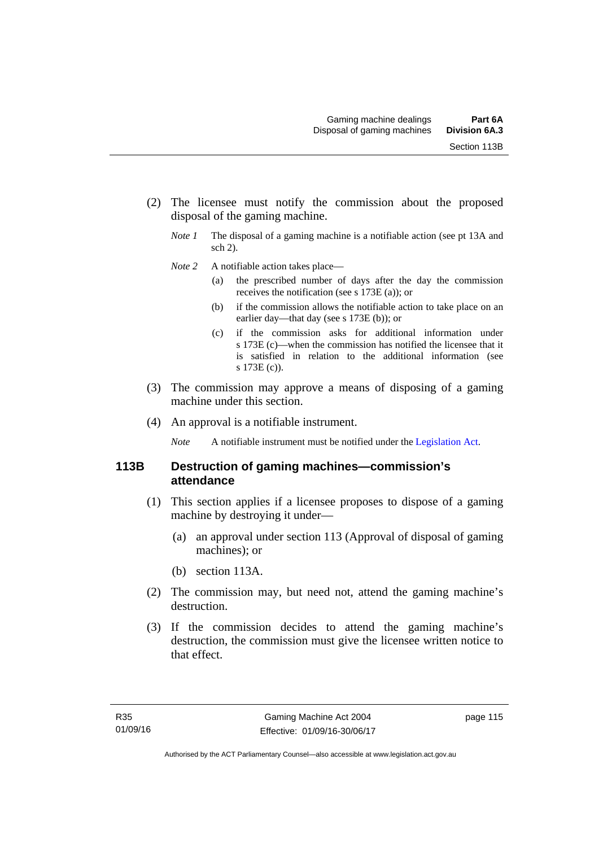- (2) The licensee must notify the commission about the proposed disposal of the gaming machine.
	- *Note 1* The disposal of a gaming machine is a notifiable action (see pt 13A and sch 2).
	- *Note* 2 A notifiable action takes place—
		- (a) the prescribed number of days after the day the commission receives the notification (see s 173E (a)); or
		- (b) if the commission allows the notifiable action to take place on an earlier day—that day (see s 173E (b)); or
		- (c) if the commission asks for additional information under s 173E (c)—when the commission has notified the licensee that it is satisfied in relation to the additional information (see s 173E (c)).
- (3) The commission may approve a means of disposing of a gaming machine under this section.
- (4) An approval is a notifiable instrument.

*Note* A notifiable instrument must be notified under the [Legislation Act](http://www.legislation.act.gov.au/a/2001-14).

## **113B Destruction of gaming machines—commission's attendance**

- (1) This section applies if a licensee proposes to dispose of a gaming machine by destroying it under—
	- (a) an approval under section 113 (Approval of disposal of gaming machines); or
	- (b) section 113A.
- (2) The commission may, but need not, attend the gaming machine's destruction.
- (3) If the commission decides to attend the gaming machine's destruction, the commission must give the licensee written notice to that effect.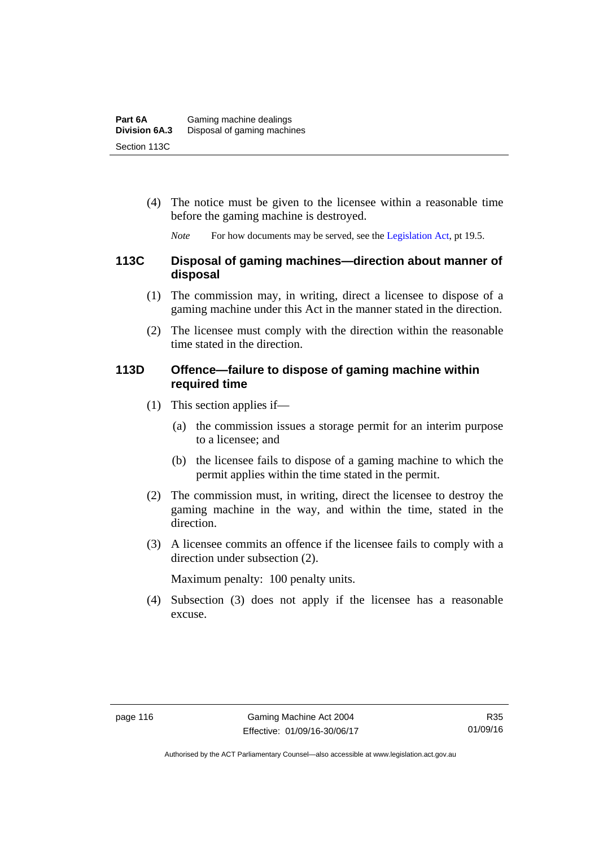(4) The notice must be given to the licensee within a reasonable time before the gaming machine is destroyed.

*Note* For how documents may be served, see the [Legislation Act,](http://www.legislation.act.gov.au/a/2001-14) pt 19.5.

## **113C Disposal of gaming machines—direction about manner of disposal**

- (1) The commission may, in writing, direct a licensee to dispose of a gaming machine under this Act in the manner stated in the direction.
- (2) The licensee must comply with the direction within the reasonable time stated in the direction.

#### **113D Offence—failure to dispose of gaming machine within required time**

- (1) This section applies if—
	- (a) the commission issues a storage permit for an interim purpose to a licensee; and
	- (b) the licensee fails to dispose of a gaming machine to which the permit applies within the time stated in the permit.
- (2) The commission must, in writing, direct the licensee to destroy the gaming machine in the way, and within the time, stated in the direction.
- (3) A licensee commits an offence if the licensee fails to comply with a direction under subsection (2).

Maximum penalty: 100 penalty units.

 (4) Subsection (3) does not apply if the licensee has a reasonable excuse.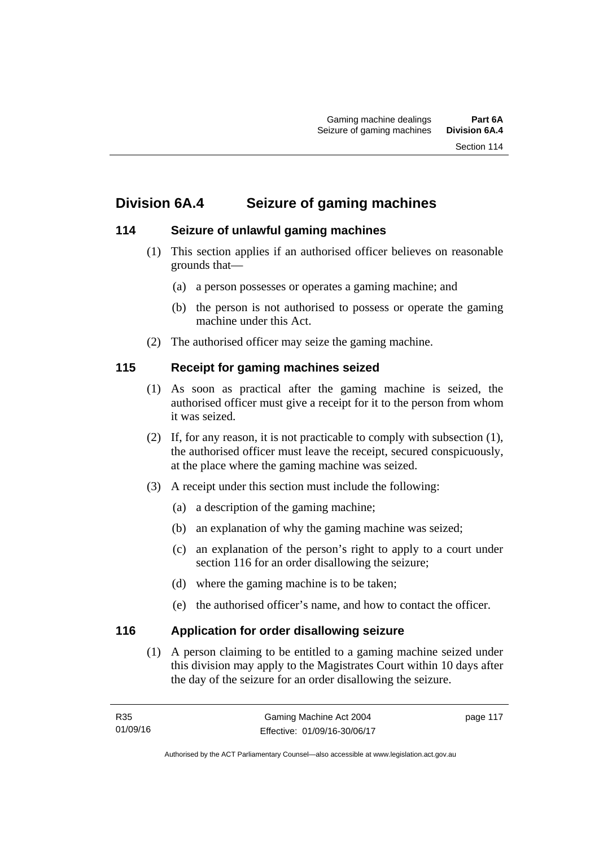# **Division 6A.4 Seizure of gaming machines**

# **114 Seizure of unlawful gaming machines**

- (1) This section applies if an authorised officer believes on reasonable grounds that—
	- (a) a person possesses or operates a gaming machine; and
	- (b) the person is not authorised to possess or operate the gaming machine under this Act.
- (2) The authorised officer may seize the gaming machine.

# **115 Receipt for gaming machines seized**

- (1) As soon as practical after the gaming machine is seized, the authorised officer must give a receipt for it to the person from whom it was seized.
- (2) If, for any reason, it is not practicable to comply with subsection (1), the authorised officer must leave the receipt, secured conspicuously, at the place where the gaming machine was seized.
- (3) A receipt under this section must include the following:
	- (a) a description of the gaming machine;
	- (b) an explanation of why the gaming machine was seized;
	- (c) an explanation of the person's right to apply to a court under section 116 for an order disallowing the seizure;
	- (d) where the gaming machine is to be taken;
	- (e) the authorised officer's name, and how to contact the officer.

# **116 Application for order disallowing seizure**

(1) A person claiming to be entitled to a gaming machine seized under this division may apply to the Magistrates Court within 10 days after the day of the seizure for an order disallowing the seizure.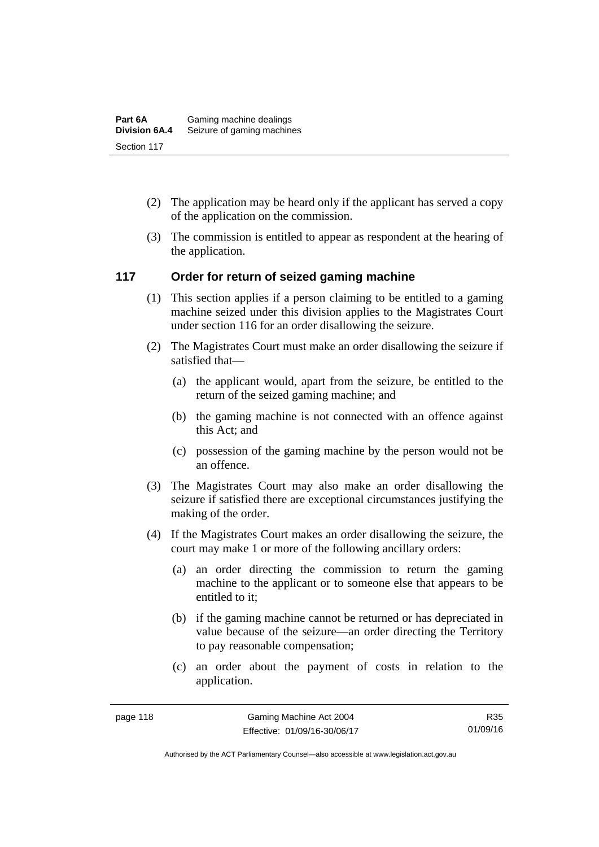- (2) The application may be heard only if the applicant has served a copy of the application on the commission.
- (3) The commission is entitled to appear as respondent at the hearing of the application.

## **117 Order for return of seized gaming machine**

- (1) This section applies if a person claiming to be entitled to a gaming machine seized under this division applies to the Magistrates Court under section 116 for an order disallowing the seizure.
- (2) The Magistrates Court must make an order disallowing the seizure if satisfied that—
	- (a) the applicant would, apart from the seizure, be entitled to the return of the seized gaming machine; and
	- (b) the gaming machine is not connected with an offence against this Act; and
	- (c) possession of the gaming machine by the person would not be an offence.
- (3) The Magistrates Court may also make an order disallowing the seizure if satisfied there are exceptional circumstances justifying the making of the order.
- (4) If the Magistrates Court makes an order disallowing the seizure, the court may make 1 or more of the following ancillary orders:
	- (a) an order directing the commission to return the gaming machine to the applicant or to someone else that appears to be entitled to it;
	- (b) if the gaming machine cannot be returned or has depreciated in value because of the seizure—an order directing the Territory to pay reasonable compensation;
	- (c) an order about the payment of costs in relation to the application.

R35 01/09/16

Authorised by the ACT Parliamentary Counsel—also accessible at www.legislation.act.gov.au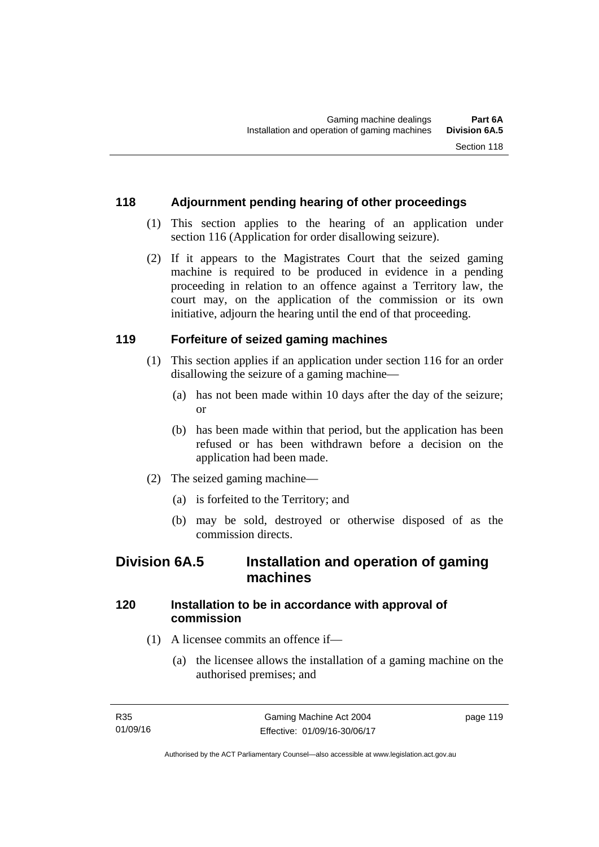## **118 Adjournment pending hearing of other proceedings**

- (1) This section applies to the hearing of an application under section 116 (Application for order disallowing seizure).
- (2) If it appears to the Magistrates Court that the seized gaming machine is required to be produced in evidence in a pending proceeding in relation to an offence against a Territory law, the court may, on the application of the commission or its own initiative, adjourn the hearing until the end of that proceeding.

## **119 Forfeiture of seized gaming machines**

- (1) This section applies if an application under section 116 for an order disallowing the seizure of a gaming machine—
	- (a) has not been made within 10 days after the day of the seizure; or
	- (b) has been made within that period, but the application has been refused or has been withdrawn before a decision on the application had been made.
- (2) The seized gaming machine—
	- (a) is forfeited to the Territory; and
	- (b) may be sold, destroyed or otherwise disposed of as the commission directs.

# **Division 6A.5 Installation and operation of gaming machines**

# **120 Installation to be in accordance with approval of commission**

- (1) A licensee commits an offence if—
	- (a) the licensee allows the installation of a gaming machine on the authorised premises; and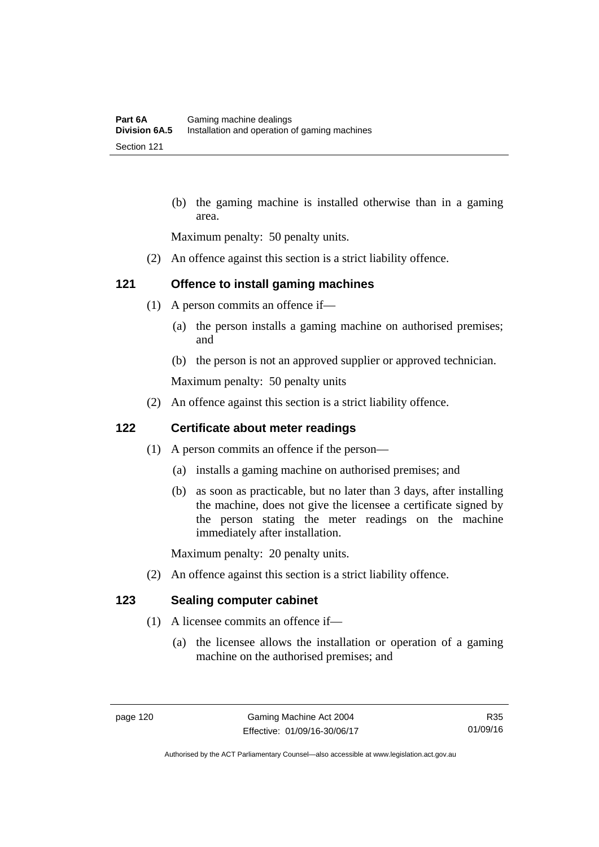(b) the gaming machine is installed otherwise than in a gaming area.

Maximum penalty: 50 penalty units.

(2) An offence against this section is a strict liability offence.

## **121 Offence to install gaming machines**

- (1) A person commits an offence if—
	- (a) the person installs a gaming machine on authorised premises; and
	- (b) the person is not an approved supplier or approved technician.

Maximum penalty: 50 penalty units

(2) An offence against this section is a strict liability offence.

#### **122 Certificate about meter readings**

- (1) A person commits an offence if the person—
	- (a) installs a gaming machine on authorised premises; and
	- (b) as soon as practicable, but no later than 3 days, after installing the machine, does not give the licensee a certificate signed by the person stating the meter readings on the machine immediately after installation.

Maximum penalty: 20 penalty units.

(2) An offence against this section is a strict liability offence.

# **123 Sealing computer cabinet**

- (1) A licensee commits an offence if—
	- (a) the licensee allows the installation or operation of a gaming machine on the authorised premises; and

R35 01/09/16

Authorised by the ACT Parliamentary Counsel—also accessible at www.legislation.act.gov.au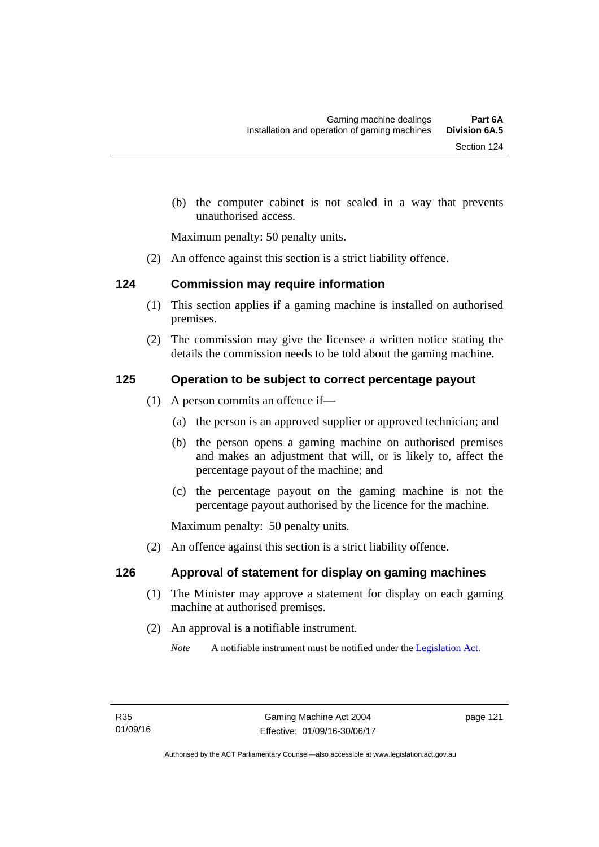(b) the computer cabinet is not sealed in a way that prevents unauthorised access.

Maximum penalty: 50 penalty units.

(2) An offence against this section is a strict liability offence.

## **124 Commission may require information**

- (1) This section applies if a gaming machine is installed on authorised premises.
- (2) The commission may give the licensee a written notice stating the details the commission needs to be told about the gaming machine.

## **125 Operation to be subject to correct percentage payout**

- (1) A person commits an offence if—
	- (a) the person is an approved supplier or approved technician; and
	- (b) the person opens a gaming machine on authorised premises and makes an adjustment that will, or is likely to, affect the percentage payout of the machine; and
	- (c) the percentage payout on the gaming machine is not the percentage payout authorised by the licence for the machine.

Maximum penalty: 50 penalty units.

(2) An offence against this section is a strict liability offence.

#### **126 Approval of statement for display on gaming machines**

- (1) The Minister may approve a statement for display on each gaming machine at authorised premises.
- (2) An approval is a notifiable instrument.

*Note* A notifiable instrument must be notified under the [Legislation Act](http://www.legislation.act.gov.au/a/2001-14).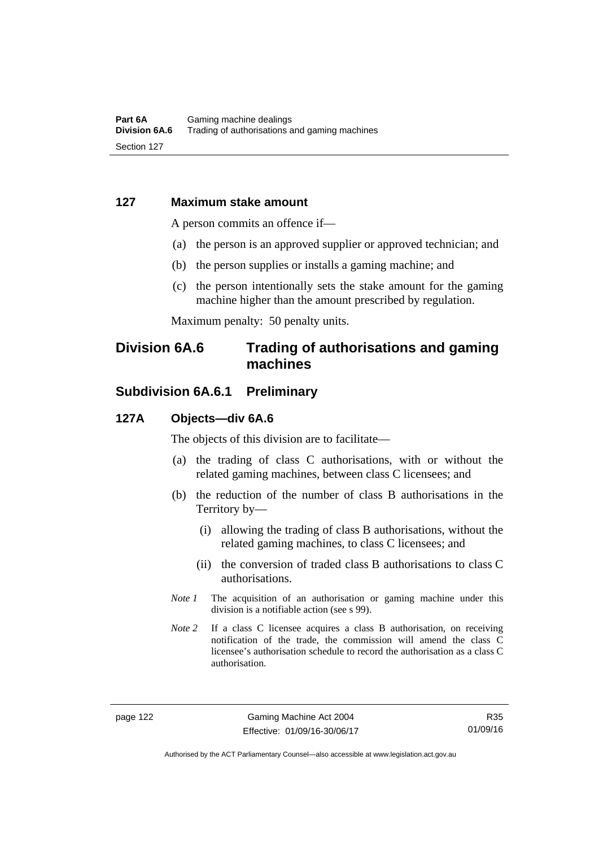#### **127 Maximum stake amount**

A person commits an offence if—

- (a) the person is an approved supplier or approved technician; and
- (b) the person supplies or installs a gaming machine; and
- (c) the person intentionally sets the stake amount for the gaming machine higher than the amount prescribed by regulation.

Maximum penalty: 50 penalty units.

# **Division 6A.6 Trading of authorisations and gaming machines**

# **Subdivision 6A.6.1 Preliminary**

#### **127A Objects—div 6A.6**

The objects of this division are to facilitate—

- (a) the trading of class C authorisations, with or without the related gaming machines, between class C licensees; and
- (b) the reduction of the number of class B authorisations in the Territory by—
	- (i) allowing the trading of class B authorisations, without the related gaming machines, to class C licensees; and
	- (ii) the conversion of traded class B authorisations to class C authorisations.
- *Note 1* The acquisition of an authorisation or gaming machine under this division is a notifiable action (see s 99).
- *Note* 2 If a class C licensee acquires a class B authorisation, on receiving notification of the trade, the commission will amend the class C licensee's authorisation schedule to record the authorisation as a class C authorisation.

Authorised by the ACT Parliamentary Counsel—also accessible at www.legislation.act.gov.au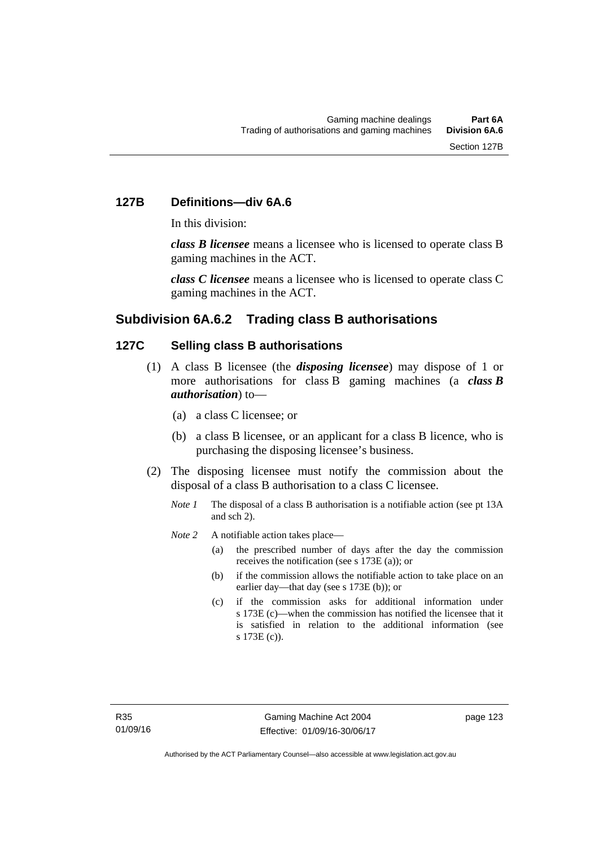# **127B Definitions—div 6A.6**

In this division:

*class B licensee* means a licensee who is licensed to operate class B gaming machines in the ACT.

*class C licensee* means a licensee who is licensed to operate class C gaming machines in the ACT.

# **Subdivision 6A.6.2 Trading class B authorisations**

#### **127C Selling class B authorisations**

- (1) A class B licensee (the *disposing licensee*) may dispose of 1 or more authorisations for class B gaming machines (a *class B authorisation*) to—
	- (a) a class C licensee; or
	- (b) a class B licensee, or an applicant for a class B licence, who is purchasing the disposing licensee's business.
- (2) The disposing licensee must notify the commission about the disposal of a class B authorisation to a class C licensee.
	- *Note 1* The disposal of a class B authorisation is a notifiable action (see pt 13A) and sch 2).
	- *Note* 2 A notifiable action takes place—
		- (a) the prescribed number of days after the day the commission receives the notification (see s 173E (a)); or
		- (b) if the commission allows the notifiable action to take place on an earlier day—that day (see s 173E (b)); or
		- (c) if the commission asks for additional information under s 173E (c)—when the commission has notified the licensee that it is satisfied in relation to the additional information (see s 173E (c)).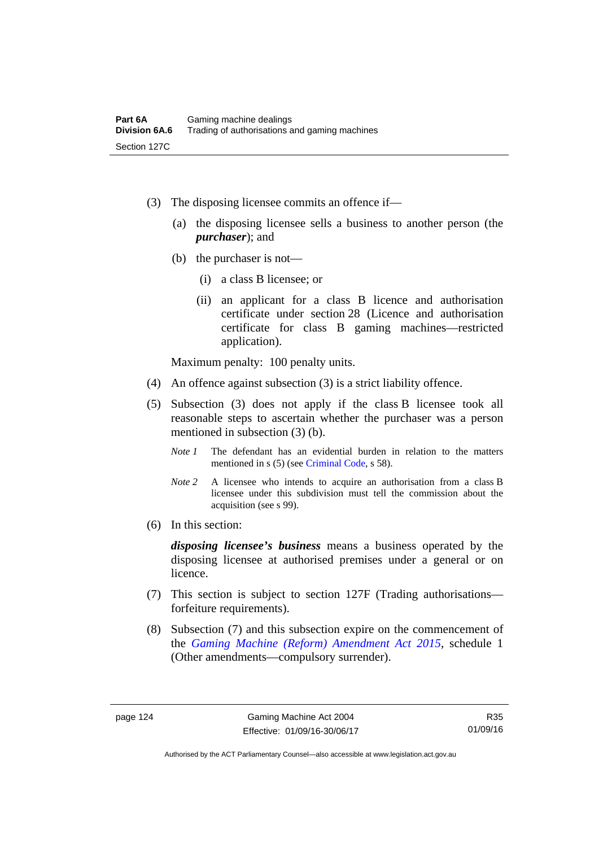- (3) The disposing licensee commits an offence if—
	- (a) the disposing licensee sells a business to another person (the *purchaser*); and
	- (b) the purchaser is not—
		- (i) a class B licensee; or
		- (ii) an applicant for a class B licence and authorisation certificate under section 28 (Licence and authorisation certificate for class B gaming machines—restricted application).

Maximum penalty: 100 penalty units.

- (4) An offence against subsection (3) is a strict liability offence.
- (5) Subsection (3) does not apply if the class B licensee took all reasonable steps to ascertain whether the purchaser was a person mentioned in subsection (3) (b).
	- *Note 1* The defendant has an evidential burden in relation to the matters mentioned in s (5) (see [Criminal Code](http://www.legislation.act.gov.au/a/2002-51), s 58).
	- *Note* 2 A licensee who intends to acquire an authorisation from a class B licensee under this subdivision must tell the commission about the acquisition (see s 99).
- (6) In this section:

*disposing licensee's business* means a business operated by the disposing licensee at authorised premises under a general or on licence.

- (7) This section is subject to section 127F (Trading authorisations forfeiture requirements).
- (8) Subsection (7) and this subsection expire on the commencement of the *[Gaming Machine \(Reform\) Amendment Act 2015](http://www.legislation.act.gov.au/a/2015-21/default.asp)*, schedule 1 (Other amendments—compulsory surrender).

Authorised by the ACT Parliamentary Counsel—also accessible at www.legislation.act.gov.au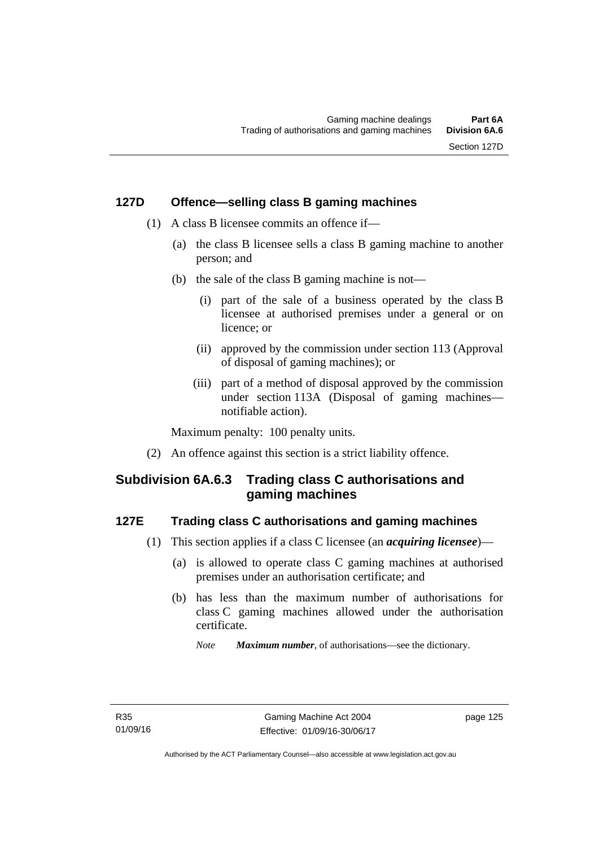#### **127D Offence—selling class B gaming machines**

- (1) A class B licensee commits an offence if—
	- (a) the class B licensee sells a class B gaming machine to another person; and
	- (b) the sale of the class B gaming machine is not—
		- (i) part of the sale of a business operated by the class B licensee at authorised premises under a general or on licence; or
		- (ii) approved by the commission under section 113 (Approval of disposal of gaming machines); or
		- (iii) part of a method of disposal approved by the commission under section 113A (Disposal of gaming machines notifiable action).

Maximum penalty: 100 penalty units.

(2) An offence against this section is a strict liability offence.

# **Subdivision 6A.6.3 Trading class C authorisations and gaming machines**

#### **127E Trading class C authorisations and gaming machines**

- (1) This section applies if a class C licensee (an *acquiring licensee*)—
	- (a) is allowed to operate class C gaming machines at authorised premises under an authorisation certificate; and
	- (b) has less than the maximum number of authorisations for class C gaming machines allowed under the authorisation certificate.
		- *Note Maximum number*, of authorisations—see the dictionary.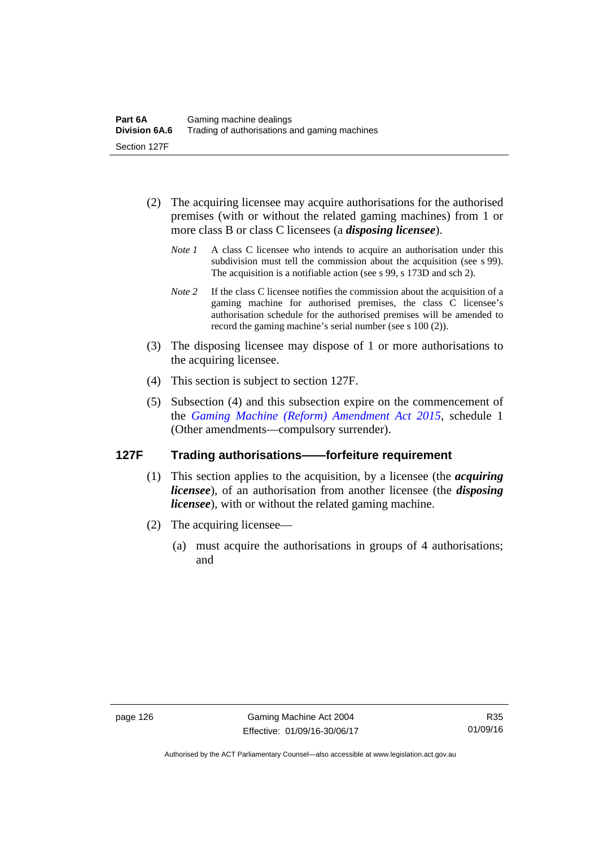- (2) The acquiring licensee may acquire authorisations for the authorised premises (with or without the related gaming machines) from 1 or more class B or class C licensees (a *disposing licensee*).
	- *Note 1* A class C licensee who intends to acquire an authorisation under this subdivision must tell the commission about the acquisition (see s 99). The acquisition is a notifiable action (see s 99, s 173D and sch 2).
	- *Note 2* If the class C licensee notifies the commission about the acquisition of a gaming machine for authorised premises, the class C licensee's authorisation schedule for the authorised premises will be amended to record the gaming machine's serial number (see s 100 (2)).
- (3) The disposing licensee may dispose of 1 or more authorisations to the acquiring licensee.
- (4) This section is subject to section 127F.
- (5) Subsection (4) and this subsection expire on the commencement of the *[Gaming Machine \(Reform\) Amendment Act 2015](http://www.legislation.act.gov.au/a/2015-21/default.asp)*, schedule 1 (Other amendments—compulsory surrender).

#### **127F Trading authorisations——forfeiture requirement**

- (1) This section applies to the acquisition, by a licensee (the *acquiring licensee*), of an authorisation from another licensee (the *disposing licensee*), with or without the related gaming machine.
- (2) The acquiring licensee—
	- (a) must acquire the authorisations in groups of 4 authorisations; and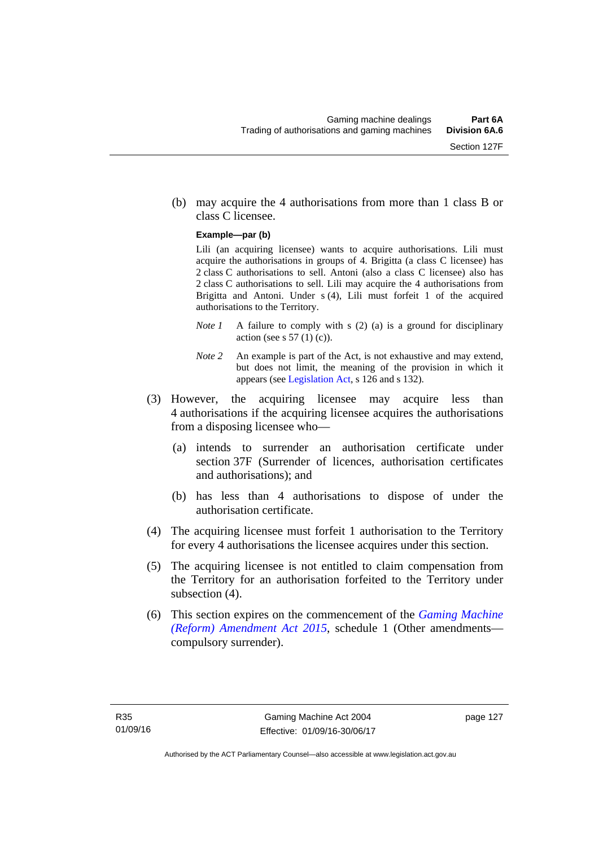(b) may acquire the 4 authorisations from more than 1 class B or class C licensee.

#### **Example—par (b)**

Lili (an acquiring licensee) wants to acquire authorisations. Lili must acquire the authorisations in groups of 4. Brigitta (a class C licensee) has 2 class C authorisations to sell. Antoni (also a class C licensee) also has 2 class C authorisations to sell. Lili may acquire the 4 authorisations from Brigitta and Antoni. Under s (4), Lili must forfeit 1 of the acquired authorisations to the Territory.

- *Note 1* A failure to comply with s (2) (a) is a ground for disciplinary action (see s  $57(1)(c)$ ).
- *Note 2* An example is part of the Act, is not exhaustive and may extend, but does not limit, the meaning of the provision in which it appears (see [Legislation Act,](http://www.legislation.act.gov.au/a/2001-14) s 126 and s 132).
- (3) However, the acquiring licensee may acquire less than 4 authorisations if the acquiring licensee acquires the authorisations from a disposing licensee who—
	- (a) intends to surrender an authorisation certificate under section 37F (Surrender of licences, authorisation certificates and authorisations); and
	- (b) has less than 4 authorisations to dispose of under the authorisation certificate.
- (4) The acquiring licensee must forfeit 1 authorisation to the Territory for every 4 authorisations the licensee acquires under this section.
- (5) The acquiring licensee is not entitled to claim compensation from the Territory for an authorisation forfeited to the Territory under subsection  $(4)$ .
- (6) This section expires on the commencement of the *[Gaming Machine](http://www.legislation.act.gov.au/a/2015-21/default.asp)  [\(Reform\) Amendment Act 2015](http://www.legislation.act.gov.au/a/2015-21/default.asp)*, schedule 1 (Other amendments compulsory surrender).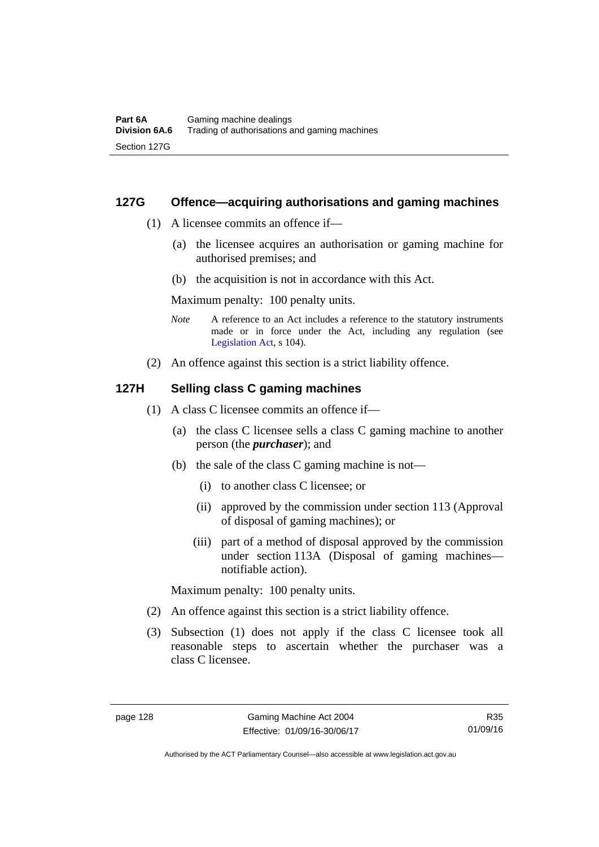#### **127G Offence—acquiring authorisations and gaming machines**

- (1) A licensee commits an offence if—
	- (a) the licensee acquires an authorisation or gaming machine for authorised premises; and
	- (b) the acquisition is not in accordance with this Act.

Maximum penalty: 100 penalty units.

- *Note* A reference to an Act includes a reference to the statutory instruments made or in force under the Act, including any regulation (see [Legislation Act,](http://www.legislation.act.gov.au/a/2001-14) s 104).
- (2) An offence against this section is a strict liability offence.

#### **127H Selling class C gaming machines**

- (1) A class C licensee commits an offence if—
	- (a) the class C licensee sells a class C gaming machine to another person (the *purchaser*); and
	- (b) the sale of the class C gaming machine is not—
		- (i) to another class C licensee; or
		- (ii) approved by the commission under section 113 (Approval of disposal of gaming machines); or
		- (iii) part of a method of disposal approved by the commission under section 113A (Disposal of gaming machines notifiable action).

Maximum penalty: 100 penalty units.

- (2) An offence against this section is a strict liability offence.
- (3) Subsection (1) does not apply if the class C licensee took all reasonable steps to ascertain whether the purchaser was a class C licensee.

R35 01/09/16

Authorised by the ACT Parliamentary Counsel—also accessible at www.legislation.act.gov.au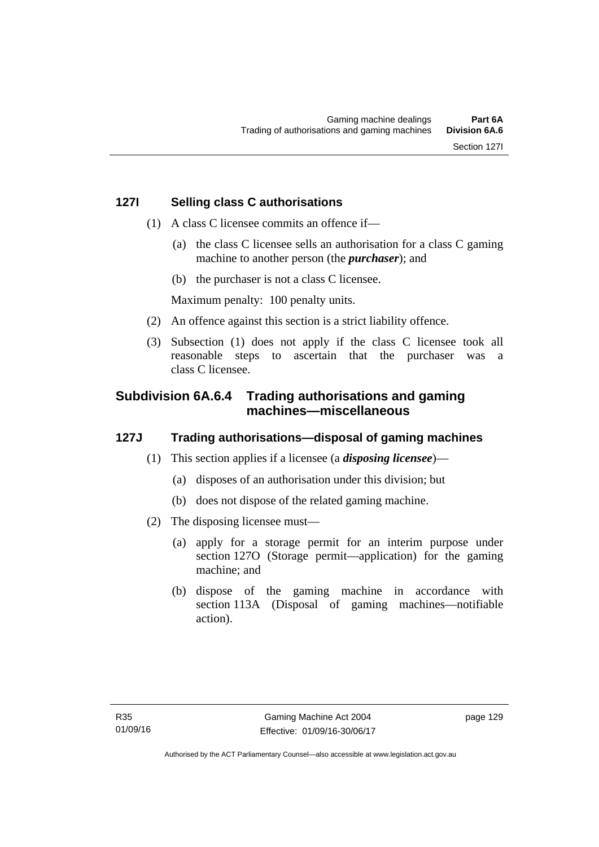- (1) A class C licensee commits an offence if—
	- (a) the class C licensee sells an authorisation for a class C gaming machine to another person (the *purchaser*); and
	- (b) the purchaser is not a class C licensee.

Maximum penalty: 100 penalty units.

- (2) An offence against this section is a strict liability offence.
- (3) Subsection (1) does not apply if the class C licensee took all reasonable steps to ascertain that the purchaser was a class C licensee.

## **Subdivision 6A.6.4 Trading authorisations and gaming machines—miscellaneous**

## **127J Trading authorisations—disposal of gaming machines**

- (1) This section applies if a licensee (a *disposing licensee*)—
	- (a) disposes of an authorisation under this division; but
	- (b) does not dispose of the related gaming machine.
- (2) The disposing licensee must—
	- (a) apply for a storage permit for an interim purpose under section 127O (Storage permit—application) for the gaming machine; and
	- (b) dispose of the gaming machine in accordance with section 113A (Disposal of gaming machines—notifiable action).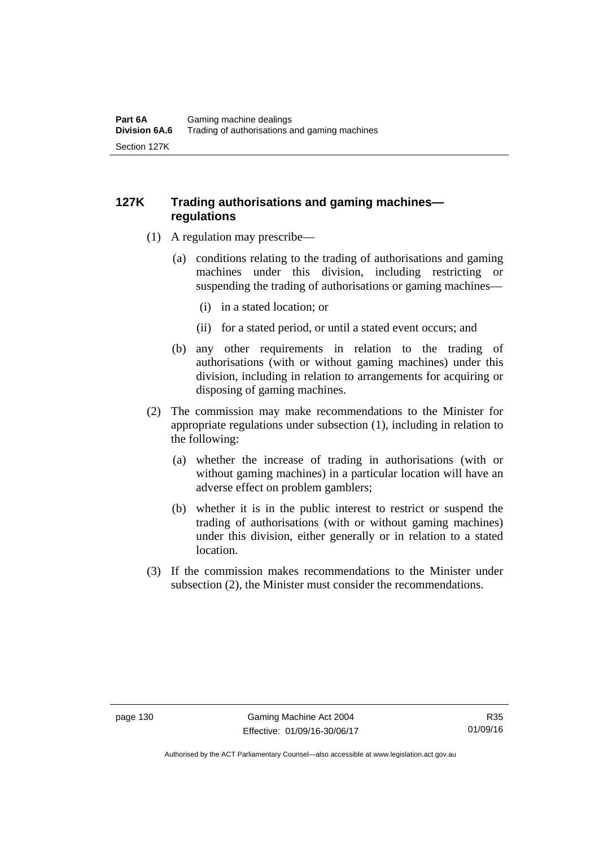## **127K Trading authorisations and gaming machines regulations**

- (1) A regulation may prescribe—
	- (a) conditions relating to the trading of authorisations and gaming machines under this division, including restricting or suspending the trading of authorisations or gaming machines—
		- (i) in a stated location; or
		- (ii) for a stated period, or until a stated event occurs; and
	- (b) any other requirements in relation to the trading of authorisations (with or without gaming machines) under this division, including in relation to arrangements for acquiring or disposing of gaming machines.
- (2) The commission may make recommendations to the Minister for appropriate regulations under subsection (1), including in relation to the following:
	- (a) whether the increase of trading in authorisations (with or without gaming machines) in a particular location will have an adverse effect on problem gamblers;
	- (b) whether it is in the public interest to restrict or suspend the trading of authorisations (with or without gaming machines) under this division, either generally or in relation to a stated location.
- (3) If the commission makes recommendations to the Minister under subsection (2), the Minister must consider the recommendations.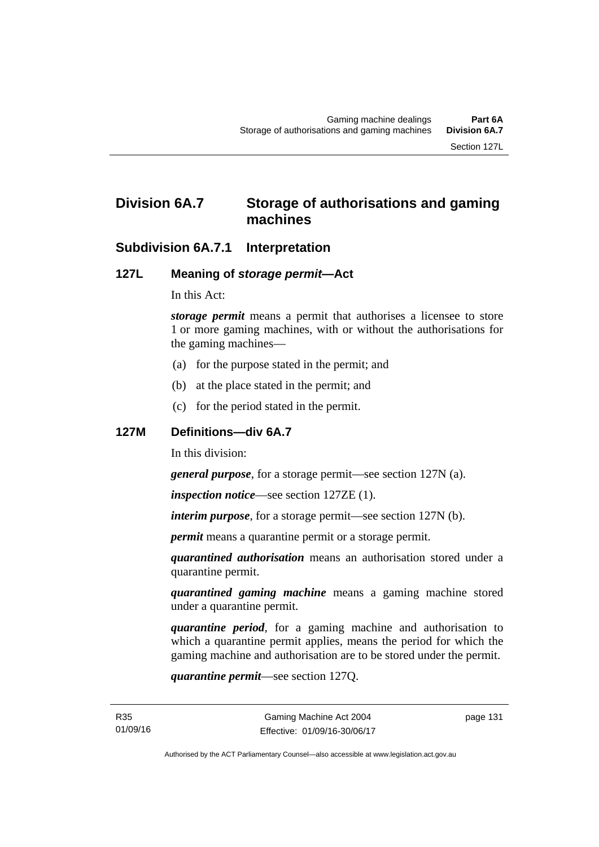# **Division 6A.7 Storage of authorisations and gaming machines**

## **Subdivision 6A.7.1 Interpretation**

## **127L Meaning of** *storage permit***—Act**

In this Act:

*storage permit* means a permit that authorises a licensee to store 1 or more gaming machines, with or without the authorisations for the gaming machines—

- (a) for the purpose stated in the permit; and
- (b) at the place stated in the permit; and
- (c) for the period stated in the permit.

### **127M Definitions—div 6A.7**

In this division:

*general purpose*, for a storage permit—see section 127N (a).

*inspection notice*—see section 127ZE (1).

*interim purpose*, for a storage permit—see section 127N (b).

*permit* means a quarantine permit or a storage permit.

*quarantined authorisation* means an authorisation stored under a quarantine permit.

*quarantined gaming machine* means a gaming machine stored under a quarantine permit.

*quarantine period*, for a gaming machine and authorisation to which a quarantine permit applies, means the period for which the gaming machine and authorisation are to be stored under the permit.

*quarantine permit*—see section 127Q.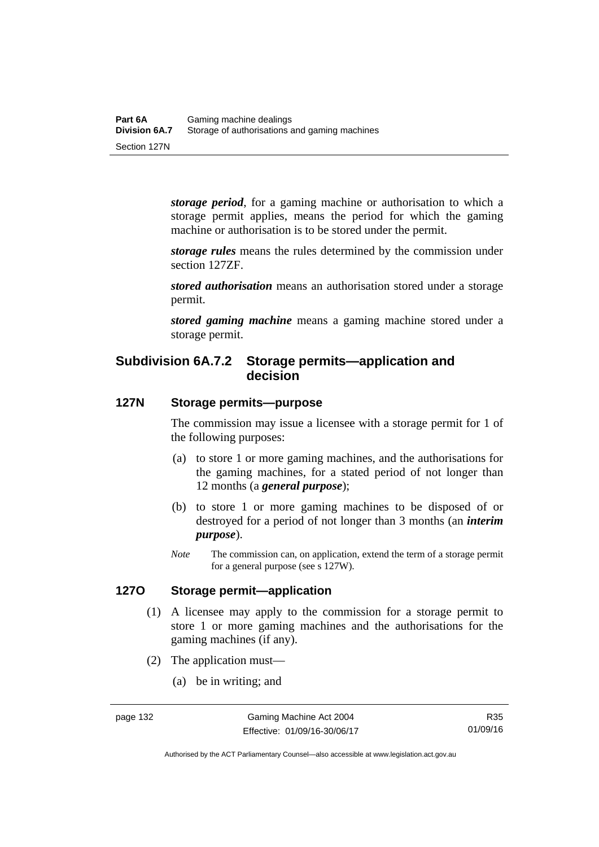*storage period*, for a gaming machine or authorisation to which a storage permit applies, means the period for which the gaming machine or authorisation is to be stored under the permit.

*storage rules* means the rules determined by the commission under section 127ZF.

*stored authorisation* means an authorisation stored under a storage permit.

*stored gaming machine* means a gaming machine stored under a storage permit.

## **Subdivision 6A.7.2 Storage permits—application and decision**

## **127N Storage permits—purpose**

The commission may issue a licensee with a storage permit for 1 of the following purposes:

- (a) to store 1 or more gaming machines, and the authorisations for the gaming machines, for a stated period of not longer than 12 months (a *general purpose*);
- (b) to store 1 or more gaming machines to be disposed of or destroyed for a period of not longer than 3 months (an *interim purpose*).
- *Note* The commission can, on application, extend the term of a storage permit for a general purpose (see s 127W).

## **127O Storage permit—application**

- (1) A licensee may apply to the commission for a storage permit to store 1 or more gaming machines and the authorisations for the gaming machines (if any).
- (2) The application must—
	- (a) be in writing; and

Authorised by the ACT Parliamentary Counsel—also accessible at www.legislation.act.gov.au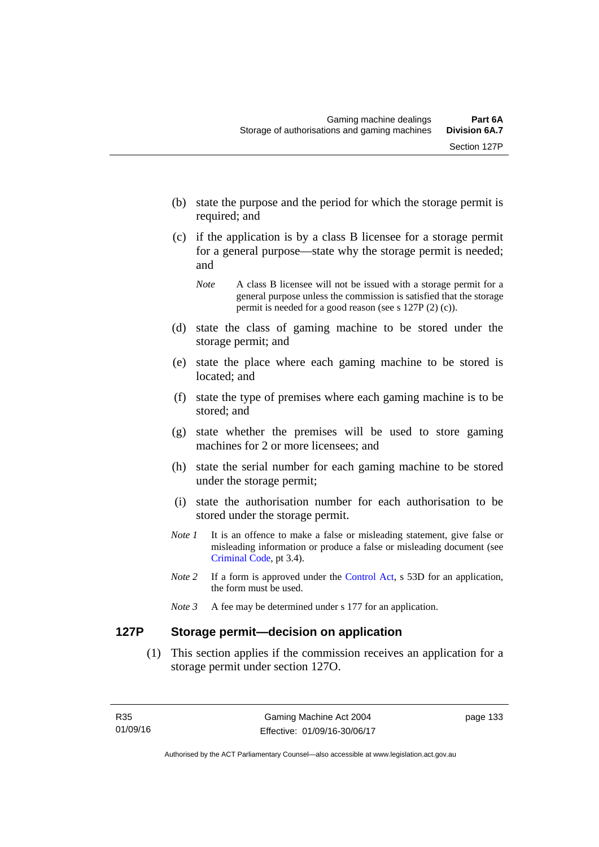- (b) state the purpose and the period for which the storage permit is required; and
- (c) if the application is by a class B licensee for a storage permit for a general purpose—state why the storage permit is needed; and

- (d) state the class of gaming machine to be stored under the storage permit; and
- (e) state the place where each gaming machine to be stored is located; and
- (f) state the type of premises where each gaming machine is to be stored; and
- (g) state whether the premises will be used to store gaming machines for 2 or more licensees; and
- (h) state the serial number for each gaming machine to be stored under the storage permit;
- (i) state the authorisation number for each authorisation to be stored under the storage permit.
- *Note 1* It is an offence to make a false or misleading statement, give false or misleading information or produce a false or misleading document (see [Criminal Code](http://www.legislation.act.gov.au/a/2002-51), pt 3.4).
- *Note 2* If a form is approved under the [Control Act,](http://www.legislation.act.gov.au/a/1999-46/default.asp) s 53D for an application, the form must be used.
- *Note 3* A fee may be determined under s 177 for an application.

## **127P Storage permit—decision on application**

 (1) This section applies if the commission receives an application for a storage permit under section 127O.

*Note* A class B licensee will not be issued with a storage permit for a general purpose unless the commission is satisfied that the storage permit is needed for a good reason (see s 127P (2) (c)).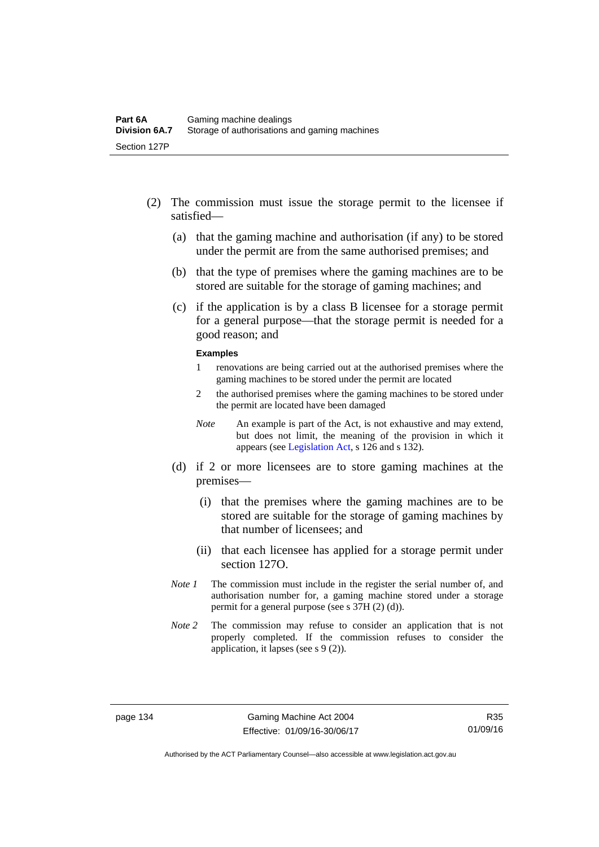- (2) The commission must issue the storage permit to the licensee if satisfied—
	- (a) that the gaming machine and authorisation (if any) to be stored under the permit are from the same authorised premises; and
	- (b) that the type of premises where the gaming machines are to be stored are suitable for the storage of gaming machines; and
	- (c) if the application is by a class B licensee for a storage permit for a general purpose—that the storage permit is needed for a good reason; and

#### **Examples**

- 1 renovations are being carried out at the authorised premises where the gaming machines to be stored under the permit are located
- 2 the authorised premises where the gaming machines to be stored under the permit are located have been damaged
- *Note* An example is part of the Act, is not exhaustive and may extend, but does not limit, the meaning of the provision in which it appears (see [Legislation Act,](http://www.legislation.act.gov.au/a/2001-14/default.asp) s 126 and s 132).
- (d) if 2 or more licensees are to store gaming machines at the premises—
	- (i) that the premises where the gaming machines are to be stored are suitable for the storage of gaming machines by that number of licensees; and
	- (ii) that each licensee has applied for a storage permit under section 127O.
- *Note 1* The commission must include in the register the serial number of, and authorisation number for, a gaming machine stored under a storage permit for a general purpose (see s 37H (2) (d)).
- *Note 2* The commission may refuse to consider an application that is not properly completed. If the commission refuses to consider the application, it lapses (see s 9 (2)).

Authorised by the ACT Parliamentary Counsel—also accessible at www.legislation.act.gov.au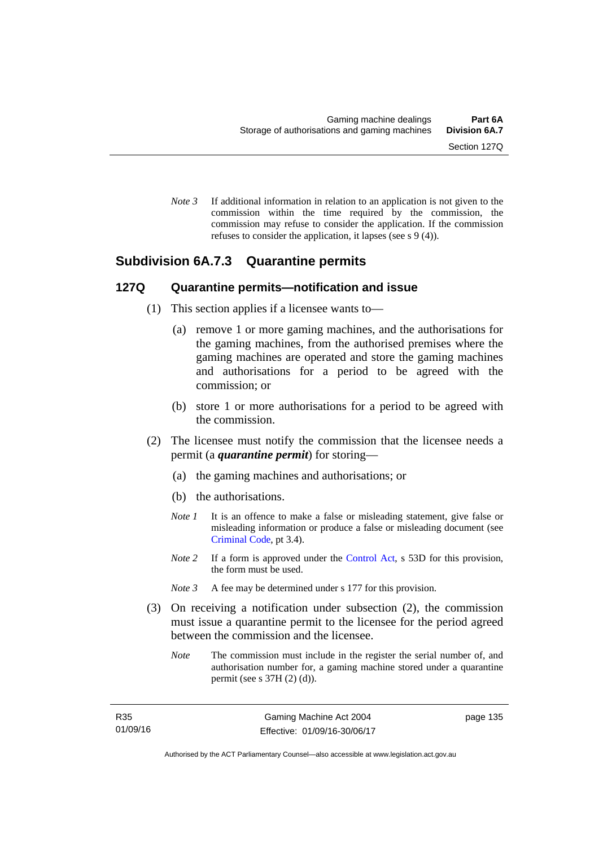*Note 3* If additional information in relation to an application is not given to the commission within the time required by the commission, the commission may refuse to consider the application. If the commission refuses to consider the application, it lapses (see s 9 (4)).

## **Subdivision 6A.7.3 Quarantine permits**

### **127Q Quarantine permits—notification and issue**

- (1) This section applies if a licensee wants to—
	- (a) remove 1 or more gaming machines, and the authorisations for the gaming machines, from the authorised premises where the gaming machines are operated and store the gaming machines and authorisations for a period to be agreed with the commission; or
	- (b) store 1 or more authorisations for a period to be agreed with the commission.
- (2) The licensee must notify the commission that the licensee needs a permit (a *quarantine permit*) for storing—
	- (a) the gaming machines and authorisations; or
	- (b) the authorisations.
	- *Note 1* It is an offence to make a false or misleading statement, give false or misleading information or produce a false or misleading document (see [Criminal Code](http://www.legislation.act.gov.au/a/2002-51), pt 3.4).
	- *Note* 2 If a form is approved under the [Control Act,](http://www.legislation.act.gov.au/a/1999-46) s 53D for this provision, the form must be used.
	- *Note 3* A fee may be determined under s 177 for this provision.
- (3) On receiving a notification under subsection (2), the commission must issue a quarantine permit to the licensee for the period agreed between the commission and the licensee.
	- *Note* The commission must include in the register the serial number of, and authorisation number for, a gaming machine stored under a quarantine permit (see s 37H (2) (d)).

page 135

Authorised by the ACT Parliamentary Counsel—also accessible at www.legislation.act.gov.au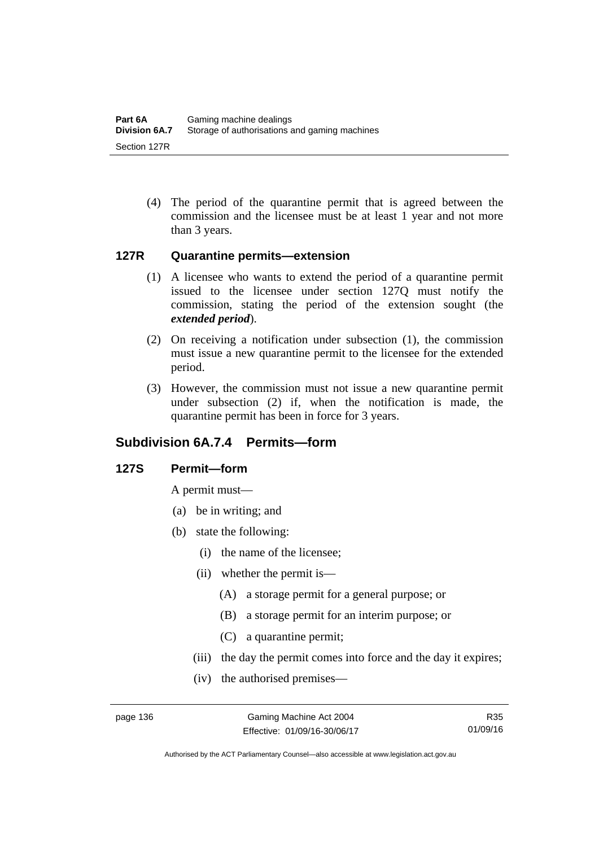(4) The period of the quarantine permit that is agreed between the commission and the licensee must be at least 1 year and not more than 3 years.

### **127R Quarantine permits—extension**

- (1) A licensee who wants to extend the period of a quarantine permit issued to the licensee under section 127Q must notify the commission, stating the period of the extension sought (the *extended period*).
- (2) On receiving a notification under subsection (1), the commission must issue a new quarantine permit to the licensee for the extended period.
- (3) However, the commission must not issue a new quarantine permit under subsection (2) if, when the notification is made, the quarantine permit has been in force for 3 years.

## **Subdivision 6A.7.4 Permits—form**

## **127S Permit—form**

A permit must—

- (a) be in writing; and
- (b) state the following:
	- (i) the name of the licensee;
	- (ii) whether the permit is—
		- (A) a storage permit for a general purpose; or
		- (B) a storage permit for an interim purpose; or
		- (C) a quarantine permit;
	- (iii) the day the permit comes into force and the day it expires;
	- (iv) the authorised premises—

R35 01/09/16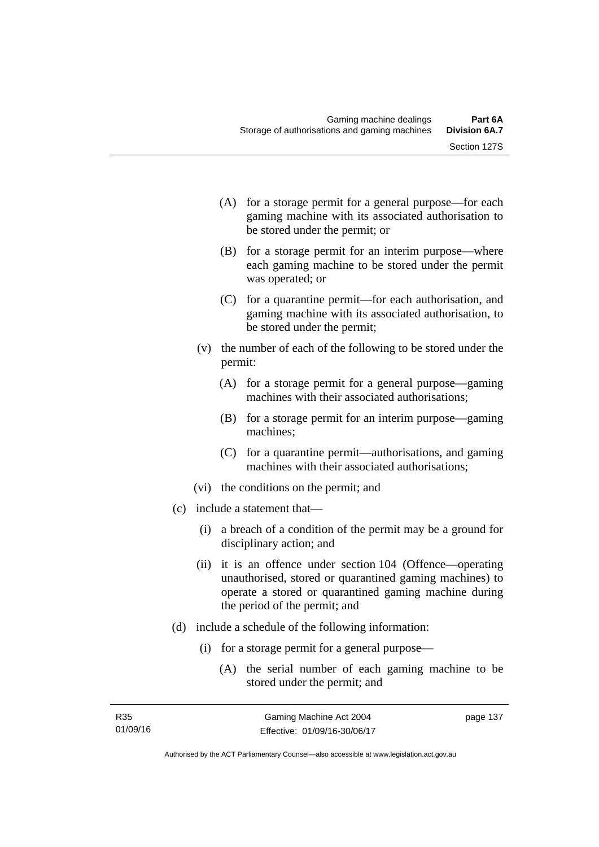- (A) for a storage permit for a general purpose—for each gaming machine with its associated authorisation to be stored under the permit; or
- (B) for a storage permit for an interim purpose—where each gaming machine to be stored under the permit was operated; or
- (C) for a quarantine permit—for each authorisation, and gaming machine with its associated authorisation, to be stored under the permit;
- (v) the number of each of the following to be stored under the permit:
	- (A) for a storage permit for a general purpose—gaming machines with their associated authorisations;
	- (B) for a storage permit for an interim purpose—gaming machines;
	- (C) for a quarantine permit—authorisations, and gaming machines with their associated authorisations;
- (vi) the conditions on the permit; and
- (c) include a statement that—
	- (i) a breach of a condition of the permit may be a ground for disciplinary action; and
	- (ii) it is an offence under section 104 (Offence—operating unauthorised, stored or quarantined gaming machines) to operate a stored or quarantined gaming machine during the period of the permit; and
- (d) include a schedule of the following information:
	- (i) for a storage permit for a general purpose—
		- (A) the serial number of each gaming machine to be stored under the permit; and

page 137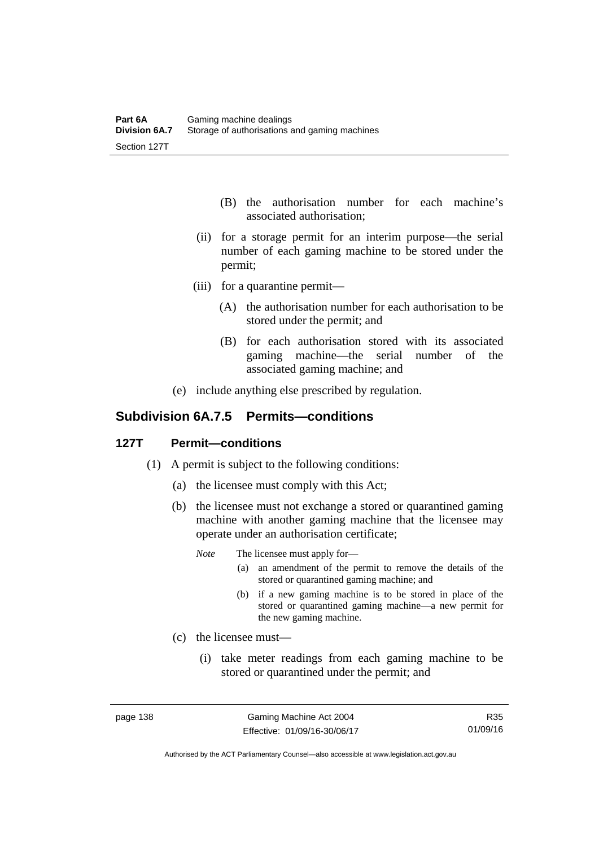- (B) the authorisation number for each machine's associated authorisation;
- (ii) for a storage permit for an interim purpose—the serial number of each gaming machine to be stored under the permit;
- (iii) for a quarantine permit—
	- (A) the authorisation number for each authorisation to be stored under the permit; and
	- (B) for each authorisation stored with its associated gaming machine—the serial number of the associated gaming machine; and
- (e) include anything else prescribed by regulation.

## **Subdivision 6A.7.5 Permits—conditions**

### **127T Permit—conditions**

- (1) A permit is subject to the following conditions:
	- (a) the licensee must comply with this Act;
	- (b) the licensee must not exchange a stored or quarantined gaming machine with another gaming machine that the licensee may operate under an authorisation certificate;
		- *Note* The licensee must apply for—
			- (a) an amendment of the permit to remove the details of the stored or quarantined gaming machine; and
			- (b) if a new gaming machine is to be stored in place of the stored or quarantined gaming machine—a new permit for the new gaming machine.
	- (c) the licensee must—
		- (i) take meter readings from each gaming machine to be stored or quarantined under the permit; and

R35 01/09/16

Authorised by the ACT Parliamentary Counsel—also accessible at www.legislation.act.gov.au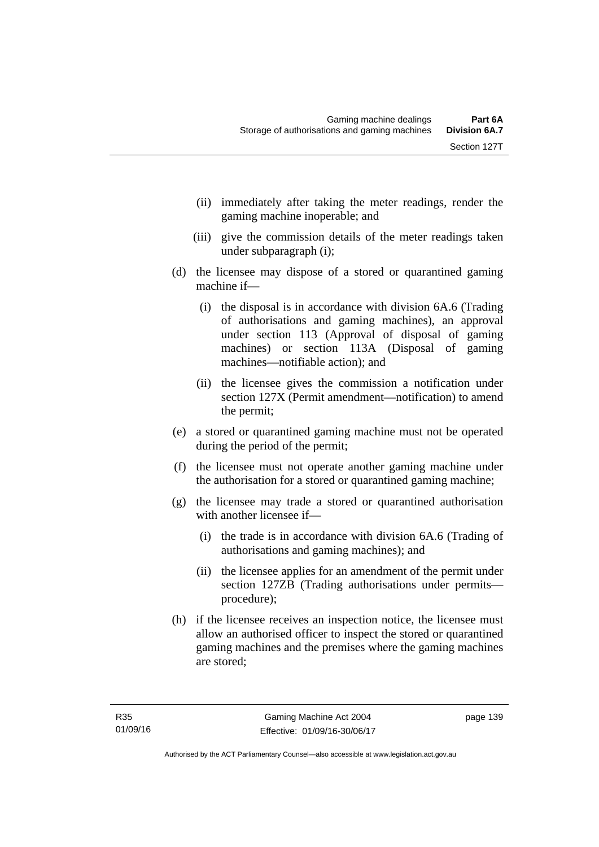- (ii) immediately after taking the meter readings, render the gaming machine inoperable; and
- (iii) give the commission details of the meter readings taken under subparagraph (i);
- (d) the licensee may dispose of a stored or quarantined gaming machine if—
	- (i) the disposal is in accordance with division 6A.6 (Trading of authorisations and gaming machines), an approval under section 113 (Approval of disposal of gaming machines) or section 113A (Disposal of gaming machines—notifiable action); and
	- (ii) the licensee gives the commission a notification under section 127X (Permit amendment—notification) to amend the permit;
- (e) a stored or quarantined gaming machine must not be operated during the period of the permit;
- (f) the licensee must not operate another gaming machine under the authorisation for a stored or quarantined gaming machine;
- (g) the licensee may trade a stored or quarantined authorisation with another licensee if—
	- (i) the trade is in accordance with division 6A.6 (Trading of authorisations and gaming machines); and
	- (ii) the licensee applies for an amendment of the permit under section 127ZB (Trading authorisations under permits procedure);
- (h) if the licensee receives an inspection notice, the licensee must allow an authorised officer to inspect the stored or quarantined gaming machines and the premises where the gaming machines are stored;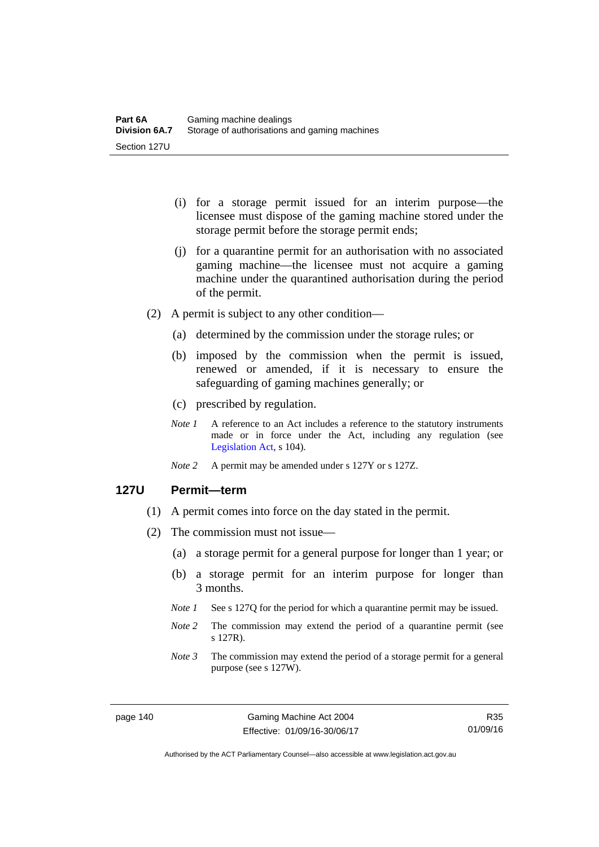- (i) for a storage permit issued for an interim purpose—the licensee must dispose of the gaming machine stored under the storage permit before the storage permit ends;
- (j) for a quarantine permit for an authorisation with no associated gaming machine—the licensee must not acquire a gaming machine under the quarantined authorisation during the period of the permit.
- (2) A permit is subject to any other condition—
	- (a) determined by the commission under the storage rules; or
	- (b) imposed by the commission when the permit is issued, renewed or amended, if it is necessary to ensure the safeguarding of gaming machines generally; or
	- (c) prescribed by regulation.
	- *Note 1* A reference to an Act includes a reference to the statutory instruments made or in force under the Act, including any regulation (see [Legislation Act,](http://www.legislation.act.gov.au/a/2001-14) s 104).
	- *Note 2* A permit may be amended under s 127Y or s 127Z.

### **127U Permit—term**

- (1) A permit comes into force on the day stated in the permit.
- (2) The commission must not issue—
	- (a) a storage permit for a general purpose for longer than 1 year; or
	- (b) a storage permit for an interim purpose for longer than 3 months.
	- *Note 1* See s 127Q for the period for which a quarantine permit may be issued.
	- *Note 2* The commission may extend the period of a quarantine permit (see s 127R).
	- *Note 3* The commission may extend the period of a storage permit for a general purpose (see s 127W).

R35 01/09/16

Authorised by the ACT Parliamentary Counsel—also accessible at www.legislation.act.gov.au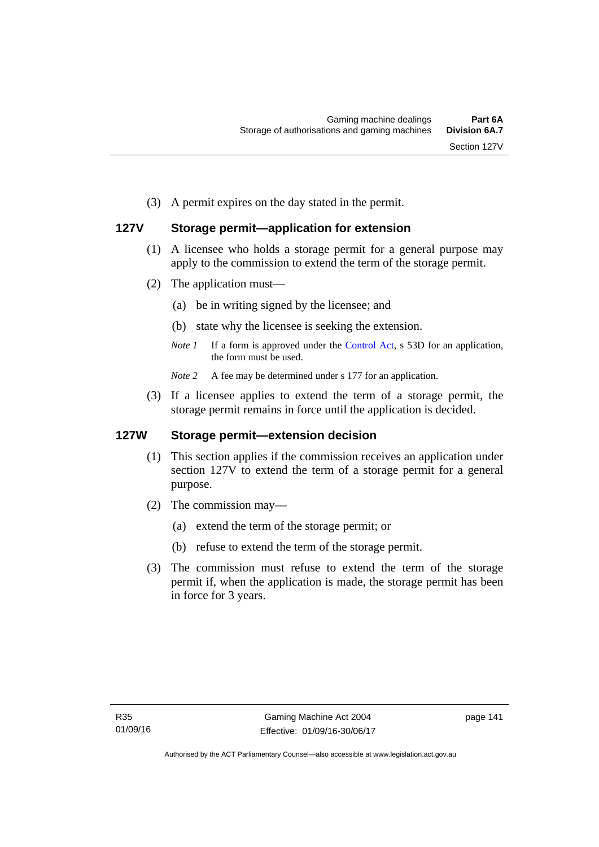(3) A permit expires on the day stated in the permit.

## **127V Storage permit—application for extension**

- (1) A licensee who holds a storage permit for a general purpose may apply to the commission to extend the term of the storage permit.
- (2) The application must—
	- (a) be in writing signed by the licensee; and
	- (b) state why the licensee is seeking the extension.
	- *Note 1* If a form is approved under the [Control Act,](http://www.legislation.act.gov.au/a/1999-46/default.asp) s 53D for an application, the form must be used.

*Note* 2 A fee may be determined under s 177 for an application.

 (3) If a licensee applies to extend the term of a storage permit, the storage permit remains in force until the application is decided.

### **127W Storage permit—extension decision**

- (1) This section applies if the commission receives an application under section 127V to extend the term of a storage permit for a general purpose.
- (2) The commission may—
	- (a) extend the term of the storage permit; or
	- (b) refuse to extend the term of the storage permit.
- (3) The commission must refuse to extend the term of the storage permit if, when the application is made, the storage permit has been in force for 3 years.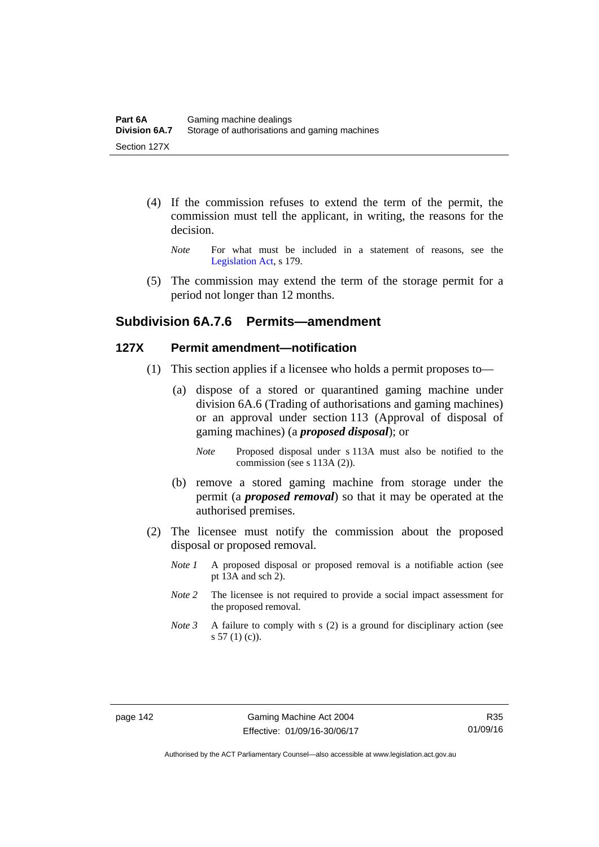- (4) If the commission refuses to extend the term of the permit, the commission must tell the applicant, in writing, the reasons for the decision.
	- *Note* For what must be included in a statement of reasons, see the [Legislation Act,](http://www.legislation.act.gov.au/a/2001-14) s 179.
- (5) The commission may extend the term of the storage permit for a period not longer than 12 months.

## **Subdivision 6A.7.6 Permits—amendment**

### **127X Permit amendment—notification**

- (1) This section applies if a licensee who holds a permit proposes to—
	- (a) dispose of a stored or quarantined gaming machine under division 6A.6 (Trading of authorisations and gaming machines) or an approval under section 113 (Approval of disposal of gaming machines) (a *proposed disposal*); or
		- *Note* Proposed disposal under s 113A must also be notified to the commission (see s 113A (2)).
	- (b) remove a stored gaming machine from storage under the permit (a *proposed removal*) so that it may be operated at the authorised premises.
- (2) The licensee must notify the commission about the proposed disposal or proposed removal.
	- *Note 1* A proposed disposal or proposed removal is a notifiable action (see pt 13A and sch 2).
	- *Note 2* The licensee is not required to provide a social impact assessment for the proposed removal.
	- *Note 3* A failure to comply with s (2) is a ground for disciplinary action (see s 57 (1) (c)).

Authorised by the ACT Parliamentary Counsel—also accessible at www.legislation.act.gov.au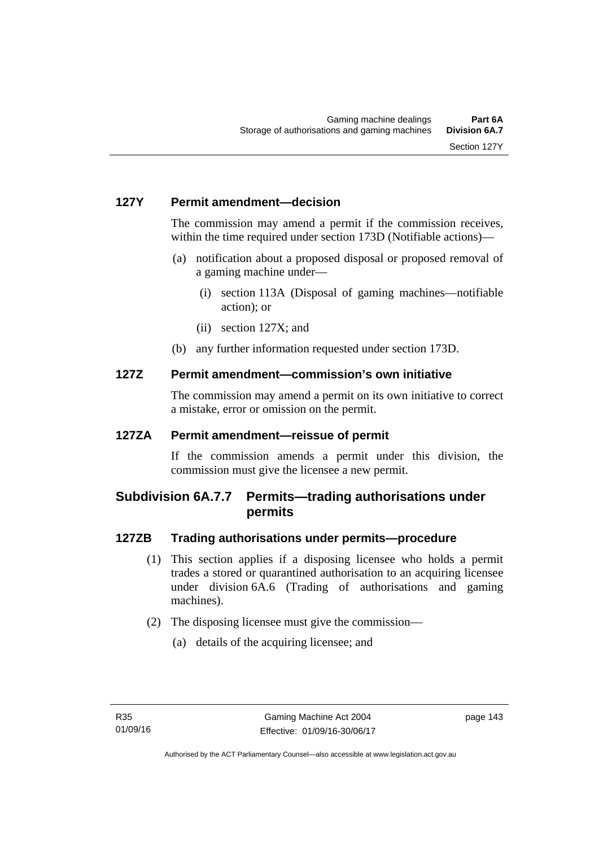## **127Y Permit amendment—decision**

The commission may amend a permit if the commission receives, within the time required under section 173D (Notifiable actions)—

- (a) notification about a proposed disposal or proposed removal of a gaming machine under—
	- (i) section 113A (Disposal of gaming machines—notifiable action); or
	- (ii) section 127X; and
- (b) any further information requested under section 173D.

## **127Z Permit amendment—commission's own initiative**

The commission may amend a permit on its own initiative to correct a mistake, error or omission on the permit.

## **127ZA Permit amendment—reissue of permit**

If the commission amends a permit under this division, the commission must give the licensee a new permit.

# **Subdivision 6A.7.7 Permits—trading authorisations under permits**

## **127ZB Trading authorisations under permits—procedure**

- (1) This section applies if a disposing licensee who holds a permit trades a stored or quarantined authorisation to an acquiring licensee under division 6A.6 (Trading of authorisations and gaming machines).
- (2) The disposing licensee must give the commission—
	- (a) details of the acquiring licensee; and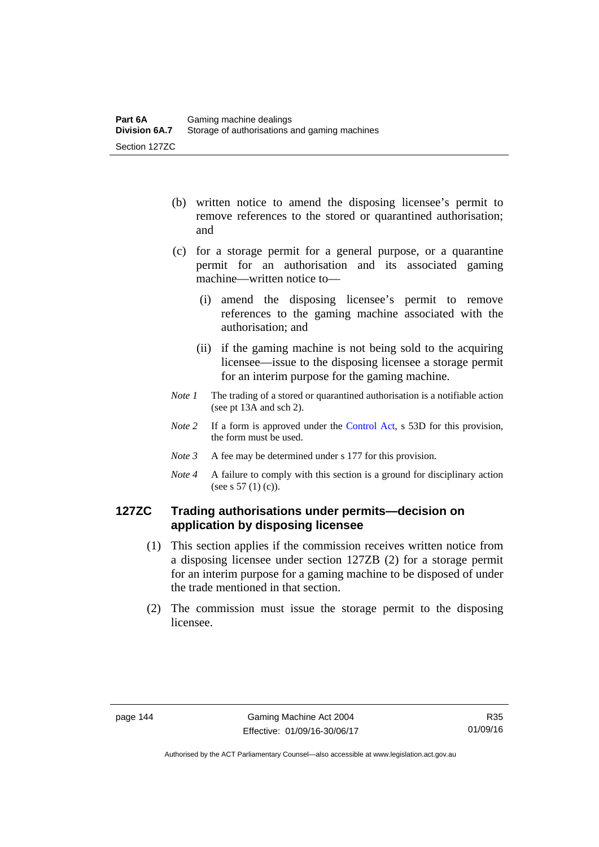- (b) written notice to amend the disposing licensee's permit to remove references to the stored or quarantined authorisation; and
- (c) for a storage permit for a general purpose, or a quarantine permit for an authorisation and its associated gaming machine—written notice to—
	- (i) amend the disposing licensee's permit to remove references to the gaming machine associated with the authorisation; and
	- (ii) if the gaming machine is not being sold to the acquiring licensee—issue to the disposing licensee a storage permit for an interim purpose for the gaming machine.
- *Note 1* The trading of a stored or quarantined authorisation is a notifiable action (see pt 13A and sch 2).
- *Note* 2 If a form is approved under the [Control Act,](http://www.legislation.act.gov.au/a/1999-46/default.asp) s 53D for this provision, the form must be used.
- *Note 3* A fee may be determined under s 177 for this provision.
- *Note 4* A failure to comply with this section is a ground for disciplinary action (see s 57 (1) (c)).

## **127ZC Trading authorisations under permits—decision on application by disposing licensee**

- (1) This section applies if the commission receives written notice from a disposing licensee under section 127ZB (2) for a storage permit for an interim purpose for a gaming machine to be disposed of under the trade mentioned in that section.
- (2) The commission must issue the storage permit to the disposing licensee.

Authorised by the ACT Parliamentary Counsel—also accessible at www.legislation.act.gov.au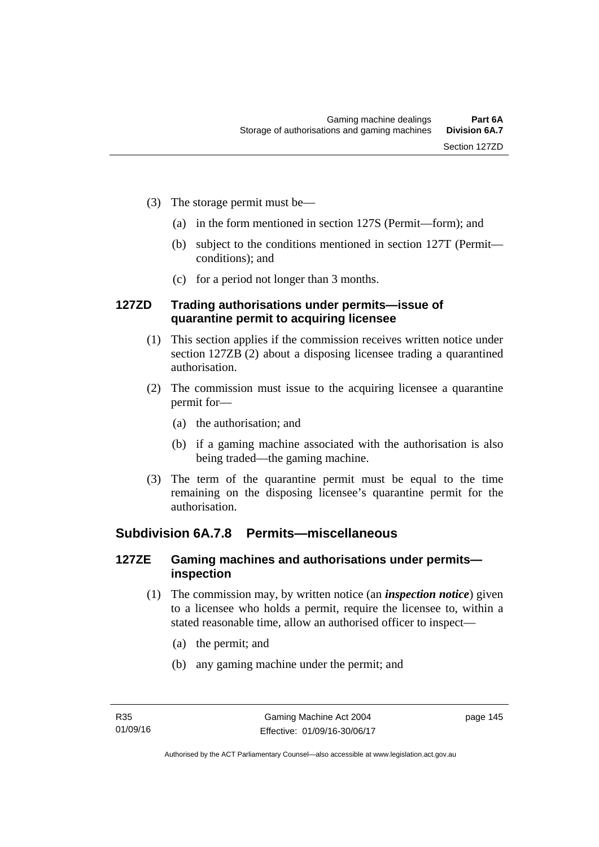- (3) The storage permit must be—
	- (a) in the form mentioned in section 127S (Permit—form); and
	- (b) subject to the conditions mentioned in section 127T (Permit conditions); and
	- (c) for a period not longer than 3 months.

## **127ZD Trading authorisations under permits—issue of quarantine permit to acquiring licensee**

- (1) This section applies if the commission receives written notice under section 127ZB (2) about a disposing licensee trading a quarantined authorisation.
- (2) The commission must issue to the acquiring licensee a quarantine permit for—
	- (a) the authorisation; and
	- (b) if a gaming machine associated with the authorisation is also being traded—the gaming machine.
- (3) The term of the quarantine permit must be equal to the time remaining on the disposing licensee's quarantine permit for the authorisation.

## **Subdivision 6A.7.8 Permits—miscellaneous**

## **127ZE Gaming machines and authorisations under permits inspection**

- (1) The commission may, by written notice (an *inspection notice*) given to a licensee who holds a permit, require the licensee to, within a stated reasonable time, allow an authorised officer to inspect—
	- (a) the permit; and
	- (b) any gaming machine under the permit; and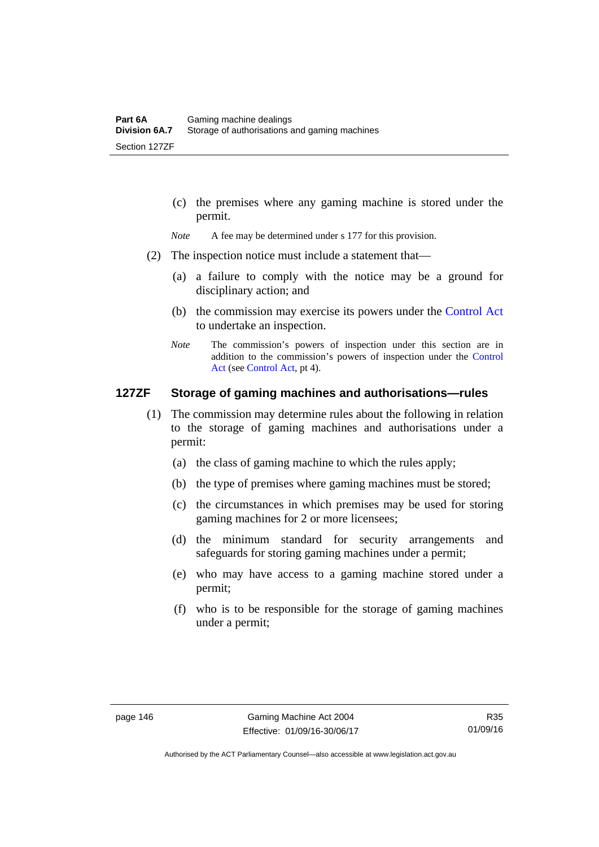(c) the premises where any gaming machine is stored under the permit.

*Note* A fee may be determined under s 177 for this provision.

- (2) The inspection notice must include a statement that—
	- (a) a failure to comply with the notice may be a ground for disciplinary action; and
	- (b) the commission may exercise its powers under the [Control Act](http://www.legislation.act.gov.au/a/1999-46/default.asp) to undertake an inspection.
	- *Note* The commission's powers of inspection under this section are in addition to the commission's powers of inspection under the [Control](http://www.legislation.act.gov.au/a/1999-46/default.asp)  [Act](http://www.legislation.act.gov.au/a/1999-46/default.asp) (see [Control Act](http://www.legislation.act.gov.au/a/1999-46/default.asp), pt 4).

## **127ZF Storage of gaming machines and authorisations—rules**

- (1) The commission may determine rules about the following in relation to the storage of gaming machines and authorisations under a permit:
	- (a) the class of gaming machine to which the rules apply;
	- (b) the type of premises where gaming machines must be stored;
	- (c) the circumstances in which premises may be used for storing gaming machines for 2 or more licensees;
	- (d) the minimum standard for security arrangements and safeguards for storing gaming machines under a permit;
	- (e) who may have access to a gaming machine stored under a permit;
	- (f) who is to be responsible for the storage of gaming machines under a permit;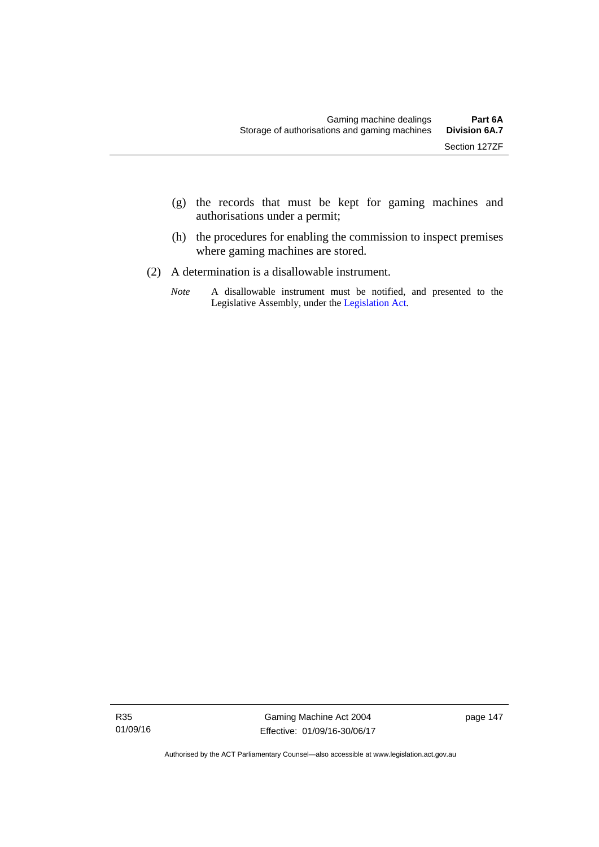- (g) the records that must be kept for gaming machines and authorisations under a permit;
- (h) the procedures for enabling the commission to inspect premises where gaming machines are stored.
- (2) A determination is a disallowable instrument.
	- *Note* A disallowable instrument must be notified, and presented to the Legislative Assembly, under the [Legislation Act.](http://www.legislation.act.gov.au/a/2001-14)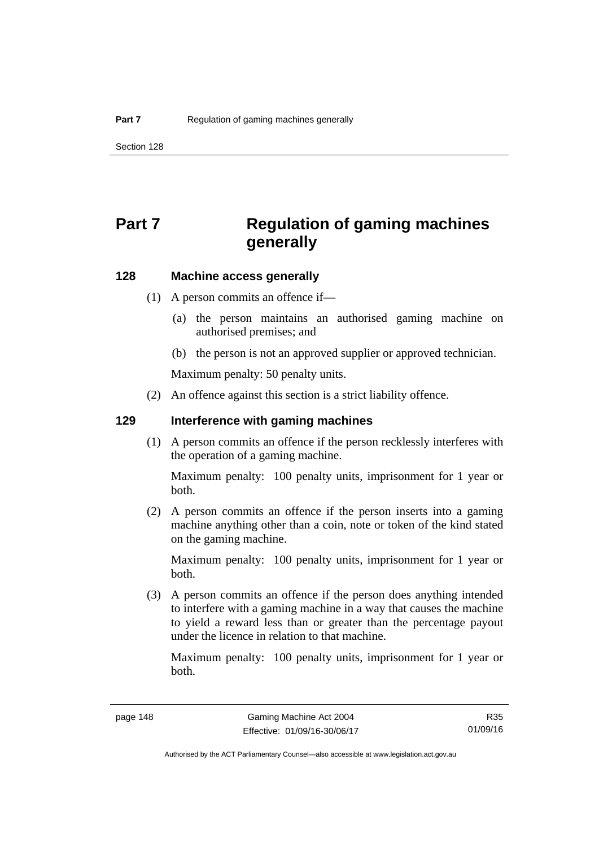# **Part 7 Regulation of gaming machines generally**

### **128 Machine access generally**

- (1) A person commits an offence if—
	- (a) the person maintains an authorised gaming machine on authorised premises; and
	- (b) the person is not an approved supplier or approved technician.

Maximum penalty: 50 penalty units.

(2) An offence against this section is a strict liability offence.

### **129 Interference with gaming machines**

(1) A person commits an offence if the person recklessly interferes with the operation of a gaming machine.

Maximum penalty: 100 penalty units, imprisonment for 1 year or both.

 (2) A person commits an offence if the person inserts into a gaming machine anything other than a coin, note or token of the kind stated on the gaming machine.

Maximum penalty: 100 penalty units, imprisonment for 1 year or both.

 (3) A person commits an offence if the person does anything intended to interfere with a gaming machine in a way that causes the machine to yield a reward less than or greater than the percentage payout under the licence in relation to that machine.

Maximum penalty: 100 penalty units, imprisonment for 1 year or both.

Authorised by the ACT Parliamentary Counsel—also accessible at www.legislation.act.gov.au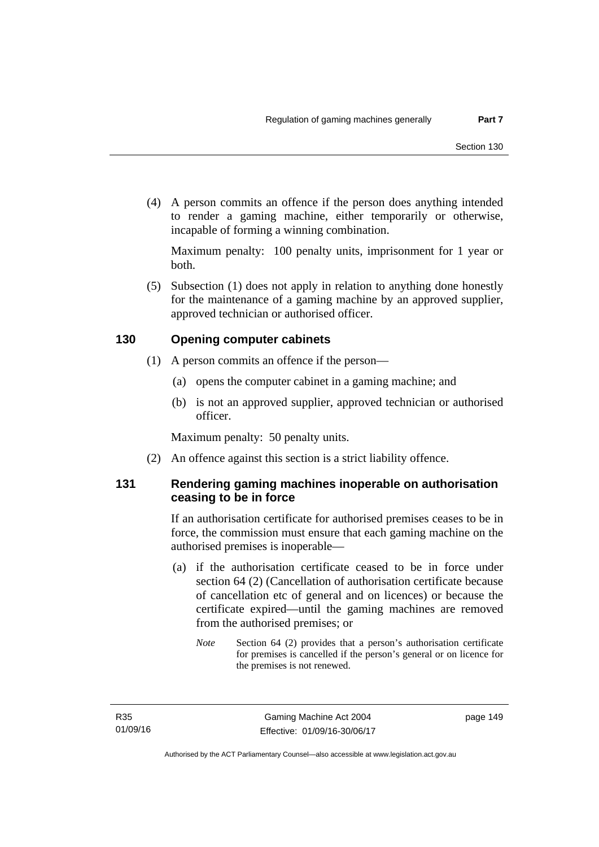(4) A person commits an offence if the person does anything intended to render a gaming machine, either temporarily or otherwise, incapable of forming a winning combination.

Maximum penalty: 100 penalty units, imprisonment for 1 year or both.

 (5) Subsection (1) does not apply in relation to anything done honestly for the maintenance of a gaming machine by an approved supplier, approved technician or authorised officer.

### **130 Opening computer cabinets**

- (1) A person commits an offence if the person—
	- (a) opens the computer cabinet in a gaming machine; and
	- (b) is not an approved supplier, approved technician or authorised officer.

Maximum penalty: 50 penalty units.

(2) An offence against this section is a strict liability offence.

### **131 Rendering gaming machines inoperable on authorisation ceasing to be in force**

If an authorisation certificate for authorised premises ceases to be in force, the commission must ensure that each gaming machine on the authorised premises is inoperable—

- (a) if the authorisation certificate ceased to be in force under section 64 (2) (Cancellation of authorisation certificate because of cancellation etc of general and on licences) or because the certificate expired—until the gaming machines are removed from the authorised premises; or
	- *Note* Section 64 (2) provides that a person's authorisation certificate for premises is cancelled if the person's general or on licence for the premises is not renewed.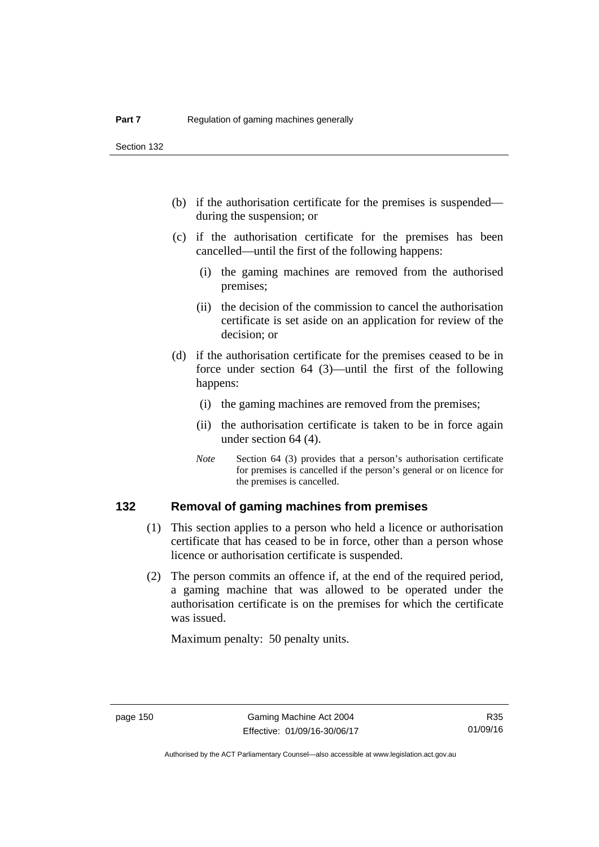Section 132

- (b) if the authorisation certificate for the premises is suspended during the suspension; or
- (c) if the authorisation certificate for the premises has been cancelled—until the first of the following happens:
	- (i) the gaming machines are removed from the authorised premises;
	- (ii) the decision of the commission to cancel the authorisation certificate is set aside on an application for review of the decision; or
- (d) if the authorisation certificate for the premises ceased to be in force under section 64 (3)—until the first of the following happens:
	- (i) the gaming machines are removed from the premises;
	- (ii) the authorisation certificate is taken to be in force again under section 64 (4).
	- *Note* Section 64 (3) provides that a person's authorisation certificate for premises is cancelled if the person's general or on licence for the premises is cancelled.

### **132 Removal of gaming machines from premises**

- (1) This section applies to a person who held a licence or authorisation certificate that has ceased to be in force, other than a person whose licence or authorisation certificate is suspended.
- (2) The person commits an offence if, at the end of the required period, a gaming machine that was allowed to be operated under the authorisation certificate is on the premises for which the certificate was issued.

Maximum penalty: 50 penalty units.

Authorised by the ACT Parliamentary Counsel—also accessible at www.legislation.act.gov.au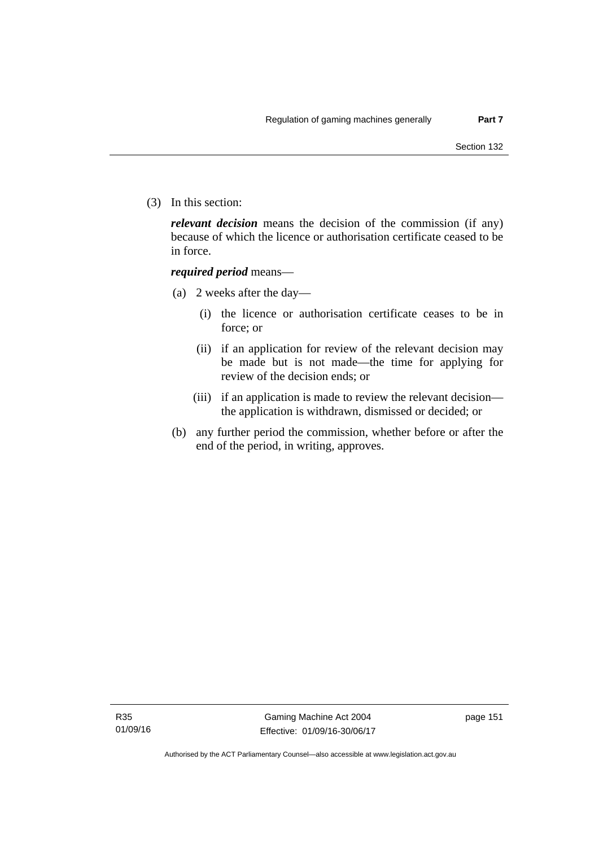(3) In this section:

*relevant decision* means the decision of the commission (if any) because of which the licence or authorisation certificate ceased to be in force.

### *required period* means—

- (a) 2 weeks after the day—
	- (i) the licence or authorisation certificate ceases to be in force; or
	- (ii) if an application for review of the relevant decision may be made but is not made—the time for applying for review of the decision ends; or
	- (iii) if an application is made to review the relevant decision the application is withdrawn, dismissed or decided; or
- (b) any further period the commission, whether before or after the end of the period, in writing, approves.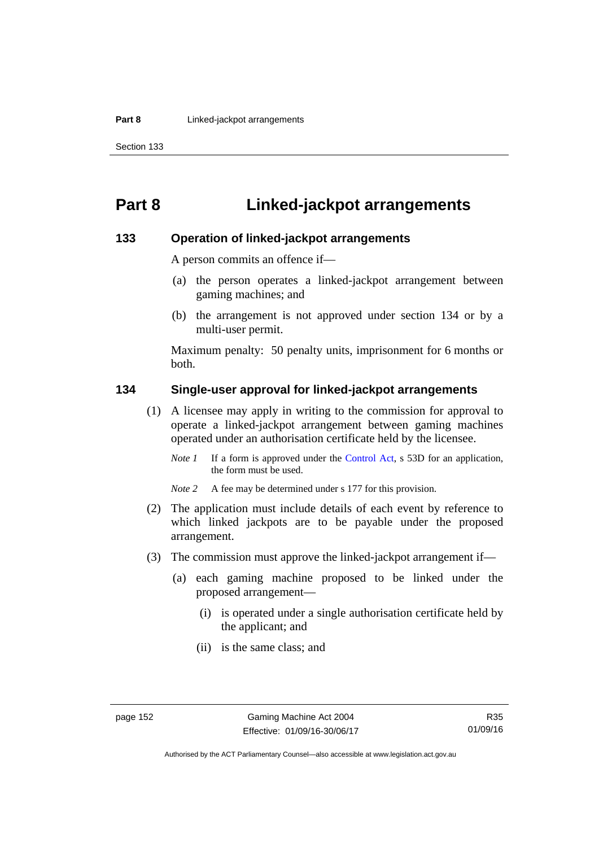# **Part 8 Linked-jackpot arrangements**

### **133 Operation of linked-jackpot arrangements**

A person commits an offence if—

- (a) the person operates a linked-jackpot arrangement between gaming machines; and
- (b) the arrangement is not approved under section 134 or by a multi-user permit.

Maximum penalty: 50 penalty units, imprisonment for 6 months or both.

### **134 Single-user approval for linked-jackpot arrangements**

- (1) A licensee may apply in writing to the commission for approval to operate a linked-jackpot arrangement between gaming machines operated under an authorisation certificate held by the licensee.
	- *Note 1* If a form is approved under the [Control Act,](http://www.legislation.act.gov.au/a/1999-46) s 53D for an application, the form must be used.

*Note 2* A fee may be determined under s 177 for this provision.

- (2) The application must include details of each event by reference to which linked jackpots are to be payable under the proposed arrangement.
- (3) The commission must approve the linked-jackpot arrangement if—
	- (a) each gaming machine proposed to be linked under the proposed arrangement—
		- (i) is operated under a single authorisation certificate held by the applicant; and
		- (ii) is the same class; and

Authorised by the ACT Parliamentary Counsel—also accessible at www.legislation.act.gov.au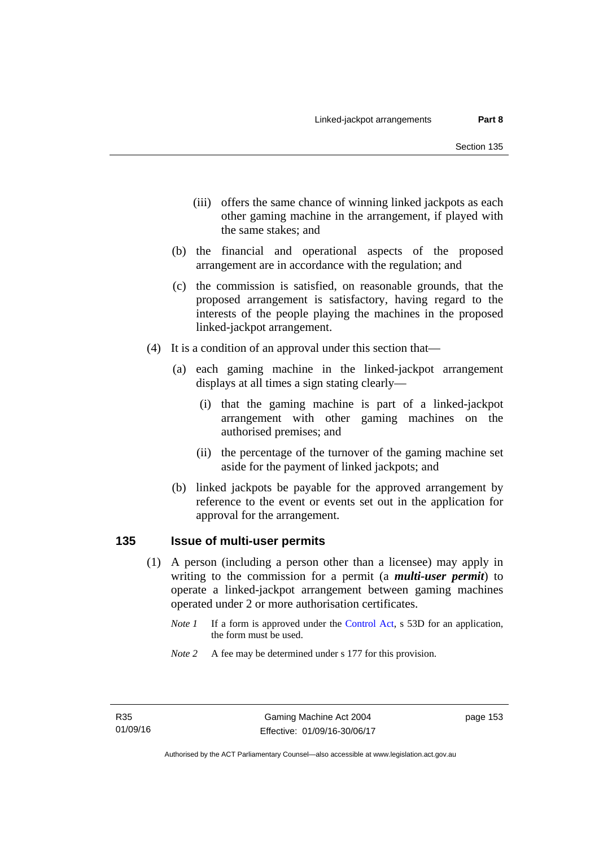- (iii) offers the same chance of winning linked jackpots as each other gaming machine in the arrangement, if played with the same stakes; and
- (b) the financial and operational aspects of the proposed arrangement are in accordance with the regulation; and
- (c) the commission is satisfied, on reasonable grounds, that the proposed arrangement is satisfactory, having regard to the interests of the people playing the machines in the proposed linked-jackpot arrangement.
- (4) It is a condition of an approval under this section that—
	- (a) each gaming machine in the linked-jackpot arrangement displays at all times a sign stating clearly—
		- (i) that the gaming machine is part of a linked-jackpot arrangement with other gaming machines on the authorised premises; and
		- (ii) the percentage of the turnover of the gaming machine set aside for the payment of linked jackpots; and
	- (b) linked jackpots be payable for the approved arrangement by reference to the event or events set out in the application for approval for the arrangement.

## **135 Issue of multi-user permits**

- (1) A person (including a person other than a licensee) may apply in writing to the commission for a permit (a *multi-user permit*) to operate a linked-jackpot arrangement between gaming machines operated under 2 or more authorisation certificates.
	- *Note 1* If a form is approved under the [Control Act,](http://www.legislation.act.gov.au/a/1999-46) s 53D for an application, the form must be used.
	- *Note* 2 A fee may be determined under s 177 for this provision.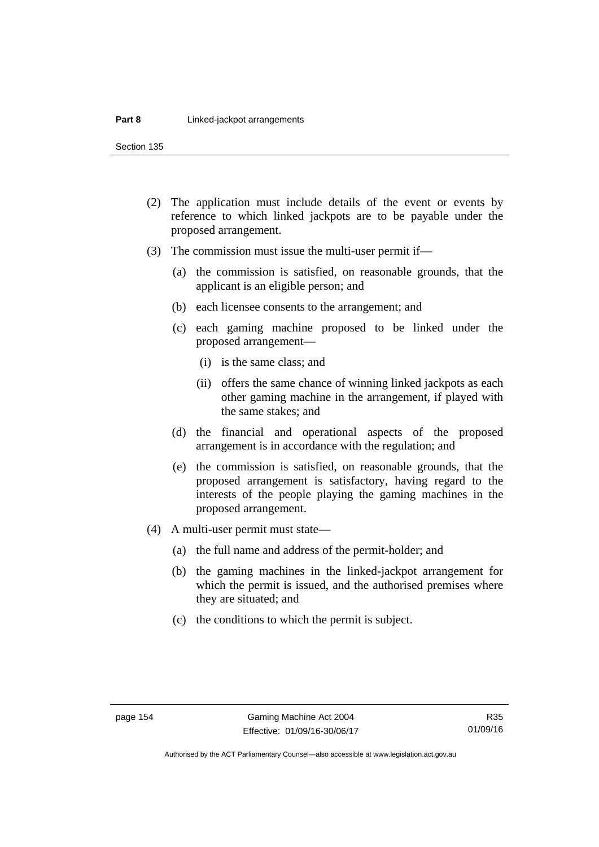Section 135

- (2) The application must include details of the event or events by reference to which linked jackpots are to be payable under the proposed arrangement.
- (3) The commission must issue the multi-user permit if—
	- (a) the commission is satisfied, on reasonable grounds, that the applicant is an eligible person; and
	- (b) each licensee consents to the arrangement; and
	- (c) each gaming machine proposed to be linked under the proposed arrangement—
		- (i) is the same class; and
		- (ii) offers the same chance of winning linked jackpots as each other gaming machine in the arrangement, if played with the same stakes; and
	- (d) the financial and operational aspects of the proposed arrangement is in accordance with the regulation; and
	- (e) the commission is satisfied, on reasonable grounds, that the proposed arrangement is satisfactory, having regard to the interests of the people playing the gaming machines in the proposed arrangement.
- (4) A multi-user permit must state—
	- (a) the full name and address of the permit-holder; and
	- (b) the gaming machines in the linked-jackpot arrangement for which the permit is issued, and the authorised premises where they are situated; and
	- (c) the conditions to which the permit is subject.

Authorised by the ACT Parliamentary Counsel—also accessible at www.legislation.act.gov.au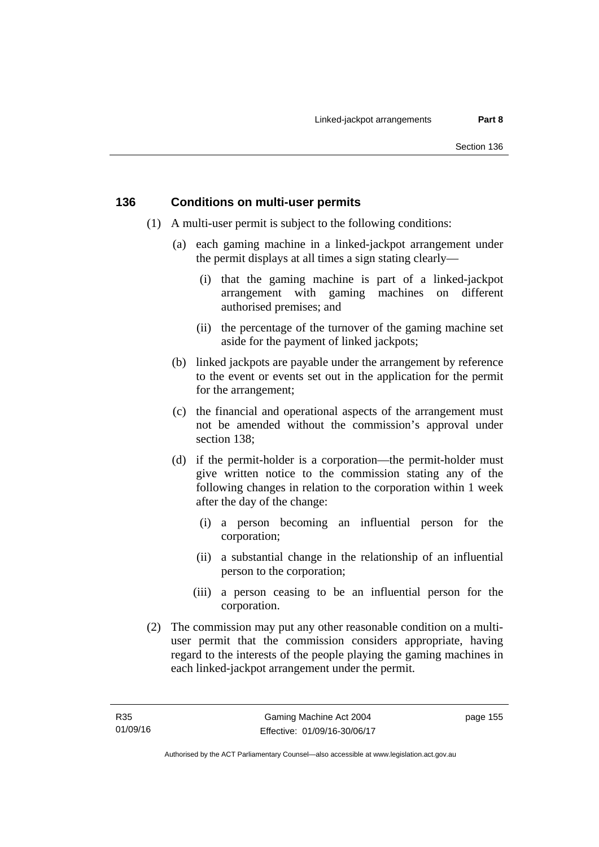### **136 Conditions on multi-user permits**

- (1) A multi-user permit is subject to the following conditions:
	- (a) each gaming machine in a linked-jackpot arrangement under the permit displays at all times a sign stating clearly—
		- (i) that the gaming machine is part of a linked-jackpot arrangement with gaming machines on different authorised premises; and
		- (ii) the percentage of the turnover of the gaming machine set aside for the payment of linked jackpots;
	- (b) linked jackpots are payable under the arrangement by reference to the event or events set out in the application for the permit for the arrangement;
	- (c) the financial and operational aspects of the arrangement must not be amended without the commission's approval under section 138;
	- (d) if the permit-holder is a corporation—the permit-holder must give written notice to the commission stating any of the following changes in relation to the corporation within 1 week after the day of the change:
		- (i) a person becoming an influential person for the corporation;
		- (ii) a substantial change in the relationship of an influential person to the corporation;
		- (iii) a person ceasing to be an influential person for the corporation.
- (2) The commission may put any other reasonable condition on a multiuser permit that the commission considers appropriate, having regard to the interests of the people playing the gaming machines in each linked-jackpot arrangement under the permit.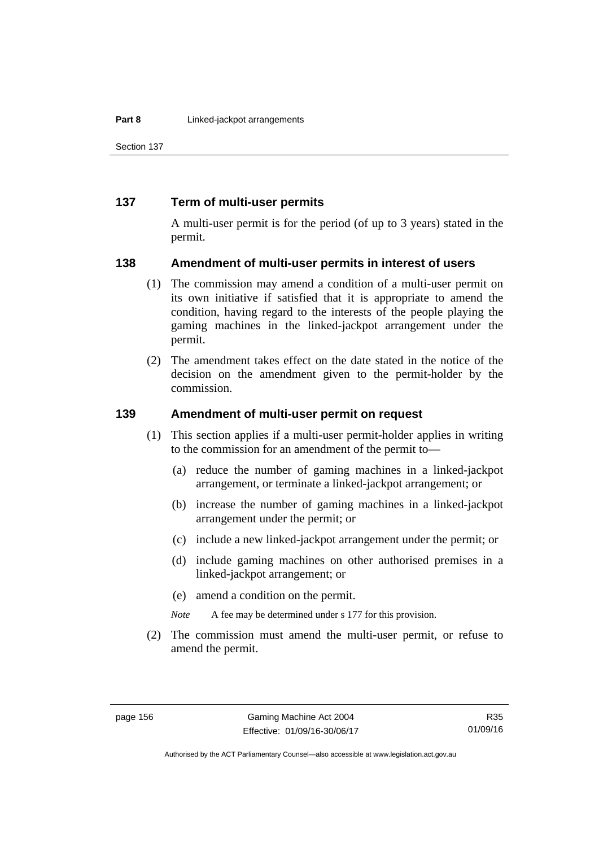Section 137

### **137 Term of multi-user permits**

A multi-user permit is for the period (of up to 3 years) stated in the permit.

### **138 Amendment of multi-user permits in interest of users**

- (1) The commission may amend a condition of a multi-user permit on its own initiative if satisfied that it is appropriate to amend the condition, having regard to the interests of the people playing the gaming machines in the linked-jackpot arrangement under the permit.
- (2) The amendment takes effect on the date stated in the notice of the decision on the amendment given to the permit-holder by the commission.

## **139 Amendment of multi-user permit on request**

- (1) This section applies if a multi-user permit-holder applies in writing to the commission for an amendment of the permit to—
	- (a) reduce the number of gaming machines in a linked-jackpot arrangement, or terminate a linked-jackpot arrangement; or
	- (b) increase the number of gaming machines in a linked-jackpot arrangement under the permit; or
	- (c) include a new linked-jackpot arrangement under the permit; or
	- (d) include gaming machines on other authorised premises in a linked-jackpot arrangement; or
	- (e) amend a condition on the permit.
	- *Note* A fee may be determined under s 177 for this provision.
- (2) The commission must amend the multi-user permit, or refuse to amend the permit.

Authorised by the ACT Parliamentary Counsel—also accessible at www.legislation.act.gov.au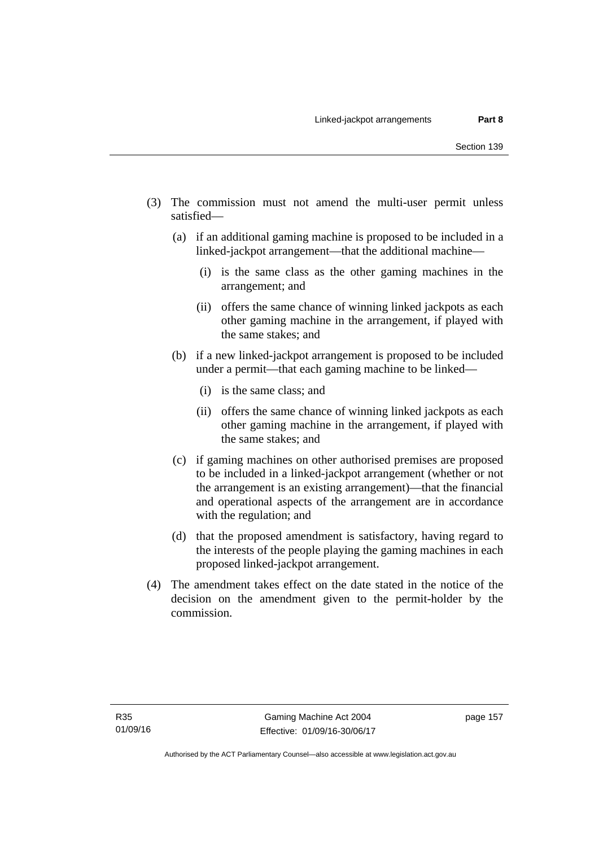- (3) The commission must not amend the multi-user permit unless satisfied—
	- (a) if an additional gaming machine is proposed to be included in a linked-jackpot arrangement—that the additional machine—
		- (i) is the same class as the other gaming machines in the arrangement; and
		- (ii) offers the same chance of winning linked jackpots as each other gaming machine in the arrangement, if played with the same stakes; and
	- (b) if a new linked-jackpot arrangement is proposed to be included under a permit—that each gaming machine to be linked—
		- (i) is the same class; and
		- (ii) offers the same chance of winning linked jackpots as each other gaming machine in the arrangement, if played with the same stakes; and
	- (c) if gaming machines on other authorised premises are proposed to be included in a linked-jackpot arrangement (whether or not the arrangement is an existing arrangement)—that the financial and operational aspects of the arrangement are in accordance with the regulation; and
	- (d) that the proposed amendment is satisfactory, having regard to the interests of the people playing the gaming machines in each proposed linked-jackpot arrangement.
- (4) The amendment takes effect on the date stated in the notice of the decision on the amendment given to the permit-holder by the commission.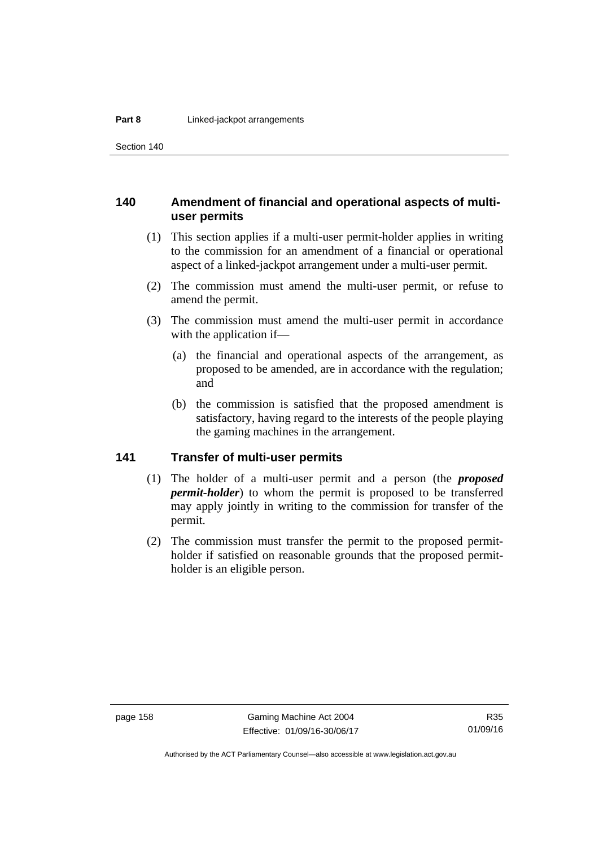Section 140

### **140 Amendment of financial and operational aspects of multiuser permits**

- (1) This section applies if a multi-user permit-holder applies in writing to the commission for an amendment of a financial or operational aspect of a linked-jackpot arrangement under a multi-user permit.
- (2) The commission must amend the multi-user permit, or refuse to amend the permit.
- (3) The commission must amend the multi-user permit in accordance with the application if—
	- (a) the financial and operational aspects of the arrangement, as proposed to be amended, are in accordance with the regulation; and
	- (b) the commission is satisfied that the proposed amendment is satisfactory, having regard to the interests of the people playing the gaming machines in the arrangement.

## **141 Transfer of multi-user permits**

- (1) The holder of a multi-user permit and a person (the *proposed permit-holder*) to whom the permit is proposed to be transferred may apply jointly in writing to the commission for transfer of the permit.
- (2) The commission must transfer the permit to the proposed permitholder if satisfied on reasonable grounds that the proposed permitholder is an eligible person.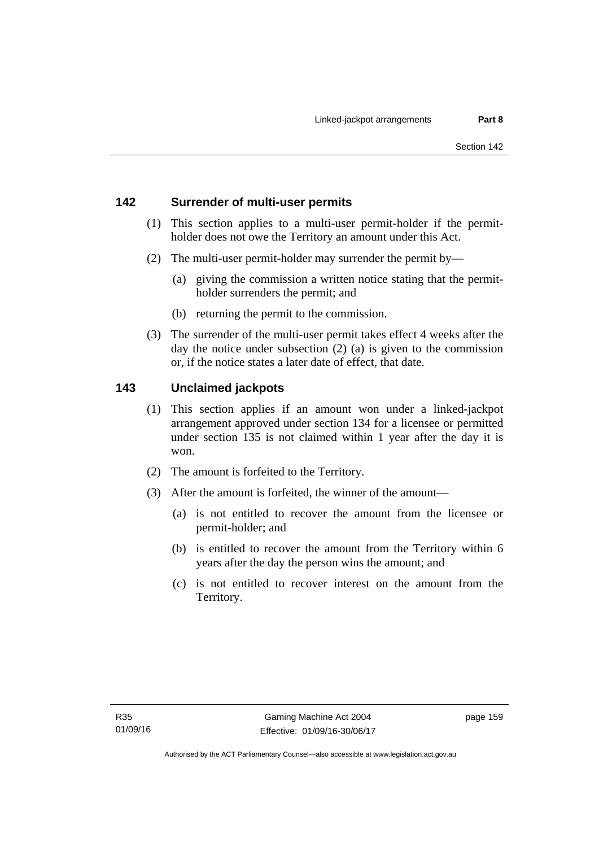## **142 Surrender of multi-user permits**

- (1) This section applies to a multi-user permit-holder if the permitholder does not owe the Territory an amount under this Act.
- (2) The multi-user permit-holder may surrender the permit by—
	- (a) giving the commission a written notice stating that the permitholder surrenders the permit; and
	- (b) returning the permit to the commission.
- (3) The surrender of the multi-user permit takes effect 4 weeks after the day the notice under subsection (2) (a) is given to the commission or, if the notice states a later date of effect, that date.

## **143 Unclaimed jackpots**

- (1) This section applies if an amount won under a linked-jackpot arrangement approved under section 134 for a licensee or permitted under section 135 is not claimed within 1 year after the day it is won.
- (2) The amount is forfeited to the Territory.
- (3) After the amount is forfeited, the winner of the amount—
	- (a) is not entitled to recover the amount from the licensee or permit-holder; and
	- (b) is entitled to recover the amount from the Territory within 6 years after the day the person wins the amount; and
	- (c) is not entitled to recover interest on the amount from the Territory.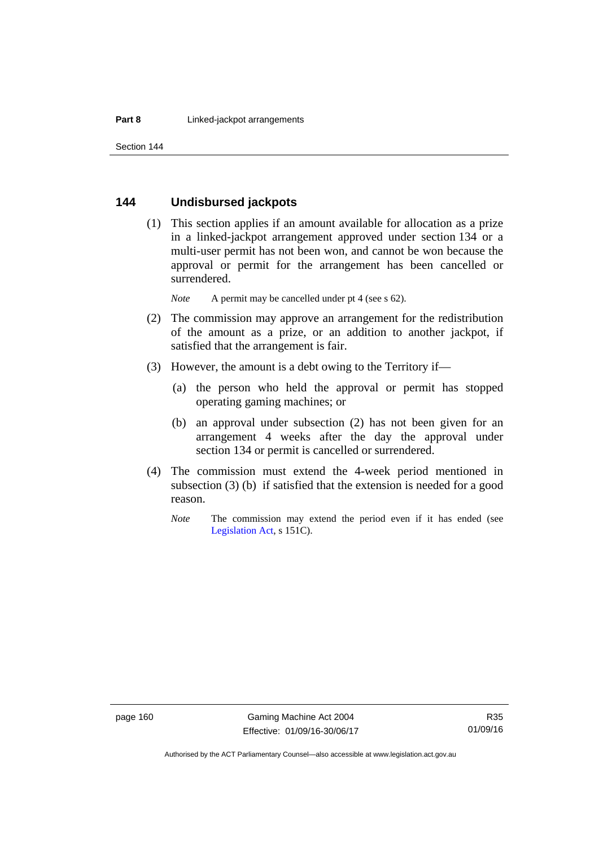### **144 Undisbursed jackpots**

 (1) This section applies if an amount available for allocation as a prize in a linked-jackpot arrangement approved under section 134 or a multi-user permit has not been won, and cannot be won because the approval or permit for the arrangement has been cancelled or surrendered.

*Note* A permit may be cancelled under pt 4 (see s 62).

- (2) The commission may approve an arrangement for the redistribution of the amount as a prize, or an addition to another jackpot, if satisfied that the arrangement is fair.
- (3) However, the amount is a debt owing to the Territory if—
	- (a) the person who held the approval or permit has stopped operating gaming machines; or
	- (b) an approval under subsection (2) has not been given for an arrangement 4 weeks after the day the approval under section 134 or permit is cancelled or surrendered.
- (4) The commission must extend the 4-week period mentioned in subsection (3) (b) if satisfied that the extension is needed for a good reason.
	- *Note* The commission may extend the period even if it has ended (see [Legislation Act,](http://www.legislation.act.gov.au/a/2001-14) s 151C).

R35 01/09/16

Authorised by the ACT Parliamentary Counsel—also accessible at www.legislation.act.gov.au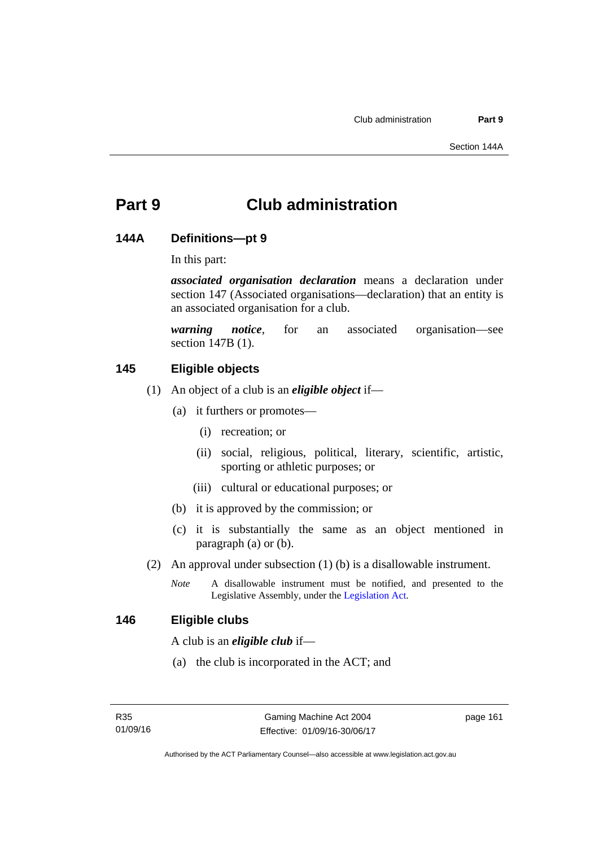# **Part 9 Club administration**

### **144A Definitions—pt 9**

In this part:

*associated organisation declaration* means a declaration under section 147 (Associated organisations—declaration) that an entity is an associated organisation for a club.

*warning notice*, for an associated organisation—see section 147B (1).

## **145 Eligible objects**

- (1) An object of a club is an *eligible object* if—
	- (a) it furthers or promotes—
		- (i) recreation; or
		- (ii) social, religious, political, literary, scientific, artistic, sporting or athletic purposes; or
		- (iii) cultural or educational purposes; or
	- (b) it is approved by the commission; or
	- (c) it is substantially the same as an object mentioned in paragraph (a) or (b).
- (2) An approval under subsection (1) (b) is a disallowable instrument.
	- *Note* A disallowable instrument must be notified, and presented to the Legislative Assembly, under the [Legislation Act.](http://www.legislation.act.gov.au/a/2001-14)

### **146 Eligible clubs**

A club is an *eligible club* if—

(a) the club is incorporated in the ACT; and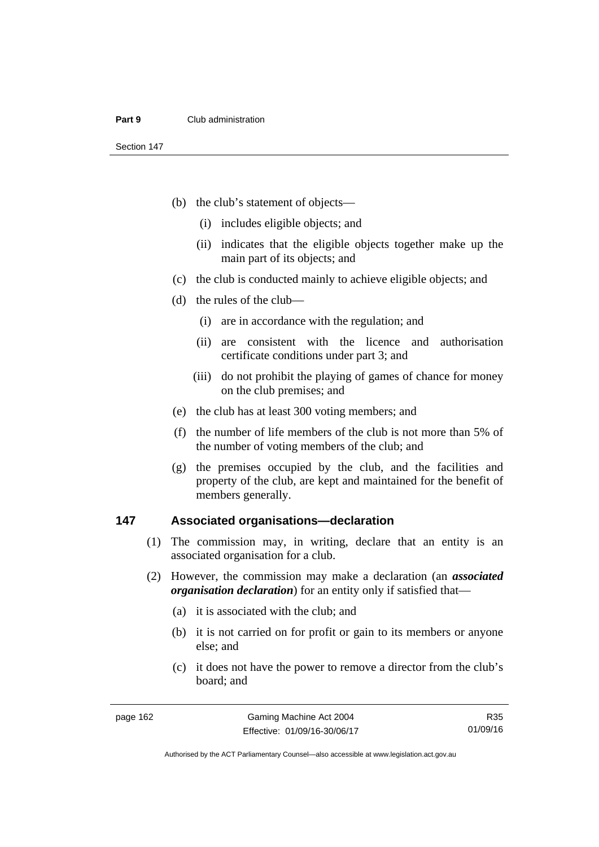- (b) the club's statement of objects—
	- (i) includes eligible objects; and
	- (ii) indicates that the eligible objects together make up the main part of its objects; and
- (c) the club is conducted mainly to achieve eligible objects; and
- (d) the rules of the club—
	- (i) are in accordance with the regulation; and
	- (ii) are consistent with the licence and authorisation certificate conditions under part 3; and
	- (iii) do not prohibit the playing of games of chance for money on the club premises; and
- (e) the club has at least 300 voting members; and
- (f) the number of life members of the club is not more than 5% of the number of voting members of the club; and
- (g) the premises occupied by the club, and the facilities and property of the club, are kept and maintained for the benefit of members generally.

### **147 Associated organisations—declaration**

- (1) The commission may, in writing, declare that an entity is an associated organisation for a club.
- (2) However, the commission may make a declaration (an *associated organisation declaration*) for an entity only if satisfied that—
	- (a) it is associated with the club; and
	- (b) it is not carried on for profit or gain to its members or anyone else; and
	- (c) it does not have the power to remove a director from the club's board; and

R35 01/09/16

Authorised by the ACT Parliamentary Counsel—also accessible at www.legislation.act.gov.au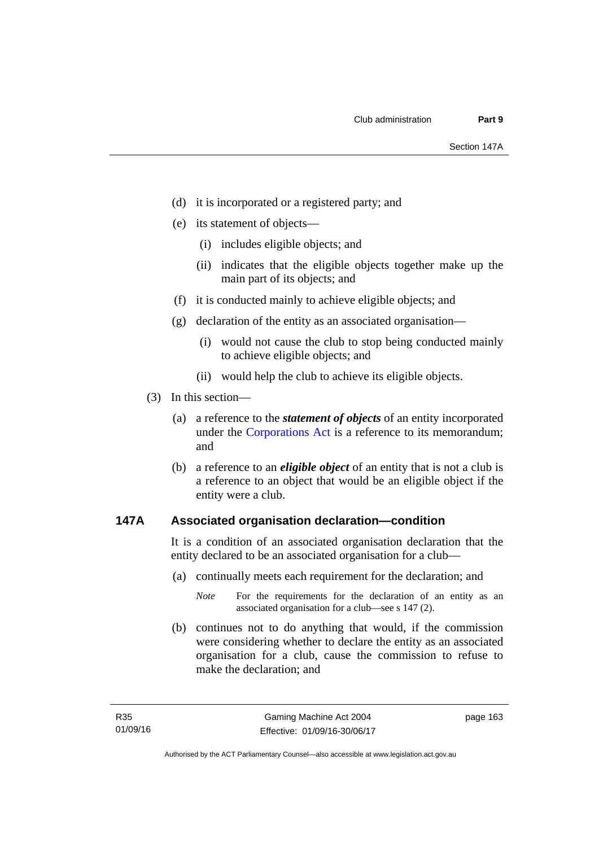- (d) it is incorporated or a registered party; and
- (e) its statement of objects—
	- (i) includes eligible objects; and
	- (ii) indicates that the eligible objects together make up the main part of its objects; and
- (f) it is conducted mainly to achieve eligible objects; and
- (g) declaration of the entity as an associated organisation—
	- (i) would not cause the club to stop being conducted mainly to achieve eligible objects; and
	- (ii) would help the club to achieve its eligible objects.
- (3) In this section—
	- (a) a reference to the *statement of objects* of an entity incorporated under the [Corporations Act](http://www.comlaw.gov.au/Series/C2004A00818) is a reference to its memorandum; and
	- (b) a reference to an *eligible object* of an entity that is not a club is a reference to an object that would be an eligible object if the entity were a club.

### **147A Associated organisation declaration—condition**

It is a condition of an associated organisation declaration that the entity declared to be an associated organisation for a club—

- (a) continually meets each requirement for the declaration; and
	- *Note* For the requirements for the declaration of an entity as an associated organisation for a club—see s 147 (2).
- (b) continues not to do anything that would, if the commission were considering whether to declare the entity as an associated organisation for a club, cause the commission to refuse to make the declaration; and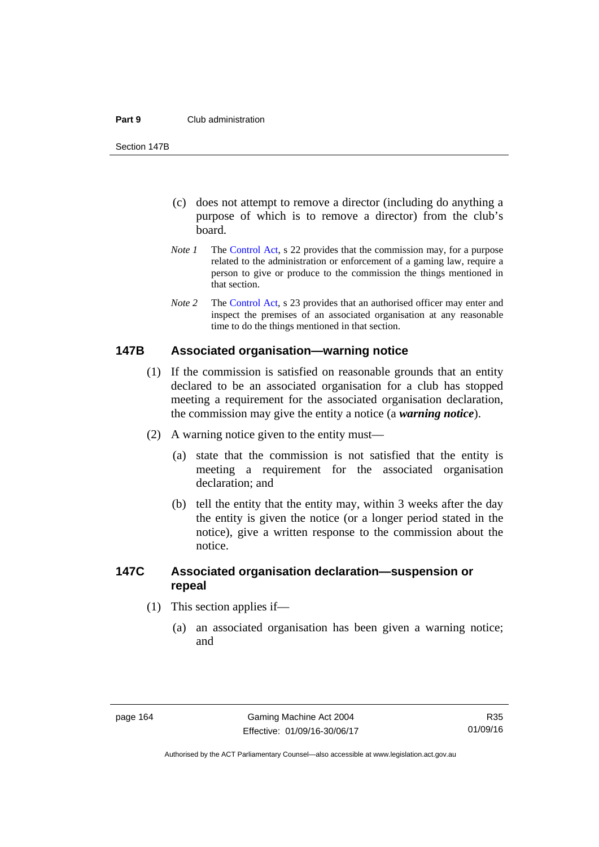#### **Part 9** Club administration

Section 147B

- (c) does not attempt to remove a director (including do anything a purpose of which is to remove a director) from the club's board.
- *Note 1* The [Control Act,](http://www.legislation.act.gov.au/a/1999-46) s 22 provides that the commission may, for a purpose related to the administration or enforcement of a gaming law, require a person to give or produce to the commission the things mentioned in that section.
- *Note 2* The [Control Act](http://www.legislation.act.gov.au/a/1999-46), s 23 provides that an authorised officer may enter and inspect the premises of an associated organisation at any reasonable time to do the things mentioned in that section.

### **147B Associated organisation—warning notice**

- (1) If the commission is satisfied on reasonable grounds that an entity declared to be an associated organisation for a club has stopped meeting a requirement for the associated organisation declaration, the commission may give the entity a notice (a *warning notice*).
- (2) A warning notice given to the entity must—
	- (a) state that the commission is not satisfied that the entity is meeting a requirement for the associated organisation declaration; and
	- (b) tell the entity that the entity may, within 3 weeks after the day the entity is given the notice (or a longer period stated in the notice), give a written response to the commission about the notice.

## **147C Associated organisation declaration—suspension or repeal**

- (1) This section applies if—
	- (a) an associated organisation has been given a warning notice; and

Authorised by the ACT Parliamentary Counsel—also accessible at www.legislation.act.gov.au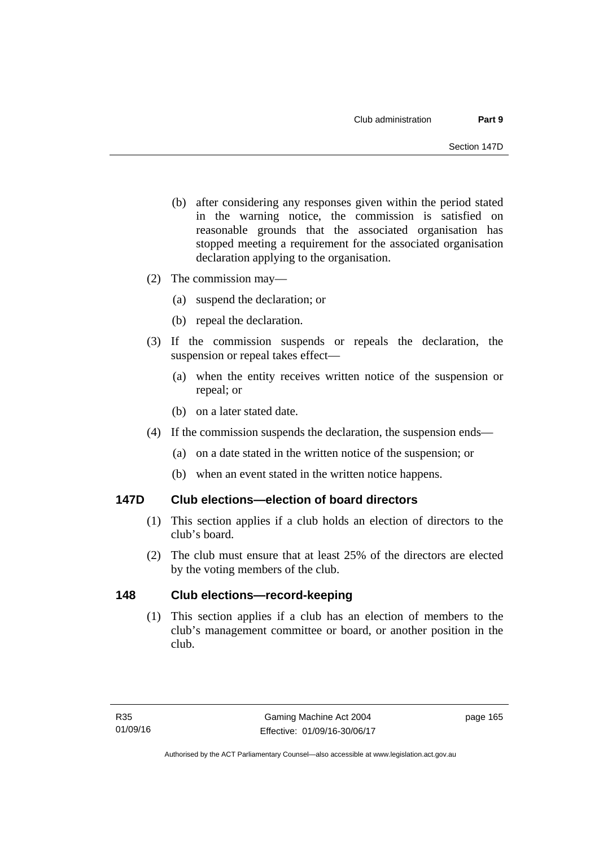- (b) after considering any responses given within the period stated in the warning notice, the commission is satisfied on reasonable grounds that the associated organisation has stopped meeting a requirement for the associated organisation declaration applying to the organisation.
- (2) The commission may—
	- (a) suspend the declaration; or
	- (b) repeal the declaration.
- (3) If the commission suspends or repeals the declaration, the suspension or repeal takes effect—
	- (a) when the entity receives written notice of the suspension or repeal; or
	- (b) on a later stated date.
- (4) If the commission suspends the declaration, the suspension ends—
	- (a) on a date stated in the written notice of the suspension; or
	- (b) when an event stated in the written notice happens.

## **147D Club elections—election of board directors**

- (1) This section applies if a club holds an election of directors to the club's board.
- (2) The club must ensure that at least 25% of the directors are elected by the voting members of the club.

## **148 Club elections—record-keeping**

(1) This section applies if a club has an election of members to the club's management committee or board, or another position in the club.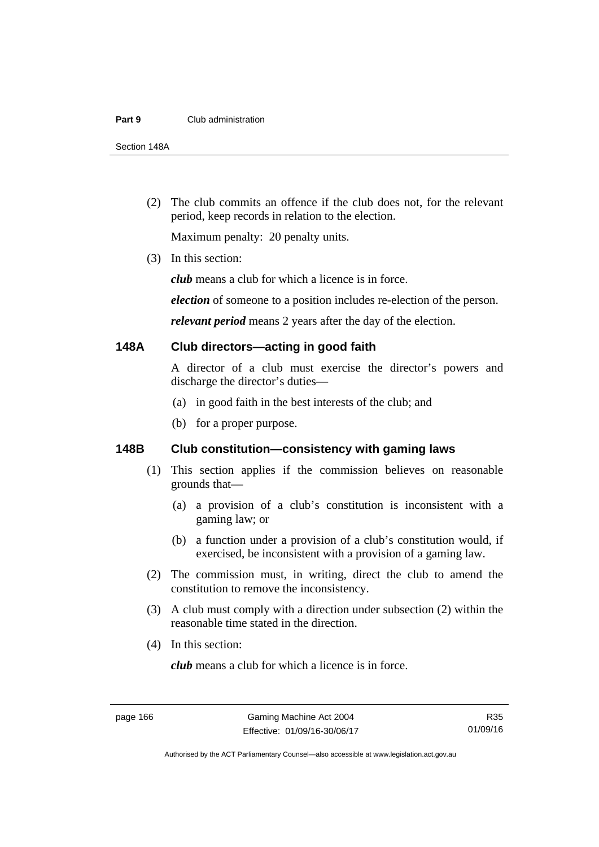#### **Part 9** Club administration

Section 148A

 (2) The club commits an offence if the club does not, for the relevant period, keep records in relation to the election.

Maximum penalty: 20 penalty units.

(3) In this section:

*club* means a club for which a licence is in force.

*election* of someone to a position includes re-election of the person.

*relevant period* means 2 years after the day of the election.

#### **148A Club directors—acting in good faith**

A director of a club must exercise the director's powers and discharge the director's duties—

- (a) in good faith in the best interests of the club; and
- (b) for a proper purpose.

## **148B Club constitution—consistency with gaming laws**

- (1) This section applies if the commission believes on reasonable grounds that—
	- (a) a provision of a club's constitution is inconsistent with a gaming law; or
	- (b) a function under a provision of a club's constitution would, if exercised, be inconsistent with a provision of a gaming law.
- (2) The commission must, in writing, direct the club to amend the constitution to remove the inconsistency.
- (3) A club must comply with a direction under subsection (2) within the reasonable time stated in the direction.
- (4) In this section:

*club* means a club for which a licence is in force.

R35 01/09/16

Authorised by the ACT Parliamentary Counsel—also accessible at www.legislation.act.gov.au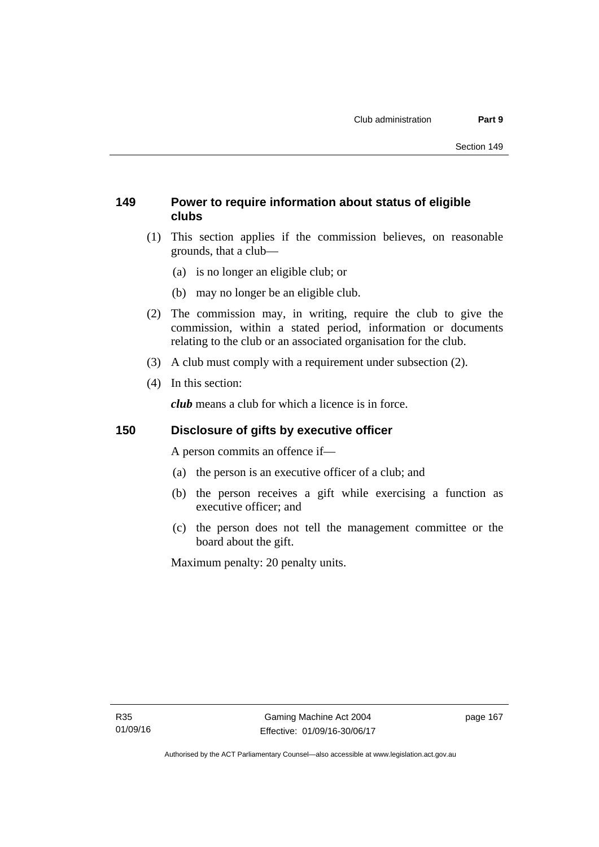# **149 Power to require information about status of eligible clubs**

- (1) This section applies if the commission believes, on reasonable grounds, that a club—
	- (a) is no longer an eligible club; or
	- (b) may no longer be an eligible club.
- (2) The commission may, in writing, require the club to give the commission, within a stated period, information or documents relating to the club or an associated organisation for the club.
- (3) A club must comply with a requirement under subsection (2).
- (4) In this section:

*club* means a club for which a licence is in force.

# **150 Disclosure of gifts by executive officer**

A person commits an offence if—

- (a) the person is an executive officer of a club; and
- (b) the person receives a gift while exercising a function as executive officer; and
- (c) the person does not tell the management committee or the board about the gift.

Maximum penalty: 20 penalty units.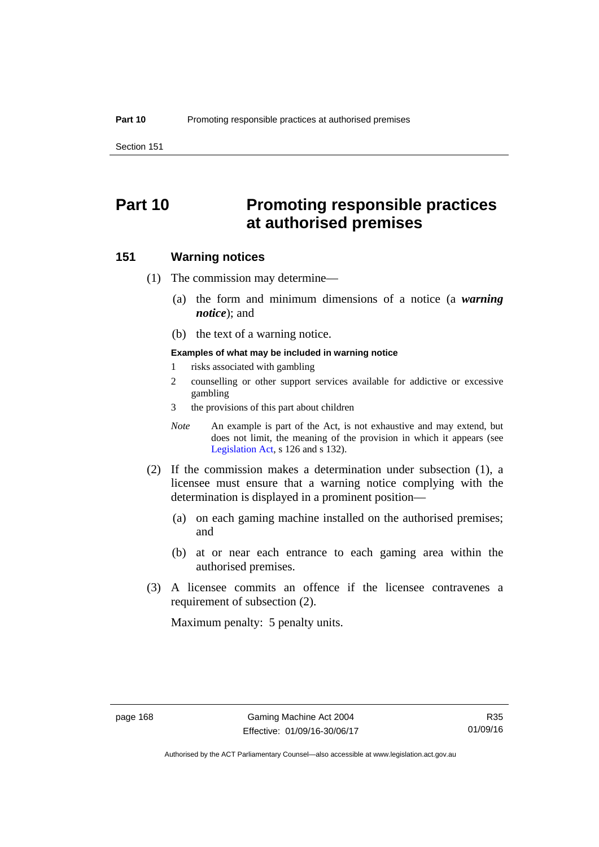Section 151

# **Part 10 Promoting responsible practices at authorised premises**

#### **151 Warning notices**

- (1) The commission may determine—
	- (a) the form and minimum dimensions of a notice (a *warning notice*); and
	- (b) the text of a warning notice.

#### **Examples of what may be included in warning notice**

- 1 risks associated with gambling
- 2 counselling or other support services available for addictive or excessive gambling
- 3 the provisions of this part about children
- *Note* An example is part of the Act, is not exhaustive and may extend, but does not limit, the meaning of the provision in which it appears (see [Legislation Act,](http://www.legislation.act.gov.au/a/2001-14) s 126 and s 132).
- (2) If the commission makes a determination under subsection (1), a licensee must ensure that a warning notice complying with the determination is displayed in a prominent position—
	- (a) on each gaming machine installed on the authorised premises; and
	- (b) at or near each entrance to each gaming area within the authorised premises.
- (3) A licensee commits an offence if the licensee contravenes a requirement of subsection (2).

Maximum penalty: 5 penalty units.

Authorised by the ACT Parliamentary Counsel—also accessible at www.legislation.act.gov.au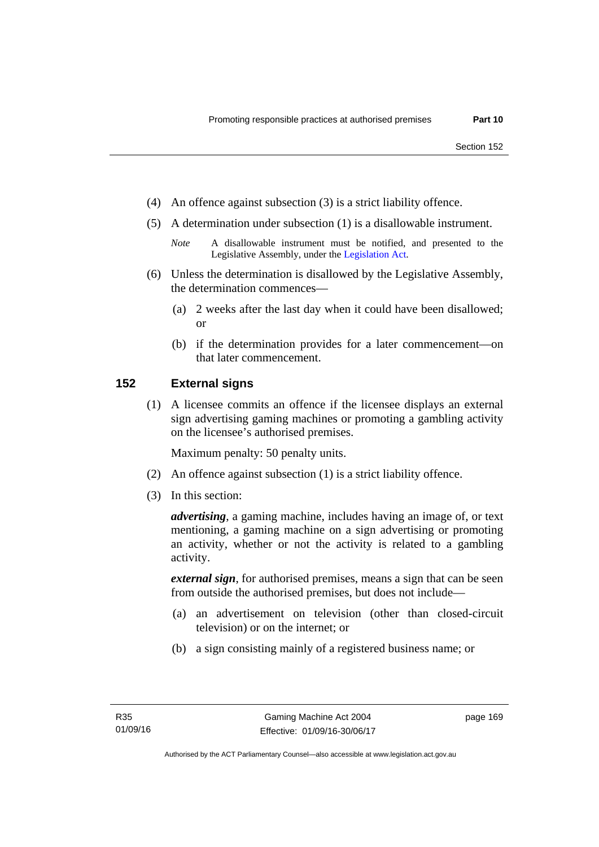- (4) An offence against subsection (3) is a strict liability offence.
- (5) A determination under subsection (1) is a disallowable instrument.
	- *Note* A disallowable instrument must be notified, and presented to the Legislative Assembly, under the [Legislation Act.](http://www.legislation.act.gov.au/a/2001-14)
- (6) Unless the determination is disallowed by the Legislative Assembly, the determination commences—
	- (a) 2 weeks after the last day when it could have been disallowed; or
	- (b) if the determination provides for a later commencement—on that later commencement.

### **152 External signs**

(1) A licensee commits an offence if the licensee displays an external sign advertising gaming machines or promoting a gambling activity on the licensee's authorised premises.

Maximum penalty: 50 penalty units.

- (2) An offence against subsection (1) is a strict liability offence.
- (3) In this section:

*advertising*, a gaming machine, includes having an image of, or text mentioning, a gaming machine on a sign advertising or promoting an activity, whether or not the activity is related to a gambling activity.

*external sign*, for authorised premises, means a sign that can be seen from outside the authorised premises, but does not include—

- (a) an advertisement on television (other than closed-circuit television) or on the internet; or
- (b) a sign consisting mainly of a registered business name; or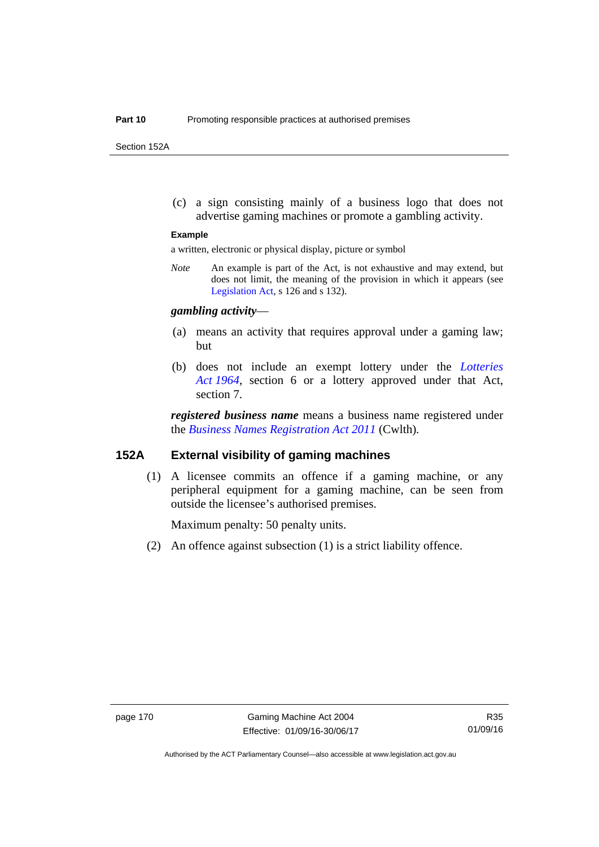Section 152A

 (c) a sign consisting mainly of a business logo that does not advertise gaming machines or promote a gambling activity.

#### **Example**

a written, electronic or physical display, picture or symbol

*Note* An example is part of the Act, is not exhaustive and may extend, but does not limit, the meaning of the provision in which it appears (see [Legislation Act,](http://www.legislation.act.gov.au/a/2001-14) s 126 and s 132).

#### *gambling activity*—

- (a) means an activity that requires approval under a gaming law; but
- (b) does not include an exempt lottery under the *[Lotteries](http://www.legislation.act.gov.au/a/1964-13)  [Act 1964](http://www.legislation.act.gov.au/a/1964-13)*, section 6 or a lottery approved under that Act, section 7.

*registered business name* means a business name registered under the *[Business Names Registration Act 2011](http://www.comlaw.gov.au/Series/C2011A00126)* (Cwlth)*.*

#### **152A External visibility of gaming machines**

(1) A licensee commits an offence if a gaming machine, or any peripheral equipment for a gaming machine, can be seen from outside the licensee's authorised premises.

Maximum penalty: 50 penalty units.

(2) An offence against subsection (1) is a strict liability offence.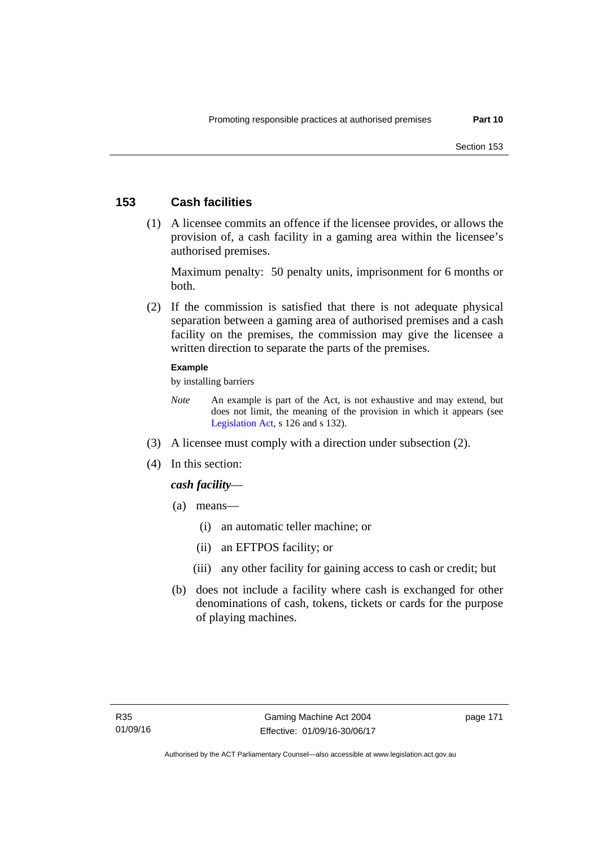## **153 Cash facilities**

 (1) A licensee commits an offence if the licensee provides, or allows the provision of, a cash facility in a gaming area within the licensee's authorised premises.

Maximum penalty: 50 penalty units, imprisonment for 6 months or both.

 (2) If the commission is satisfied that there is not adequate physical separation between a gaming area of authorised premises and a cash facility on the premises, the commission may give the licensee a written direction to separate the parts of the premises.

#### **Example**

by installing barriers

- *Note* An example is part of the Act, is not exhaustive and may extend, but does not limit, the meaning of the provision in which it appears (see [Legislation Act,](http://www.legislation.act.gov.au/a/2001-14) s 126 and s 132).
- (3) A licensee must comply with a direction under subsection (2).
- (4) In this section:

## *cash facility*—

- (a) means—
	- (i) an automatic teller machine; or
	- (ii) an EFTPOS facility; or
	- (iii) any other facility for gaining access to cash or credit; but
- (b) does not include a facility where cash is exchanged for other denominations of cash, tokens, tickets or cards for the purpose of playing machines.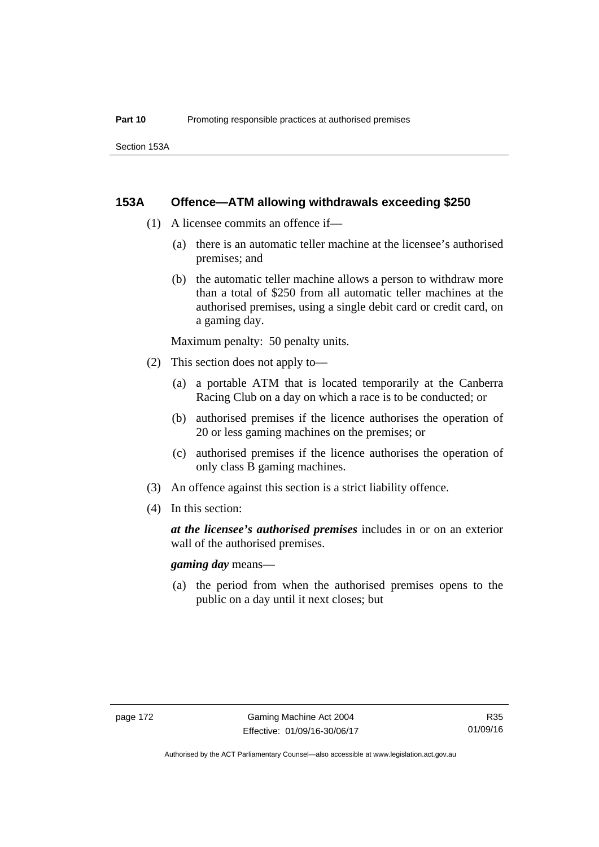### **153A Offence—ATM allowing withdrawals exceeding \$250**

- (1) A licensee commits an offence if—
	- (a) there is an automatic teller machine at the licensee's authorised premises; and
	- (b) the automatic teller machine allows a person to withdraw more than a total of \$250 from all automatic teller machines at the authorised premises, using a single debit card or credit card, on a gaming day.

Maximum penalty: 50 penalty units.

- (2) This section does not apply to—
	- (a) a portable ATM that is located temporarily at the Canberra Racing Club on a day on which a race is to be conducted; or
	- (b) authorised premises if the licence authorises the operation of 20 or less gaming machines on the premises; or
	- (c) authorised premises if the licence authorises the operation of only class B gaming machines.
- (3) An offence against this section is a strict liability offence.
- (4) In this section:

*at the licensee's authorised premises* includes in or on an exterior wall of the authorised premises.

*gaming day* means—

 (a) the period from when the authorised premises opens to the public on a day until it next closes; but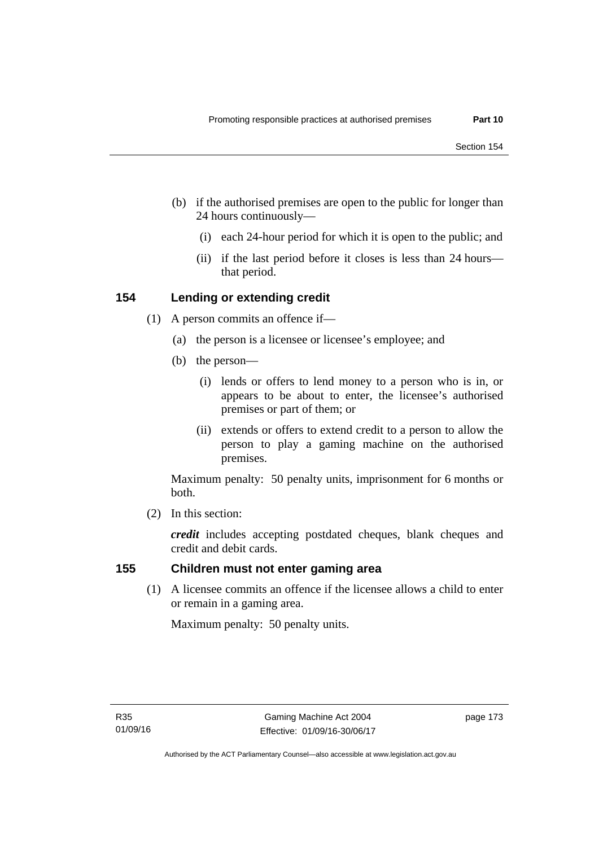- (b) if the authorised premises are open to the public for longer than 24 hours continuously—
	- (i) each 24-hour period for which it is open to the public; and
	- (ii) if the last period before it closes is less than 24 hours that period.

## **154 Lending or extending credit**

- (1) A person commits an offence if—
	- (a) the person is a licensee or licensee's employee; and
	- (b) the person—
		- (i) lends or offers to lend money to a person who is in, or appears to be about to enter, the licensee's authorised premises or part of them; or
		- (ii) extends or offers to extend credit to a person to allow the person to play a gaming machine on the authorised premises.

Maximum penalty: 50 penalty units, imprisonment for 6 months or both.

(2) In this section:

*credit* includes accepting postdated cheques, blank cheques and credit and debit cards.

## **155 Children must not enter gaming area**

(1) A licensee commits an offence if the licensee allows a child to enter or remain in a gaming area.

Maximum penalty: 50 penalty units.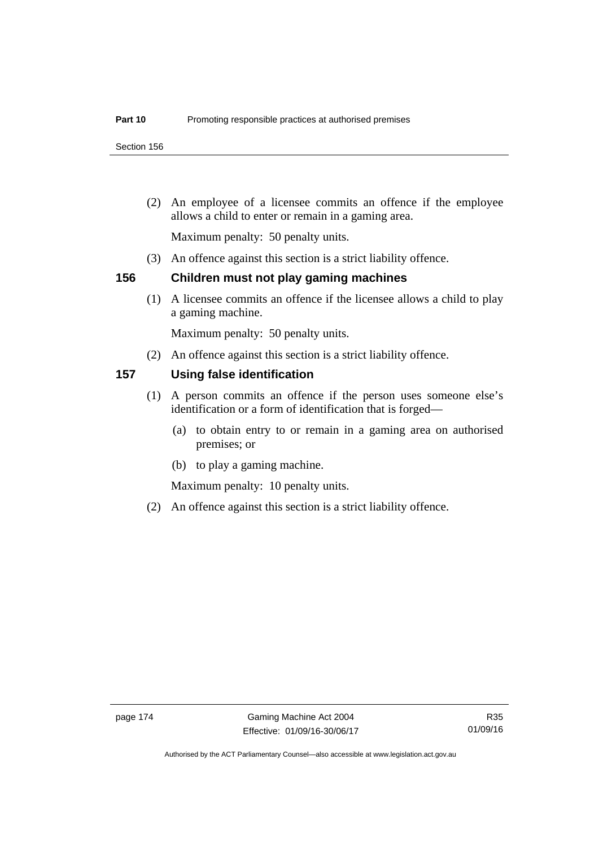Section 156

 (2) An employee of a licensee commits an offence if the employee allows a child to enter or remain in a gaming area.

Maximum penalty: 50 penalty units.

(3) An offence against this section is a strict liability offence.

## **156 Children must not play gaming machines**

(1) A licensee commits an offence if the licensee allows a child to play a gaming machine.

Maximum penalty: 50 penalty units.

(2) An offence against this section is a strict liability offence.

## **157 Using false identification**

- (1) A person commits an offence if the person uses someone else's identification or a form of identification that is forged—
	- (a) to obtain entry to or remain in a gaming area on authorised premises; or
	- (b) to play a gaming machine.

Maximum penalty: 10 penalty units.

(2) An offence against this section is a strict liability offence.

Authorised by the ACT Parliamentary Counsel—also accessible at www.legislation.act.gov.au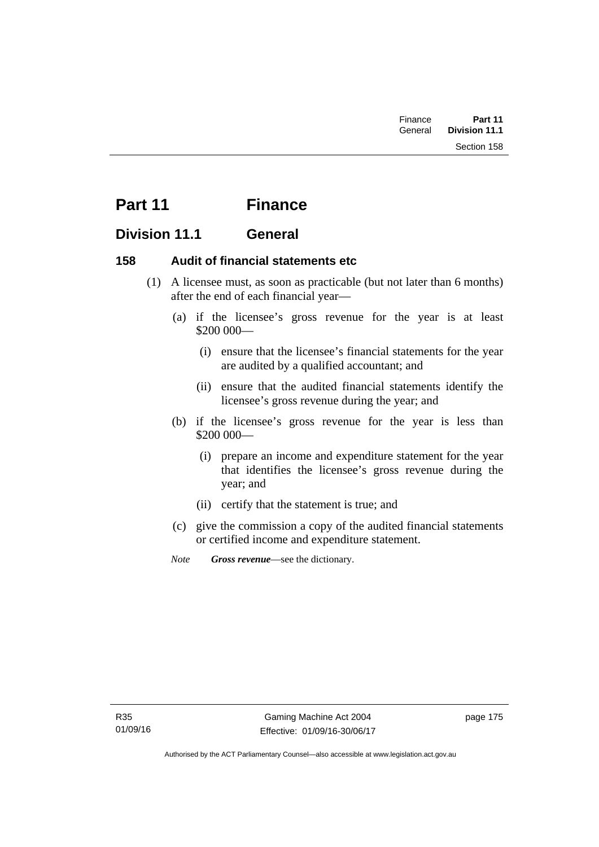| Finance | Part 11              |
|---------|----------------------|
| General | <b>Division 11.1</b> |
|         | Section 158          |

# **Part 11 Finance**

# **Division 11.1 General**

## **158 Audit of financial statements etc**

- (1) A licensee must, as soon as practicable (but not later than 6 months) after the end of each financial year—
	- (a) if the licensee's gross revenue for the year is at least \$200 000—
		- (i) ensure that the licensee's financial statements for the year are audited by a qualified accountant; and
		- (ii) ensure that the audited financial statements identify the licensee's gross revenue during the year; and
	- (b) if the licensee's gross revenue for the year is less than \$200 000—
		- (i) prepare an income and expenditure statement for the year that identifies the licensee's gross revenue during the year; and
		- (ii) certify that the statement is true; and
	- (c) give the commission a copy of the audited financial statements or certified income and expenditure statement.
	- *Note Gross revenue*—see the dictionary.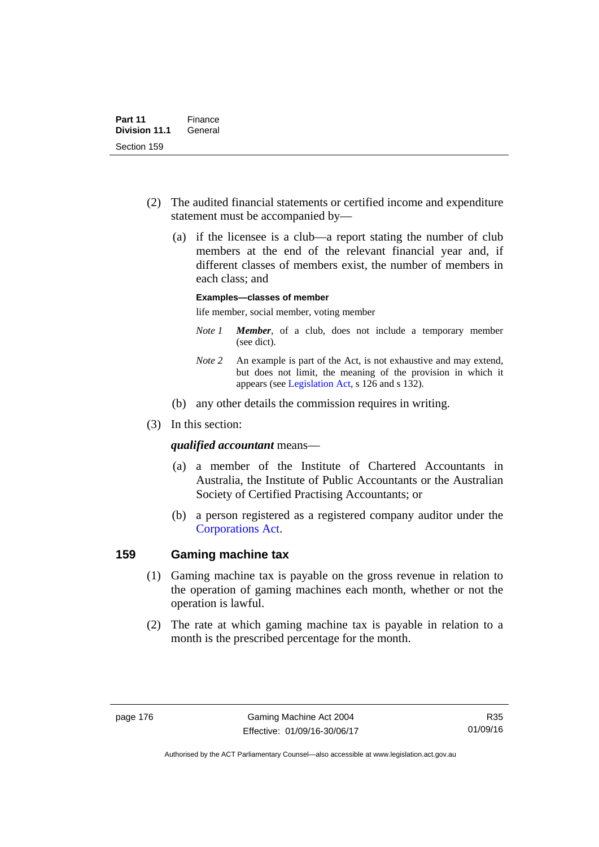- (2) The audited financial statements or certified income and expenditure statement must be accompanied by—
	- (a) if the licensee is a club—a report stating the number of club members at the end of the relevant financial year and, if different classes of members exist, the number of members in each class; and

#### **Examples—classes of member**

life member, social member, voting member

- *Note 1 Member*, of a club, does not include a temporary member (see dict).
- *Note 2* An example is part of the Act, is not exhaustive and may extend, but does not limit, the meaning of the provision in which it appears (see [Legislation Act,](http://www.legislation.act.gov.au/a/2001-14) s 126 and s 132).
- (b) any other details the commission requires in writing.
- (3) In this section:

#### *qualified accountant* means—

- (a) a member of the Institute of Chartered Accountants in Australia, the Institute of Public Accountants or the Australian Society of Certified Practising Accountants; or
- (b) a person registered as a registered company auditor under the [Corporations Act.](http://www.comlaw.gov.au/Series/C2004A00818)

### **159 Gaming machine tax**

- (1) Gaming machine tax is payable on the gross revenue in relation to the operation of gaming machines each month, whether or not the operation is lawful.
- (2) The rate at which gaming machine tax is payable in relation to a month is the prescribed percentage for the month.

R35 01/09/16

Authorised by the ACT Parliamentary Counsel—also accessible at www.legislation.act.gov.au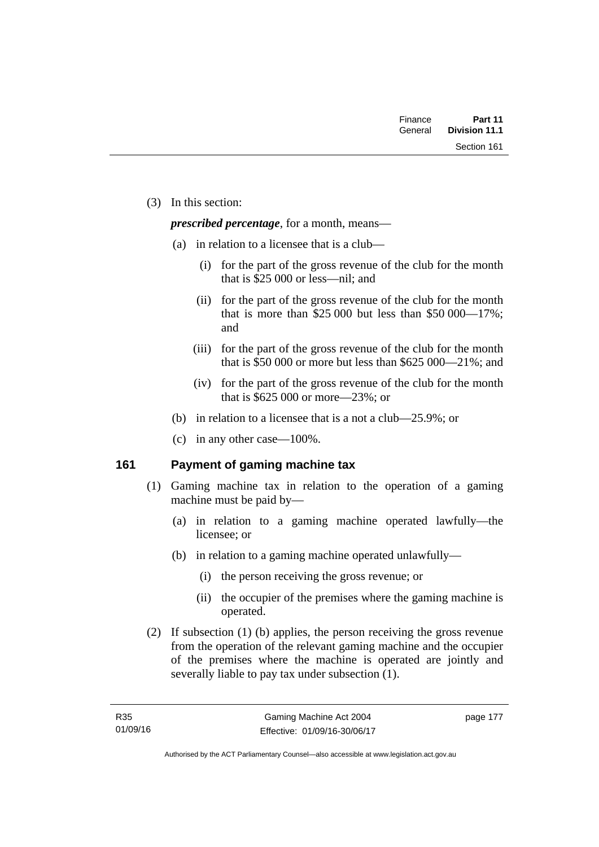| Finance | Part 11              |
|---------|----------------------|
| General | <b>Division 11.1</b> |
|         | Section 161          |

(3) In this section:

*prescribed percentage*, for a month, means—

- (a) in relation to a licensee that is a club—
	- (i) for the part of the gross revenue of the club for the month that is \$25 000 or less—nil; and
	- (ii) for the part of the gross revenue of the club for the month that is more than \$25,000 but less than \$50,000—17%; and
	- (iii) for the part of the gross revenue of the club for the month that is \$50 000 or more but less than \$625 000—21%; and
	- (iv) for the part of the gross revenue of the club for the month that is \$625 000 or more—23%; or
- (b) in relation to a licensee that is a not a club—25.9%; or
- (c) in any other case—100%.

# **161 Payment of gaming machine tax**

- (1) Gaming machine tax in relation to the operation of a gaming machine must be paid by—
	- (a) in relation to a gaming machine operated lawfully—the licensee; or
	- (b) in relation to a gaming machine operated unlawfully—
		- (i) the person receiving the gross revenue; or
		- (ii) the occupier of the premises where the gaming machine is operated.
- (2) If subsection (1) (b) applies, the person receiving the gross revenue from the operation of the relevant gaming machine and the occupier of the premises where the machine is operated are jointly and severally liable to pay tax under subsection (1).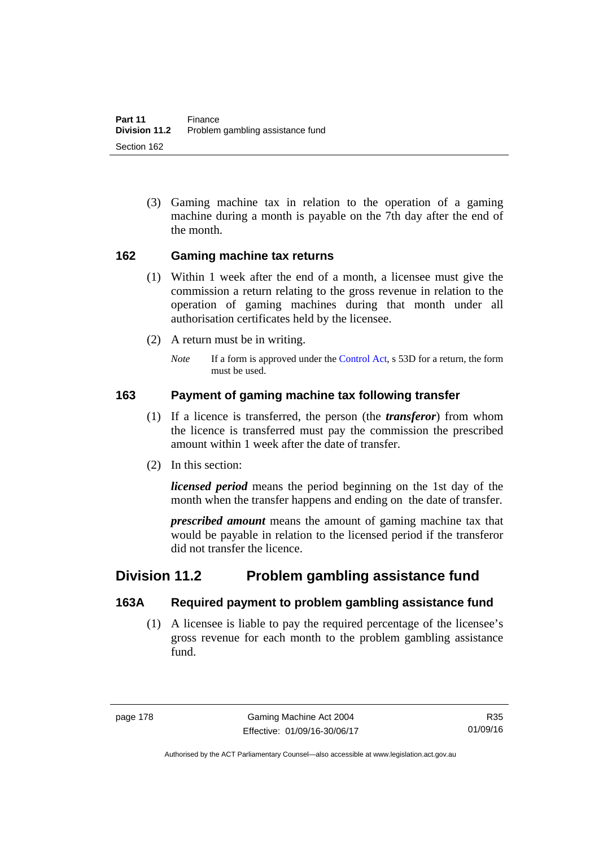(3) Gaming machine tax in relation to the operation of a gaming machine during a month is payable on the 7th day after the end of the month.

## **162 Gaming machine tax returns**

- (1) Within 1 week after the end of a month, a licensee must give the commission a return relating to the gross revenue in relation to the operation of gaming machines during that month under all authorisation certificates held by the licensee.
- (2) A return must be in writing.
	- *Note* If a form is approved under the [Control Act,](http://www.legislation.act.gov.au/a/1999-46) s 53D for a return, the form must be used.

# **163 Payment of gaming machine tax following transfer**

- (1) If a licence is transferred, the person (the *transferor*) from whom the licence is transferred must pay the commission the prescribed amount within 1 week after the date of transfer.
- (2) In this section:

*licensed period* means the period beginning on the 1st day of the month when the transfer happens and ending on the date of transfer.

*prescribed amount* means the amount of gaming machine tax that would be payable in relation to the licensed period if the transferor did not transfer the licence.

# **Division 11.2 Problem gambling assistance fund**

# **163A Required payment to problem gambling assistance fund**

 (1) A licensee is liable to pay the required percentage of the licensee's gross revenue for each month to the problem gambling assistance fund.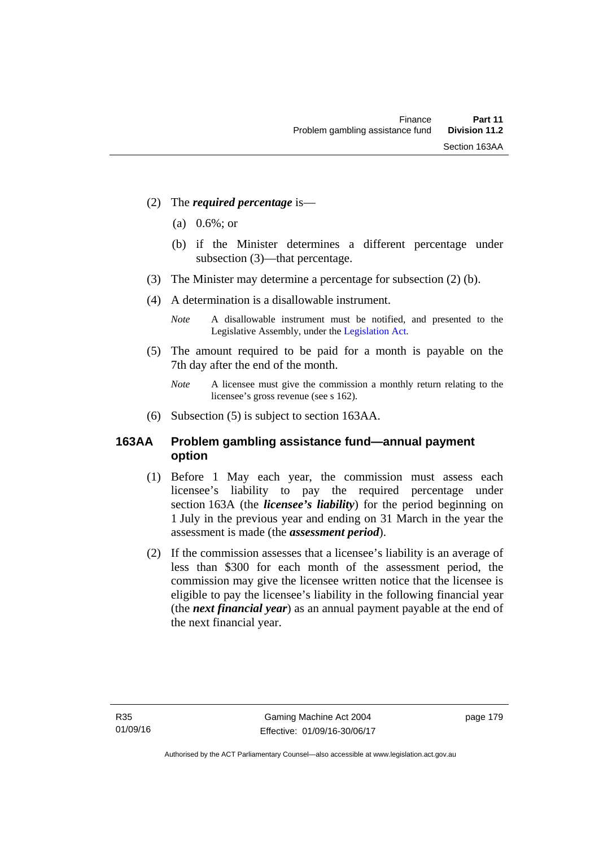- (2) The *required percentage* is—
	- (a) 0.6%; or
	- (b) if the Minister determines a different percentage under subsection (3)—that percentage.
- (3) The Minister may determine a percentage for subsection (2) (b).
- (4) A determination is a disallowable instrument.
	- *Note* A disallowable instrument must be notified, and presented to the Legislative Assembly, under the [Legislation Act.](http://www.legislation.act.gov.au/a/2001-14)
- (5) The amount required to be paid for a month is payable on the 7th day after the end of the month.
	- *Note* A licensee must give the commission a monthly return relating to the licensee's gross revenue (see s 162).
- (6) Subsection (5) is subject to section 163AA.

# **163AA Problem gambling assistance fund—annual payment option**

- (1) Before 1 May each year, the commission must assess each licensee's liability to pay the required percentage under section 163A (the *licensee's liability*) for the period beginning on 1 July in the previous year and ending on 31 March in the year the assessment is made (the *assessment period*).
- (2) If the commission assesses that a licensee's liability is an average of less than \$300 for each month of the assessment period, the commission may give the licensee written notice that the licensee is eligible to pay the licensee's liability in the following financial year (the *next financial year*) as an annual payment payable at the end of the next financial year.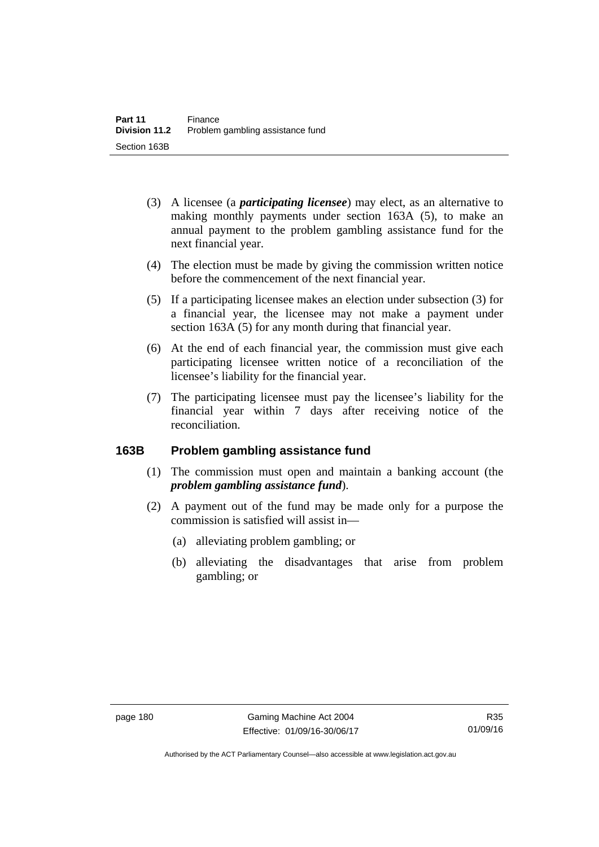- (3) A licensee (a *participating licensee*) may elect, as an alternative to making monthly payments under section 163A (5), to make an annual payment to the problem gambling assistance fund for the next financial year.
- (4) The election must be made by giving the commission written notice before the commencement of the next financial year.
- (5) If a participating licensee makes an election under subsection (3) for a financial year, the licensee may not make a payment under section 163A (5) for any month during that financial year.
- (6) At the end of each financial year, the commission must give each participating licensee written notice of a reconciliation of the licensee's liability for the financial year.
- (7) The participating licensee must pay the licensee's liability for the financial year within 7 days after receiving notice of the reconciliation.

## **163B Problem gambling assistance fund**

- (1) The commission must open and maintain a banking account (the *problem gambling assistance fund*).
- (2) A payment out of the fund may be made only for a purpose the commission is satisfied will assist in—
	- (a) alleviating problem gambling; or
	- (b) alleviating the disadvantages that arise from problem gambling; or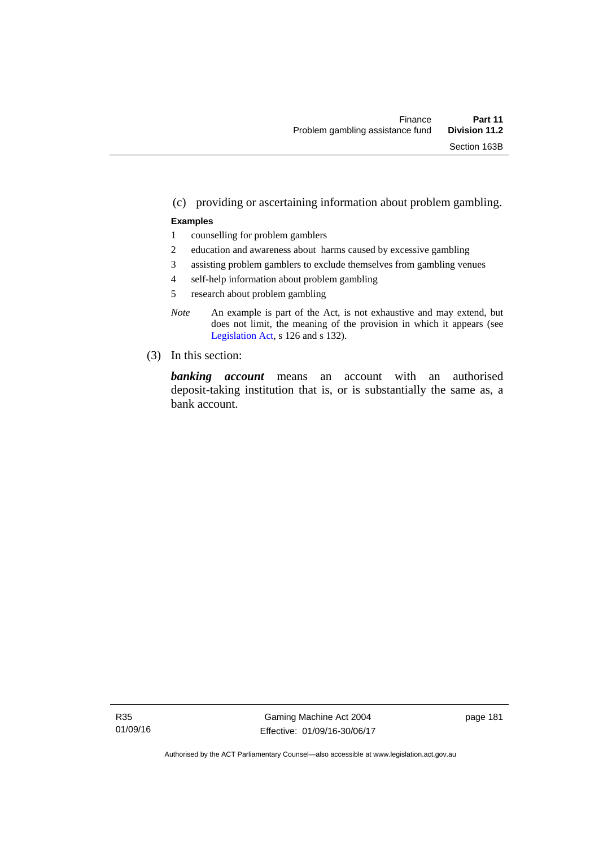#### (c) providing or ascertaining information about problem gambling.

#### **Examples**

- 1 counselling for problem gamblers
- 2 education and awareness about harms caused by excessive gambling
- 3 assisting problem gamblers to exclude themselves from gambling venues
- 4 self-help information about problem gambling
- 5 research about problem gambling
- *Note* An example is part of the Act, is not exhaustive and may extend, but does not limit, the meaning of the provision in which it appears (see [Legislation Act,](http://www.legislation.act.gov.au/a/2001-14) s 126 and s 132).
- (3) In this section:

*banking account* means an account with an authorised deposit-taking institution that is, or is substantially the same as, a bank account.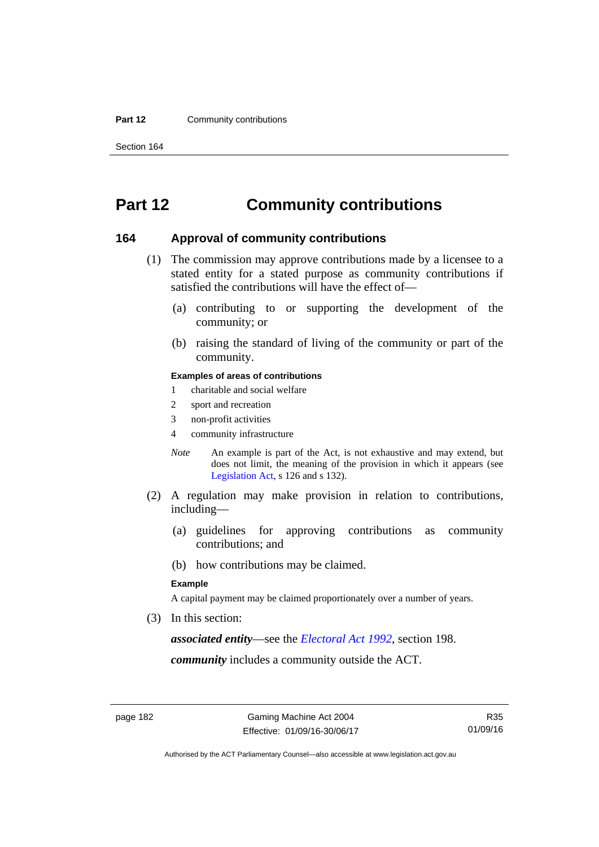#### **Part 12 Community contributions**

Section 164

# **Part 12 Community contributions**

#### **164 Approval of community contributions**

- (1) The commission may approve contributions made by a licensee to a stated entity for a stated purpose as community contributions if satisfied the contributions will have the effect of—
	- (a) contributing to or supporting the development of the community; or
	- (b) raising the standard of living of the community or part of the community.

#### **Examples of areas of contributions**

- 1 charitable and social welfare
- 2 sport and recreation
- 3 non-profit activities
- 4 community infrastructure
- *Note* An example is part of the Act, is not exhaustive and may extend, but does not limit, the meaning of the provision in which it appears (see [Legislation Act,](http://www.legislation.act.gov.au/a/2001-14) s 126 and s 132).
- (2) A regulation may make provision in relation to contributions, including—
	- (a) guidelines for approving contributions as community contributions; and
	- (b) how contributions may be claimed.

#### **Example**

A capital payment may be claimed proportionately over a number of years.

(3) In this section:

*associated entity*—see the *[Electoral Act 1992](http://www.legislation.act.gov.au/a/1992-71)*, section 198.

*community* includes a community outside the ACT.

Authorised by the ACT Parliamentary Counsel—also accessible at www.legislation.act.gov.au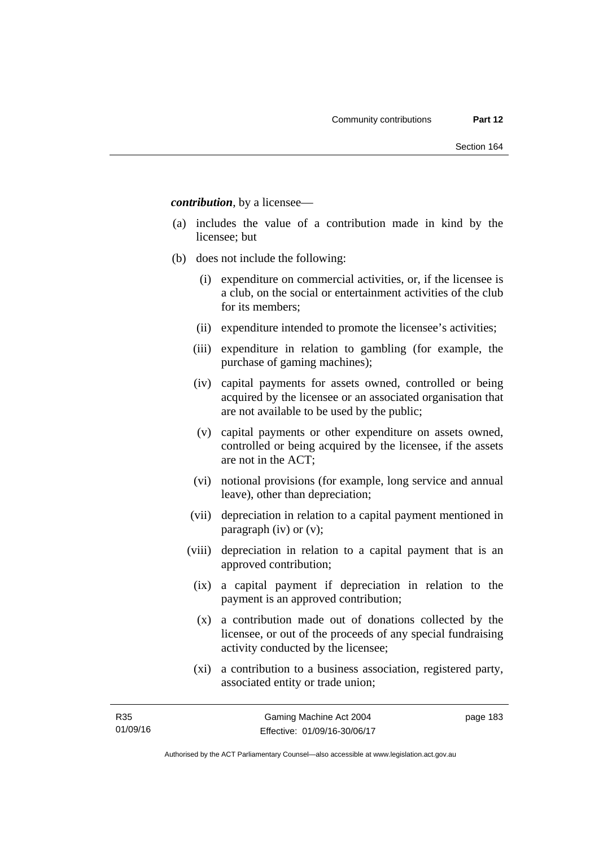*contribution*, by a licensee—

- (a) includes the value of a contribution made in kind by the licensee; but
- (b) does not include the following:
	- (i) expenditure on commercial activities, or, if the licensee is a club, on the social or entertainment activities of the club for its members;
	- (ii) expenditure intended to promote the licensee's activities;
	- (iii) expenditure in relation to gambling (for example, the purchase of gaming machines);
	- (iv) capital payments for assets owned, controlled or being acquired by the licensee or an associated organisation that are not available to be used by the public;
	- (v) capital payments or other expenditure on assets owned, controlled or being acquired by the licensee, if the assets are not in the ACT;
	- (vi) notional provisions (for example, long service and annual leave), other than depreciation;
	- (vii) depreciation in relation to a capital payment mentioned in paragraph (iv) or (v);
	- (viii) depreciation in relation to a capital payment that is an approved contribution;
		- (ix) a capital payment if depreciation in relation to the payment is an approved contribution;
		- (x) a contribution made out of donations collected by the licensee, or out of the proceeds of any special fundraising activity conducted by the licensee;
		- (xi) a contribution to a business association, registered party, associated entity or trade union;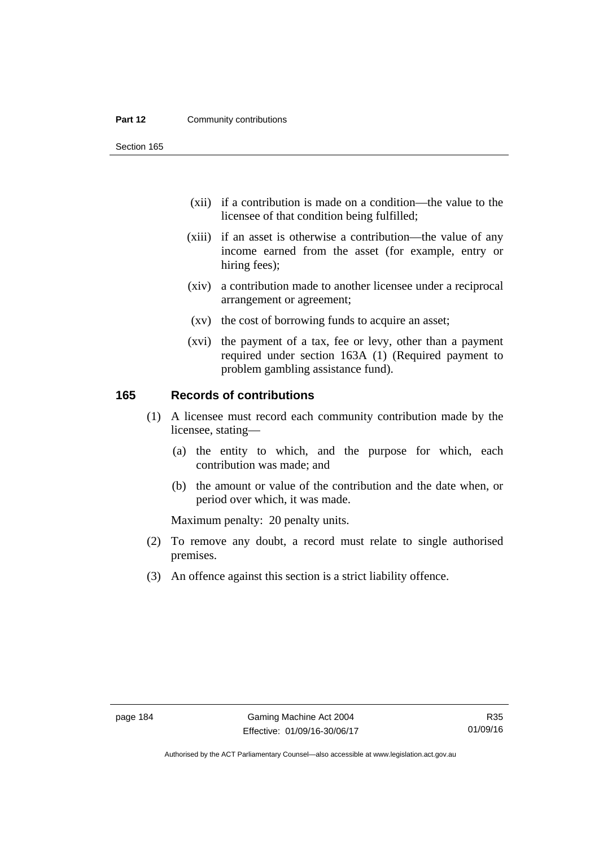#### **Part 12 Community contributions**

Section 165

- (xii) if a contribution is made on a condition—the value to the licensee of that condition being fulfilled;
- (xiii) if an asset is otherwise a contribution—the value of any income earned from the asset (for example, entry or hiring fees);
- (xiv) a contribution made to another licensee under a reciprocal arrangement or agreement;
- (xv) the cost of borrowing funds to acquire an asset;
- (xvi) the payment of a tax, fee or levy, other than a payment required under section 163A (1) (Required payment to problem gambling assistance fund).

## **165 Records of contributions**

- (1) A licensee must record each community contribution made by the licensee, stating—
	- (a) the entity to which, and the purpose for which, each contribution was made; and
	- (b) the amount or value of the contribution and the date when, or period over which, it was made.

Maximum penalty: 20 penalty units.

- (2) To remove any doubt, a record must relate to single authorised premises.
- (3) An offence against this section is a strict liability offence.

Authorised by the ACT Parliamentary Counsel—also accessible at www.legislation.act.gov.au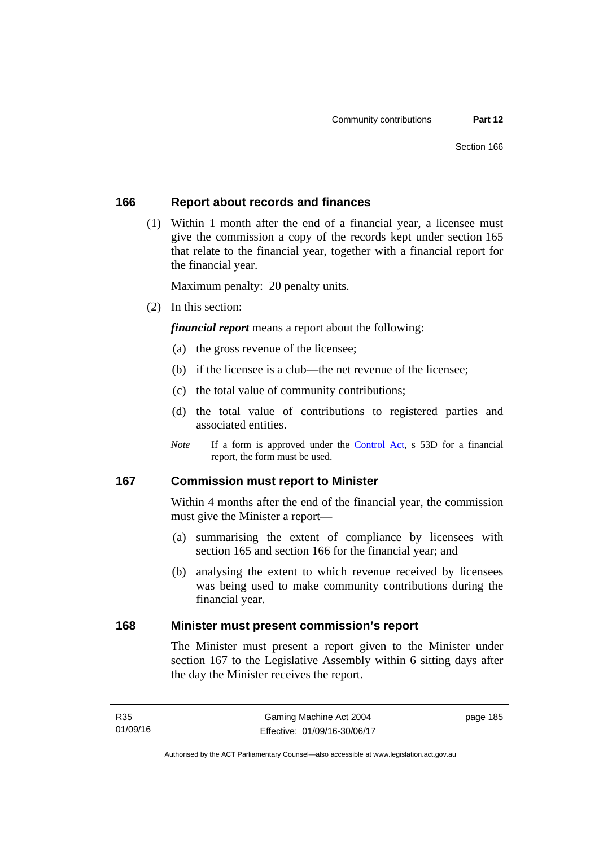### **166 Report about records and finances**

 (1) Within 1 month after the end of a financial year, a licensee must give the commission a copy of the records kept under section 165 that relate to the financial year, together with a financial report for the financial year.

Maximum penalty: 20 penalty units.

(2) In this section:

*financial report* means a report about the following:

- (a) the gross revenue of the licensee;
- (b) if the licensee is a club—the net revenue of the licensee;
- (c) the total value of community contributions;
- (d) the total value of contributions to registered parties and associated entities.
- *Note* If a form is approved under the [Control Act](http://www.legislation.act.gov.au/a/1999-46), s 53D for a financial report, the form must be used.

## **167 Commission must report to Minister**

Within 4 months after the end of the financial year, the commission must give the Minister a report—

- (a) summarising the extent of compliance by licensees with section 165 and section 166 for the financial year; and
- (b) analysing the extent to which revenue received by licensees was being used to make community contributions during the financial year.

## **168 Minister must present commission's report**

The Minister must present a report given to the Minister under section 167 to the Legislative Assembly within 6 sitting days after the day the Minister receives the report.

page 185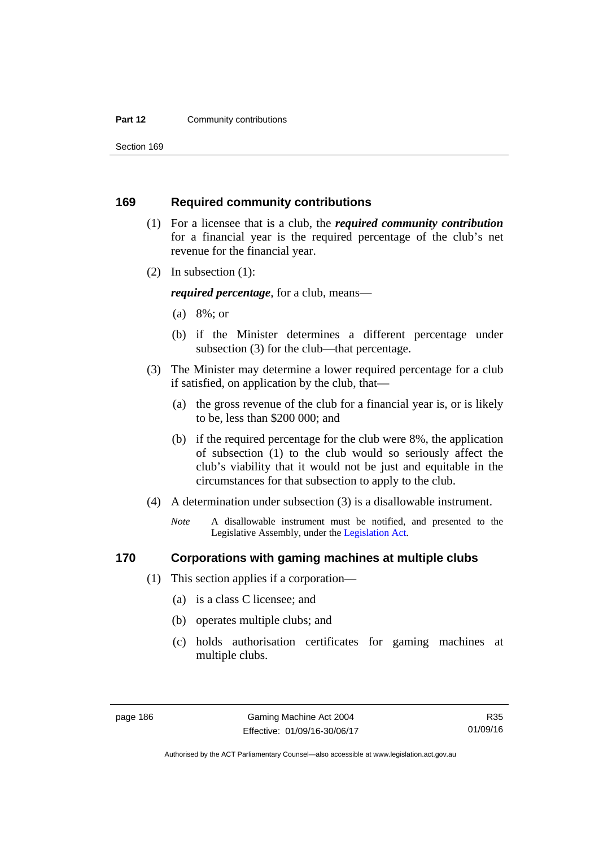#### **Part 12 Community contributions**

Section 169

### **169 Required community contributions**

- (1) For a licensee that is a club, the *required community contribution* for a financial year is the required percentage of the club's net revenue for the financial year.
- (2) In subsection (1):

*required percentage*, for a club, means—

- (a) 8%; or
- (b) if the Minister determines a different percentage under subsection (3) for the club—that percentage.
- (3) The Minister may determine a lower required percentage for a club if satisfied, on application by the club, that—
	- (a) the gross revenue of the club for a financial year is, or is likely to be, less than \$200 000; and
	- (b) if the required percentage for the club were 8%, the application of subsection (1) to the club would so seriously affect the club's viability that it would not be just and equitable in the circumstances for that subsection to apply to the club.
- (4) A determination under subsection (3) is a disallowable instrument.
	- *Note* A disallowable instrument must be notified, and presented to the Legislative Assembly, under the [Legislation Act.](http://www.legislation.act.gov.au/a/2001-14)

#### **170 Corporations with gaming machines at multiple clubs**

- (1) This section applies if a corporation—
	- (a) is a class C licensee; and
	- (b) operates multiple clubs; and
	- (c) holds authorisation certificates for gaming machines at multiple clubs.

Authorised by the ACT Parliamentary Counsel—also accessible at www.legislation.act.gov.au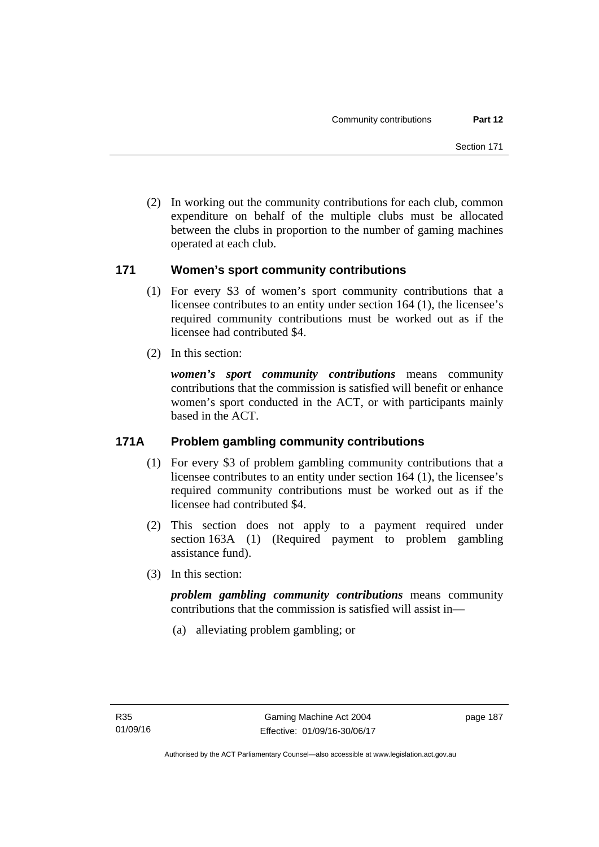(2) In working out the community contributions for each club, common expenditure on behalf of the multiple clubs must be allocated between the clubs in proportion to the number of gaming machines operated at each club.

## **171 Women's sport community contributions**

- (1) For every \$3 of women's sport community contributions that a licensee contributes to an entity under section 164 (1), the licensee's required community contributions must be worked out as if the licensee had contributed \$4.
- (2) In this section:

*women's sport community contributions* means community contributions that the commission is satisfied will benefit or enhance women's sport conducted in the ACT, or with participants mainly based in the ACT.

# **171A Problem gambling community contributions**

- (1) For every \$3 of problem gambling community contributions that a licensee contributes to an entity under section 164 (1), the licensee's required community contributions must be worked out as if the licensee had contributed \$4.
- (2) This section does not apply to a payment required under section 163A (1) (Required payment to problem gambling assistance fund).
- (3) In this section:

*problem gambling community contributions* means community contributions that the commission is satisfied will assist in—

(a) alleviating problem gambling; or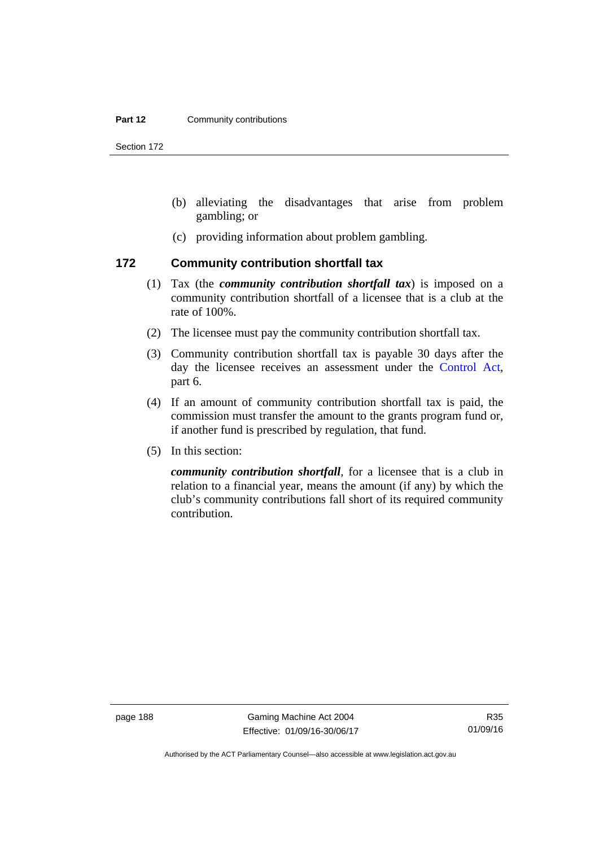#### **Part 12 Community contributions**

Section 172

- (b) alleviating the disadvantages that arise from problem gambling; or
- (c) providing information about problem gambling.

### **172 Community contribution shortfall tax**

- (1) Tax (the *community contribution shortfall tax*) is imposed on a community contribution shortfall of a licensee that is a club at the rate of 100%.
- (2) The licensee must pay the community contribution shortfall tax.
- (3) Community contribution shortfall tax is payable 30 days after the day the licensee receives an assessment under the [Control Act](http://www.legislation.act.gov.au/a/1999-46), part 6.
- (4) If an amount of community contribution shortfall tax is paid, the commission must transfer the amount to the grants program fund or, if another fund is prescribed by regulation, that fund.
- (5) In this section:

*community contribution shortfall*, for a licensee that is a club in relation to a financial year, means the amount (if any) by which the club's community contributions fall short of its required community contribution.

page 188 Gaming Machine Act 2004 Effective: 01/09/16-30/06/17

Authorised by the ACT Parliamentary Counsel—also accessible at www.legislation.act.gov.au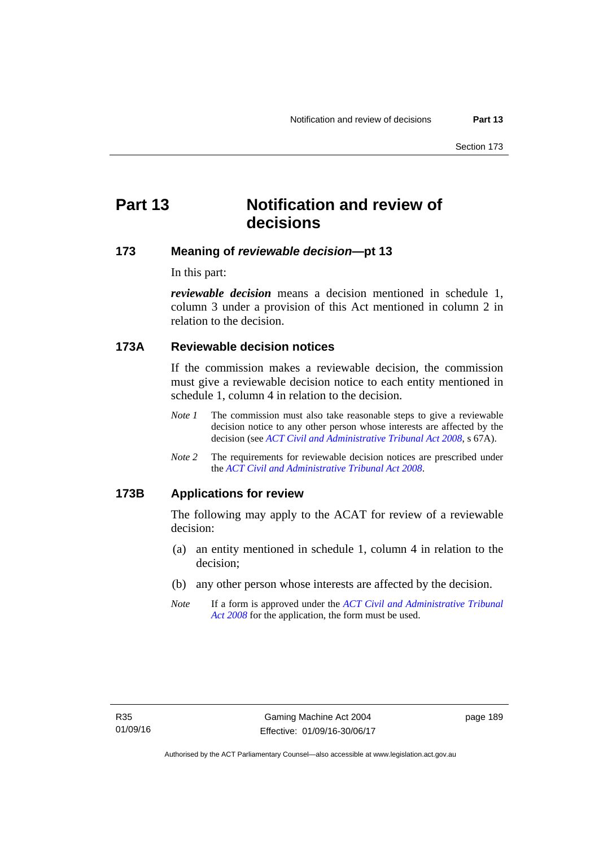# **Part 13 Notification and review of decisions**

# **173 Meaning of** *reviewable decision***—pt 13**

In this part:

*reviewable decision* means a decision mentioned in schedule 1, column 3 under a provision of this Act mentioned in column 2 in relation to the decision.

# **173A Reviewable decision notices**

If the commission makes a reviewable decision, the commission must give a reviewable decision notice to each entity mentioned in schedule 1, column 4 in relation to the decision.

- *Note 1* The commission must also take reasonable steps to give a reviewable decision notice to any other person whose interests are affected by the decision (see *[ACT Civil and Administrative Tribunal Act 2008](http://www.legislation.act.gov.au/a/2008-35)*, s 67A).
- *Note 2* The requirements for reviewable decision notices are prescribed under the *[ACT Civil and Administrative Tribunal Act 2008](http://www.legislation.act.gov.au/a/2008-35)*.

#### **173B Applications for review**

The following may apply to the ACAT for review of a reviewable decision:

- (a) an entity mentioned in schedule 1, column 4 in relation to the decision;
- (b) any other person whose interests are affected by the decision.
- *Note* If a form is approved under the *[ACT Civil and Administrative Tribunal](http://www.legislation.act.gov.au/a/2008-35)  [Act 2008](http://www.legislation.act.gov.au/a/2008-35)* for the application, the form must be used.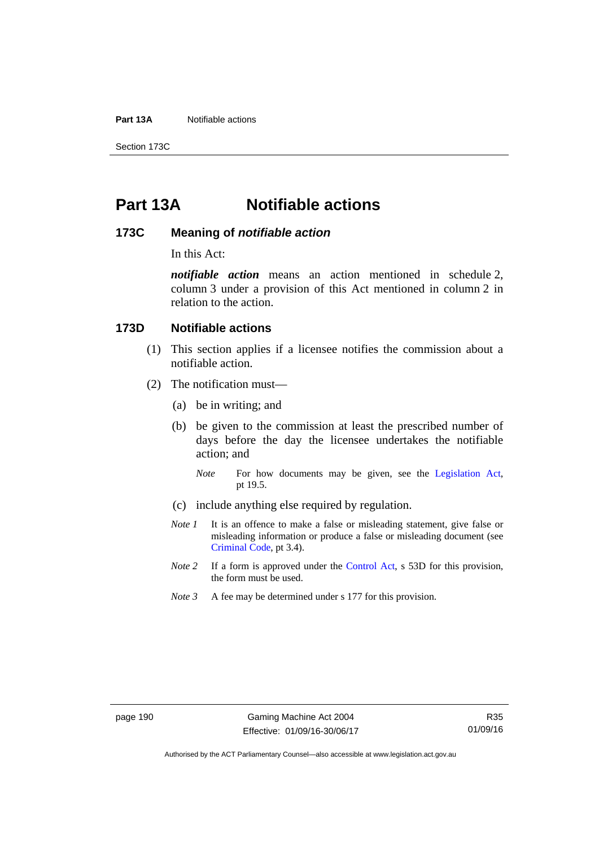**Part 13A** Notifiable actions

Section 173C

# **Part 13A Notifiable actions**

### **173C Meaning of** *notifiable action*

In this Act:

*notifiable action* means an action mentioned in schedule 2, column 3 under a provision of this Act mentioned in column 2 in relation to the action.

### **173D Notifiable actions**

- (1) This section applies if a licensee notifies the commission about a notifiable action.
- (2) The notification must—
	- (a) be in writing; and
	- (b) be given to the commission at least the prescribed number of days before the day the licensee undertakes the notifiable action; and
		- *Note* For how documents may be given, see the [Legislation Act,](http://www.legislation.act.gov.au/a/2001-14) pt 19.5.
	- (c) include anything else required by regulation.
	- *Note 1* It is an offence to make a false or misleading statement, give false or misleading information or produce a false or misleading document (see [Criminal Code](http://www.legislation.act.gov.au/a/2002-51), pt 3.4).
	- *Note 2* If a form is approved under the [Control Act,](http://www.legislation.act.gov.au/a/1999-46/default.asp) s 53D for this provision, the form must be used.
	- *Note 3* A fee may be determined under s 177 for this provision.

Authorised by the ACT Parliamentary Counsel—also accessible at www.legislation.act.gov.au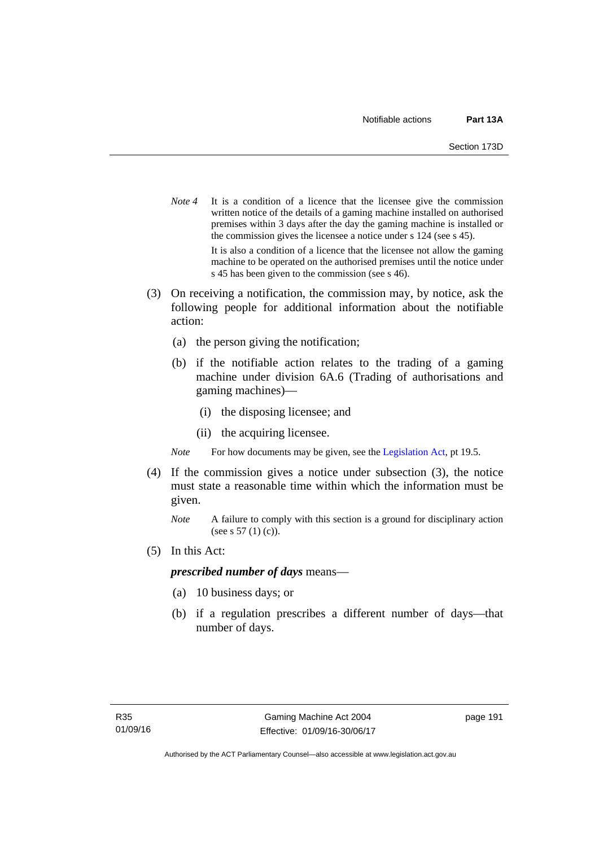- *Note* 4 It is a condition of a licence that the licensee give the commission written notice of the details of a gaming machine installed on authorised premises within 3 days after the day the gaming machine is installed or the commission gives the licensee a notice under s 124 (see s 45). It is also a condition of a licence that the licensee not allow the gaming machine to be operated on the authorised premises until the notice under s 45 has been given to the commission (see s 46).
- (3) On receiving a notification, the commission may, by notice, ask the following people for additional information about the notifiable action:
	- (a) the person giving the notification;
	- (b) if the notifiable action relates to the trading of a gaming machine under division 6A.6 (Trading of authorisations and gaming machines)—
		- (i) the disposing licensee; and
		- (ii) the acquiring licensee.

*Note* For how documents may be given, see the [Legislation Act,](http://www.legislation.act.gov.au/a/2001-14) pt 19.5.

- (4) If the commission gives a notice under subsection (3), the notice must state a reasonable time within which the information must be given.
	- *Note* A failure to comply with this section is a ground for disciplinary action (see s 57 (1) (c)).
- (5) In this Act:

#### *prescribed number of days* means—

- (a) 10 business days; or
- (b) if a regulation prescribes a different number of days—that number of days.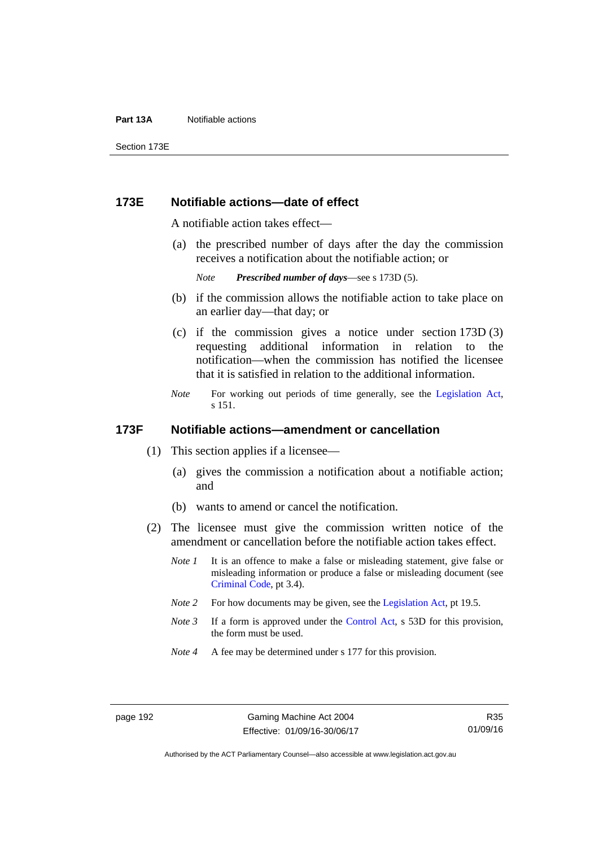#### **Part 13A** Notifiable actions

Section 173E

### **173E Notifiable actions—date of effect**

A notifiable action takes effect—

 (a) the prescribed number of days after the day the commission receives a notification about the notifiable action; or

*Note Prescribed number of days*—see s 173D (5).

- (b) if the commission allows the notifiable action to take place on an earlier day—that day; or
- (c) if the commission gives a notice under section 173D (3) requesting additional information in relation to the notification—when the commission has notified the licensee that it is satisfied in relation to the additional information.
- *Note* For working out periods of time generally, see the [Legislation Act,](http://www.legislation.act.gov.au/a/2001-14) s 151.

### **173F Notifiable actions—amendment or cancellation**

- (1) This section applies if a licensee—
	- (a) gives the commission a notification about a notifiable action; and
	- (b) wants to amend or cancel the notification.
- (2) The licensee must give the commission written notice of the amendment or cancellation before the notifiable action takes effect.
	- *Note 1* It is an offence to make a false or misleading statement, give false or misleading information or produce a false or misleading document (see [Criminal Code](http://www.legislation.act.gov.au/a/2002-51), pt 3.4).
	- *Note 2* For how documents may be given, see the [Legislation Act,](http://www.legislation.act.gov.au/a/2001-14) pt 19.5.
	- *Note 3* If a form is approved under the [Control Act,](http://www.legislation.act.gov.au/a/1999-46/default.asp) s 53D for this provision, the form must be used.
	- *Note 4* A fee may be determined under s 177 for this provision.

R35 01/09/16

Authorised by the ACT Parliamentary Counsel—also accessible at www.legislation.act.gov.au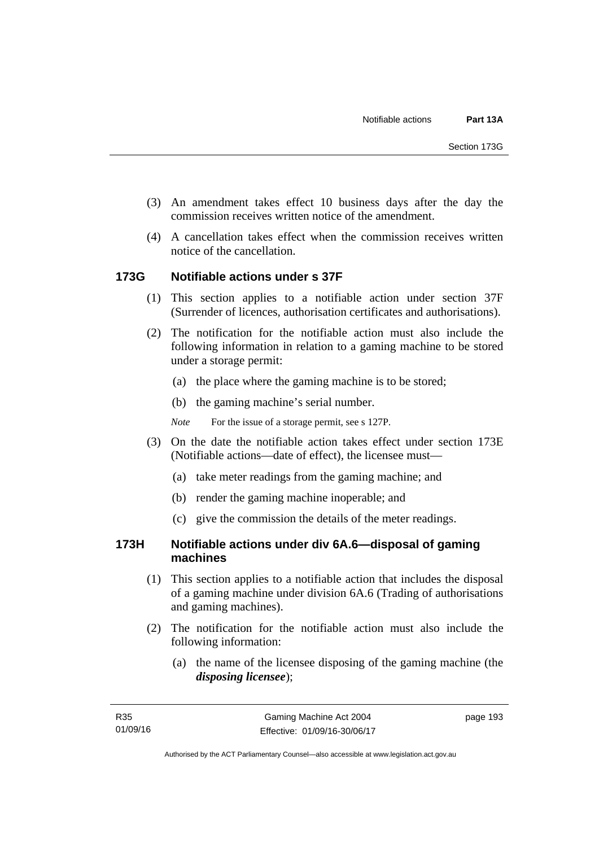- (3) An amendment takes effect 10 business days after the day the commission receives written notice of the amendment.
- (4) A cancellation takes effect when the commission receives written notice of the cancellation.

## **173G Notifiable actions under s 37F**

- (1) This section applies to a notifiable action under section 37F (Surrender of licences, authorisation certificates and authorisations).
- (2) The notification for the notifiable action must also include the following information in relation to a gaming machine to be stored under a storage permit:
	- (a) the place where the gaming machine is to be stored;
	- (b) the gaming machine's serial number.
	- *Note* For the issue of a storage permit, see s 127P.
- (3) On the date the notifiable action takes effect under section 173E (Notifiable actions—date of effect), the licensee must—
	- (a) take meter readings from the gaming machine; and
	- (b) render the gaming machine inoperable; and
	- (c) give the commission the details of the meter readings.

## **173H Notifiable actions under div 6A.6—disposal of gaming machines**

- (1) This section applies to a notifiable action that includes the disposal of a gaming machine under division 6A.6 (Trading of authorisations and gaming machines).
- (2) The notification for the notifiable action must also include the following information:
	- (a) the name of the licensee disposing of the gaming machine (the *disposing licensee*);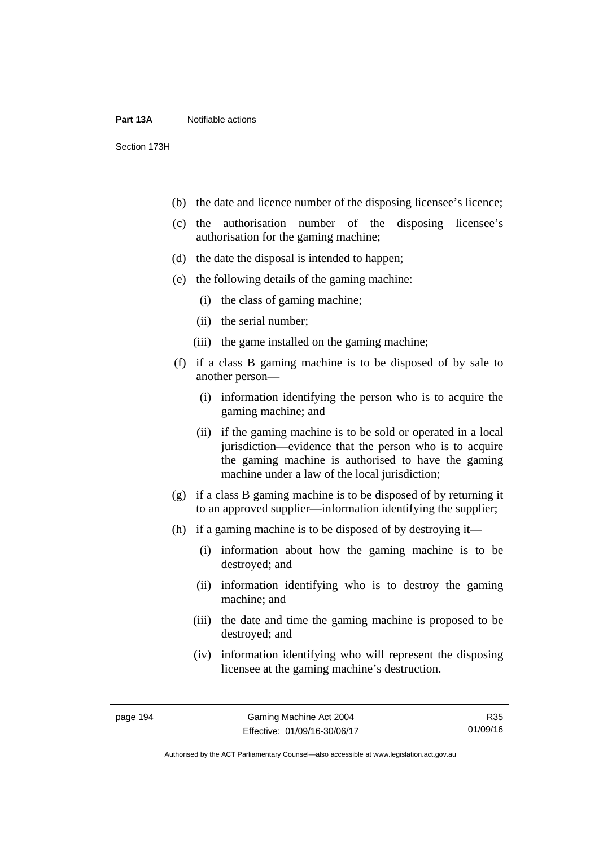#### **Part 13A** Notifiable actions

Section 173H

- (b) the date and licence number of the disposing licensee's licence;
- (c) the authorisation number of the disposing licensee's authorisation for the gaming machine;
- (d) the date the disposal is intended to happen;
- (e) the following details of the gaming machine:
	- (i) the class of gaming machine;
	- (ii) the serial number;
	- (iii) the game installed on the gaming machine;
- (f) if a class B gaming machine is to be disposed of by sale to another person—
	- (i) information identifying the person who is to acquire the gaming machine; and
	- (ii) if the gaming machine is to be sold or operated in a local jurisdiction—evidence that the person who is to acquire the gaming machine is authorised to have the gaming machine under a law of the local jurisdiction;
- (g) if a class B gaming machine is to be disposed of by returning it to an approved supplier—information identifying the supplier;
- (h) if a gaming machine is to be disposed of by destroying it—
	- (i) information about how the gaming machine is to be destroyed; and
	- (ii) information identifying who is to destroy the gaming machine; and
	- (iii) the date and time the gaming machine is proposed to be destroyed; and
	- (iv) information identifying who will represent the disposing licensee at the gaming machine's destruction.

R35 01/09/16

Authorised by the ACT Parliamentary Counsel—also accessible at www.legislation.act.gov.au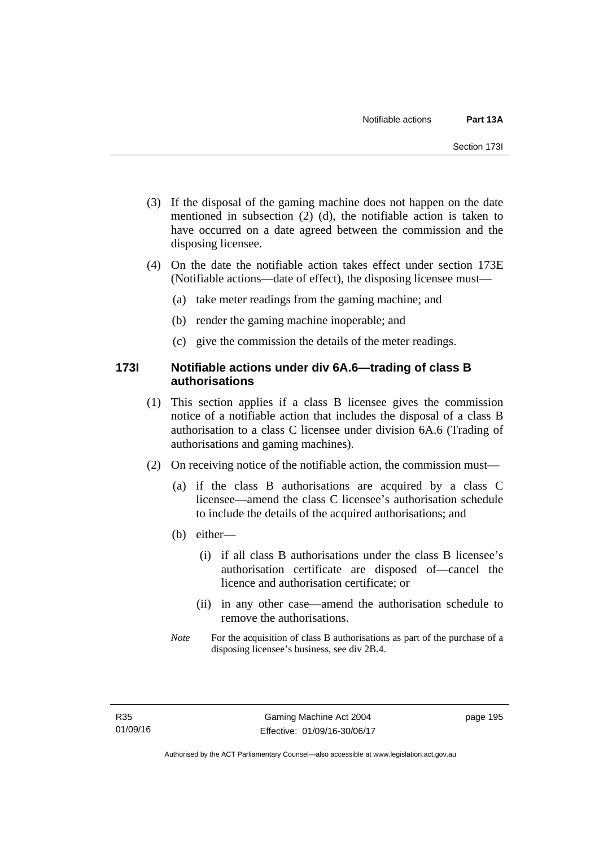- (3) If the disposal of the gaming machine does not happen on the date mentioned in subsection (2) (d), the notifiable action is taken to have occurred on a date agreed between the commission and the disposing licensee.
- (4) On the date the notifiable action takes effect under section 173E (Notifiable actions—date of effect), the disposing licensee must—
	- (a) take meter readings from the gaming machine; and
	- (b) render the gaming machine inoperable; and
	- (c) give the commission the details of the meter readings.

# **173I Notifiable actions under div 6A.6—trading of class B authorisations**

- (1) This section applies if a class B licensee gives the commission notice of a notifiable action that includes the disposal of a class B authorisation to a class C licensee under division 6A.6 (Trading of authorisations and gaming machines).
- (2) On receiving notice of the notifiable action, the commission must—
	- (a) if the class B authorisations are acquired by a class C licensee—amend the class C licensee's authorisation schedule to include the details of the acquired authorisations; and
	- (b) either—
		- (i) if all class B authorisations under the class B licensee's authorisation certificate are disposed of—cancel the licence and authorisation certificate; or
		- (ii) in any other case—amend the authorisation schedule to remove the authorisations.
	- *Note* For the acquisition of class B authorisations as part of the purchase of a disposing licensee's business, see div 2B.4.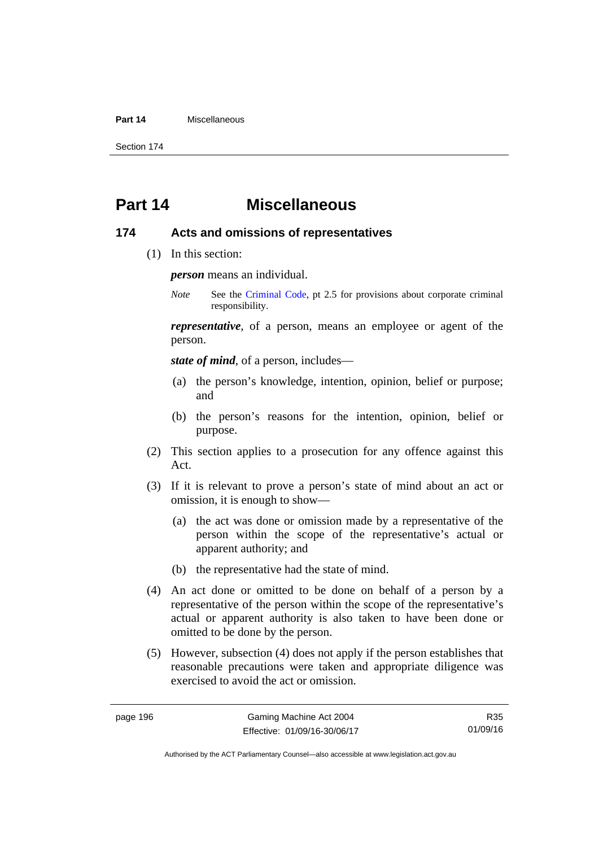#### **Part 14** Miscellaneous

Section 174

# **Part 14 Miscellaneous**

#### **174 Acts and omissions of representatives**

(1) In this section:

*person* means an individual.

*Note* See the [Criminal Code,](http://www.legislation.act.gov.au/a/2002-51) pt 2.5 for provisions about corporate criminal responsibility.

*representative*, of a person, means an employee or agent of the person.

*state of mind*, of a person, includes—

- (a) the person's knowledge, intention, opinion, belief or purpose; and
- (b) the person's reasons for the intention, opinion, belief or purpose.
- (2) This section applies to a prosecution for any offence against this Act.
- (3) If it is relevant to prove a person's state of mind about an act or omission, it is enough to show—
	- (a) the act was done or omission made by a representative of the person within the scope of the representative's actual or apparent authority; and
	- (b) the representative had the state of mind.
- (4) An act done or omitted to be done on behalf of a person by a representative of the person within the scope of the representative's actual or apparent authority is also taken to have been done or omitted to be done by the person.
- (5) However, subsection (4) does not apply if the person establishes that reasonable precautions were taken and appropriate diligence was exercised to avoid the act or omission.

R35 01/09/16

Authorised by the ACT Parliamentary Counsel—also accessible at www.legislation.act.gov.au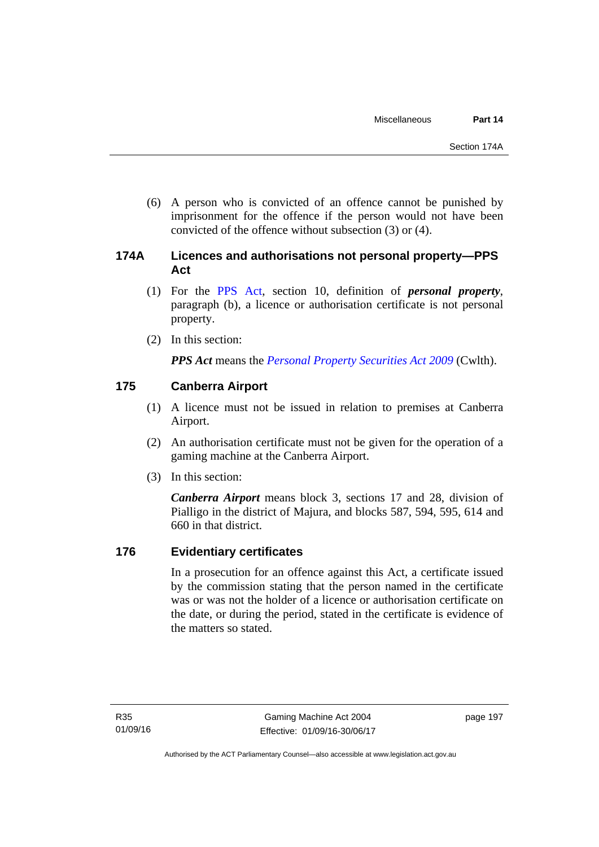(6) A person who is convicted of an offence cannot be punished by imprisonment for the offence if the person would not have been convicted of the offence without subsection (3) or (4).

# **174A Licences and authorisations not personal property—PPS Act**

- (1) For the [PPS Act,](http://www.comlaw.gov.au/Series/C2009A00130) section 10, definition of *personal property*, paragraph (b), a licence or authorisation certificate is not personal property.
- (2) In this section:

*PPS Act* means the *[Personal Property Securities Act 2009](http://www.comlaw.gov.au/Series/C2009A00130)* (Cwlth).

# **175 Canberra Airport**

- (1) A licence must not be issued in relation to premises at Canberra Airport.
- (2) An authorisation certificate must not be given for the operation of a gaming machine at the Canberra Airport.
- (3) In this section:

*Canberra Airport* means block 3, sections 17 and 28, division of Pialligo in the district of Majura, and blocks 587, 594, 595, 614 and 660 in that district.

# **176 Evidentiary certificates**

In a prosecution for an offence against this Act, a certificate issued by the commission stating that the person named in the certificate was or was not the holder of a licence or authorisation certificate on the date, or during the period, stated in the certificate is evidence of the matters so stated.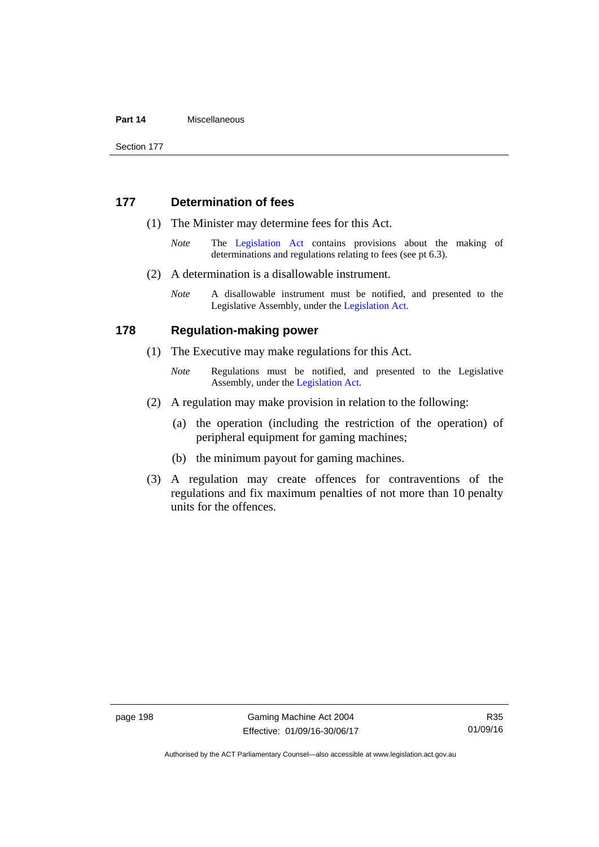#### **Part 14** Miscellaneous

Section 177

### **177 Determination of fees**

- (1) The Minister may determine fees for this Act.
	- *Note* The [Legislation Act](http://www.legislation.act.gov.au/a/2001-14) contains provisions about the making of determinations and regulations relating to fees (see pt 6.3).
- (2) A determination is a disallowable instrument.
	- *Note* A disallowable instrument must be notified, and presented to the Legislative Assembly, under the [Legislation Act.](http://www.legislation.act.gov.au/a/2001-14)

#### **178 Regulation-making power**

- (1) The Executive may make regulations for this Act.
	- *Note* **Regulations** must be notified, and presented to the Legislative Assembly, under the [Legislation Act](http://www.legislation.act.gov.au/a/2001-14).
- (2) A regulation may make provision in relation to the following:
	- (a) the operation (including the restriction of the operation) of peripheral equipment for gaming machines;
	- (b) the minimum payout for gaming machines.
- (3) A regulation may create offences for contraventions of the regulations and fix maximum penalties of not more than 10 penalty units for the offences.

page 198 Gaming Machine Act 2004 Effective: 01/09/16-30/06/17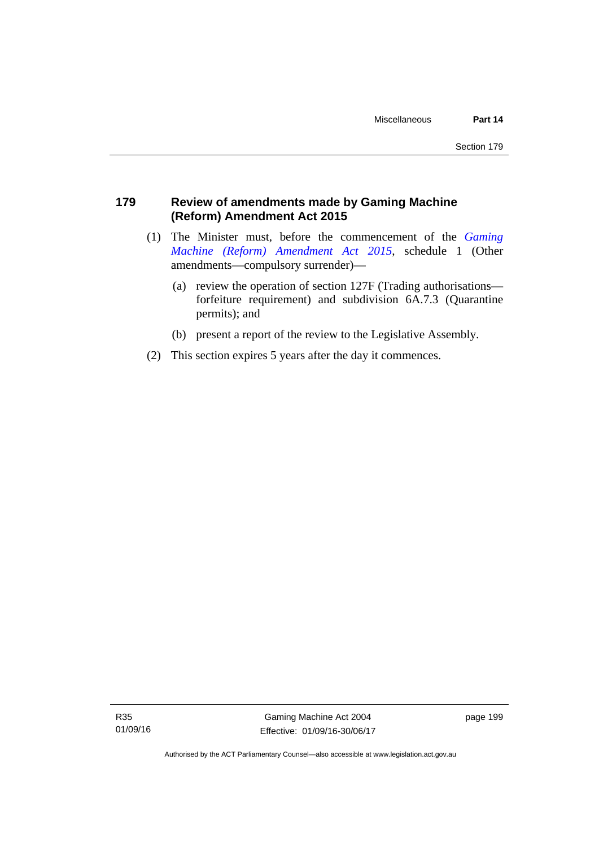# **179 Review of amendments made by Gaming Machine (Reform) Amendment Act 2015**

- (1) The Minister must, before the commencement of the *[Gaming](http://www.legislation.act.gov.au/a/2015-21/default.asp)  [Machine \(Reform\) Amendment Act 2015](http://www.legislation.act.gov.au/a/2015-21/default.asp)*, schedule 1 (Other amendments—compulsory surrender)—
	- (a) review the operation of section 127F (Trading authorisations forfeiture requirement) and subdivision 6A.7.3 (Quarantine permits); and
	- (b) present a report of the review to the Legislative Assembly.
- (2) This section expires 5 years after the day it commences.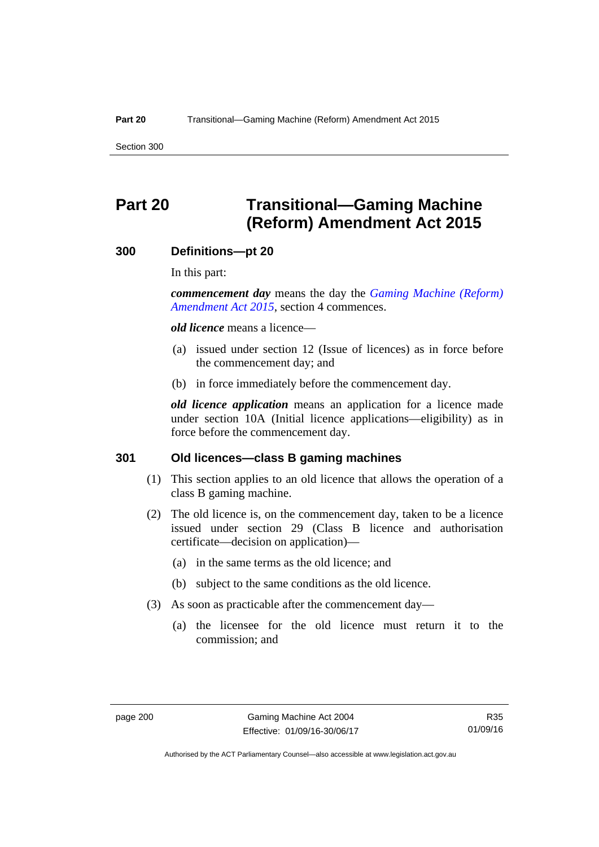Section 300

# **Part 20 Transitional—Gaming Machine (Reform) Amendment Act 2015**

#### **300 Definitions—pt 20**

In this part:

*commencement day* means the day the *[Gaming Machine \(Reform\)](http://www.legislation.act.gov.au/a/2015-21/default.asp)  [Amendment Act 2015](http://www.legislation.act.gov.au/a/2015-21/default.asp)*, section 4 commences.

*old licence* means a licence—

- (a) issued under section 12 (Issue of licences) as in force before the commencement day; and
- (b) in force immediately before the commencement day.

*old licence application* means an application for a licence made under section 10A (Initial licence applications—eligibility) as in force before the commencement day.

#### **301 Old licences—class B gaming machines**

- (1) This section applies to an old licence that allows the operation of a class B gaming machine.
- (2) The old licence is, on the commencement day, taken to be a licence issued under section 29 (Class B licence and authorisation certificate—decision on application)—
	- (a) in the same terms as the old licence; and
	- (b) subject to the same conditions as the old licence.
- (3) As soon as practicable after the commencement day—
	- (a) the licensee for the old licence must return it to the commission; and

R35 01/09/16

Authorised by the ACT Parliamentary Counsel—also accessible at www.legislation.act.gov.au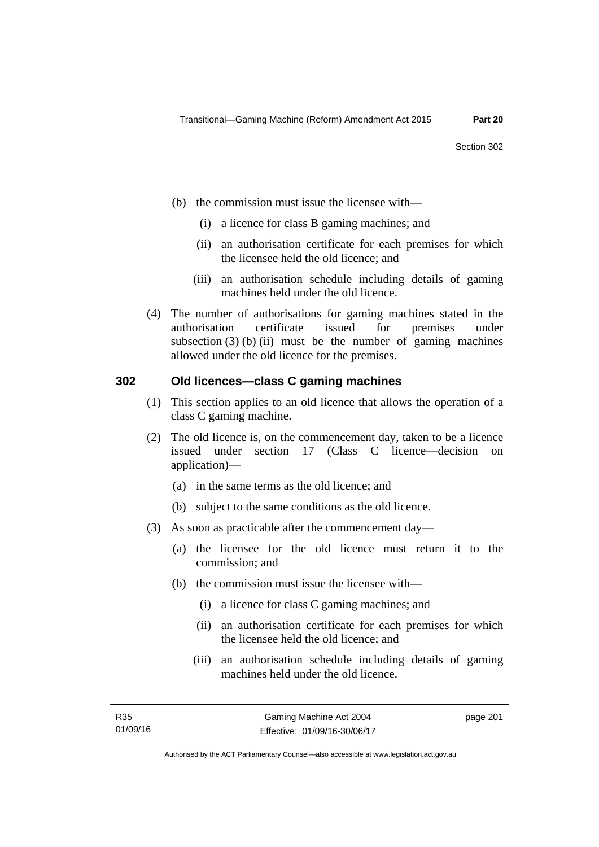- (b) the commission must issue the licensee with—
	- (i) a licence for class B gaming machines; and
	- (ii) an authorisation certificate for each premises for which the licensee held the old licence; and
	- (iii) an authorisation schedule including details of gaming machines held under the old licence.
- (4) The number of authorisations for gaming machines stated in the authorisation certificate issued for premises under subsection  $(3)$  (b) (ii) must be the number of gaming machines allowed under the old licence for the premises.

## **302 Old licences—class C gaming machines**

- (1) This section applies to an old licence that allows the operation of a class C gaming machine.
- (2) The old licence is, on the commencement day, taken to be a licence issued under section 17 (Class C licence—decision on application)—
	- (a) in the same terms as the old licence; and
	- (b) subject to the same conditions as the old licence.
- (3) As soon as practicable after the commencement day—
	- (a) the licensee for the old licence must return it to the commission; and
	- (b) the commission must issue the licensee with—
		- (i) a licence for class C gaming machines; and
		- (ii) an authorisation certificate for each premises for which the licensee held the old licence; and
		- (iii) an authorisation schedule including details of gaming machines held under the old licence.

page 201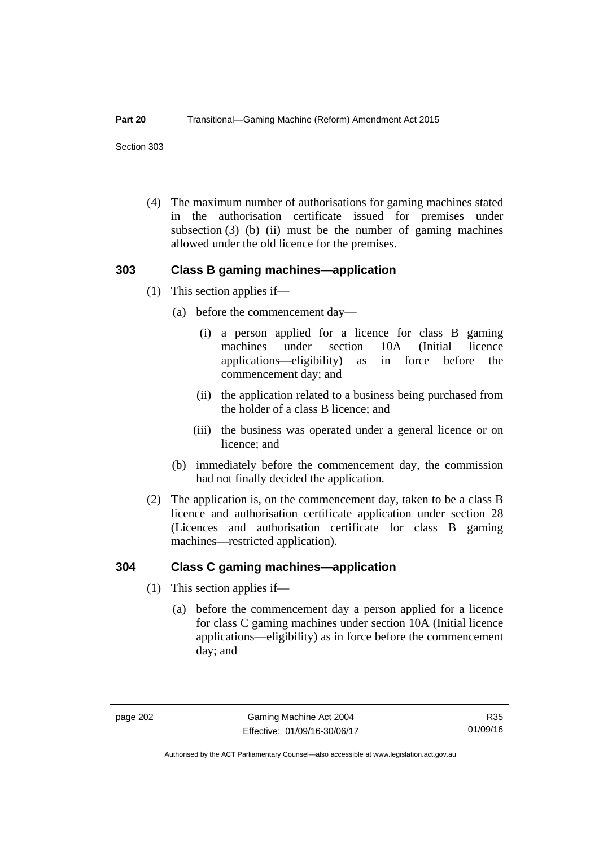Section 303

 (4) The maximum number of authorisations for gaming machines stated in the authorisation certificate issued for premises under subsection  $(3)$  (b) (ii) must be the number of gaming machines allowed under the old licence for the premises.

# **303 Class B gaming machines—application**

- (1) This section applies if—
	- (a) before the commencement day—
		- (i) a person applied for a licence for class B gaming machines under section 10A (Initial licence applications—eligibility) as in force before the commencement day; and
		- (ii) the application related to a business being purchased from the holder of a class B licence; and
		- (iii) the business was operated under a general licence or on licence; and
	- (b) immediately before the commencement day, the commission had not finally decided the application.
- (2) The application is, on the commencement day, taken to be a class B licence and authorisation certificate application under section 28 (Licences and authorisation certificate for class B gaming machines—restricted application).

## **304 Class C gaming machines—application**

- (1) This section applies if—
	- (a) before the commencement day a person applied for a licence for class C gaming machines under section 10A (Initial licence applications—eligibility) as in force before the commencement day; and

Authorised by the ACT Parliamentary Counsel—also accessible at www.legislation.act.gov.au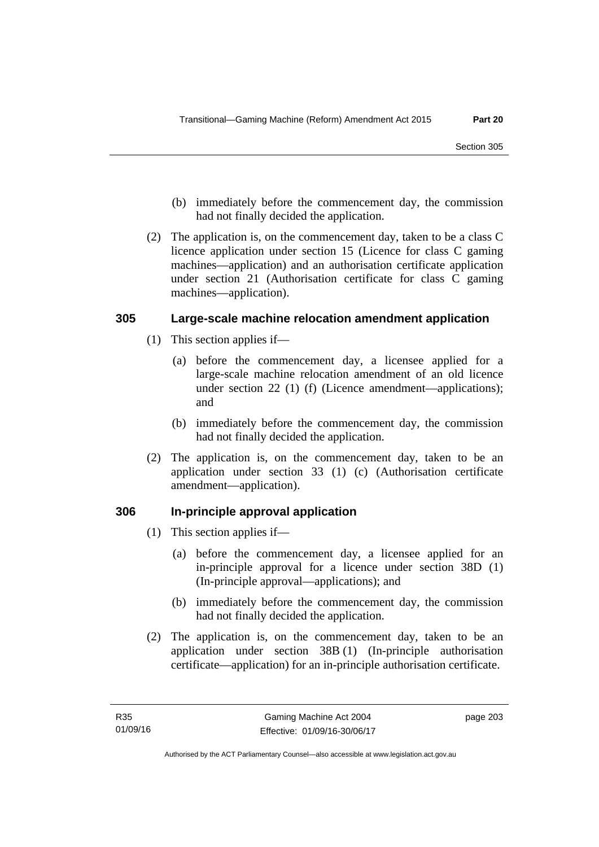- (b) immediately before the commencement day, the commission had not finally decided the application.
- (2) The application is, on the commencement day, taken to be a class C licence application under section 15 (Licence for class C gaming machines—application) and an authorisation certificate application under section 21 (Authorisation certificate for class C gaming machines—application).

# **305 Large-scale machine relocation amendment application**

- (1) This section applies if—
	- (a) before the commencement day, a licensee applied for a large-scale machine relocation amendment of an old licence under section 22 (1) (f) (Licence amendment—applications); and
	- (b) immediately before the commencement day, the commission had not finally decided the application.
- (2) The application is, on the commencement day, taken to be an application under section 33 (1) (c) (Authorisation certificate amendment—application).

# **306 In-principle approval application**

- (1) This section applies if—
	- (a) before the commencement day, a licensee applied for an in-principle approval for a licence under section 38D (1) (In-principle approval—applications); and
	- (b) immediately before the commencement day, the commission had not finally decided the application.
- (2) The application is, on the commencement day, taken to be an application under section 38B (1) (In-principle authorisation certificate—application) for an in-principle authorisation certificate.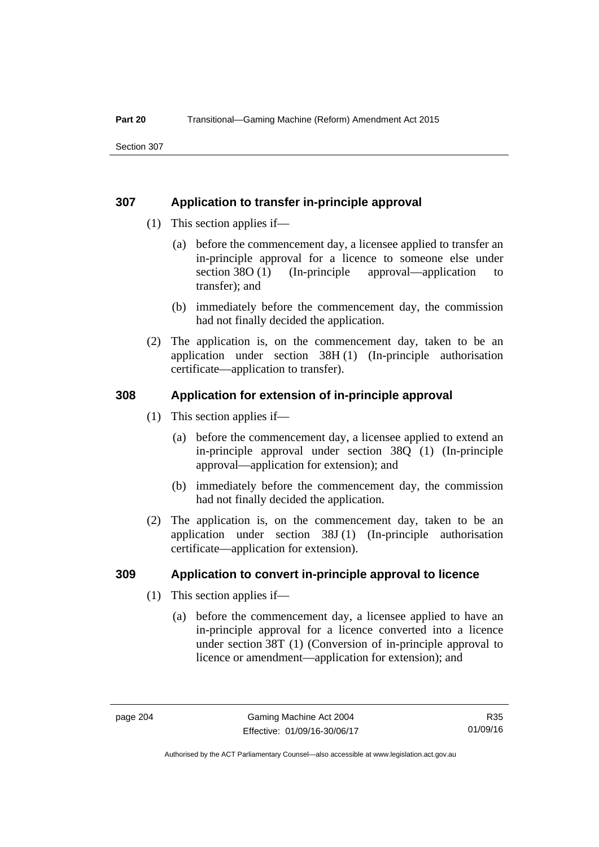# **307 Application to transfer in-principle approval**

- (1) This section applies if—
	- (a) before the commencement day, a licensee applied to transfer an in-principle approval for a licence to someone else under section 38O (1) (In-principle approval—application to transfer); and
	- (b) immediately before the commencement day, the commission had not finally decided the application.
- (2) The application is, on the commencement day, taken to be an application under section 38H (1) (In-principle authorisation certificate—application to transfer).

# **308 Application for extension of in-principle approval**

- (1) This section applies if—
	- (a) before the commencement day, a licensee applied to extend an in-principle approval under section 38Q (1) (In-principle approval—application for extension); and
	- (b) immediately before the commencement day, the commission had not finally decided the application.
- (2) The application is, on the commencement day, taken to be an application under section 38J (1) (In-principle authorisation certificate—application for extension).

## **309 Application to convert in-principle approval to licence**

- (1) This section applies if—
	- (a) before the commencement day, a licensee applied to have an in-principle approval for a licence converted into a licence under section 38T (1) (Conversion of in-principle approval to licence or amendment—application for extension); and

R35 01/09/16

Authorised by the ACT Parliamentary Counsel—also accessible at www.legislation.act.gov.au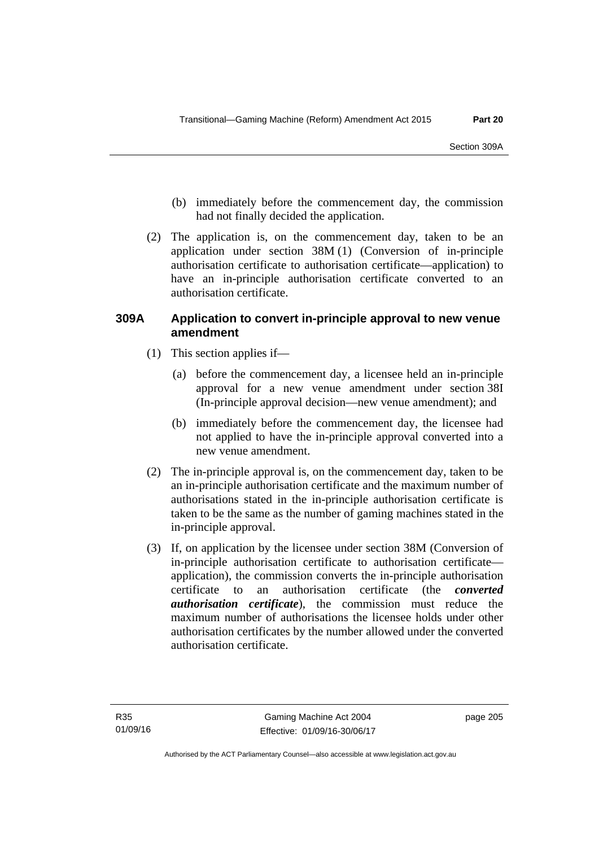- (b) immediately before the commencement day, the commission had not finally decided the application.
- (2) The application is, on the commencement day, taken to be an application under section 38M (1) (Conversion of in-principle authorisation certificate to authorisation certificate—application) to have an in-principle authorisation certificate converted to an authorisation certificate.

# **309A Application to convert in-principle approval to new venue amendment**

- (1) This section applies if—
	- (a) before the commencement day, a licensee held an in-principle approval for a new venue amendment under section 38I (In-principle approval decision—new venue amendment); and
	- (b) immediately before the commencement day, the licensee had not applied to have the in-principle approval converted into a new venue amendment.
- (2) The in-principle approval is, on the commencement day, taken to be an in-principle authorisation certificate and the maximum number of authorisations stated in the in-principle authorisation certificate is taken to be the same as the number of gaming machines stated in the in-principle approval.
- (3) If, on application by the licensee under section 38M (Conversion of in-principle authorisation certificate to authorisation certificate application), the commission converts the in-principle authorisation certificate to an authorisation certificate (the *converted authorisation certificate*), the commission must reduce the maximum number of authorisations the licensee holds under other authorisation certificates by the number allowed under the converted authorisation certificate.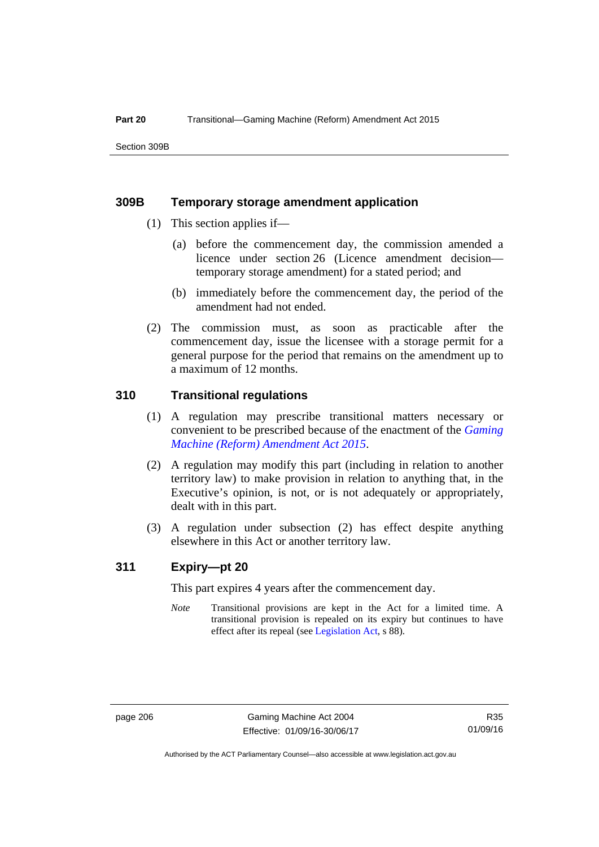Section 309B

## **309B Temporary storage amendment application**

- (1) This section applies if—
	- (a) before the commencement day, the commission amended a licence under section 26 (Licence amendment decision temporary storage amendment) for a stated period; and
	- (b) immediately before the commencement day, the period of the amendment had not ended.
- (2) The commission must, as soon as practicable after the commencement day, issue the licensee with a storage permit for a general purpose for the period that remains on the amendment up to a maximum of 12 months.

# **310 Transitional regulations**

- (1) A regulation may prescribe transitional matters necessary or convenient to be prescribed because of the enactment of the *[Gaming](http://www.legislation.act.gov.au/a/2015-21/default.asp)  [Machine \(Reform\) Amendment Act 2015](http://www.legislation.act.gov.au/a/2015-21/default.asp)*.
- (2) A regulation may modify this part (including in relation to another territory law) to make provision in relation to anything that, in the Executive's opinion, is not, or is not adequately or appropriately, dealt with in this part.
- (3) A regulation under subsection (2) has effect despite anything elsewhere in this Act or another territory law.

# **311 Expiry—pt 20**

This part expires 4 years after the commencement day.

*Note* Transitional provisions are kept in the Act for a limited time. A transitional provision is repealed on its expiry but continues to have effect after its repeal (see [Legislation Act,](http://www.legislation.act.gov.au/a/2001-14) s 88).

Authorised by the ACT Parliamentary Counsel—also accessible at www.legislation.act.gov.au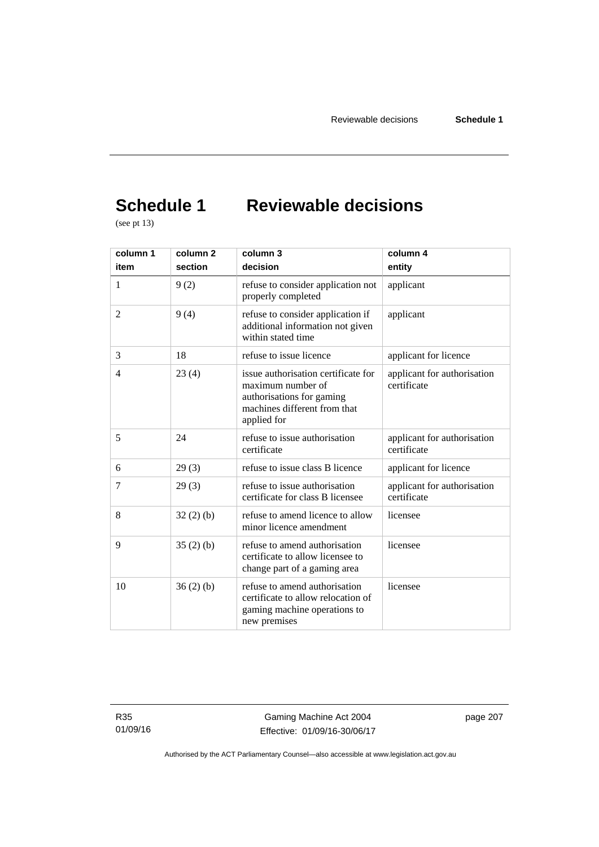# **Schedule 1 Reviewable decisions**

(see pt 13)

| column 1       | column 2 | column 3                                                                                                                             | column 4                                   |
|----------------|----------|--------------------------------------------------------------------------------------------------------------------------------------|--------------------------------------------|
| item           | section  | decision                                                                                                                             | entity                                     |
| 1              | 9(2)     | refuse to consider application not<br>properly completed                                                                             | applicant                                  |
| $\overline{2}$ | 9(4)     | refuse to consider application if<br>additional information not given<br>within stated time                                          | applicant                                  |
| 3              | 18       | refuse to issue licence                                                                                                              | applicant for licence                      |
| $\overline{4}$ | 23(4)    | issue authorisation certificate for<br>maximum number of<br>authorisations for gaming<br>machines different from that<br>applied for | applicant for authorisation<br>certificate |
| 5              | 24       | refuse to issue authorisation<br>certificate                                                                                         | applicant for authorisation<br>certificate |
| 6              | 29(3)    | refuse to issue class B licence                                                                                                      | applicant for licence                      |
| 7              | 29(3)    | refuse to issue authorisation<br>certificate for class B licensee                                                                    | applicant for authorisation<br>certificate |
| 8              | 32(2)(b) | refuse to amend licence to allow<br>minor licence amendment                                                                          | licensee                                   |
| 9              | 35(2)(b) | refuse to amend authorisation<br>certificate to allow licensee to<br>change part of a gaming area                                    | licensee                                   |
| 10             | 36(2)(b) | refuse to amend authorisation<br>certificate to allow relocation of<br>gaming machine operations to<br>new premises                  | licensee                                   |

Gaming Machine Act 2004 Effective: 01/09/16-30/06/17 page 207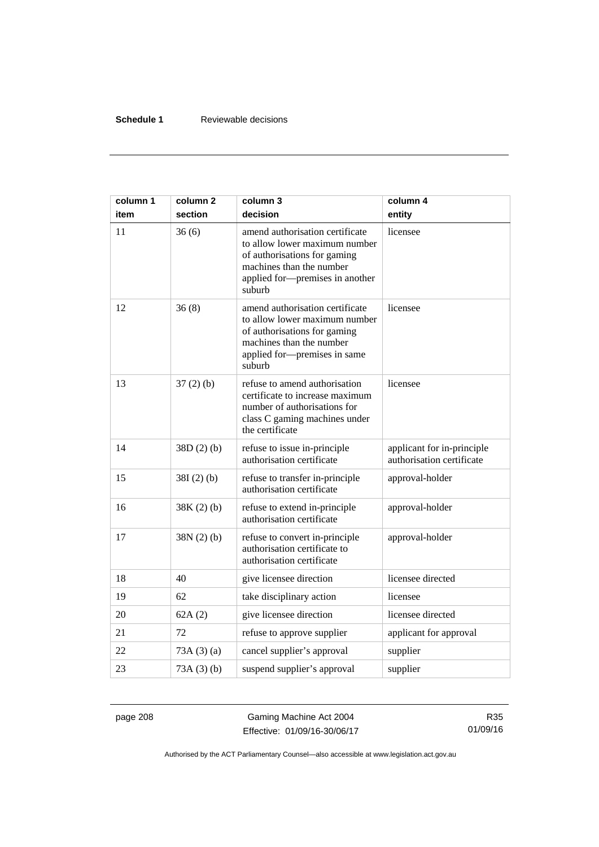## **Schedule 1** Reviewable decisions

| column 1<br>item | column 2<br>section | column 3<br>decision                                                                                                                                                      | column 4<br>entity                                      |
|------------------|---------------------|---------------------------------------------------------------------------------------------------------------------------------------------------------------------------|---------------------------------------------------------|
| 11               | 36(6)               | amend authorisation certificate<br>to allow lower maximum number<br>of authorisations for gaming<br>machines than the number<br>applied for-premises in another<br>suburb | licensee                                                |
| 12               | 36(8)               | amend authorisation certificate<br>to allow lower maximum number<br>of authorisations for gaming<br>machines than the number<br>applied for-premises in same<br>suburb    | licensee                                                |
| 13               | $37(2)$ (b)         | refuse to amend authorisation<br>certificate to increase maximum<br>number of authorisations for<br>class C gaming machines under<br>the certificate                      | licensee                                                |
| 14               | 38D(2)(b)           | refuse to issue in-principle<br>authorisation certificate                                                                                                                 | applicant for in-principle<br>authorisation certificate |
| 15               | $38I(2)$ (b)        | refuse to transfer in-principle<br>authorisation certificate                                                                                                              | approval-holder                                         |
| 16               | $38K(2)$ (b)        | refuse to extend in-principle<br>authorisation certificate                                                                                                                | approval-holder                                         |
| 17               | $38N(2)$ (b)        | refuse to convert in-principle<br>authorisation certificate to<br>authorisation certificate                                                                               | approval-holder                                         |
| 18               | 40                  | give licensee direction                                                                                                                                                   | licensee directed                                       |
| 19               | 62                  | take disciplinary action                                                                                                                                                  | licensee                                                |
| 20               | 62A(2)              | give licensee direction                                                                                                                                                   | licensee directed                                       |
| 21               | 72                  | refuse to approve supplier                                                                                                                                                | applicant for approval                                  |
| 22               | 73A(3)(a)           | cancel supplier's approval                                                                                                                                                | supplier                                                |
| 23               | 73A(3)(b)           | suspend supplier's approval                                                                                                                                               | supplier                                                |

page 208 Gaming Machine Act 2004 Effective: 01/09/16-30/06/17

R35 01/09/16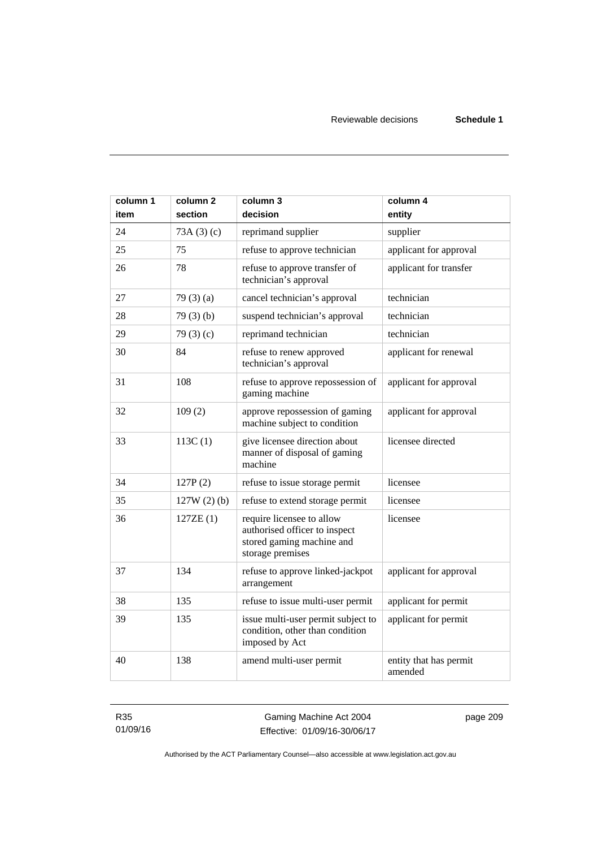| column 1<br>item | column <sub>2</sub><br>section | column 3<br>decision                                                                                        | column 4                          |
|------------------|--------------------------------|-------------------------------------------------------------------------------------------------------------|-----------------------------------|
|                  |                                |                                                                                                             | entity                            |
| 24               | 73A(3)(c)                      | reprimand supplier                                                                                          | supplier                          |
| 25               | 75                             | refuse to approve technician                                                                                | applicant for approval            |
| 26               | 78                             | refuse to approve transfer of<br>technician's approval                                                      | applicant for transfer            |
| 27               | 79(3)(a)                       | cancel technician's approval                                                                                | technician                        |
| 28               | 79(3)(b)                       | suspend technician's approval                                                                               | technician                        |
| 29               | 79 $(3)(c)$                    | reprimand technician                                                                                        | technician                        |
| 30               | 84                             | refuse to renew approved<br>technician's approval                                                           | applicant for renewal             |
| 31               | 108                            | refuse to approve repossession of<br>gaming machine                                                         | applicant for approval            |
| 32               | 109(2)                         | approve repossession of gaming<br>machine subject to condition                                              | applicant for approval            |
| 33               | 113C(1)                        | give licensee direction about<br>manner of disposal of gaming<br>machine                                    | licensee directed                 |
| 34               | 127P(2)                        | refuse to issue storage permit                                                                              | licensee                          |
| 35               | $127W(2)$ (b)                  | refuse to extend storage permit                                                                             | licensee                          |
| 36               | 127ZE(1)                       | require licensee to allow<br>authorised officer to inspect<br>stored gaming machine and<br>storage premises | licensee                          |
| 37               | 134                            | refuse to approve linked-jackpot<br>arrangement                                                             | applicant for approval            |
| 38               | 135                            | refuse to issue multi-user permit                                                                           | applicant for permit              |
| 39               | 135                            | issue multi-user permit subject to<br>condition, other than condition<br>imposed by Act                     | applicant for permit              |
| 40               | 138                            | amend multi-user permit                                                                                     | entity that has permit<br>amended |

R35 01/09/16

Gaming Machine Act 2004 Effective: 01/09/16-30/06/17 page 209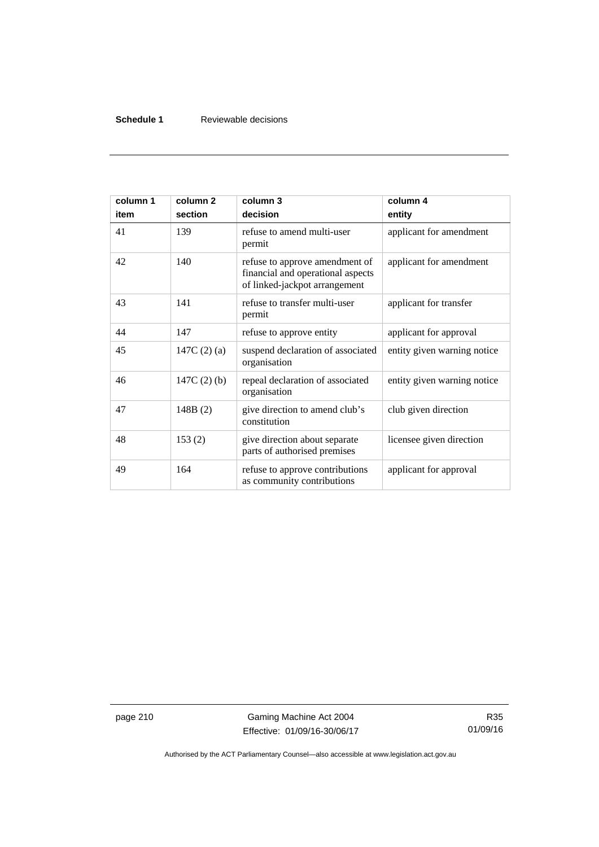## **Schedule 1** Reviewable decisions

| column 1<br>item | column <sub>2</sub><br>section | column 3<br>decision                                                                                 | column 4<br>entity          |
|------------------|--------------------------------|------------------------------------------------------------------------------------------------------|-----------------------------|
| 41               | 139                            | refuse to amend multi-user<br>permit                                                                 | applicant for amendment     |
| 42               | 140                            | refuse to approve amendment of<br>financial and operational aspects<br>of linked-jackpot arrangement | applicant for amendment     |
| 43               | 141                            | refuse to transfer multi-user<br>permit                                                              | applicant for transfer      |
| 44               | 147                            | refuse to approve entity                                                                             | applicant for approval      |
| 45               | 147C $(2)$ $(a)$               | suspend declaration of associated<br>organisation                                                    | entity given warning notice |
| 46               | 147C $(2)$ $(b)$               | repeal declaration of associated<br>organisation                                                     | entity given warning notice |
| 47               | 148B(2)                        | give direction to amend club's<br>constitution                                                       | club given direction        |
| 48               | 153(2)                         | give direction about separate<br>parts of authorised premises                                        | licensee given direction    |
| 49               | 164                            | refuse to approve contributions<br>as community contributions                                        | applicant for approval      |

page 210 Gaming Machine Act 2004 Effective: 01/09/16-30/06/17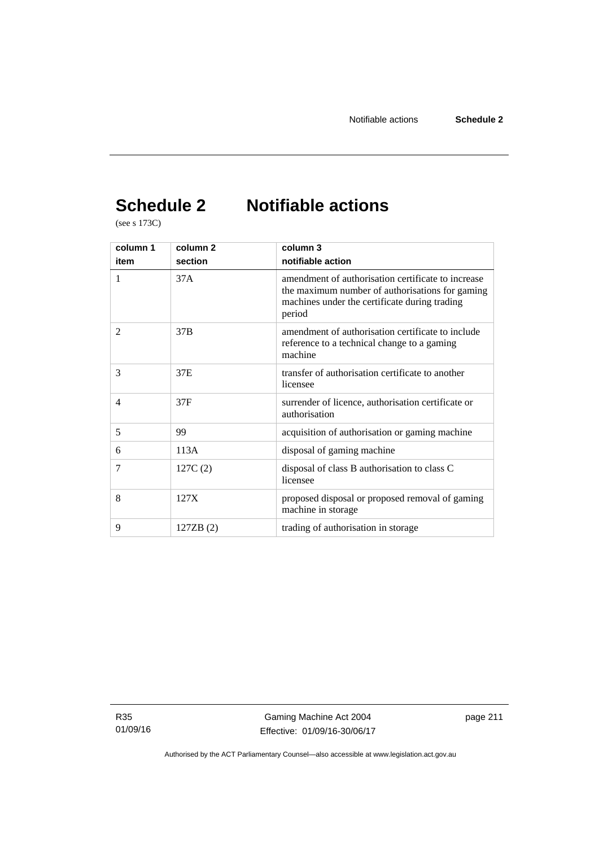# **Schedule 2 Notifiable actions**

(see s 173C)

| column 1       | column 2  | column 3                                                                                                                                                         |
|----------------|-----------|------------------------------------------------------------------------------------------------------------------------------------------------------------------|
| item           | section   | notifiable action                                                                                                                                                |
| 1              | 37A       | amendment of authorisation certificate to increase<br>the maximum number of authorisations for gaming<br>machines under the certificate during trading<br>period |
| $\mathfrak{D}$ | 37B       | amendment of authorisation certificate to include<br>reference to a technical change to a gaming<br>machine                                                      |
| 3              | 37E       | transfer of authorisation certificate to another<br>licensee                                                                                                     |
| $\overline{4}$ | 37F       | surrender of licence, authorisation certificate or<br>authorisation                                                                                              |
| 5              | 99        | acquisition of authorisation or gaming machine                                                                                                                   |
| 6              | 113A      | disposal of gaming machine                                                                                                                                       |
| 7              | 127C(2)   | disposal of class B authorisation to class C<br>licensee                                                                                                         |
| 8              | 127X      | proposed disposal or proposed removal of gaming<br>machine in storage                                                                                            |
| 9              | 127ZB (2) | trading of authorisation in storage                                                                                                                              |

R35 01/09/16 page 211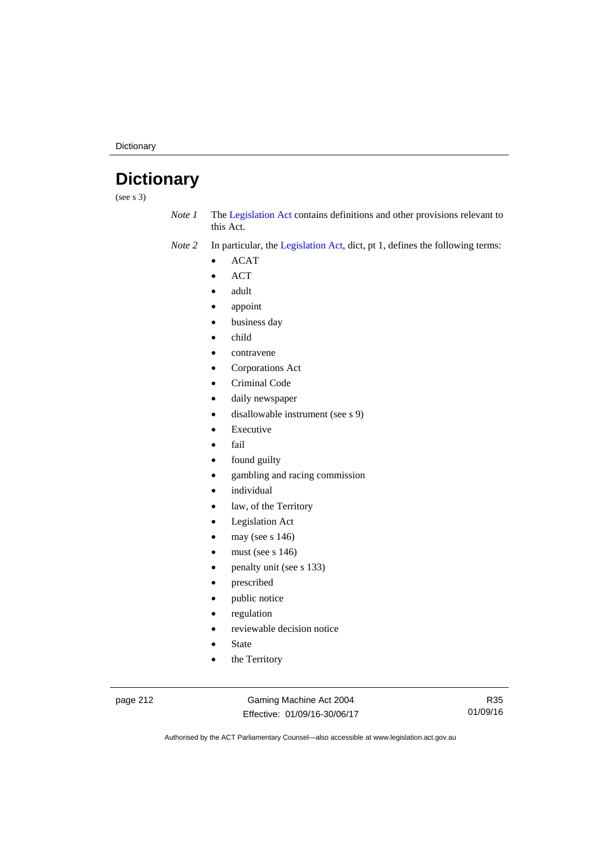**Dictionary** 

# **Dictionary**

(see s 3)

*Note 1* The [Legislation Act](http://www.legislation.act.gov.au/a/2001-14) contains definitions and other provisions relevant to this Act.

*Note 2* In particular, the [Legislation Act,](http://www.legislation.act.gov.au/a/2001-14) dict, pt 1, defines the following terms:

- ACAT
- ACT
- adult
- appoint
- business day
- child
- contravene
- Corporations Act
- Criminal Code
- daily newspaper
- disallowable instrument (see s 9)
- Executive
- fail
- found guilty
- gambling and racing commission
- individual
- law, of the Territory
- Legislation Act
- may (see s 146)
- must (see s 146)
- penalty unit (see s 133)
- prescribed
- public notice
- regulation
- reviewable decision notice
- State
- the Territory

page 212 Gaming Machine Act 2004 Effective: 01/09/16-30/06/17

R35 01/09/16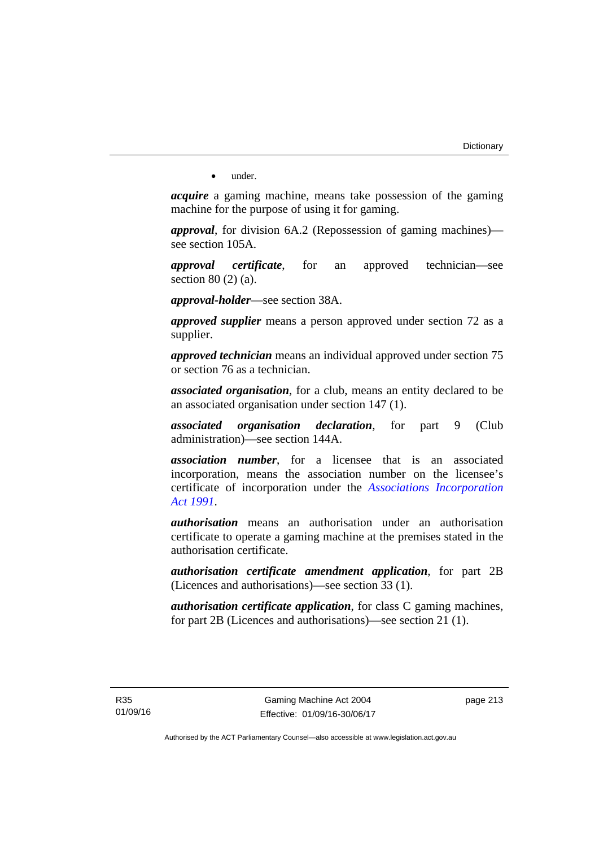• under.

*acquire* a gaming machine, means take possession of the gaming machine for the purpose of using it for gaming.

*approval*, for division 6A.2 (Repossession of gaming machines) see section 105A.

*approval certificate*, for an approved technician—see section 80 (2) (a).

*approval-holder*—see section 38A.

*approved supplier* means a person approved under section 72 as a supplier.

*approved technician* means an individual approved under section 75 or section 76 as a technician.

*associated organisation*, for a club, means an entity declared to be an associated organisation under section 147 (1).

*associated organisation declaration*, for part 9 (Club administration)—see section 144A.

*association number*, for a licensee that is an associated incorporation, means the association number on the licensee's certificate of incorporation under the *[Associations Incorporation](http://www.legislation.act.gov.au/a/1991-46)  [Act 1991](http://www.legislation.act.gov.au/a/1991-46)*.

*authorisation* means an authorisation under an authorisation certificate to operate a gaming machine at the premises stated in the authorisation certificate.

*authorisation certificate amendment application*, for part 2B (Licences and authorisations)—see section 33 (1).

*authorisation certificate application*, for class C gaming machines, for part 2B (Licences and authorisations)—see section 21 (1).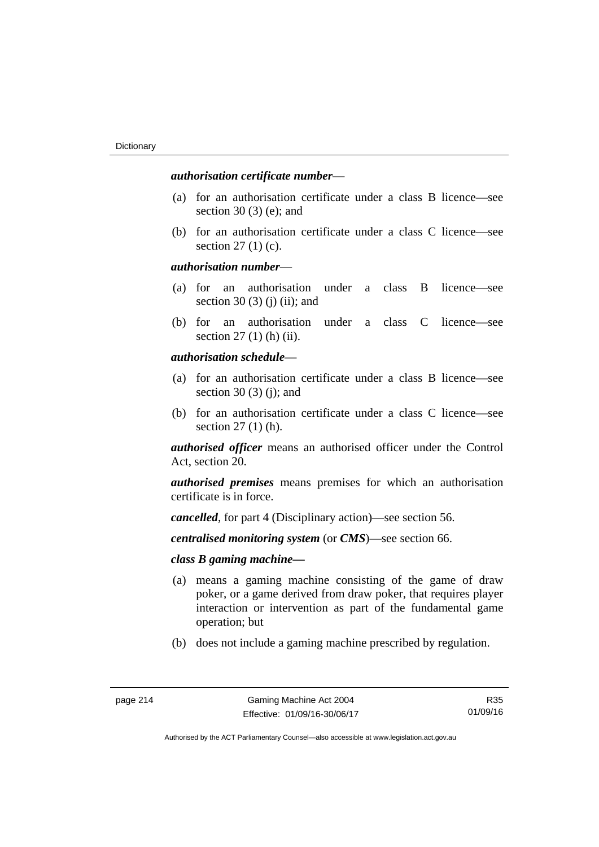## *authorisation certificate number*—

- (a) for an authorisation certificate under a class B licence—see section 30 (3) (e); and
- (b) for an authorisation certificate under a class C licence—see section 27 (1) (c).

## *authorisation number*—

- (a) for an authorisation under a class B licence—see section 30 (3) (j) (ii); and
- (b) for an authorisation under a class C licence—see section 27 (1) (h) (ii).

## *authorisation schedule*—

- (a) for an authorisation certificate under a class B licence—see section 30 $(3)$  $(i)$ ; and
- (b) for an authorisation certificate under a class C licence—see section 27 (1) (h).

*authorised officer* means an authorised officer under the Control Act, section 20.

*authorised premises* means premises for which an authorisation certificate is in force.

*cancelled*, for part 4 (Disciplinary action)—see section 56.

*centralised monitoring system* (or *CMS*)—see section 66.

## *class B gaming machine—*

- (a) means a gaming machine consisting of the game of draw poker, or a game derived from draw poker, that requires player interaction or intervention as part of the fundamental game operation; but
- (b) does not include a gaming machine prescribed by regulation.

R35 01/09/16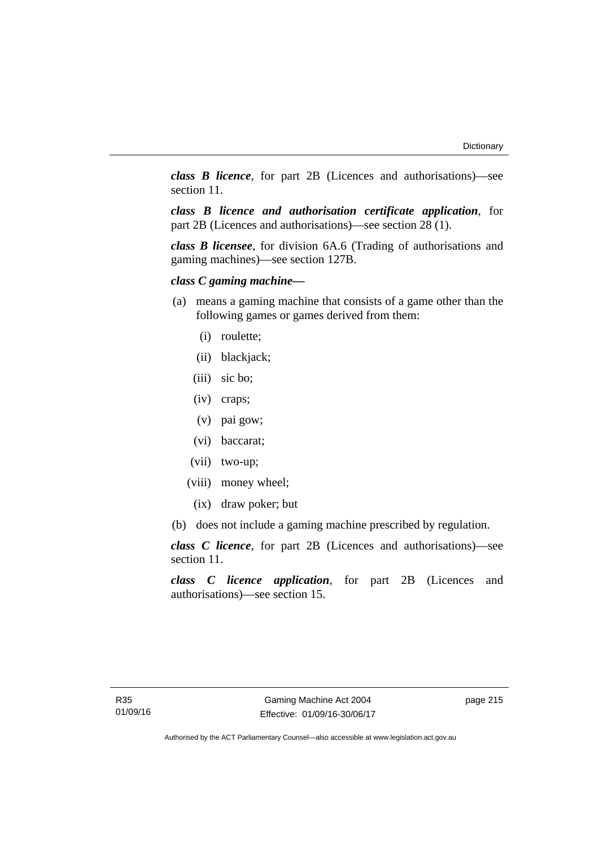*class B licence*, for part 2B (Licences and authorisations)—see section 11.

*class B licence and authorisation certificate application*, for part 2B (Licences and authorisations)—see section 28 (1).

*class B licensee*, for division 6A.6 (Trading of authorisations and gaming machines)—see section 127B.

# *class C gaming machine—*

- (a) means a gaming machine that consists of a game other than the following games or games derived from them:
	- (i) roulette;
	- (ii) blackjack;
	- (iii) sic bo;
	- (iv) craps;
	- (v) pai gow;
	- (vi) baccarat;
	- (vii) two-up;
	- (viii) money wheel;
		- (ix) draw poker; but
- (b) does not include a gaming machine prescribed by regulation.

*class C licence*, for part 2B (Licences and authorisations)—see section 11.

*class C licence application*, for part 2B (Licences and authorisations)—see section 15.

page 215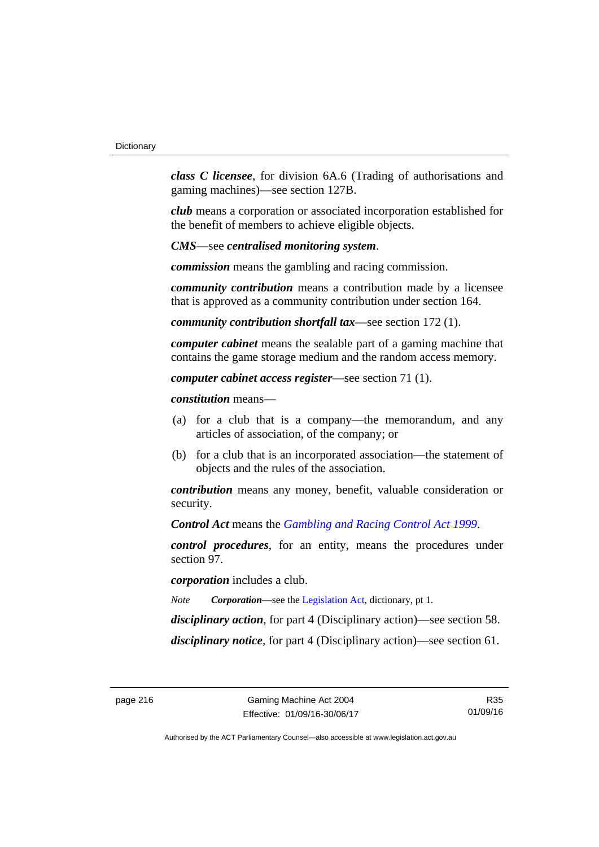*class C licensee*, for division 6A.6 (Trading of authorisations and gaming machines)—see section 127B.

*club* means a corporation or associated incorporation established for the benefit of members to achieve eligible objects.

*CMS*—see *centralised monitoring system*.

*commission* means the gambling and racing commission.

*community contribution* means a contribution made by a licensee that is approved as a community contribution under section 164.

*community contribution shortfall tax*—see section 172 (1).

*computer cabinet* means the sealable part of a gaming machine that contains the game storage medium and the random access memory.

*computer cabinet access register*—see section 71 (1).

*constitution* means—

- (a) for a club that is a company—the memorandum, and any articles of association, of the company; or
- (b) for a club that is an incorporated association—the statement of objects and the rules of the association.

*contribution* means any money, benefit, valuable consideration or security.

*Control Act* means the *[Gambling and Racing Control Act 1999](http://www.legislation.act.gov.au/a/1999-46)*.

*control procedures*, for an entity, means the procedures under section 97.

*corporation* includes a club.

*Note Corporation*—see the [Legislation Act,](http://www.legislation.act.gov.au/a/2001-14) dictionary, pt 1.

*disciplinary action*, for part 4 (Disciplinary action)—see section 58.

*disciplinary notice*, for part 4 (Disciplinary action)—see section 61.

R35 01/09/16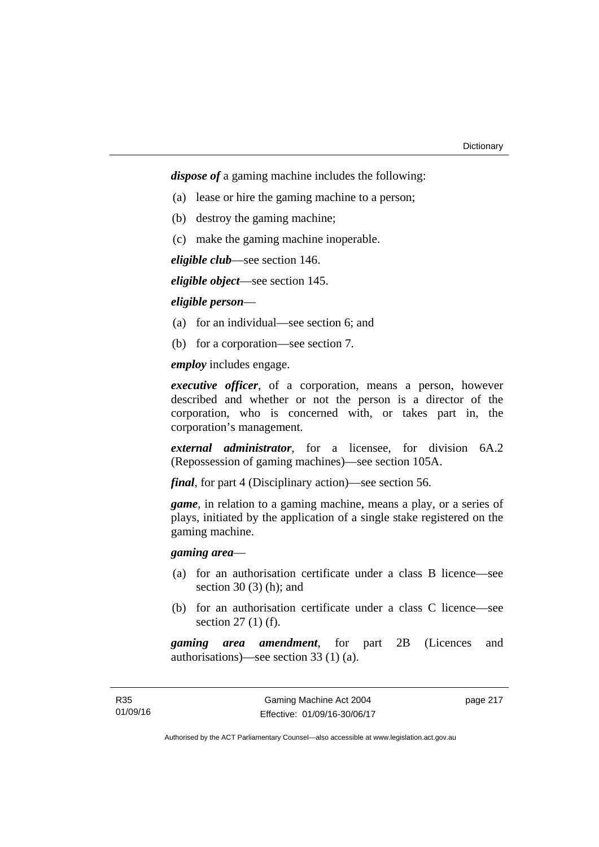*dispose of* a gaming machine includes the following:

- (a) lease or hire the gaming machine to a person;
- (b) destroy the gaming machine;
- (c) make the gaming machine inoperable.

*eligible club*—see section 146.

*eligible object*—see section 145.

*eligible person*—

- (a) for an individual—see section 6; and
- (b) for a corporation—see section 7.

*employ* includes engage.

*executive officer*, of a corporation, means a person, however described and whether or not the person is a director of the corporation, who is concerned with, or takes part in, the corporation's management.

*external administrator*, for a licensee, for division 6A.2 (Repossession of gaming machines)—see section 105A.

*final*, for part 4 (Disciplinary action)—see section 56.

*game*, in relation to a gaming machine, means a play, or a series of plays, initiated by the application of a single stake registered on the gaming machine.

*gaming area*—

- (a) for an authorisation certificate under a class B licence—see section  $30(3)$  (h); and
- (b) for an authorisation certificate under a class C licence—see section 27 (1) (f).

*gaming area amendment*, for part 2B (Licences and authorisations)—see section 33 (1) (a).

page 217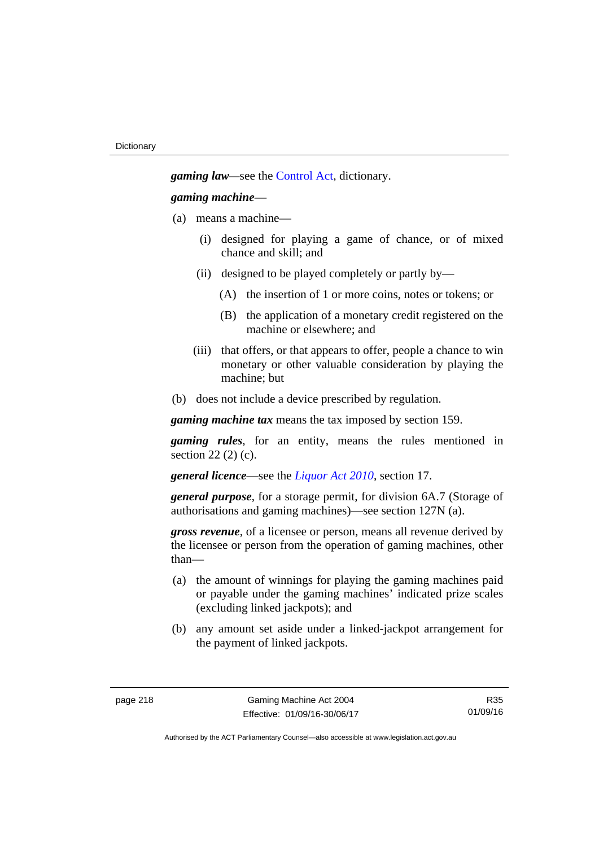*gaming law—*see the [Control Act](http://www.legislation.act.gov.au/a/1999-46/default.asp), dictionary.

#### *gaming machine*—

- (a) means a machine—
	- (i) designed for playing a game of chance, or of mixed chance and skill; and
	- (ii) designed to be played completely or partly by—
		- (A) the insertion of 1 or more coins, notes or tokens; or
		- (B) the application of a monetary credit registered on the machine or elsewhere; and
	- (iii) that offers, or that appears to offer, people a chance to win monetary or other valuable consideration by playing the machine; but
- (b) does not include a device prescribed by regulation.

*gaming machine tax* means the tax imposed by section 159.

*gaming rules*, for an entity, means the rules mentioned in section 22 (2) (c).

*general licence*—see the *[Liquor Act 2010](http://www.legislation.act.gov.au/a/2010-35)*, section 17.

*general purpose*, for a storage permit, for division 6A.7 (Storage of authorisations and gaming machines)—see section 127N (a).

*gross revenue*, of a licensee or person, means all revenue derived by the licensee or person from the operation of gaming machines, other than—

- (a) the amount of winnings for playing the gaming machines paid or payable under the gaming machines' indicated prize scales (excluding linked jackpots); and
- (b) any amount set aside under a linked-jackpot arrangement for the payment of linked jackpots.

R35 01/09/16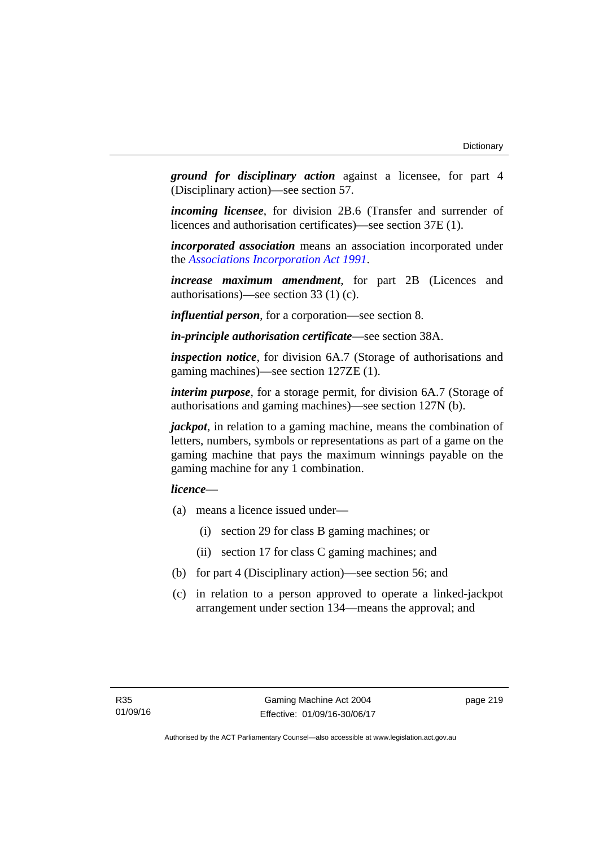*ground for disciplinary action* against a licensee, for part 4 (Disciplinary action)—see section 57.

*incoming licensee*, for division 2B.6 (Transfer and surrender of licences and authorisation certificates)—see section 37E (1).

*incorporated association* means an association incorporated under the *[Associations Incorporation Act 1991](http://www.legislation.act.gov.au/a/1991-46)*.

*increase maximum amendment*, for part 2B (Licences and authorisations)**—**see section 33 (1) (c).

*influential person*, for a corporation—see section 8.

*in-principle authorisation certificate*—see section 38A.

*inspection notice*, for division 6A.7 (Storage of authorisations and gaming machines)—see section 127ZE (1).

*interim purpose*, for a storage permit, for division 6A.7 (Storage of authorisations and gaming machines)—see section 127N (b).

*jackpot*, in relation to a gaming machine, means the combination of letters, numbers, symbols or representations as part of a game on the gaming machine that pays the maximum winnings payable on the gaming machine for any 1 combination.

## *licence*—

- (a) means a licence issued under—
	- (i) section 29 for class B gaming machines; or
	- (ii) section 17 for class C gaming machines; and
- (b) for part 4 (Disciplinary action)—see section 56; and
- (c) in relation to a person approved to operate a linked-jackpot arrangement under section 134—means the approval; and

page 219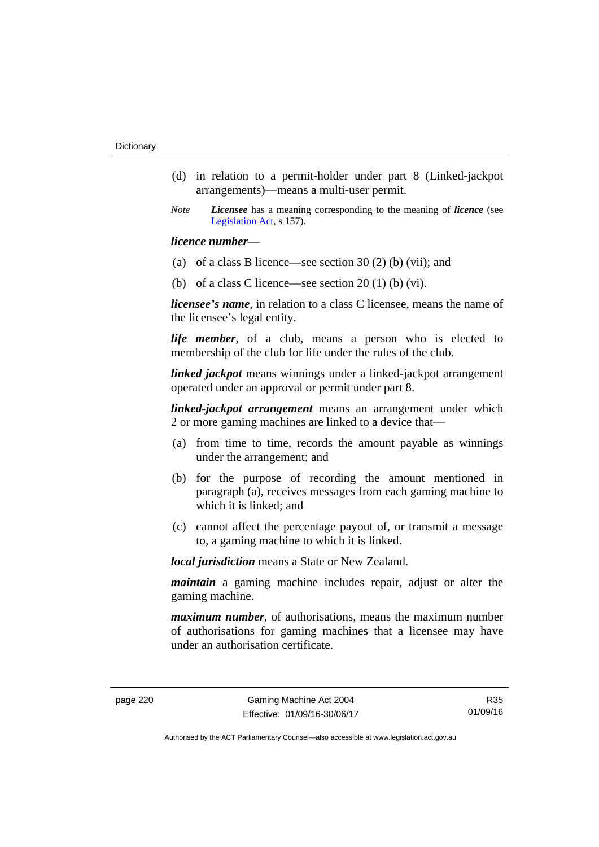- (d) in relation to a permit-holder under part 8 (Linked-jackpot arrangements)—means a multi-user permit.
- *Note Licensee* has a meaning corresponding to the meaning of *licence* (see [Legislation Act,](http://www.legislation.act.gov.au/a/2001-14) s 157).

## *licence number*—

- (a) of a class B licence—see section 30 (2) (b) (vii); and
- (b) of a class C licence—see section  $20(1)$  (b) (vi).

*licensee's name*, in relation to a class C licensee, means the name of the licensee's legal entity.

*life member*, of a club, means a person who is elected to membership of the club for life under the rules of the club.

*linked jackpot* means winnings under a linked-jackpot arrangement operated under an approval or permit under part 8.

*linked-jackpot arrangement* means an arrangement under which 2 or more gaming machines are linked to a device that—

- (a) from time to time, records the amount payable as winnings under the arrangement; and
- (b) for the purpose of recording the amount mentioned in paragraph (a), receives messages from each gaming machine to which it is linked; and
- (c) cannot affect the percentage payout of, or transmit a message to, a gaming machine to which it is linked.

*local jurisdiction* means a State or New Zealand.

*maintain* a gaming machine includes repair, adjust or alter the gaming machine.

*maximum number*, of authorisations, means the maximum number of authorisations for gaming machines that a licensee may have under an authorisation certificate.

R35 01/09/16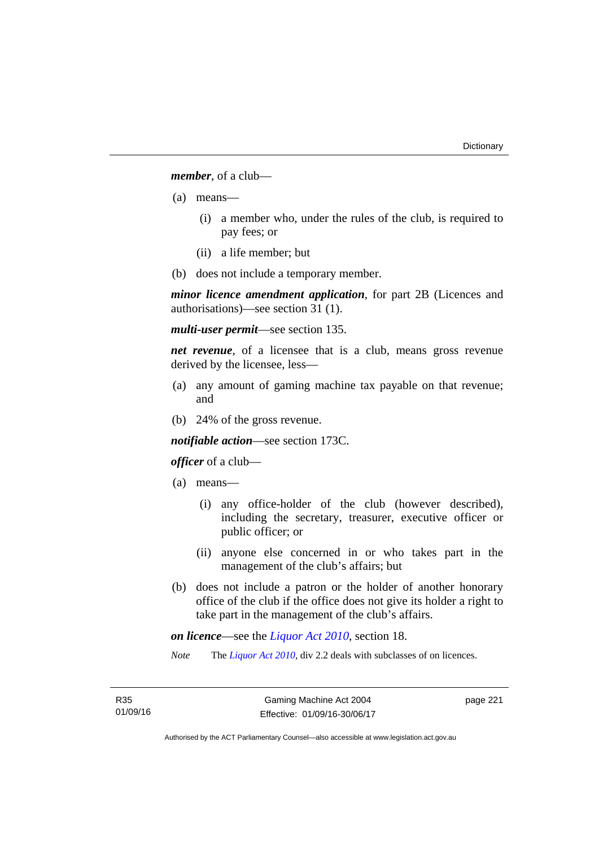*member*, of a club—

- (a) means—
	- (i) a member who, under the rules of the club, is required to pay fees; or
	- (ii) a life member; but
- (b) does not include a temporary member.

*minor licence amendment application*, for part 2B (Licences and authorisations)—see section 31 (1).

*multi-user permit*—see section 135.

*net revenue*, of a licensee that is a club, means gross revenue derived by the licensee, less—

- (a) any amount of gaming machine tax payable on that revenue; and
- (b) 24% of the gross revenue.

*notifiable action*—see section 173C.

## *officer* of a club—

- (a) means—
	- (i) any office-holder of the club (however described), including the secretary, treasurer, executive officer or public officer; or
	- (ii) anyone else concerned in or who takes part in the management of the club's affairs; but
- (b) does not include a patron or the holder of another honorary office of the club if the office does not give its holder a right to take part in the management of the club's affairs.

*on licence*—see the *[Liquor Act 2010](http://www.legislation.act.gov.au/a/2010-35)*, section 18.

*Note* The *[Liquor Act 2010](http://www.legislation.act.gov.au/a/2010-35)*, div 2.2 deals with subclasses of on licences.

page 221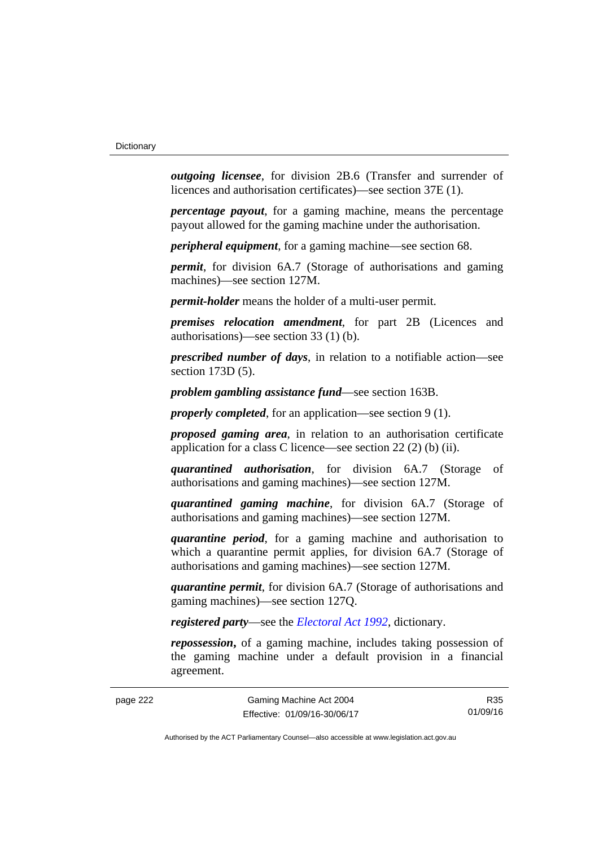*outgoing licensee*, for division 2B.6 (Transfer and surrender of licences and authorisation certificates)—see section 37E (1).

*percentage payout*, for a gaming machine, means the percentage payout allowed for the gaming machine under the authorisation.

*peripheral equipment*, for a gaming machine—see section 68.

*permit*, for division 6A.7 (Storage of authorisations and gaming machines)—see section 127M.

*permit-holder* means the holder of a multi-user permit.

*premises relocation amendment*, for part 2B (Licences and authorisations)—see section 33 (1) (b).

*prescribed number of days*, in relation to a notifiable action—see section 173D (5).

*problem gambling assistance fund*—see section 163B.

*properly completed*, for an application—see section 9 (1).

*proposed gaming area*, in relation to an authorisation certificate application for a class C licence—see section 22 (2) (b) (ii).

*quarantined authorisation*, for division 6A.7 (Storage of authorisations and gaming machines)—see section 127M.

*quarantined gaming machine*, for division 6A.7 (Storage of authorisations and gaming machines)—see section 127M.

*quarantine period*, for a gaming machine and authorisation to which a quarantine permit applies, for division 6A.7 (Storage of authorisations and gaming machines)—see section 127M.

*quarantine permit*, for division 6A.7 (Storage of authorisations and gaming machines)—see section 127Q.

*registered party*—see the *[Electoral Act 1992](http://www.legislation.act.gov.au/a/1992-71)*, dictionary.

*repossession***,** of a gaming machine, includes taking possession of the gaming machine under a default provision in a financial agreement.

R35 01/09/16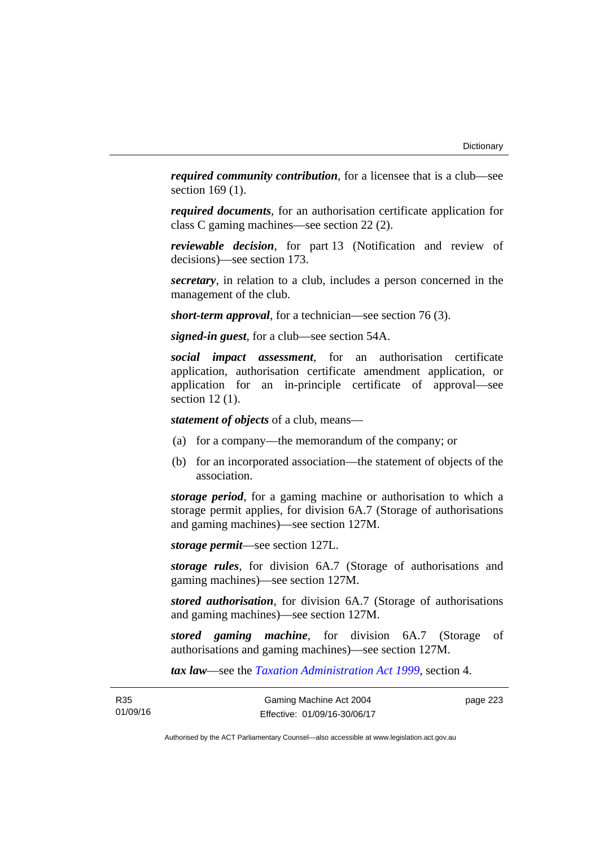*required community contribution*, for a licensee that is a club—see section 169 (1).

*required documents*, for an authorisation certificate application for class C gaming machines—see section 22 (2).

*reviewable decision*, for part 13 (Notification and review of decisions)—see section 173.

*secretary*, in relation to a club, includes a person concerned in the management of the club.

*short-term approval*, for a technician—see section 76 (3).

*signed-in guest*, for a club—see section 54A.

*social impact assessment*, for an authorisation certificate application, authorisation certificate amendment application, or application for an in-principle certificate of approval—see section 12 (1).

*statement of objects* of a club, means—

- (a) for a company—the memorandum of the company; or
- (b) for an incorporated association—the statement of objects of the association.

*storage period*, for a gaming machine or authorisation to which a storage permit applies, for division 6A.7 (Storage of authorisations and gaming machines)—see section 127M.

*storage permit*—see section 127L.

*storage rules*, for division 6A.7 (Storage of authorisations and gaming machines)—see section 127M.

*stored authorisation*, for division 6A.7 (Storage of authorisations and gaming machines)—see section 127M.

*stored gaming machine*, for division 6A.7 (Storage of authorisations and gaming machines)—see section 127M.

*tax law*—see the *[Taxation Administration Act 1999](http://www.legislation.act.gov.au/a/1999-4)*, section 4.

page 223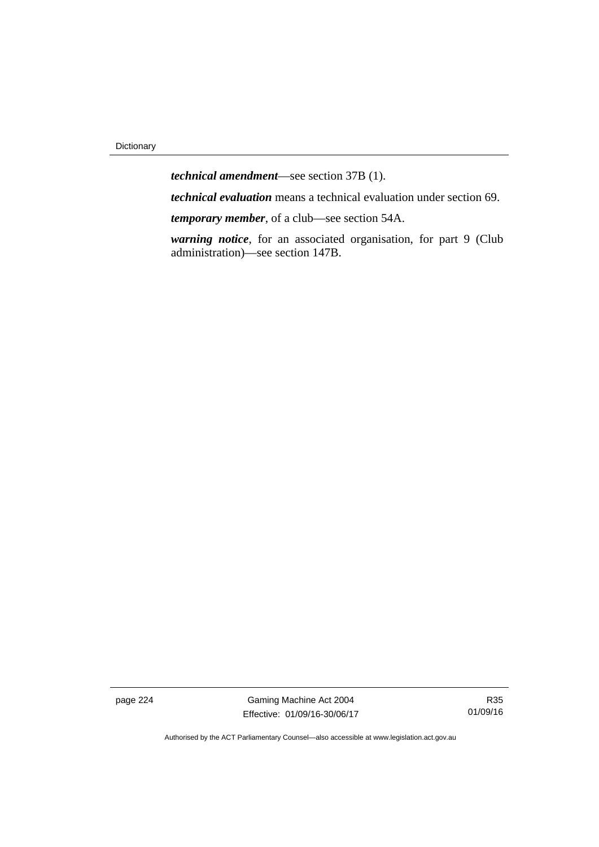*technical amendment*—see section 37B (1). *technical evaluation* means a technical evaluation under section 69.

*temporary member*, of a club—see section 54A.

*warning notice*, for an associated organisation, for part 9 (Club administration)—see section 147B.

page 224 Gaming Machine Act 2004 Effective: 01/09/16-30/06/17

R35 01/09/16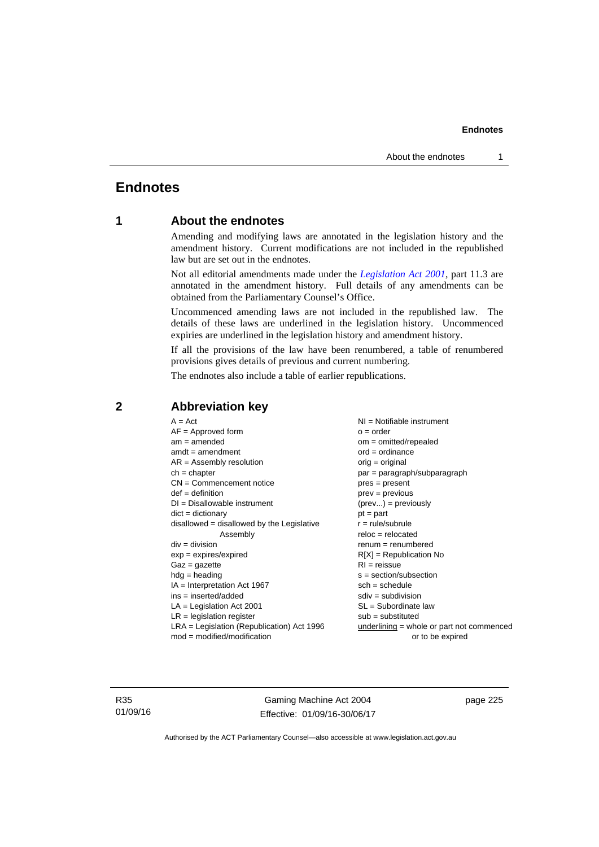# **Endnotes**

# **1 About the endnotes**

Amending and modifying laws are annotated in the legislation history and the amendment history. Current modifications are not included in the republished law but are set out in the endnotes.

Not all editorial amendments made under the *[Legislation Act 2001](http://www.legislation.act.gov.au/a/2001-14)*, part 11.3 are annotated in the amendment history. Full details of any amendments can be obtained from the Parliamentary Counsel's Office.

Uncommenced amending laws are not included in the republished law. The details of these laws are underlined in the legislation history. Uncommenced expiries are underlined in the legislation history and amendment history.

If all the provisions of the law have been renumbered, a table of renumbered provisions gives details of previous and current numbering.

The endnotes also include a table of earlier republications.

| $A = Act$                                    | NI = Notifiable instrument                  |
|----------------------------------------------|---------------------------------------------|
| $AF =$ Approved form                         | $o = order$                                 |
| $am = amended$                               | $om = omitted/repealed$                     |
| $amdt = amendment$                           | $ord = ordinance$                           |
| $AR = Assembly resolution$                   | $orig = original$                           |
| $ch = chapter$                               | par = paragraph/subparagraph                |
| $CN =$ Commencement notice                   | $pres = present$                            |
| $def = definition$                           | $prev = previous$                           |
| $DI = Disallowable instrument$               | $(\text{prev}) = \text{previously}$         |
| $dict = dictionary$                          | $pt = part$                                 |
| $disallowed = disallowed by the Legislative$ | $r = rule/subrule$                          |
| Assembly                                     | $reloc = relocated$                         |
| $div = division$                             | $renum = renumbered$                        |
| $exp = expires/expired$                      | $R[X]$ = Republication No                   |
| $Gaz = gazette$                              | $RI = reissue$                              |
| $hdg = heading$                              | $s = section/subsection$                    |
| $IA = Interpretation Act 1967$               | $sch = schedule$                            |
| ins = inserted/added                         | $sdiv = subdivision$                        |
| $LA =$ Legislation Act 2001                  | $SL = Subordinate$ law                      |
| $LR =$ legislation register                  | $sub =$ substituted                         |
| $LRA =$ Legislation (Republication) Act 1996 | $underlining = whole or part not commenced$ |
| $mod = modified/modification$                | or to be expired                            |
|                                              |                                             |

## **2 Abbreviation key**

R35 01/09/16

Gaming Machine Act 2004 Effective: 01/09/16-30/06/17 page 225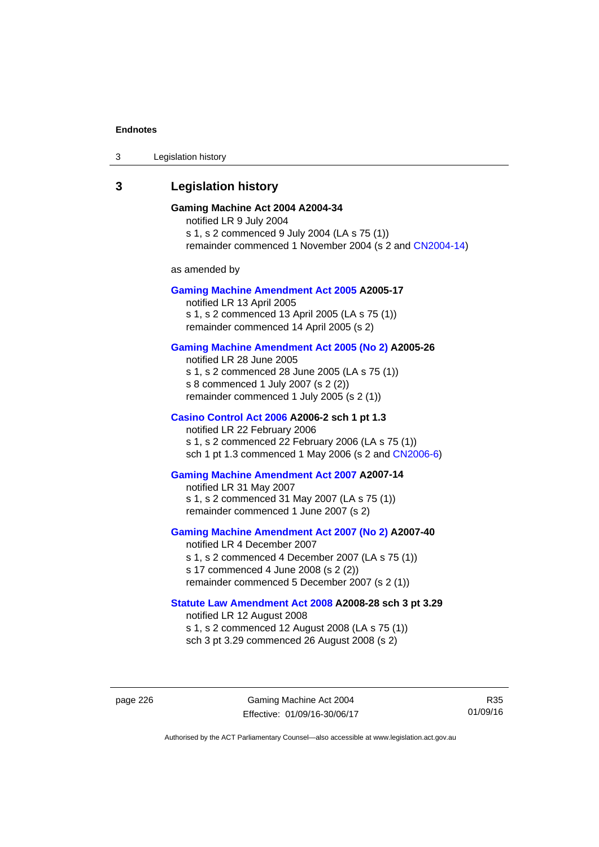3 Legislation history

# **3 Legislation history**

## **Gaming Machine Act 2004 A2004-34**

notified LR 9 July 2004 s 1, s 2 commenced 9 July 2004 (LA s 75 (1)) remainder commenced 1 November 2004 (s 2 and [CN2004-14](http://www.legislation.act.gov.au/cn/2004-14/default.asp))

as amended by

#### **[Gaming Machine Amendment Act 2005](http://www.legislation.act.gov.au/a/2005-17) A2005-17**

notified LR 13 April 2005 s 1, s 2 commenced 13 April 2005 (LA s 75 (1)) remainder commenced 14 April 2005 (s 2)

### **[Gaming Machine Amendment Act 2005 \(No 2\)](http://www.legislation.act.gov.au/a/2005-26) A2005-26**

notified LR 28 June 2005 s 1, s 2 commenced 28 June 2005 (LA s 75 (1)) s 8 commenced 1 July 2007 (s 2 (2)) remainder commenced 1 July 2005 (s 2 (1))

#### **[Casino Control Act 2006](http://www.legislation.act.gov.au/a/2006-2) A2006-2 sch 1 pt 1.3**

notified LR 22 February 2006 s 1, s 2 commenced 22 February 2006 (LA s 75 (1)) sch 1 pt 1.3 commenced 1 May 2006 (s 2 and [CN2006-6](http://www.legislation.act.gov.au/cn/2006-6/default.asp))

#### **[Gaming Machine Amendment Act 2007](http://www.legislation.act.gov.au/a/2007-14) A2007-14**

notified LR 31 May 2007 s 1, s 2 commenced 31 May 2007 (LA s 75 (1)) remainder commenced 1 June 2007 (s 2)

#### **[Gaming Machine Amendment Act 2007 \(No 2\)](http://www.legislation.act.gov.au/a/2007-40) A2007-40**

notified LR 4 December 2007 s 1, s 2 commenced 4 December 2007 (LA s 75 (1)) s 17 commenced 4 June 2008 (s 2 (2)) remainder commenced 5 December 2007 (s 2 (1))

## **[Statute Law Amendment Act 2008](http://www.legislation.act.gov.au/a/2008-28) A2008-28 sch 3 pt 3.29**

notified LR 12 August 2008 s 1, s 2 commenced 12 August 2008 (LA s 75 (1)) sch 3 pt 3.29 commenced 26 August 2008 (s 2)

page 226 Gaming Machine Act 2004 Effective: 01/09/16-30/06/17

R35 01/09/16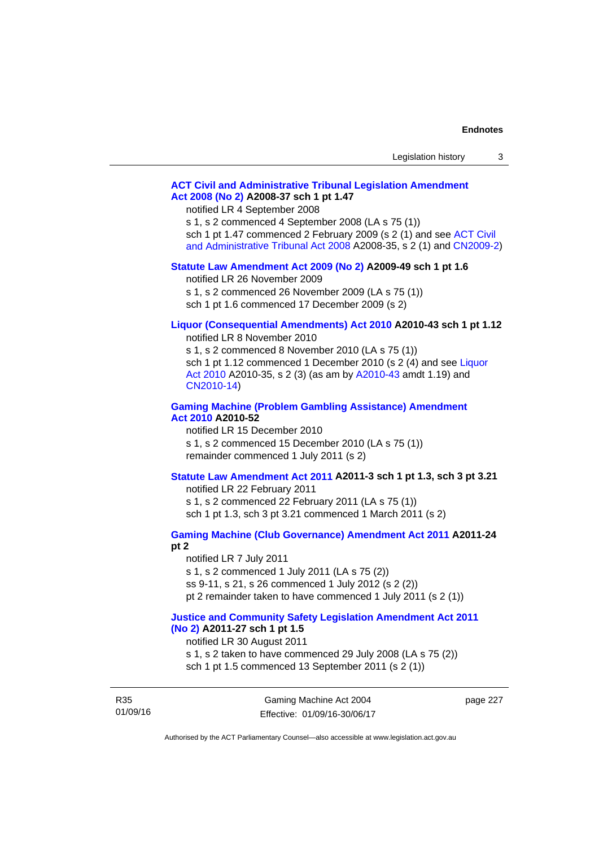| Legislation history |  |
|---------------------|--|
|---------------------|--|

## **[ACT Civil and Administrative Tribunal Legislation Amendment](http://www.legislation.act.gov.au/a/2008-37)  [Act 2008 \(No 2\)](http://www.legislation.act.gov.au/a/2008-37) A2008-37 sch 1 pt 1.47**

notified LR 4 September 2008

s 1, s 2 commenced 4 September 2008 (LA s 75 (1))

sch 1 pt 1.47 commenced 2 February 2009 (s 2 (1) and see [ACT Civil](http://www.legislation.act.gov.au/a/2008-35) 

[and Administrative Tribunal Act 2008](http://www.legislation.act.gov.au/a/2008-35) A2008-35, s 2 (1) and [CN2009-2](http://www.legislation.act.gov.au/cn/2009-2/default.asp))

#### **[Statute Law Amendment Act 2009 \(No 2\)](http://www.legislation.act.gov.au/a/2009-49) A2009-49 sch 1 pt 1.6**

notified LR 26 November 2009

s 1, s 2 commenced 26 November 2009 (LA s 75 (1))

sch 1 pt 1.6 commenced 17 December 2009 (s 2)

# **[Liquor \(Consequential Amendments\) Act 2010](http://www.legislation.act.gov.au/a/2010-43) A2010-43 sch 1 pt 1.12**

notified LR 8 November 2010

s 1, s 2 commenced 8 November 2010 (LA s 75 (1)) sch 1 pt 1.12 commenced 1 December 2010 (s 2 (4) and see Liquor [Act 2010](http://www.legislation.act.gov.au/a/2010-35) A2010-35, s 2 (3) (as am by [A2010-43](http://www.legislation.act.gov.au/a/2010-43) amdt 1.19) and [CN2010-14](http://www.legislation.act.gov.au/cn/2010-14/default.asp))

#### **[Gaming Machine \(Problem Gambling Assistance\) Amendment](http://www.legislation.act.gov.au/a/2010-52)  [Act 2010](http://www.legislation.act.gov.au/a/2010-52) A2010-52**

notified LR 15 December 2010 s 1, s 2 commenced 15 December 2010 (LA s 75 (1)) remainder commenced 1 July 2011 (s 2)

## **[Statute Law Amendment Act 2011](http://www.legislation.act.gov.au/a/2011-3) A2011-3 sch 1 pt 1.3, sch 3 pt 3.21**

notified LR 22 February 2011 s 1, s 2 commenced 22 February 2011 (LA s 75 (1)) sch 1 pt 1.3, sch 3 pt 3.21 commenced 1 March 2011 (s 2)

# **[Gaming Machine \(Club Governance\) Amendment Act 2011](http://www.legislation.act.gov.au/a/2011-24) A2011-24**

**pt 2** 

notified LR 7 July 2011 s 1, s 2 commenced 1 July 2011 (LA s 75 (2)) ss 9-11, s 21, s 26 commenced 1 July 2012 (s 2 (2)) pt 2 remainder taken to have commenced 1 July 2011 (s 2 (1))

## **[Justice and Community Safety Legislation Amendment Act 2011](http://www.legislation.act.gov.au/a/2011-27)  [\(No 2\)](http://www.legislation.act.gov.au/a/2011-27) A2011-27 sch 1 pt 1.5**

notified LR 30 August 2011

s 1, s 2 taken to have commenced 29 July 2008 (LA s 75 (2)) sch 1 pt 1.5 commenced 13 September 2011 (s 2 (1))

R35 01/09/16 page 227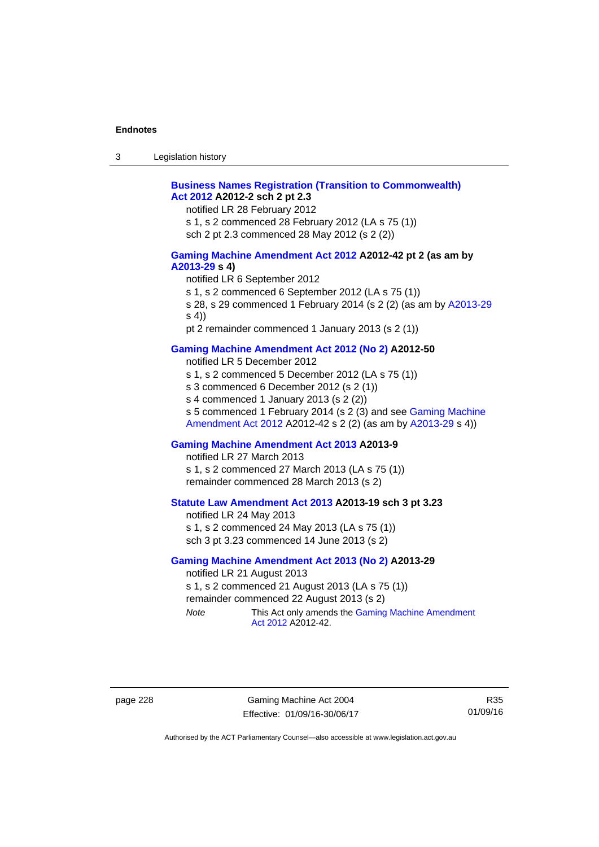| $\sqrt{2}$<br>- 3 | Legislation history |  |
|-------------------|---------------------|--|
|-------------------|---------------------|--|

## **[Business Names Registration \(Transition to Commonwealth\)](http://www.legislation.act.gov.au/a/2012-2)  [Act 2012](http://www.legislation.act.gov.au/a/2012-2) A2012-2 sch 2 pt 2.3**

notified LR 28 February 2012

s 1, s 2 commenced 28 February 2012 (LA s 75 (1))

sch 2 pt 2.3 commenced 28 May 2012 (s 2 (2))

#### **[Gaming Machine Amendment Act 2012](http://www.legislation.act.gov.au/a/2012-42) A2012-42 pt 2 (as am by [A2013-29](http://www.legislation.act.gov.au/a/2013-29) s 4)**

notified LR 6 September 2012

s 1, s 2 commenced 6 September 2012 (LA s 75 (1))

s 28, s 29 commenced 1 February 2014 (s 2 (2) (as am by [A2013-29](http://www.legislation.act.gov.au/a/2013-29) s 4))

pt 2 remainder commenced 1 January 2013 (s 2 (1))

## **[Gaming Machine Amendment Act 2012 \(No 2\)](http://www.legislation.act.gov.au/a/2012-50/default.asp) A2012-50**

notified LR 5 December 2012

s 1, s 2 commenced 5 December 2012 (LA s 75 (1))

s 3 commenced 6 December 2012 (s 2 (1))

s 4 commenced 1 January 2013 (s 2 (2))

s 5 commenced 1 February 2014 (s 2 (3) and see [Gaming Machine](http://www.legislation.act.gov.au/a/2012-42)  [Amendment Act 2012](http://www.legislation.act.gov.au/a/2012-42) A2012-42 s 2 (2) (as am by [A2013-29](http://www.legislation.act.gov.au/a/2013-29) s 4))

#### **[Gaming Machine Amendment Act 2013](http://www.legislation.act.gov.au/a/2013-9) A2013-9**

notified LR 27 March 2013

s 1, s 2 commenced 27 March 2013 (LA s 75 (1)) remainder commenced 28 March 2013 (s 2)

## **[Statute Law Amendment Act 2013](http://www.legislation.act.gov.au/a/2013-19) A2013-19 sch 3 pt 3.23**

notified LR 24 May 2013 s 1, s 2 commenced 24 May 2013 (LA s 75 (1)) sch 3 pt 3.23 commenced 14 June 2013 (s 2)

#### **[Gaming Machine Amendment Act 2013 \(No 2\)](http://www.legislation.act.gov.au/a/2013-29) A2013-29**

notified LR 21 August 2013 s 1, s 2 commenced 21 August 2013 (LA s 75 (1)) remainder commenced 22 August 2013 (s 2) *Note* This Act only amends the Gaming Machine Amendment

[Act 2012](http://www.legislation.act.gov.au/a/2012-42) A2012-42.

page 228 Gaming Machine Act 2004 Effective: 01/09/16-30/06/17

R35 01/09/16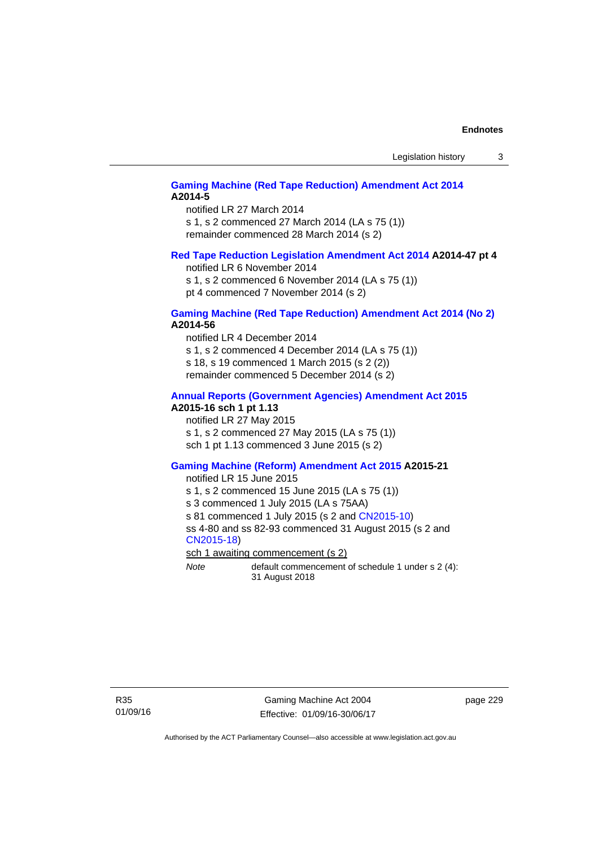## **[Gaming Machine \(Red Tape Reduction\) Amendment Act 2014](http://www.legislation.act.gov.au/a/2014-5) A2014-5**

notified LR 27 March 2014 s 1, s 2 commenced 27 March 2014 (LA s 75 (1)) remainder commenced 28 March 2014 (s 2)

#### **[Red Tape Reduction Legislation Amendment Act 2014](http://www.legislation.act.gov.au/a/2014-47) A2014-47 pt 4**

notified LR 6 November 2014

s 1, s 2 commenced 6 November 2014 (LA s 75 (1)) pt 4 commenced 7 November 2014 (s 2)

#### **[Gaming Machine \(Red Tape Reduction\) Amendment Act 2014 \(No 2\)](http://www.legislation.act.gov.au/a/2014-56) A2014-56**

notified LR 4 December 2014

s 1, s 2 commenced 4 December 2014 (LA s 75 (1))

s 18, s 19 commenced 1 March 2015 (s 2 (2))

remainder commenced 5 December 2014 (s 2)

# **[Annual Reports \(Government Agencies\) Amendment Act 2015](http://www.legislation.act.gov.au/a/2015-16)**

# **A2015-16 sch 1 pt 1.13**

notified LR 27 May 2015 s 1, s 2 commenced 27 May 2015 (LA s 75 (1)) sch 1 pt 1.13 commenced 3 June 2015 (s 2)

#### **[Gaming Machine \(Reform\) Amendment Act 2015](http://www.legislation.act.gov.au/a/2015-21/default.asp) A2015-21**

notified LR 15 June 2015

s 1, s 2 commenced 15 June 2015 (LA s 75 (1))

s 3 commenced 1 July 2015 (LA s 75AA)

s 81 commenced 1 July 2015 (s 2 and [CN2015-10\)](http://www.legislation.act.gov.au/cn/2015-10/default.asp)

ss 4-80 and ss 82-93 commenced 31 August 2015 (s 2 and [CN2015-18](http://www.legislation.act.gov.au/cn/2015-18/default.asp))

sch 1 awaiting commencement (s 2)

*Note* default commencement of schedule 1 under s 2 (4): 31 August 2018

Gaming Machine Act 2004 Effective: 01/09/16-30/06/17 page 229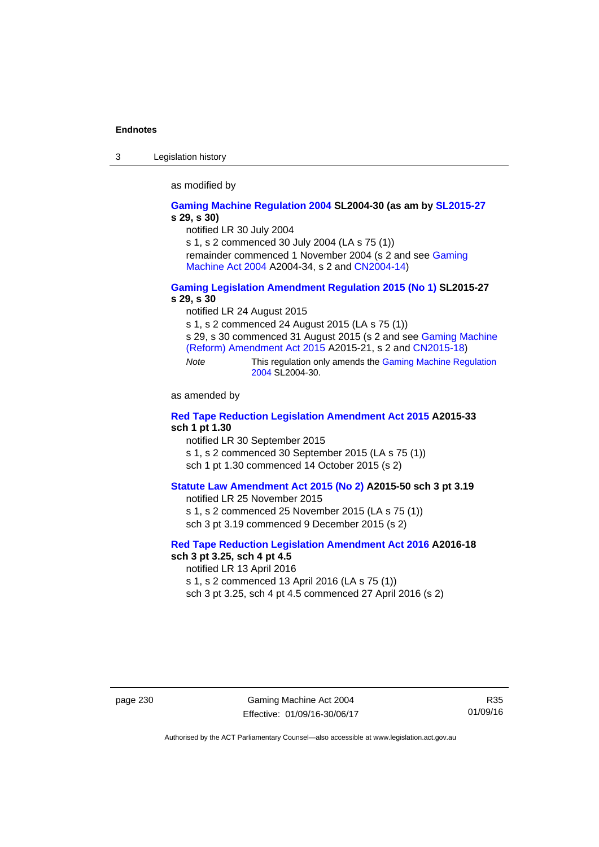3 Legislation history

as modified by

#### **[Gaming Machine Regulation 2004](http://www.legislation.act.gov.au/sl/2004-30/default.asp) SL2004-30 (as am by [SL2015-27](http://www.legislation.act.gov.au/sl/2015-27/default.asp) s 29, s 30)**

notified LR 30 July 2004

s 1, s 2 commenced 30 July 2004 (LA s 75 (1))

remainder commenced 1 November 2004 (s 2 and see [Gaming](http://www.legislation.act.gov.au/a/2004-34)  [Machine Act 2004](http://www.legislation.act.gov.au/a/2004-34) A2004-34, s 2 and [CN2004-14](http://www.legislation.act.gov.au/cn/2004-14/default.asp))

### **[Gaming Legislation Amendment Regulation 2015 \(No 1\)](http://www.legislation.act.gov.au/sl/2015-27/default.asp) SL2015-27 s 29, s 30**

notified LR 24 August 2015

s 1, s 2 commenced 24 August 2015 (LA s 75 (1))

s 29, s 30 commenced 31 August 2015 (s 2 and see [Gaming Machine](http://www.legislation.act.gov.au/a/2015-21/default.asp)  [\(Reform\) Amendment Act 2015](http://www.legislation.act.gov.au/a/2015-21/default.asp) A2015-21, s 2 and [CN2015-18\)](http://www.legislation.act.gov.au/cn/2015-18/default.asp)

*Note* This regulation only amends the [Gaming Machine Regulation](http://www.legislation.act.gov.au/sl/2004-30/default.asp)  [2004](http://www.legislation.act.gov.au/sl/2004-30/default.asp) SL2004-30.

as amended by

## **[Red Tape Reduction Legislation Amendment Act 2015](http://www.legislation.act.gov.au/a/2015-33/default.asp) A2015-33 sch 1 pt 1.30**

notified LR 30 September 2015

s 1, s 2 commenced 30 September 2015 (LA s 75 (1))

sch 1 pt 1.30 commenced 14 October 2015 (s 2)

## **[Statute Law Amendment Act 2015 \(No 2\)](http://www.legislation.act.gov.au/a/2015-50) A2015-50 sch 3 pt 3.19**

notified LR 25 November 2015 s 1, s 2 commenced 25 November 2015 (LA s 75 (1)) sch 3 pt 3.19 commenced 9 December 2015 (s 2)

#### **[Red Tape Reduction Legislation Amendment Act 2016](http://www.legislation.act.gov.au/a/2016-18) A2016-18 sch 3 pt 3.25, sch 4 pt 4.5**

notified LR 13 April 2016 s 1, s 2 commenced 13 April 2016 (LA s 75 (1)) sch 3 pt 3.25, sch 4 pt 4.5 commenced 27 April 2016 (s 2)

page 230 Gaming Machine Act 2004 Effective: 01/09/16-30/06/17

R35 01/09/16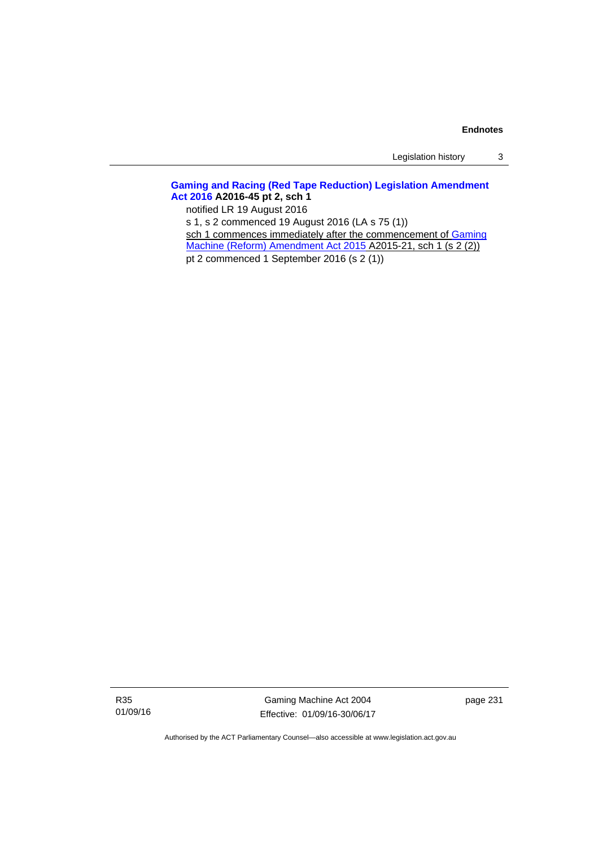Legislation history 3

# **[Gaming and Racing \(Red Tape Reduction\) Legislation Amendment](http://www.legislation.act.gov.au/a/2016-45/default.asp)  [Act 2016](http://www.legislation.act.gov.au/a/2016-45/default.asp) A2016-45 pt 2, sch 1**

notified LR 19 August 2016

s 1, s 2 commenced 19 August 2016 (LA s 75 (1)) sch 1 commences immediately after the commencement of Gaming

[Machine \(Reform\) Amendment Act 2015](http://www.legislation.act.gov.au/a/2015-21/default.asp) A2015-21, sch 1 (s 2 (2))

pt 2 commenced 1 September 2016 (s 2 (1))

R35 01/09/16

Gaming Machine Act 2004 Effective: 01/09/16-30/06/17 page 231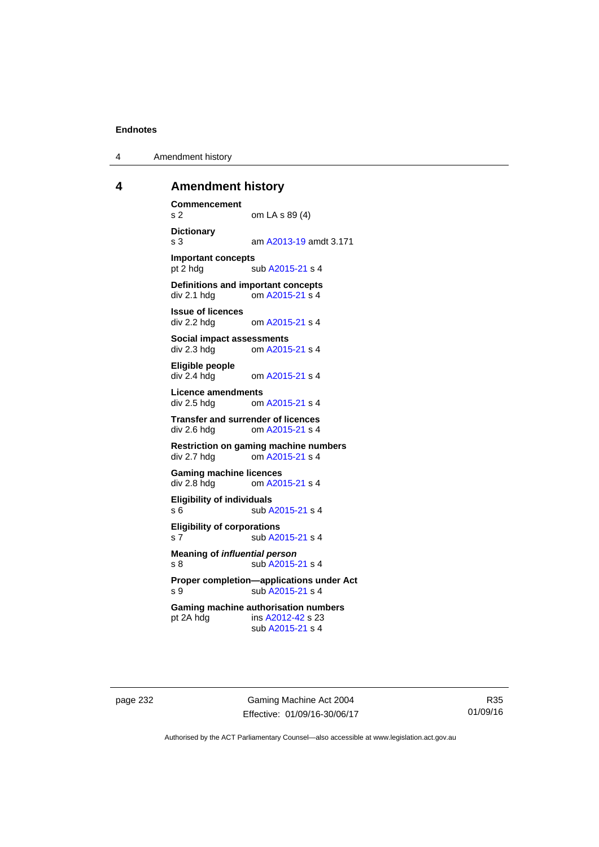4 Amendment history

# **4 Amendment history**

**Commencement**  s 2 om LA s 89 (4) **Dictionary**  s 3 am [A2013-19](http://www.legislation.act.gov.au/a/2013-19) amdt 3.171 **Important concepts**  pt 2 hdg sub [A2015-21](http://www.legislation.act.gov.au/a/2015-21) s 4 **Definitions and important concepts**  div 2.1 hdg om [A2015-21](http://www.legislation.act.gov.au/a/2015-21) s 4 **Issue of licences**  div 2.2 hdg om [A2015-21](http://www.legislation.act.gov.au/a/2015-21) s 4 **Social impact assessments**  div 2.3 hdg om [A2015-21](http://www.legislation.act.gov.au/a/2015-21) s 4 **Eligible people**  om [A2015-21](http://www.legislation.act.gov.au/a/2015-21) s 4 **Licence amendments**  div 2.5 hdg om [A2015-21](http://www.legislation.act.gov.au/a/2015-21) s 4 **Transfer and surrender of licences**  div 2.6 hdg om [A2015-21](http://www.legislation.act.gov.au/a/2015-21) s 4 **Restriction on gaming machine numbers**  div 2.7 hdg om [A2015-21](http://www.legislation.act.gov.au/a/2015-21) s 4 **Gaming machine licences**<br>div 2.8 hdg om A20 om [A2015-21](http://www.legislation.act.gov.au/a/2015-21) s 4 **Eligibility of individuals**  s 6 sub [A2015-21](http://www.legislation.act.gov.au/a/2015-21) s 4 **Eligibility of corporations**  s 7 sub [A2015-21](http://www.legislation.act.gov.au/a/2015-21) s 4 **Meaning of** *influential person* s 8 sub [A2015-21](http://www.legislation.act.gov.au/a/2015-21) s 4 **Proper completion—applications under Act**  s 9 sub [A2015-21](http://www.legislation.act.gov.au/a/2015-21) s 4 **Gaming machine authorisation numbers**  pt 2A hdg ins [A2012-42](http://www.legislation.act.gov.au/a/2012-42) s 23 sub [A2015-21](http://www.legislation.act.gov.au/a/2015-21) s 4

page 232 Gaming Machine Act 2004 Effective: 01/09/16-30/06/17

R35 01/09/16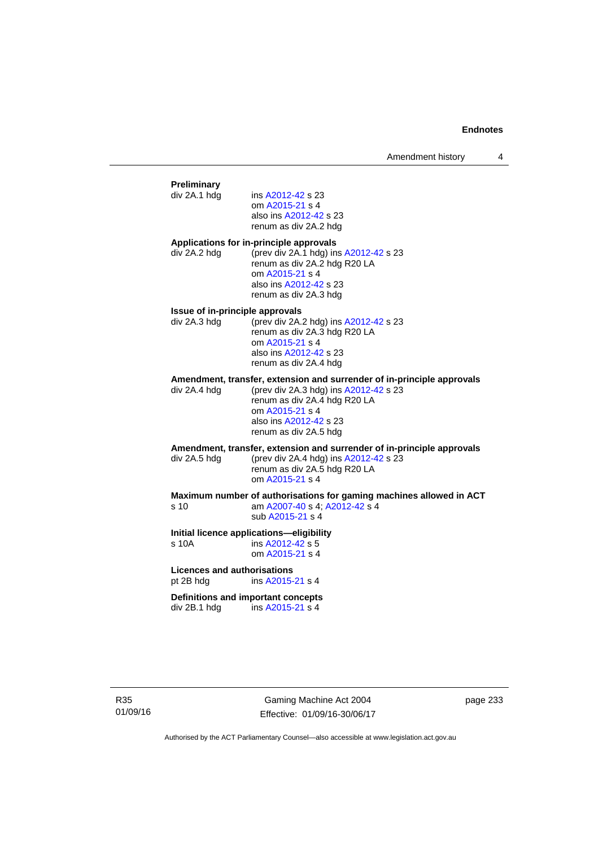## **Preliminary**  ins [A2012-42](http://www.legislation.act.gov.au/a/2012-42) s 23 om [A2015-21](http://www.legislation.act.gov.au/a/2015-21) s 4 also ins [A2012-42](http://www.legislation.act.gov.au/a/2012-42) s 23 renum as div 2A.2 hdg **Applications for in-principle approvals**  div 2A.2 hdg (prev div 2A.1 hdg) ins [A2012-42](http://www.legislation.act.gov.au/a/2012-42) s 23 renum as div 2A.2 hdg R20 LA om [A2015-21](http://www.legislation.act.gov.au/a/2015-21) s 4 also ins [A2012-42](http://www.legislation.act.gov.au/a/2012-42) s 23 renum as div 2A.3 hdg **Issue of in-principle approvals**  div 2A.3 hdg (prev div 2A.2 hdg) ins [A2012-42](http://www.legislation.act.gov.au/a/2012-42) s 23 renum as div 2A.3 hdg R20 LA om [A2015-21](http://www.legislation.act.gov.au/a/2015-21) s 4 also ins [A2012-42](http://www.legislation.act.gov.au/a/2012-42) s 23 renum as div 2A.4 hdg **Amendment, transfer, extension and surrender of in-principle approvals div 2A.4 hdg (prev div 2A.3 hdg) ins A2012-42 s 23** (prev div 2A.3 hdg) ins  $A2012-42$  s 23 renum as div 2A.4 hdg R20 LA om [A2015-21](http://www.legislation.act.gov.au/a/2015-21) s 4 also ins [A2012-42](http://www.legislation.act.gov.au/a/2012-42) s 23 renum as div 2A.5 hdg **Amendment, transfer, extension and surrender of in-principle approvals div 2A.5 hdd (prev div 2A.4 hdd) ins A2012-42 s 23** (prev div 2A.4 hdg) ins  $A2012-42$  s 23 renum as div 2A.5 hdg R20 LA om [A2015-21](http://www.legislation.act.gov.au/a/2015-21) s 4 **Maximum number of authorisations for gaming machines allowed in ACT**  s 10 am [A2007-40](http://www.legislation.act.gov.au/a/2007-40) s 4; [A2012-42](http://www.legislation.act.gov.au/a/2012-42) s 4 sub [A2015-21](http://www.legislation.act.gov.au/a/2015-21) s 4 **Initial licence applications—eligibility**  s 10A ins [A2012-42](http://www.legislation.act.gov.au/a/2012-42) s 5 om [A2015-21](http://www.legislation.act.gov.au/a/2015-21) s 4 **Licences and authorisations**  pt 2B hdg ins [A2015-21](http://www.legislation.act.gov.au/a/2015-21) s 4 **Definitions and important concepts**  div 2B.1 hdg ins [A2015-21](http://www.legislation.act.gov.au/a/2015-21) s 4

Gaming Machine Act 2004 Effective: 01/09/16-30/06/17 page 233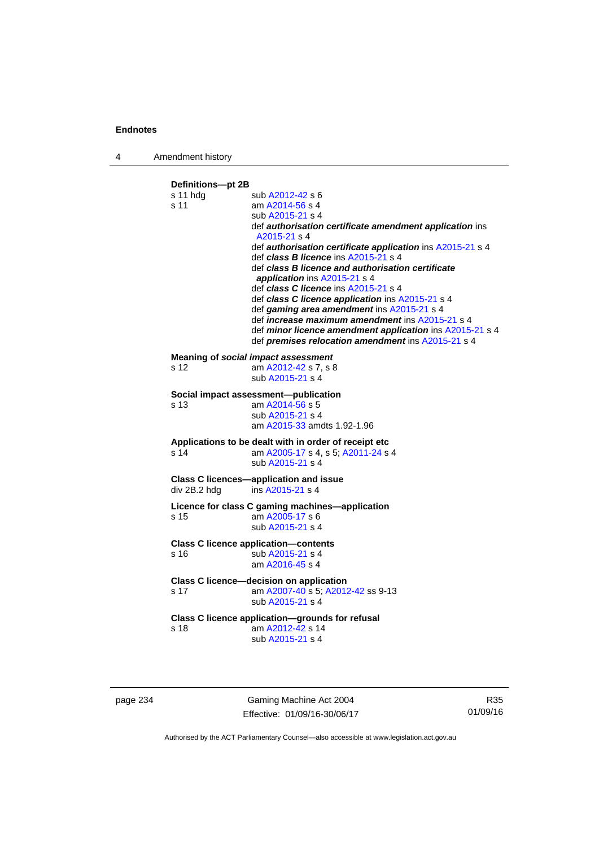4 Amendment history

**Definitions—pt 2B**  s 11 hdg sub [A2012-42](http://www.legislation.act.gov.au/a/2012-42) s 6 s 11 am [A2014-56](http://www.legislation.act.gov.au/a/2014-56) s 4 sub [A2015-21](http://www.legislation.act.gov.au/a/2015-21) s 4 def *authorisation certificate amendment application* ins [A2015-21](http://www.legislation.act.gov.au/a/2015-21) s 4 def *authorisation certificate application* ins [A2015-21](http://www.legislation.act.gov.au/a/2015-21) s 4 def *class B licence* ins [A2015-21](http://www.legislation.act.gov.au/a/2015-21) s 4 def *class B licence and authorisation certificate application* ins [A2015-21](http://www.legislation.act.gov.au/a/2015-21) s 4 def *class C licence* ins [A2015-21](http://www.legislation.act.gov.au/a/2015-21) s 4 def *class C licence application* ins [A2015-21](http://www.legislation.act.gov.au/a/2015-21) s 4 def *gaming area amendment* ins [A2015-21](http://www.legislation.act.gov.au/a/2015-21) s 4 def *increase maximum amendment* ins [A2015-21](http://www.legislation.act.gov.au/a/2015-21) s 4 def *minor licence amendment application* ins [A2015-21](http://www.legislation.act.gov.au/a/2015-21) s 4 def *premises relocation amendment* ins [A2015-21](http://www.legislation.act.gov.au/a/2015-21) s 4 **Meaning of** *social impact assessment*<br>s 12 am  $\frac{\text{A2012-42}}{\text{s}}$  7, s 8 am [A2012-42](http://www.legislation.act.gov.au/a/2012-42) s 7, s 8 sub [A2015-21](http://www.legislation.act.gov.au/a/2015-21) s 4 **Social impact assessment—publication**  s 13 am [A2014-56](http://www.legislation.act.gov.au/a/2014-56) s 5 sub [A2015-21](http://www.legislation.act.gov.au/a/2015-21) s 4 am [A2015-33](http://www.legislation.act.gov.au/a/2015-33) amdts 1.92-1.96 **Applications to be dealt with in order of receipt etc**  s 14 am [A2005-17](http://www.legislation.act.gov.au/a/2005-17) s 4, s 5; [A2011-24](http://www.legislation.act.gov.au/a/2011-24) s 4 sub [A2015-21](http://www.legislation.act.gov.au/a/2015-21) s 4 **Class C licences—application and issue**  div 2B.2 hdg ins [A2015-21](http://www.legislation.act.gov.au/a/2015-21) s 4 **Licence for class C gaming machines—application**  s 15 am [A2005-17](http://www.legislation.act.gov.au/a/2005-17) s 6 sub [A2015-21](http://www.legislation.act.gov.au/a/2015-21) s 4 **Class C licence application—contents**  s 16 sub [A2015-21](http://www.legislation.act.gov.au/a/2015-21) s 4 am [A2016-45](http://www.legislation.act.gov.au/a/2016-45) s 4 **Class C licence—decision on application**  am [A2007-40](http://www.legislation.act.gov.au/a/2007-40) s 5; [A2012-42](http://www.legislation.act.gov.au/a/2012-42) ss 9-13 sub [A2015-21](http://www.legislation.act.gov.au/a/2015-21) s 4 **Class C licence application—grounds for refusal**  s 18 am [A2012-42](http://www.legislation.act.gov.au/a/2012-42) s 14 sub [A2015-21](http://www.legislation.act.gov.au/a/2015-21) s 4

page 234 Gaming Machine Act 2004 Effective: 01/09/16-30/06/17

R35 01/09/16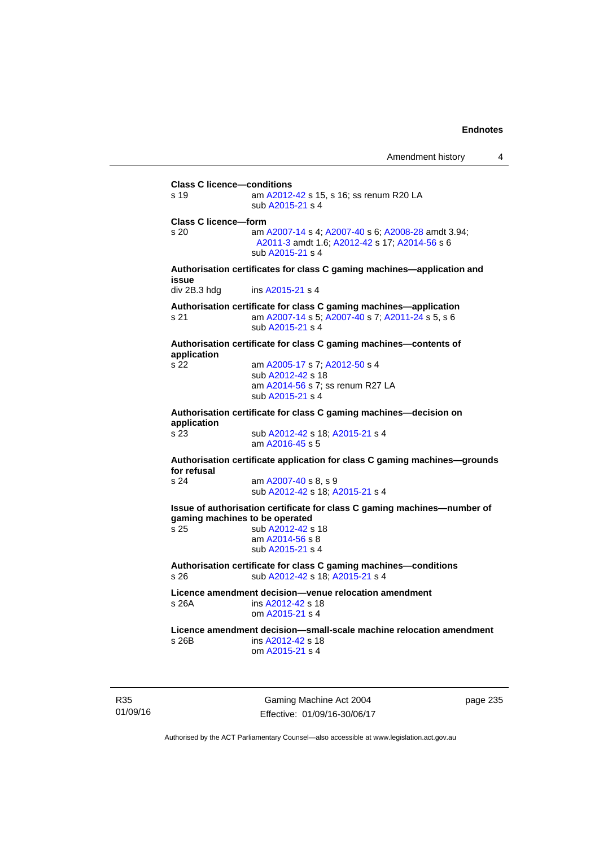**Class C licence—conditions**  s 19 am [A2012-42](http://www.legislation.act.gov.au/a/2012-42) s 15, s 16; ss renum R20 LA sub [A2015-21](http://www.legislation.act.gov.au/a/2015-21) s 4 **Class C licence—form**  s 20 am [A2007-14](http://www.legislation.act.gov.au/a/2007-14) s 4; [A2007-40](http://www.legislation.act.gov.au/a/2007-40) s 6; [A2008-28](http://www.legislation.act.gov.au/a/2008-28) amdt 3.94; [A2011-3](http://www.legislation.act.gov.au/a/2011-3) amdt 1.6; [A2012-42](http://www.legislation.act.gov.au/a/2012-42) s 17; [A2014-56](http://www.legislation.act.gov.au/a/2014-56) s 6 sub [A2015-21](http://www.legislation.act.gov.au/a/2015-21) s 4 **Authorisation certificates for class C gaming machines—application and issue**  div 2B.3 hdg ins [A2015-21](http://www.legislation.act.gov.au/a/2015-21) s 4 **Authorisation certificate for class C gaming machines—application**  s 21 am [A2007-14](http://www.legislation.act.gov.au/a/2007-14) s 5; [A2007-40](http://www.legislation.act.gov.au/a/2007-40) s 7; [A2011-24](http://www.legislation.act.gov.au/a/2011-24) s 5, s 6 sub [A2015-21](http://www.legislation.act.gov.au/a/2015-21) s 4 **Authorisation certificate for class C gaming machines—contents of application**  s 22 am [A2005-17](http://www.legislation.act.gov.au/a/2005-17) s 7; [A2012-50](http://www.legislation.act.gov.au/a/2012-50/default.asp) s 4 sub [A2012-42](http://www.legislation.act.gov.au/a/2012-42) s 18 am [A2014-56](http://www.legislation.act.gov.au/a/2014-56) s 7; ss renum R27 LA sub [A2015-21](http://www.legislation.act.gov.au/a/2015-21) s 4 **Authorisation certificate for class C gaming machines—decision on application**  sub [A2012-42](http://www.legislation.act.gov.au/a/2012-42) s 18; [A2015-21](http://www.legislation.act.gov.au/a/2015-21) s 4 am [A2016-45](http://www.legislation.act.gov.au/a/2016-45) s 5 **Authorisation certificate application for class C gaming machines—grounds for refusal**  am [A2007-40](http://www.legislation.act.gov.au/a/2007-40) s 8, s 9 sub [A2012-42](http://www.legislation.act.gov.au/a/2012-42) s 18; [A2015-21](http://www.legislation.act.gov.au/a/2015-21) s 4 **Issue of authorisation certificate for class C gaming machines—number of gaming machines to be operated**  s 25 sub [A2012-42](http://www.legislation.act.gov.au/a/2012-42) s 18 am [A2014-56](http://www.legislation.act.gov.au/a/2014-56) s 8 sub [A2015-21](http://www.legislation.act.gov.au/a/2015-21) s 4 **Authorisation certificate for class C gaming machines—conditions**  s 26 sub [A2012-42](http://www.legislation.act.gov.au/a/2012-42) s 18; [A2015-21](http://www.legislation.act.gov.au/a/2015-21) s 4 **Licence amendment decision—venue relocation amendment**  s 26A ins [A2012-42](http://www.legislation.act.gov.au/a/2012-42) s 18 om [A2015-21](http://www.legislation.act.gov.au/a/2015-21) s 4 **Licence amendment decision—small-scale machine relocation amendment**  s 26B ins [A2012-42](http://www.legislation.act.gov.au/a/2012-42) s 18 om [A2015-21](http://www.legislation.act.gov.au/a/2015-21) s 4

R35 01/09/16

Gaming Machine Act 2004 Effective: 01/09/16-30/06/17 page 235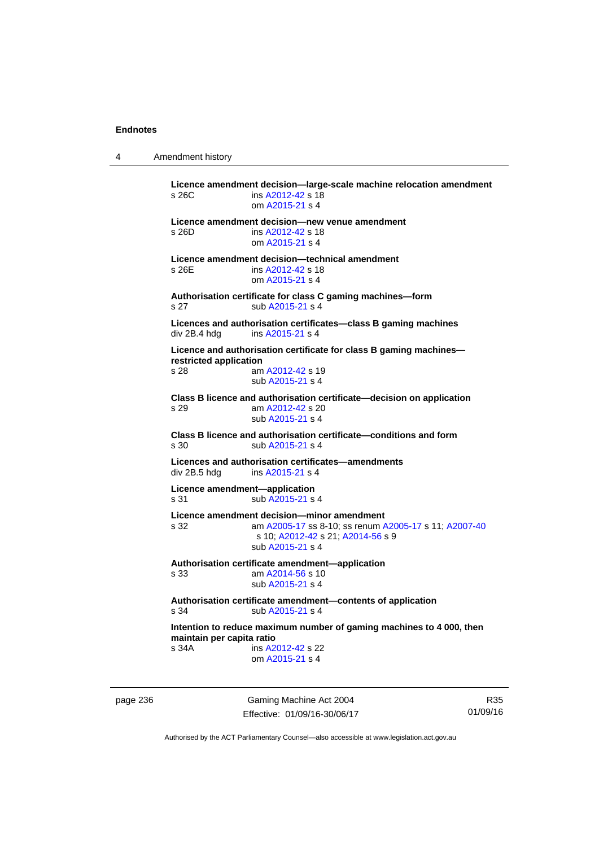4 Amendment history

**Licence amendment decision—large-scale machine relocation amendment**  s 26C ins [A2012-42](http://www.legislation.act.gov.au/a/2012-42) s 18 om [A2015-21](http://www.legislation.act.gov.au/a/2015-21) s 4 **Licence amendment decision—new venue amendment**  s 26D ins [A2012-42](http://www.legislation.act.gov.au/a/2012-42) s 18 om [A2015-21](http://www.legislation.act.gov.au/a/2015-21) s 4 **Licence amendment decision—technical amendment**  s 26E ins [A2012-42](http://www.legislation.act.gov.au/a/2012-42) s 18 om [A2015-21](http://www.legislation.act.gov.au/a/2015-21) s 4 **Authorisation certificate for class C gaming machines—form**  s 27 sub [A2015-21](http://www.legislation.act.gov.au/a/2015-21) s 4 **Licences and authorisation certificates—class B gaming machines**  div 2B.4 hdg ins [A2015-21](http://www.legislation.act.gov.au/a/2015-21) s 4 **Licence and authorisation certificate for class B gaming machines restricted application**  s 28 am [A2012-42](http://www.legislation.act.gov.au/a/2012-42) s 19 sub [A2015-21](http://www.legislation.act.gov.au/a/2015-21) s 4 **Class B licence and authorisation certificate—decision on application**  s 29 am [A2012-42](http://www.legislation.act.gov.au/a/2012-42) s 20 sub [A2015-21](http://www.legislation.act.gov.au/a/2015-21) s 4 **Class B licence and authorisation certificate—conditions and form**  s 30 sub [A2015-21](http://www.legislation.act.gov.au/a/2015-21) s 4 **Licences and authorisation certificates—amendments**  div 2B.5 hdg ins [A2015-21](http://www.legislation.act.gov.au/a/2015-21) s 4 **Licence amendment—application**  s 31 sub [A2015-21](http://www.legislation.act.gov.au/a/2015-21) s 4 **Licence amendment decision—minor amendment**  s 32 am [A2005-17](http://www.legislation.act.gov.au/a/2005-17) ss 8-10; ss renum [A2005-17](http://www.legislation.act.gov.au/a/2005-17) s 11; [A2007-40](http://www.legislation.act.gov.au/a/2007-40) s 10; [A2012-42](http://www.legislation.act.gov.au/a/2012-42) s 21; [A2014-56](http://www.legislation.act.gov.au/a/2014-56) s 9 sub [A2015-21](http://www.legislation.act.gov.au/a/2015-21) s 4 **Authorisation certificate amendment—application**  s 33 am [A2014-56](http://www.legislation.act.gov.au/a/2014-56) s 10 sub [A2015-21](http://www.legislation.act.gov.au/a/2015-21) s 4 **Authorisation certificate amendment—contents of application**  s 34 sub [A2015-21](http://www.legislation.act.gov.au/a/2015-21) s 4 **Intention to reduce maximum number of gaming machines to 4 000, then maintain per capita ratio**  s 34A ins [A2012-42](http://www.legislation.act.gov.au/a/2012-42) s 22 om [A2015-21](http://www.legislation.act.gov.au/a/2015-21) s 4

page 236 Gaming Machine Act 2004 Effective: 01/09/16-30/06/17

R35 01/09/16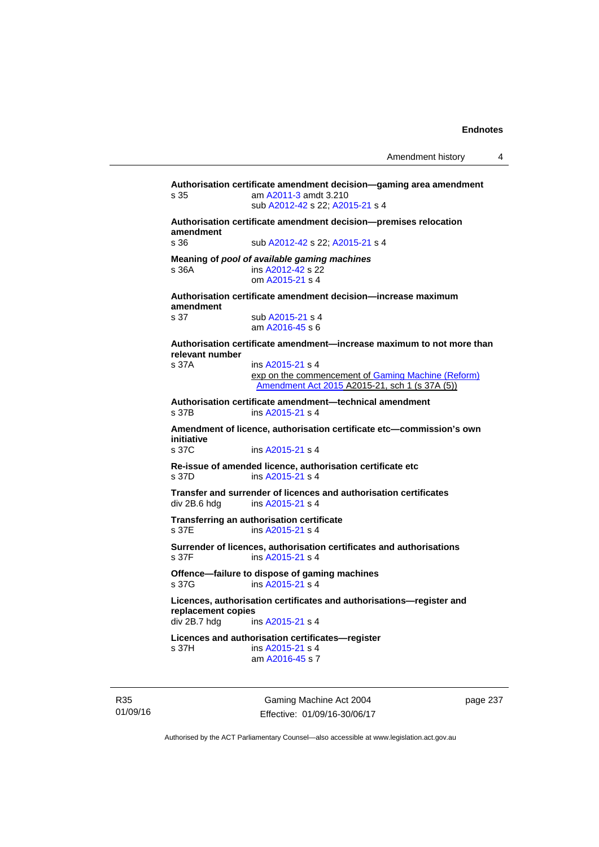**Authorisation certificate amendment decision—gaming area amendment**  s 35 am [A2011-3](http://www.legislation.act.gov.au/a/2011-3) amdt 3.210 sub [A2012-42](http://www.legislation.act.gov.au/a/2012-42) s 22; [A2015-21](http://www.legislation.act.gov.au/a/2015-21) s 4 **Authorisation certificate amendment decision—premises relocation amendment**  s 36 sub [A2012-42](http://www.legislation.act.gov.au/a/2012-42) s 22; [A2015-21](http://www.legislation.act.gov.au/a/2015-21) s 4 **Meaning of** *pool of available gaming machines* s 36A **ins [A2012-42](http://www.legislation.act.gov.au/a/2012-42) s 22**  om [A2015-21](http://www.legislation.act.gov.au/a/2015-21) s 4 **Authorisation certificate amendment decision—increase maximum amendment**  sub [A2015-21](http://www.legislation.act.gov.au/a/2015-21) s 4 am [A2016-45](http://www.legislation.act.gov.au/a/2016-45) s 6 **Authorisation certificate amendment—increase maximum to not more than relevant number**  s 37A ins [A2015-21](http://www.legislation.act.gov.au/a/2015-21) s 4 exp on the commencement of [Gaming Machine \(Reform\)](http://www.legislation.act.gov.au/a/2015-21/default.asp)  [Amendment Act 2015](http://www.legislation.act.gov.au/a/2015-21/default.asp) A2015-21, sch 1 (s 37A (5)) **Authorisation certificate amendment—technical amendment**  ins [A2015-21](http://www.legislation.act.gov.au/a/2015-21) s 4 **Amendment of licence, authorisation certificate etc—commission's own initiative**  s 37C ins [A2015-21](http://www.legislation.act.gov.au/a/2015-21) s 4 **Re-issue of amended licence, authorisation certificate etc**  s 37D ins [A2015-21](http://www.legislation.act.gov.au/a/2015-21) s 4 **Transfer and surrender of licences and authorisation certificates**  ins [A2015-21](http://www.legislation.act.gov.au/a/2015-21) s 4 **Transferring an authorisation certificate**  s 37E ins [A2015-21](http://www.legislation.act.gov.au/a/2015-21) s 4 **Surrender of licences, authorisation certificates and authorisations**   $ins$  [A2015-21](http://www.legislation.act.gov.au/a/2015-21) s 4 **Offence—failure to dispose of gaming machines**  s 37G ins [A2015-21](http://www.legislation.act.gov.au/a/2015-21) s 4 **Licences, authorisation certificates and authorisations—register and replacement copies**  ins [A2015-21](http://www.legislation.act.gov.au/a/2015-21) s 4 **Licences and authorisation certificates—register**  s 37H ins [A2015-21](http://www.legislation.act.gov.au/a/2015-21) s 4 am [A2016-45](http://www.legislation.act.gov.au/a/2016-45) s 7

R35 01/09/16

Gaming Machine Act 2004 Effective: 01/09/16-30/06/17 page 237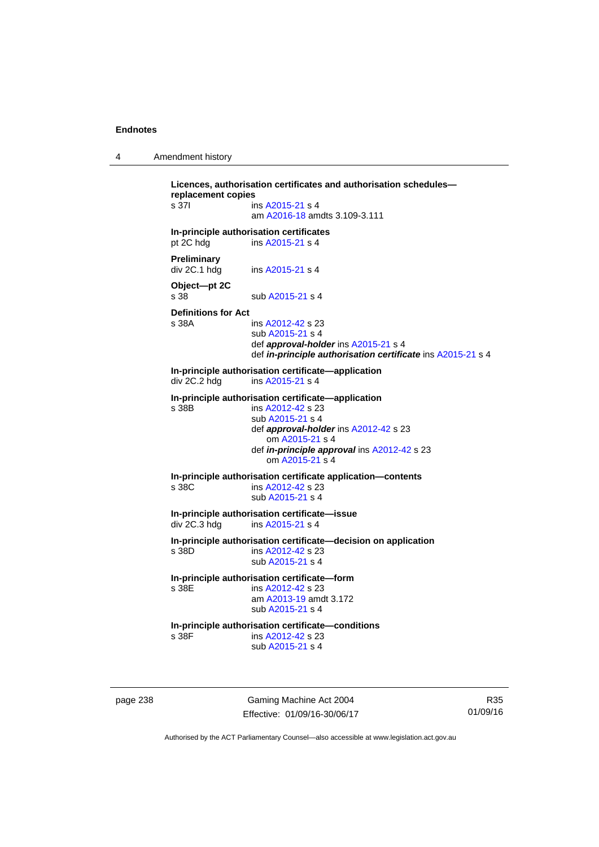| Amendment history |  |
|-------------------|--|
|-------------------|--|

**Licences, authorisation certificates and authorisation schedules replacement copies**  s 37I ins [A2015-21](http://www.legislation.act.gov.au/a/2015-21) s 4 am [A2016-18](http://www.legislation.act.gov.au/a/2016-18/default.asp) amdts 3.109-3.111 **In-principle authorisation certificates**  pt 2C hdg ins [A2015-21](http://www.legislation.act.gov.au/a/2015-21) s 4 **Preliminary**  div 2C.1 hdg ins [A2015-21](http://www.legislation.act.gov.au/a/2015-21) s 4 **Object—pt 2C**  s 38 sub [A2015-21](http://www.legislation.act.gov.au/a/2015-21) s 4 **Definitions for Act**  ins [A2012-42](http://www.legislation.act.gov.au/a/2012-42) s 23 sub [A2015-21](http://www.legislation.act.gov.au/a/2015-21) s 4 def *approval-holder* ins [A2015-21](http://www.legislation.act.gov.au/a/2015-21) s 4 def *in-principle authorisation certificate* ins [A2015-21](http://www.legislation.act.gov.au/a/2015-21) s 4 **In-principle authorisation certificate—application**<br>div 2C.2 hdg ins A2015-21 s 4 ins  $A2015-21$  s 4 **In-principle authorisation certificate—application**  s 38B ins [A2012-42](http://www.legislation.act.gov.au/a/2012-42) s 23 sub [A2015-21](http://www.legislation.act.gov.au/a/2015-21) s 4 def *approval-holder* ins [A2012-42](http://www.legislation.act.gov.au/a/2012-42) s 23 om [A2015-21](http://www.legislation.act.gov.au/a/2015-21) s 4 def *in-principle approval* ins [A2012-42](http://www.legislation.act.gov.au/a/2012-42) s 23 om [A2015-21](http://www.legislation.act.gov.au/a/2015-21) s 4 **In-principle authorisation certificate application—contents**  s 38C ins [A2012-42](http://www.legislation.act.gov.au/a/2012-42) s 23 sub [A2015-21](http://www.legislation.act.gov.au/a/2015-21) s 4 **In-principle authorisation certificate—issue**  ins  $A2015-21$  s 4 **In-principle authorisation certificate—decision on application**  s 38D ins [A2012-42](http://www.legislation.act.gov.au/a/2012-42) s 23 sub [A2015-21](http://www.legislation.act.gov.au/a/2015-21) s 4 **In-principle authorisation certificate—form**  s 38E ins [A2012-42](http://www.legislation.act.gov.au/a/2012-42) s 23 am [A2013-19](http://www.legislation.act.gov.au/a/2013-19) amdt 3.172 sub [A2015-21](http://www.legislation.act.gov.au/a/2015-21) s 4 **In-principle authorisation certificate—conditions**  ins [A2012-42](http://www.legislation.act.gov.au/a/2012-42) s 23 sub [A2015-21](http://www.legislation.act.gov.au/a/2015-21) s 4

page 238 Gaming Machine Act 2004 Effective: 01/09/16-30/06/17

R35 01/09/16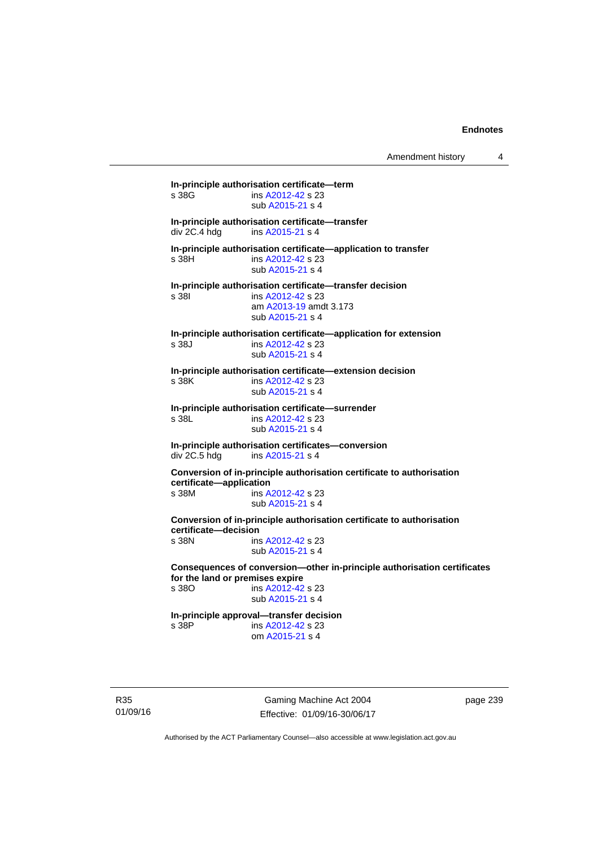**In-principle authorisation certificate—term**  ins [A2012-42](http://www.legislation.act.gov.au/a/2012-42) s 23 sub [A2015-21](http://www.legislation.act.gov.au/a/2015-21) s 4 **In-principle authorisation certificate—transfer**  ins [A2015-21](http://www.legislation.act.gov.au/a/2015-21) s 4 **In-principle authorisation certificate—application to transfer**  s 38H ins [A2012-42](http://www.legislation.act.gov.au/a/2012-42) s 23 sub [A2015-21](http://www.legislation.act.gov.au/a/2015-21) s 4 **In-principle authorisation certificate—transfer decision**  s 38I ins [A2012-42](http://www.legislation.act.gov.au/a/2012-42) s 23 am [A2013-19](http://www.legislation.act.gov.au/a/2013-19) amdt 3.173 sub [A2015-21](http://www.legislation.act.gov.au/a/2015-21) s 4 **In-principle authorisation certificate—application for extension**  s 38J ins [A2012-42](http://www.legislation.act.gov.au/a/2012-42) s 23 sub [A2015-21](http://www.legislation.act.gov.au/a/2015-21) s 4 **In-principle authorisation certificate—extension decision**  ins [A2012-42](http://www.legislation.act.gov.au/a/2012-42) s 23 sub [A2015-21](http://www.legislation.act.gov.au/a/2015-21) s 4 **In-principle authorisation certificate—surrender**  s 38L ins [A2012-42](http://www.legislation.act.gov.au/a/2012-42) s 23 sub [A2015-21](http://www.legislation.act.gov.au/a/2015-21) s 4 **In-principle authorisation certificates—conversion**  ins [A2015-21](http://www.legislation.act.gov.au/a/2015-21) s 4 **Conversion of in-principle authorisation certificate to authorisation certificate—application**  s 38M ins [A2012-42](http://www.legislation.act.gov.au/a/2012-42) s 23 sub [A2015-21](http://www.legislation.act.gov.au/a/2015-21) s 4 **Conversion of in-principle authorisation certificate to authorisation certificate—decision**  s 38N ins [A2012-42](http://www.legislation.act.gov.au/a/2012-42) s 23 sub [A2015-21](http://www.legislation.act.gov.au/a/2015-21) s 4 **Consequences of conversion—other in-principle authorisation certificates for the land or premises expire**  ins [A2012-42](http://www.legislation.act.gov.au/a/2012-42) s 23 sub [A2015-21](http://www.legislation.act.gov.au/a/2015-21) s 4 **In-principle approval—transfer decision**  s 38P ins [A2012-42](http://www.legislation.act.gov.au/a/2012-42) s 23 om [A2015-21](http://www.legislation.act.gov.au/a/2015-21) s 4

R35 01/09/16

Gaming Machine Act 2004 Effective: 01/09/16-30/06/17 page 239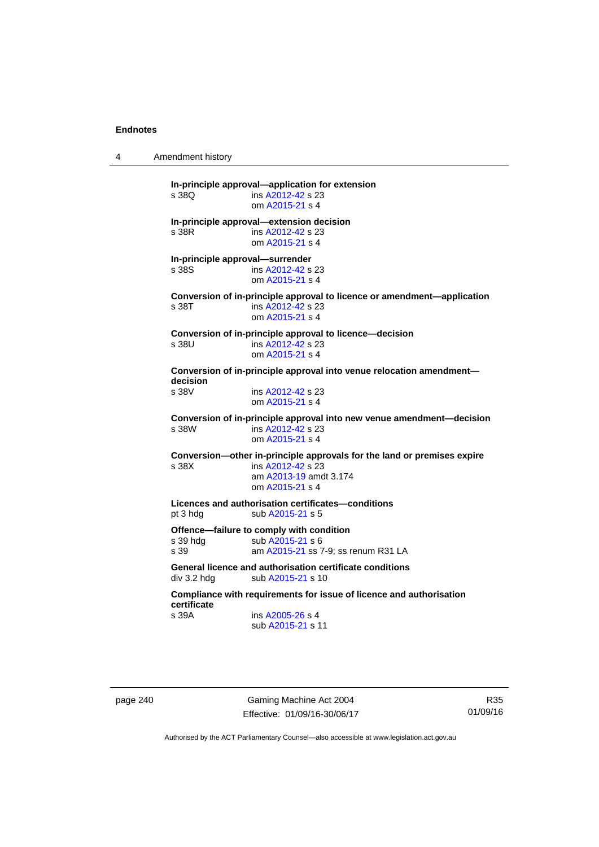4 Amendment history

**In-principle approval—application for extension**  s 38Q ins [A2012-42](http://www.legislation.act.gov.au/a/2012-42) s 23 om [A2015-21](http://www.legislation.act.gov.au/a/2015-21) s 4 **In-principle approval—extension decision**  s 38R ins [A2012-42](http://www.legislation.act.gov.au/a/2012-42) s 23 om [A2015-21](http://www.legislation.act.gov.au/a/2015-21) s 4 **In-principle approval—surrender**  s 38S ins [A2012-42](http://www.legislation.act.gov.au/a/2012-42) s 23 om [A2015-21](http://www.legislation.act.gov.au/a/2015-21) s 4 **Conversion of in-principle approval to licence or amendment—application**  s 38T ins [A2012-42](http://www.legislation.act.gov.au/a/2012-42) s 23 om [A2015-21](http://www.legislation.act.gov.au/a/2015-21) s 4 **Conversion of in-principle approval to licence—decision**  s 38U ins [A2012-42](http://www.legislation.act.gov.au/a/2012-42) s 23 om [A2015-21](http://www.legislation.act.gov.au/a/2015-21) s 4 **Conversion of in-principle approval into venue relocation amendment decision**  s 38V ins [A2012-42](http://www.legislation.act.gov.au/a/2012-42) s 23 om [A2015-21](http://www.legislation.act.gov.au/a/2015-21) s 4 **Conversion of in-principle approval into new venue amendment—decision**  s 38W ins [A2012-42](http://www.legislation.act.gov.au/a/2012-42) s 23 om [A2015-21](http://www.legislation.act.gov.au/a/2015-21) s 4 **Conversion—other in-principle approvals for the land or premises expire**  s 38X ins [A2012-42](http://www.legislation.act.gov.au/a/2012-42) s 23 am [A2013-19](http://www.legislation.act.gov.au/a/2013-19) amdt 3.174 om [A2015-21](http://www.legislation.act.gov.au/a/2015-21) s 4 **Licences and authorisation certificates—conditions**  pt 3 hdg sub [A2015-21](http://www.legislation.act.gov.au/a/2015-21) s 5 **Offence—failure to comply with condition**  s 39 hdg sub [A2015-21](http://www.legislation.act.gov.au/a/2015-21) s 6 s 39 **am [A2015-21](http://www.legislation.act.gov.au/a/2015-21)** ss 7-9; ss renum R31 LA **General licence and authorisation certificate conditions**  div 3.2 hdg sub [A2015-21](http://www.legislation.act.gov.au/a/2015-21) s 10 **Compliance with requirements for issue of licence and authorisation certificate**  s 39A ins [A2005-26](http://www.legislation.act.gov.au/a/2005-26) s 4 sub [A2015-21](http://www.legislation.act.gov.au/a/2015-21) s 11

page 240 Gaming Machine Act 2004 Effective: 01/09/16-30/06/17

R35 01/09/16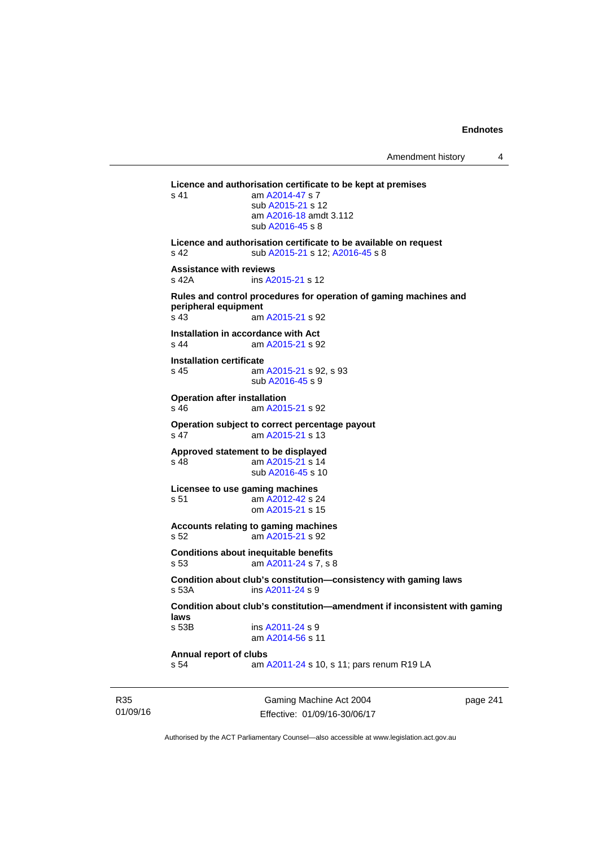```
Licence and authorisation certificate to be kept at premises 
A2014-47 s 7
                 sub A2015-21 s 12 
                 am A2016-18 amdt 3.112
                 sub A2016-45 s 8 
Licence and authorisation certificate to be available on request 
A2015-21 A2016-45 s 8
Assistance with reviews 
s 42A ins A2015-21 s 12 
Rules and control procedures for operation of gaming machines and 
peripheral equipment 
                A2015-21 s 92
Installation in accordance with Act 
s 44 am A2015-21 s 92 
Installation certificate 
 A2015-21 s 92, s 93
                sub A2016-45 s 9 
Operation after installation 
s 46 am A2015-21 s 92 
Operation subject to correct percentage payout 
s 47 am A2015-21 s 13 
Approved statement to be displayed 
s 48 am A2015-21 s 14 
                 sub A2016-45 s 10 
Licensee to use gaming machines 
s 51 am A2012-42 s 24 
                 om A2015-21 s 15 
Accounts relating to gaming machines 
s 52 am A2015-21 s 92 
Conditions about inequitable benefits 
s 53 am A2011-24 s 7, s 8 
Condition about club's constitution—consistency with gaming laws 
                A2011-24 s 9
Condition about club's constitution—amendment if inconsistent with gaming 
laws 
s 53B ins A2011-24 s 9
                 am A2014-56 s 11 
Annual report of clubs 
s 54 am A2011-24 s 10, s 11; pars renum R19 LA
```
R35 01/09/16

Gaming Machine Act 2004 Effective: 01/09/16-30/06/17 page 241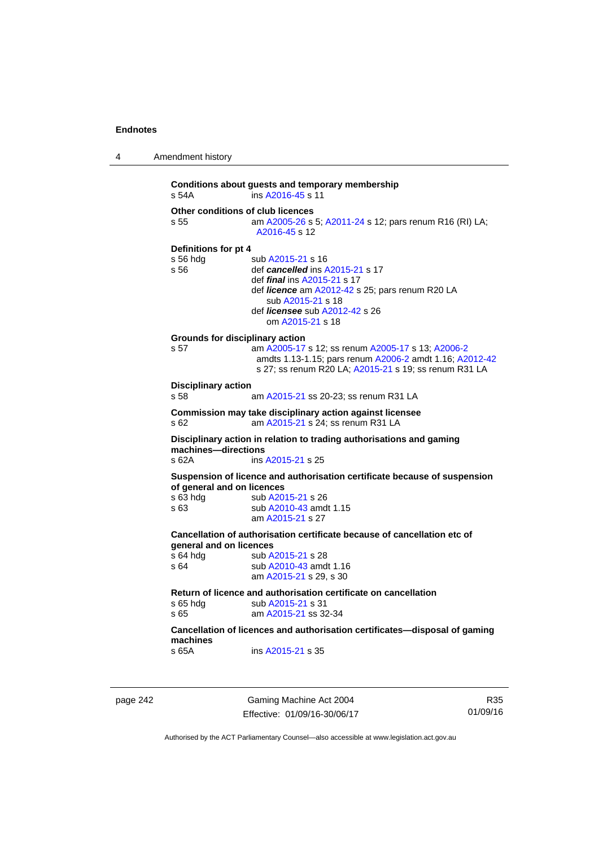```
4 Amendment history 
           Conditions about guests and temporary membership 
           s 54A ins A2016-45 s 11 
           Other conditions of club licences 
           s 55  A2005-26A2011-24 s 12; pars renum R16 (RI) LA;
                              A2016-45 s 12 
           Definitions for pt 4 
           s 56 hdg sub A2015-21 s 16<br>s 56 def cancelled ins \frac{\beta}{2}def cancelledA2015-21 s 17
                              def final ins A2015-21 s 17 
                              def licence am A2012-42 s 25; pars renum R20 LA 
                                 sub A2015-21 s 18 
                              def licensee sub A2012-42 s 26 
                                 om A2015-21 s 18 
           Grounds for disciplinary action 
           s 57 am A2005-17 s 12; ss renum A2005-17 s 13; A2006-2
                              amdts 1.13-1.15; pars renum A2006-2 amdt 1.16; A2012-42
                              s 27; ss renum R20 LA; A2015-21 s 19; ss renum R31 LA 
           Disciplinary action 
           s 58 am A2015-21 ss 20-23; ss renum R31 LA 
           Commission may take disciplinary action against licensee 
           s 62 am A2015-21 s 24; ss renum R31 LA
           Disciplinary action in relation to trading authorisations and gaming 
           machines—directions 
           s 62A ins A2015-21 s 25 
           Suspension of licence and authorisation certificate because of suspension 
           of general and on licences<br>s 63 hdg sub A20
                             A2015-21 s 26
           s 63 sub A2010-43 amdt 1.15 
                              am A2015-21 s 27 
           Cancellation of authorisation certificate because of cancellation etc of 
           general and on licences 
           A2015-21 s 28
           A2010-43 amdt 1.16
                              am A2015-21 s 29, s 30 
           Return of licence and authorisation certificate on cancellation 
           A2015-21 s 31<br>s 65 am A2015-21 ss 32
                              A2015-21 ss 32-34
           Cancellation of licences and authorisation certificates—disposal of gaming 
           machines 
           s 65A ins A2015-21 s 35
```
page 242 Gaming Machine Act 2004 Effective: 01/09/16-30/06/17

R35 01/09/16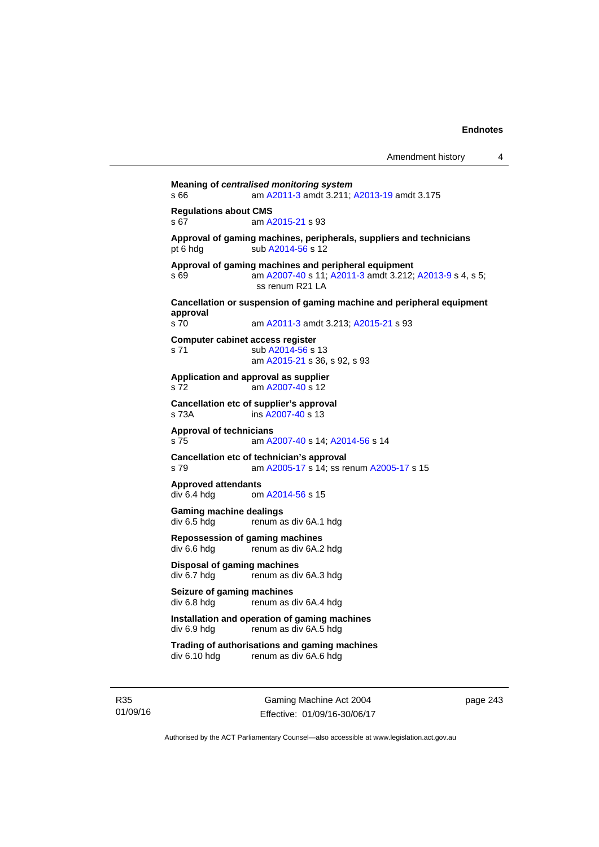**Meaning of** *centralised monitoring system* s 66 am [A2011-3](http://www.legislation.act.gov.au/a/2011-3) amdt 3.211; [A2013-19](http://www.legislation.act.gov.au/a/2013-19) amdt 3.175 **Regulations about CMS**  am [A2015-21](http://www.legislation.act.gov.au/a/2015-21) s 93 **Approval of gaming machines, peripherals, suppliers and technicians**  pt 6 hdg sub [A2014-56](http://www.legislation.act.gov.au/a/2014-56) s 12 **Approval of gaming machines and peripheral equipment**  s 69 am [A2007-40](http://www.legislation.act.gov.au/a/2007-40) s 11; [A2011-3](http://www.legislation.act.gov.au/a/2011-3) amdt 3.212; [A2013-9](http://www.legislation.act.gov.au/a/2013-9) s 4, s 5; ss renum R21 LA **Cancellation or suspension of gaming machine and peripheral equipment approval**  am [A2011-3](http://www.legislation.act.gov.au/a/2011-3) amdt 3.213; [A2015-21](http://www.legislation.act.gov.au/a/2015-21) s 93 **Computer cabinet access register**  s 71 sub [A2014-56](http://www.legislation.act.gov.au/a/2014-56) s 13 am [A2015-21](http://www.legislation.act.gov.au/a/2015-21) s 36, s 92, s 93 **Application and approval as supplier**  s 72 am [A2007-40](http://www.legislation.act.gov.au/a/2007-40) s 12 **Cancellation etc of supplier's approval**  s 73A ins [A2007-40](http://www.legislation.act.gov.au/a/2007-40) s 13 **Approval of technicians**  s 75 am [A2007-40](http://www.legislation.act.gov.au/a/2007-40) s 14; [A2014-56](http://www.legislation.act.gov.au/a/2014-56) s 14 **Cancellation etc of technician's approval**  s 79 am [A2005-17](http://www.legislation.act.gov.au/a/2005-17) s 14; ss renum [A2005-17](http://www.legislation.act.gov.au/a/2005-17) s 15 **Approved attendants**  div 6.4 hdg om [A2014-56](http://www.legislation.act.gov.au/a/2014-56) s 15 **Gaming machine dealings**  div 6.5 hdg renum as div 6A.1 hdg **Repossession of gaming machines**  renum as div 6A.2 hdg **Disposal of gaming machines**  div 6.7 hdg renum as div 6A.3 hdg **Seizure of gaming machines**<br>div 6.8 hdg renum as d renum as div 6A.4 hdg **Installation and operation of gaming machines**  div 6.9 hdg renum as div 6A.5 hdg **Trading of authorisations and gaming machines**  renum as div 6A.6 hdg

R35 01/09/16

Gaming Machine Act 2004 Effective: 01/09/16-30/06/17 page 243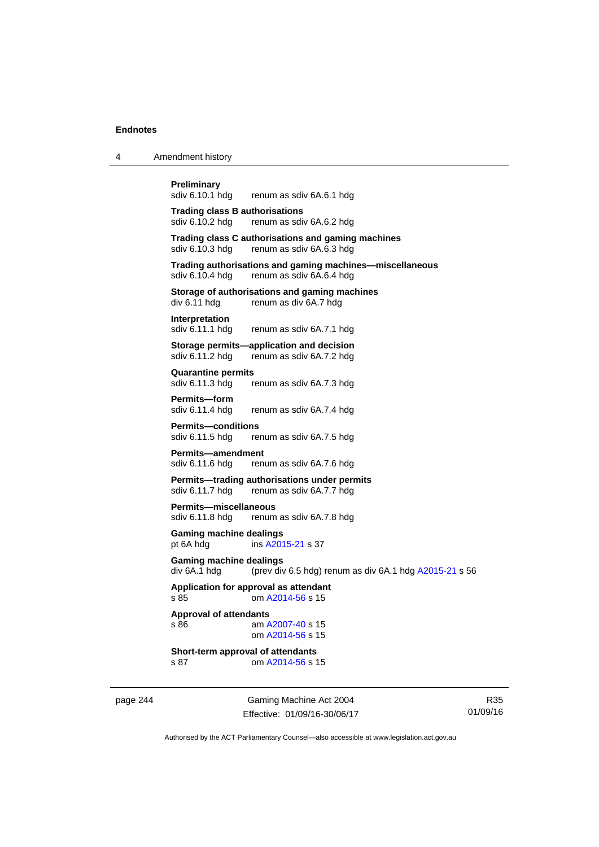4 Amendment history

**Preliminary** 

|                                       | sdiv 6.10.1 hdg renum as sdiv 6A.6.1 hdg                                                             |
|---------------------------------------|------------------------------------------------------------------------------------------------------|
| <b>Trading class B authorisations</b> | sdiv 6.10.2 hdg renum as sdiv 6A.6.2 hdg                                                             |
|                                       | Trading class C authorisations and gaming machines<br>sdiv 6.10.3 hdg renum as sdiv 6A.6.3 hdg       |
|                                       | Trading authorisations and gaming machines—miscellaneous<br>sdiv 6.10.4 hdg renum as sdiv 6A.6.4 hdg |
|                                       | Storage of authorisations and gaming machines<br>div 6.11 hdg renum as div 6A.7 hdg                  |
| <b>Interpretation</b>                 | sdiv 6.11.1 hdg renum as sdiv 6A.7.1 hdg                                                             |
|                                       | Storage permits-application and decision<br>sdiv 6.11.2 hdg renum as sdiv 6A.7.2 hdg                 |
| <b>Quarantine permits</b>             | sdiv 6.11.3 hdg renum as sdiv 6A.7.3 hdg                                                             |
| <b>Permits-form</b>                   |                                                                                                      |

sdiv 6.11.4 hdg renum as sdiv 6A.7.4 hdg

**Permits—conditions**  sdiv 6.11.5 hdg renum as sdiv 6A.7.5 hdg

**Permits—amendment**  sdiv 6.11.6 hdg renum as sdiv 6A.7.6 hdg

**Permits—trading authorisations under permits**  sdiv 6.11.7 hdg renum as sdiv 6A.7.7 hdg

**Permits—miscellaneous**  sdiv 6.11.8 hdg renum as sdiv 6A.7.8 hdg

**Gaming machine dealings**  pt 6A hdg ins [A2015-21](http://www.legislation.act.gov.au/a/2015-21) s 37

**Gaming machine dealings**<br>div 6A.1 hdg (prev div (prev div 6.5 hdg) renum as div  $6A.1$  hdg  $A2015-21$  s 56

**Application for approval as attendant**  s 85 om [A2014-56](http://www.legislation.act.gov.au/a/2014-56) s 15

**Approval of attendants**  s 86 am [A2007-40](http://www.legislation.act.gov.au/a/2007-40) s 15 om [A2014-56](http://www.legislation.act.gov.au/a/2014-56) s 15

**Short-term approval of attendants**  s 87 om [A2014-56](http://www.legislation.act.gov.au/a/2014-56) s 15

page 244 Gaming Machine Act 2004 Effective: 01/09/16-30/06/17

R35 01/09/16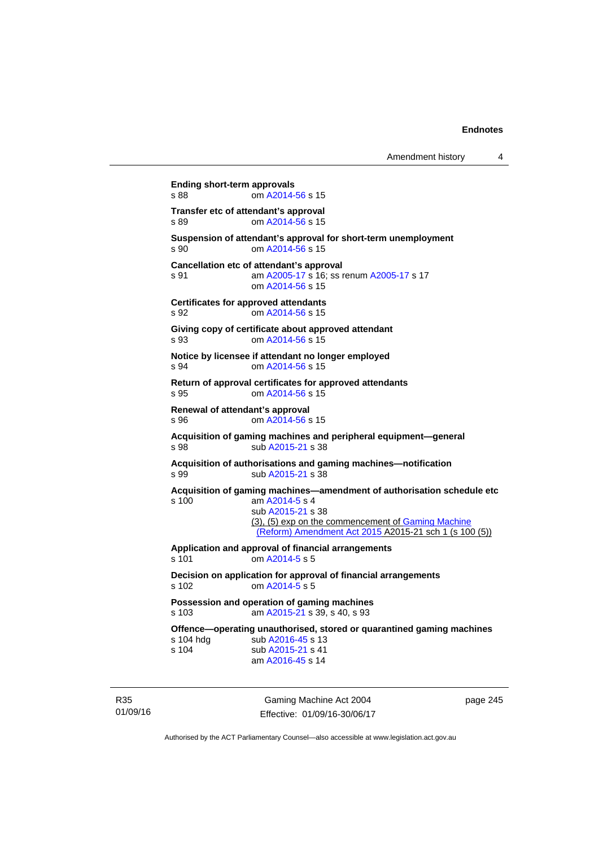```
Ending short-term approvals 
s 88 om A2014-56 s 15 
Transfer etc of attendant's approval 
s 89 om A2014-56 s 15 
Suspension of attendant's approval for short-term unemployment 
s 90 om A2014-56 s 15 
Cancellation etc of attendant's approval 
s 91 A2005-17 A2005-17 s 17
                 om A2014-56 s 15 
Certificates for approved attendants 
s 92 om A2014-56 s 15 
Giving copy of certificate about approved attendant 
s 93 om A2014-56 s 15 
Notice by licensee if attendant no longer employed 
s 94 om A2014-56 s 15 
Return of approval certificates for approved attendants 
s 95 om A2014-56 s 15 
Renewal of attendant's approval 
s 96 om A2014-56 s 15 
Acquisition of gaming machines and peripheral equipment—general 
s 98 sub A2015-21 s 38 
Acquisition of authorisations and gaming machines—notification 
A2015-21 s 38
Acquisition of gaming machines—amendment of authorisation schedule etc 
s 100 am A2014-5 s 4 
                 sub A2015-21 s 38 
                (3), (5) exp on the commencement of Gaming Machine 
                 (Reform) Amendment Act 2015 A2015-21 sch 1 (s 100 (5))
Application and approval of financial arrangements 
s 101 om A2014-5 s 5 
Decision on application for approval of financial arrangements 
s 102 om A2014-5 s 5 
Possession and operation of gaming machines 
s 103 am A2015-21 s 39, s 40, s 93 
Offence—operating unauthorised, stored or quarantined gaming machines s 104 hdg sub A2016-45 s 13
               A2016-45 s 13
A2015-21 s 41
                am A2016-45 s 14
```
R35 01/09/16

Gaming Machine Act 2004 Effective: 01/09/16-30/06/17 page 245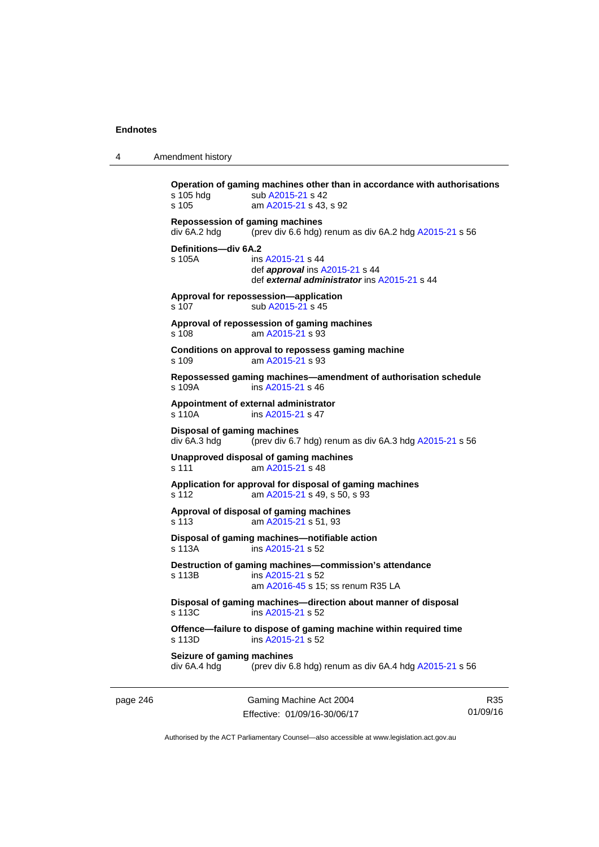4 Amendment history

```
Operation of gaming machines other than in accordance with authorisations 
A2015-21 s 42
s 105 am A2015-21 s 43, s 92 
Repossession of gaming machines 
div 6A.2 hdg (prev div 6.6 hdg) renum as div 6A.2 hdg A2015-21 s 56 
Definitions—div 6A.2 
s 105A ins A2015-21 s 44 
                 def approval ins A2015-21 s 44 
                 def external administrator ins A2015-21 s 44 
Approval for repossession—application 
A2015-21 s 45
Approval of repossession of gaming machines 
s 108 am A2015-21 s 93 
Conditions on approval to repossess gaming machine 
s 109 am A2015-21 s 93 
Repossessed gaming machines—amendment of authorisation schedule 
s 109A ins A2015-21 s 46 
Appointment of external administrator 
 A2015-21 s 47
Disposal of gaming machines 
div 6A.3 hdg (prev div 6.7 hdg) renum as div 6A.3 hdg A2015-21 s 56 
Unapproved disposal of gaming machines 
A2015-21 s 48
Application for approval for disposal of gaming machines 
s 112 am A2015-21 s 49, s 50, s 93 
Approval of disposal of gaming machines 
s 113 am A2015-21 s 51, 93
Disposal of gaming machines—notifiable action 
s 113A ins A2015-21 s 52 
Destruction of gaming machines—commission's attendance 
s 113B ins A2015-21 s 52 
                 am A2016-45 s 15; ss renum R35 LA
Disposal of gaming machines—direction about manner of disposal 
s 113C ins A2015-21 s 52 
Offence—failure to dispose of gaming machine within required time 
s 113D ins A2015-21 s 52 
Seizure of gaming machines<br>div 6A.4 hdg (prev div 6
                (prev div 6.8 hdg) renum as div 6A.4 hdg A2015-21 s 56
```
page 246 Gaming Machine Act 2004 Effective: 01/09/16-30/06/17

R35 01/09/16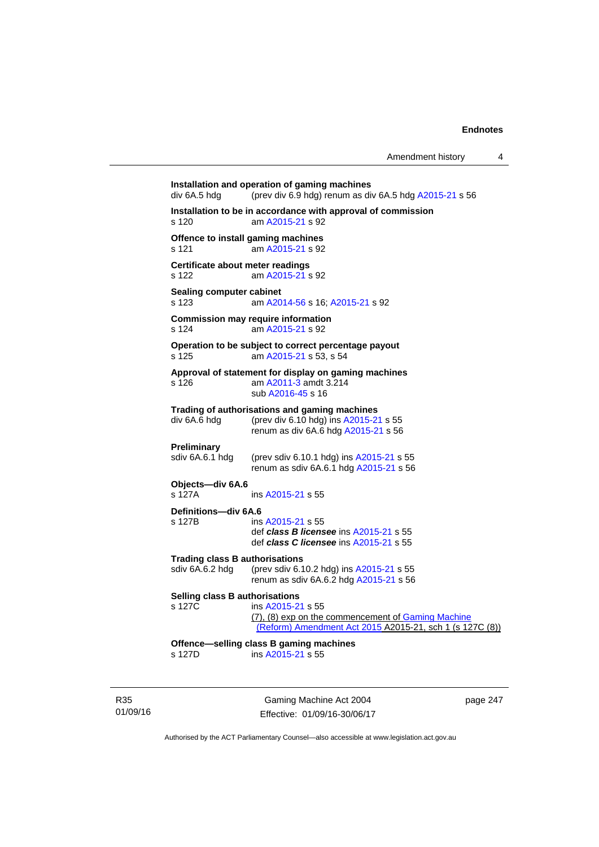**Installation and operation of gaming machines**  div 6A.5 hdg (prev div 6.9 hdg) renum as div 6A.5 hdg [A2015-21](http://www.legislation.act.gov.au/a/2015-21) s 56 **Installation to be in accordance with approval of commission**  s 120 am [A2015-21](http://www.legislation.act.gov.au/a/2015-21) s 92 **Offence to install gaming machines**  s 121 am [A2015-21](http://www.legislation.act.gov.au/a/2015-21) s 92 **Certificate about meter readings**  s 122 am [A2015-21](http://www.legislation.act.gov.au/a/2015-21) s 92 **Sealing computer cabinet**  s 123 am [A2014-56](http://www.legislation.act.gov.au/a/2014-56) s 16; [A2015-21](http://www.legislation.act.gov.au/a/2015-21) s 92 **Commission may require information**  s 124 am [A2015-21](http://www.legislation.act.gov.au/a/2015-21) s 92 **Operation to be subject to correct percentage payout**  s 125 am [A2015-21](http://www.legislation.act.gov.au/a/2015-21) s 53, s 54 **Approval of statement for display on gaming machines**  s 126 am [A2011-3](http://www.legislation.act.gov.au/a/2011-3) amdt 3.214 sub [A2016-45](http://www.legislation.act.gov.au/a/2016-45) s 16 **Trading of authorisations and gaming machines**  div 6A.6 hdg (prev div 6.10 hdg) ins [A2015-21](http://www.legislation.act.gov.au/a/2015-21) s 55 renum as div 6A.6 hdg [A2015-21](http://www.legislation.act.gov.au/a/2015-21) s 56 **Preliminary**<br>sdiv 6A.6.1 hdg (prev sdiv 6.10.1 hdg) ins  $A2015-21$  s 55 renum as sdiv 6A.6.1 hdg [A2015-21](http://www.legislation.act.gov.au/a/2015-21) s 56 **Objects—div 6A.6**  s 127A ins [A2015-21](http://www.legislation.act.gov.au/a/2015-21) s 55 **Definitions—div 6A.6**  s 127B ins [A2015-21](http://www.legislation.act.gov.au/a/2015-21) s 55 def *class B licensee* ins [A2015-21](http://www.legislation.act.gov.au/a/2015-21) s 55 def *class C licensee* ins [A2015-21](http://www.legislation.act.gov.au/a/2015-21) s 55 **Trading class B authorisations**  sdiv 6A.6.2 hdg (prev sdiv 6.10.2 hdg) ins [A2015-21](http://www.legislation.act.gov.au/a/2015-21) s 55 renum as sdiv 6A.6.2 hdg [A2015-21](http://www.legislation.act.gov.au/a/2015-21) s 56 **Selling class B authorisations**  s 127C ins [A2015-21](http://www.legislation.act.gov.au/a/2015-21) s 55 (7), (8) exp on the commencement of [Gaming Machine](http://www.legislation.act.gov.au/a/2015-21/default.asp)  [\(Reform\) Amendment Act 2015](http://www.legislation.act.gov.au/a/2015-21/default.asp) A2015-21, sch 1 (s 127C (8)) **Offence—selling class B gaming machines**  s 127D ins [A2015-21](http://www.legislation.act.gov.au/a/2015-21) s 55

R35 01/09/16

Gaming Machine Act 2004 Effective: 01/09/16-30/06/17 page 247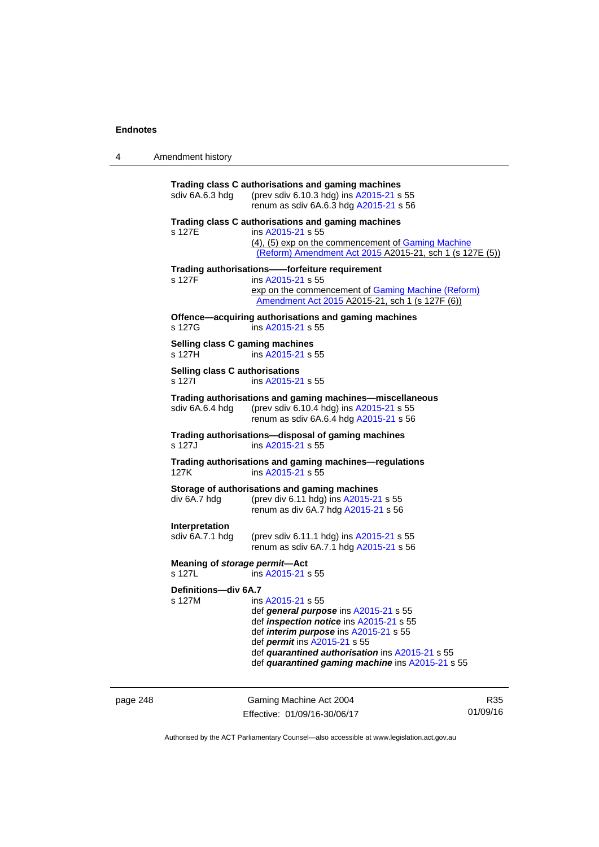| 4 | Amendment history |
|---|-------------------|
|---|-------------------|

| Trading class C authorisations and gaming machines<br>(prev sdiv 6.10.3 hdg) ins A2015-21 s 55<br>sdiv 6A.6.3 hdg<br>renum as sdiv 6A.6.3 hdg A2015-21 s 56 |                                                                                                                                                                                                                                                                                                     |  |  |  |
|-------------------------------------------------------------------------------------------------------------------------------------------------------------|-----------------------------------------------------------------------------------------------------------------------------------------------------------------------------------------------------------------------------------------------------------------------------------------------------|--|--|--|
| s 127E                                                                                                                                                      | Trading class C authorisations and gaming machines<br>ins A2015-21 s 55<br>(4), (5) exp on the commencement of Gaming Machine<br>(Reform) Amendment Act 2015 A2015-21, sch 1 (s 127E (5))                                                                                                           |  |  |  |
| s 127F                                                                                                                                                      | Trading authorisations--forfeiture requirement<br>ins A2015-21 s 55<br>exp on the commencement of Gaming Machine (Reform)<br>Amendment Act 2015 A2015-21, sch 1 (s 127F (6))                                                                                                                        |  |  |  |
| s 127G                                                                                                                                                      | Offence-acquiring authorisations and gaming machines<br>ins A2015-21 s 55                                                                                                                                                                                                                           |  |  |  |
| Selling class C gaming machines<br>s 127H                                                                                                                   | ins A2015-21 s 55                                                                                                                                                                                                                                                                                   |  |  |  |
| Selling class C authorisations<br>s 1271                                                                                                                    | ins A2015-21 s 55                                                                                                                                                                                                                                                                                   |  |  |  |
| sdiv 6A.6.4 hdq                                                                                                                                             | Trading authorisations and gaming machines-miscellaneous<br>(prev sdiv 6.10.4 hdg) ins A2015-21 s 55<br>renum as sdiv 6A.6.4 hdg A2015-21 s 56                                                                                                                                                      |  |  |  |
| s 127J                                                                                                                                                      | Trading authorisations-disposal of gaming machines<br>ins A2015-21 s 55                                                                                                                                                                                                                             |  |  |  |
| 127K                                                                                                                                                        | Trading authorisations and gaming machines-regulations<br>ins A2015-21 s 55                                                                                                                                                                                                                         |  |  |  |
| div 6A.7 hdg                                                                                                                                                | Storage of authorisations and gaming machines<br>(prev div 6.11 hdg) ins A2015-21 s 55<br>renum as div 6A.7 hdg A2015-21 s 56                                                                                                                                                                       |  |  |  |
| Interpretation<br>sdiv 6A.7.1 hdg                                                                                                                           | (prev sdiv 6.11.1 hdg) ins A2015-21 s 55<br>renum as sdiv 6A.7.1 hdg A2015-21 s 56                                                                                                                                                                                                                  |  |  |  |
| Meaning of storage permit-Act<br>s 127L                                                                                                                     | ins A2015-21 s 55                                                                                                                                                                                                                                                                                   |  |  |  |
| Definitions-div 6A.7<br>s 127M                                                                                                                              | ins A2015-21 s 55<br>def general purpose ins A2015-21 s 55<br>def <i>inspection notice</i> ins A2015-21 s 55<br>def <i>interim purpose</i> ins A2015-21 s 55<br>def permit ins A2015-21 s 55<br>def quarantined authorisation ins A2015-21 s 55<br>def quarantined gaming machine ins A2015-21 s 55 |  |  |  |

page 248 Gaming Machine Act 2004 Effective: 01/09/16-30/06/17

R35 01/09/16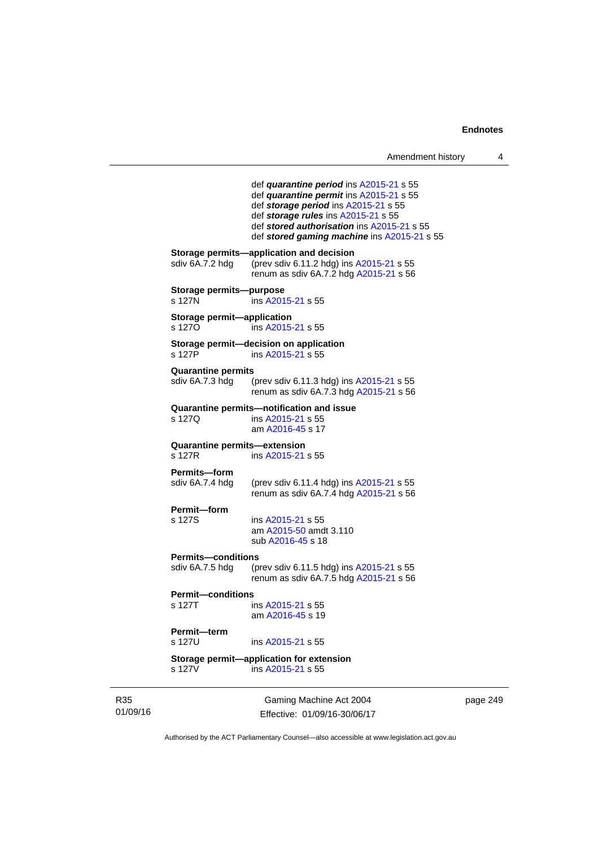| Amendment history |  |
|-------------------|--|
|                   |  |

```
Gaming Machine Act 2004 
                 def quarantine period ins A2015-21 s 55 
                 def quarantine permit ins A2015-21 s 55 
                 def storage period ins A2015-21 s 55 
                 def storage rules ins A2015-21 s 55 
                 def stored authorisation ins A2015-21 s 55 
                 def stored gaming machine ins A2015-21 s 55 
Storage permits—application and decision 
A2015-21 s 55
                renum as sdiv 6A.7.2 hdg A2015-21 s 56 
Storage permits—purpose 
s 127N ins A2015-21 s 55 
Storage permit—application 
s 127O ins A2015-21 s 55 
Storage permit—decision on application 
s 127P ins A2015-21 s 55 
Quarantine permits 
                A2015-21 s 55
                renum as sdiv 6A.7.3 hdg A2015-21 s 56 
Quarantine permits—notification and issue 
s 127Q ins A2015-21 s 55 
                 am A2016-45 s 17 
Quarantine permits—extension 
s 127R ins A2015-21 s 55 
Permits—form 
sdiv 6A.7.4 hdg (prev sdiv 6.11.4 hdg) ins A2015-21 s 55 
                renum as sdiv 6A.7.4 hdg A2015-21 s 56 
Permit—form
s 127S ins A2015-21 s 55 
                 am A2015-50 amdt 3.110
                 sub A2016-45 s 18 
Permits—conditions<br>sdiv 6A.7.5 hdg (p
                A2015-21 s 55
                renum as sdiv 6A.7.5 hdg A2015-21 s 56 
Permit—conditions 
 A2015-21 s 55
                 am A2016-45 s 19 
Permit—term 
s 127U ins A2015-21 s 55 
Storage permit—application for extension 
s 127V ins A2015-21 s 55
```
page 249

Authorised by the ACT Parliamentary Counsel—also accessible at www.legislation.act.gov.au

Effective: 01/09/16-30/06/17

R35 01/09/16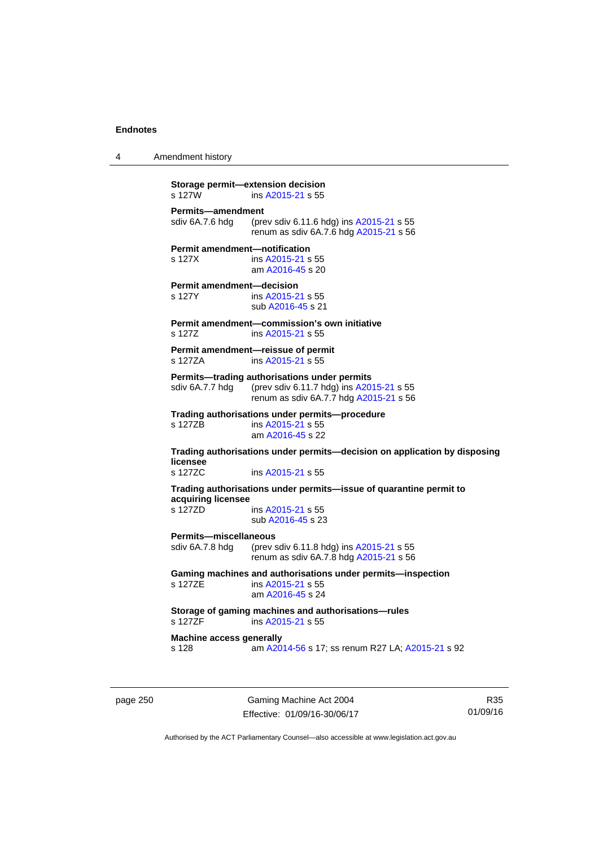4 Amendment history

```
page 250 Gaming Machine Act 2004 
                          Effective: 01/09/16-30/06/17 
          Authorised by the ACT Parliamentary Counsel—also accessible at www.legislation.act.gov.au 
           Storage permit—extension decision 
           s 127W ins A2015-21 s 55 
           Permits—amendment 
           sdiv 6A.7.6 hdg (prev sdiv 6.11.6 hdg) ins A2015-21 s 55 
                           renum as sdiv 6A.7.6 hdg A2015-21 s 56 
           Permit amendment—notification 
           s 127X ins A2015-21 s 55 
                            am A2016-45 s 20 
           Permit amendment—decision 
           s 127Y ins A2015-21 s 55 
                            sub A2016-45 s 21 
           Permit amendment—commission's own initiative 
            A2015-21 s 55
           Permit amendment—reissue of permit 
           s 127ZA ins A2015-21 s 55 
           Permits—trading authorisations under permits 
           A2015-21 s 55
                           renum as sdiv 6A.7.7 hdg A2015-21 s 56 
           Trading authorisations under permits—procedure 
                           A2015-21 s 55
                            am A2016-45 s 22 
           Trading authorisations under permits—decision on application by disposing 
           licensee 
           s 127ZC ins A2015-21 s 55 
           Trading authorisations under permits—issue of quarantine permit to 
           acquiring licensee 
                            A2015-21 s 55
                            sub A2016-45 s 23 
           Permits—miscellaneous 
           sdiv 6A.7.8 hdg (prev sdiv 6.11.8 hdg) ins A2015-21 s 55 
                           renum as sdiv 6A.7.8 hdg A2015-21 s 56 
           Gaming machines and authorisations under permits—inspection 
           A2015-21 s 55
                            am A2016-45 s 24 
           Storage of gaming machines and authorisations—rules 
                            A2015-21 s 55
           Machine access generally 
           s 128 am A2014-56 s 17; ss renum R27 LA; A2015-21 s 92
```
R35 01/09/16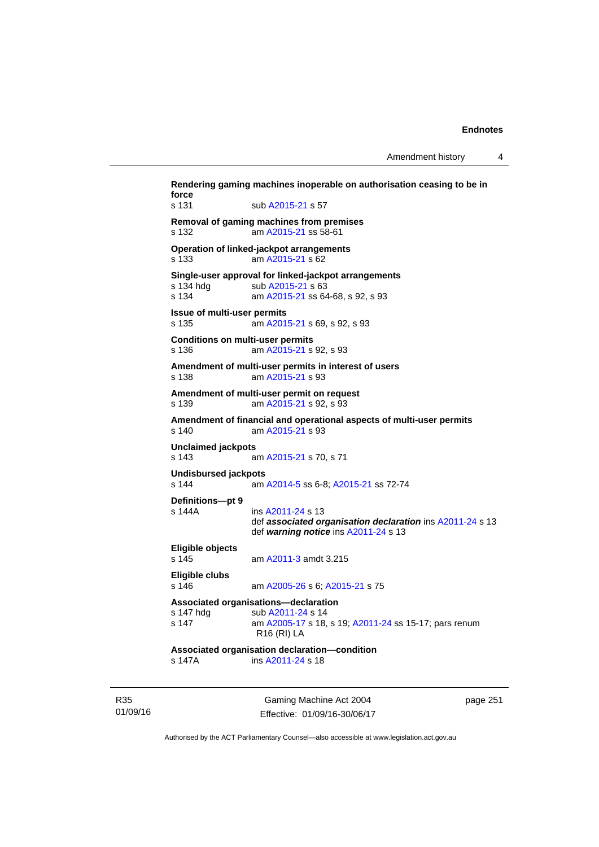Amendment history 4

**Rendering gaming machines inoperable on authorisation ceasing to be in force**  s 131 sub [A2015-21](http://www.legislation.act.gov.au/a/2015-21) s 57 **Removal of gaming machines from premises**  s 132 am [A2015-21](http://www.legislation.act.gov.au/a/2015-21) ss 58-61 **Operation of linked-jackpot arrangements**  s 133 am [A2015-21](http://www.legislation.act.gov.au/a/2015-21) s 62 **Single-user approval for linked-jackpot arrangements**  sub [A2015-21](http://www.legislation.act.gov.au/a/2015-21) s 63 s 134 am [A2015-21](http://www.legislation.act.gov.au/a/2015-21) ss 64-68, s 92, s 93 **Issue of multi-user permits**  s 135 am [A2015-21](http://www.legislation.act.gov.au/a/2015-21) s 69, s 92, s 93 **Conditions on multi-user permits**  s 136 am [A2015-21](http://www.legislation.act.gov.au/a/2015-21) s 92, s 93 **Amendment of multi-user permits in interest of users**  s 138 am [A2015-21](http://www.legislation.act.gov.au/a/2015-21) s 93 **Amendment of multi-user permit on request**  s 139 am [A2015-21](http://www.legislation.act.gov.au/a/2015-21) s 92, s 93 **Amendment of financial and operational aspects of multi-user permits**  s 140 am [A2015-21](http://www.legislation.act.gov.au/a/2015-21) s 93 **Unclaimed jackpots**  s 143 am [A2015-21](http://www.legislation.act.gov.au/a/2015-21) s 70, s 71 **Undisbursed jackpots**  s 144 am [A2014-5](http://www.legislation.act.gov.au/a/2014-5) ss 6-8; [A2015-21](http://www.legislation.act.gov.au/a/2015-21) ss 72-74 **Definitions—pt 9**  ins [A2011-24](http://www.legislation.act.gov.au/a/2011-24) s 13 def *associated organisation declaration* ins [A2011-24](http://www.legislation.act.gov.au/a/2011-24) s 13 def *warning notice* ins [A2011-24](http://www.legislation.act.gov.au/a/2011-24) s 13 **Eligible objects**  s 145 am [A2011-3](http://www.legislation.act.gov.au/a/2011-3) amdt 3.215 **Eligible clubs**  s 146 am [A2005-26](http://www.legislation.act.gov.au/a/2005-26) s 6; [A2015-21](http://www.legislation.act.gov.au/a/2015-21) s 75 **Associated organisations—declaration**  s 147 hdg sub [A2011-24](http://www.legislation.act.gov.au/a/2011-24) s 14 s 147 am [A2005-17](http://www.legislation.act.gov.au/a/2005-17) s 18, s 19; [A2011-24](http://www.legislation.act.gov.au/a/2011-24) ss 15-17; pars renum R16 (RI) LA **Associated organisation declaration—condition**  s 147A ins [A2011-24](http://www.legislation.act.gov.au/a/2011-24) s 18

R35 01/09/16

Gaming Machine Act 2004 Effective: 01/09/16-30/06/17 page 251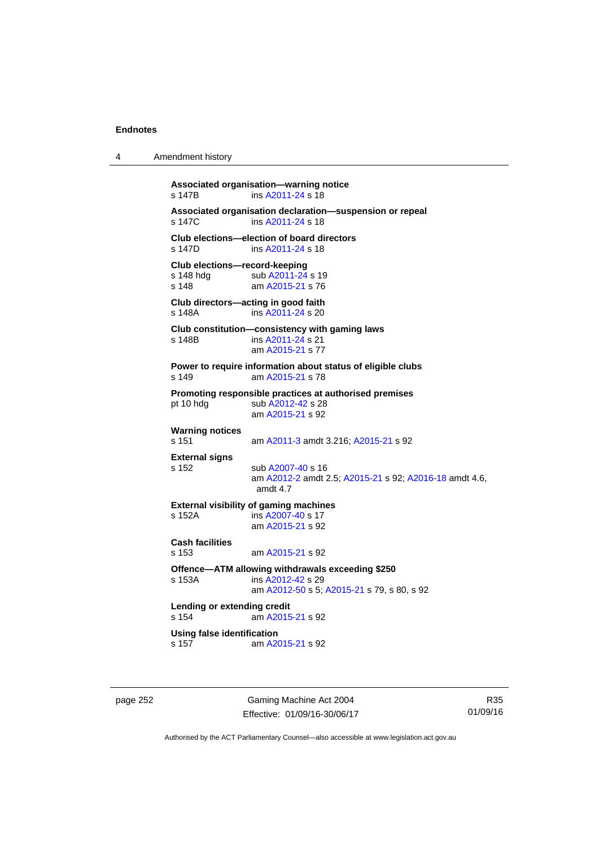4 Amendment history

**Associated organisation—warning notice**  s 147B ins [A2011-24](http://www.legislation.act.gov.au/a/2011-24) s 18 **Associated organisation declaration—suspension or repeal**  ins [A2011-24](http://www.legislation.act.gov.au/a/2011-24) s 18 **Club elections—election of board directors**  s 147D ins [A2011-24](http://www.legislation.act.gov.au/a/2011-24) s 18 **Club elections—record-keeping**  s 148 hdg sub [A2011-24](http://www.legislation.act.gov.au/a/2011-24) s 19<br>s 148 am A2015-21 s 76 am [A2015-21](http://www.legislation.act.gov.au/a/2015-21) s 76 **Club directors—acting in good faith**  s 148A ins [A2011-24](http://www.legislation.act.gov.au/a/2011-24) s 20 **Club constitution—consistency with gaming laws**  s 148B ins [A2011-24](http://www.legislation.act.gov.au/a/2011-24) s 21 am [A2015-21](http://www.legislation.act.gov.au/a/2015-21) s 77 **Power to require information about status of eligible clubs**  s 149 am [A2015-21](http://www.legislation.act.gov.au/a/2015-21) s 78 **Promoting responsible practices at authorised premises**  pt 10 hdg sub [A2012-42](http://www.legislation.act.gov.au/a/2012-42) s 28 am [A2015-21](http://www.legislation.act.gov.au/a/2015-21) s 92 **Warning notices**  s 151 am [A2011-3](http://www.legislation.act.gov.au/a/2011-3) amdt 3.216; [A2015-21](http://www.legislation.act.gov.au/a/2015-21) s 92 **External signs**  s 152 sub [A2007-40](http://www.legislation.act.gov.au/a/2007-40) s 16 am [A2012-2](http://www.legislation.act.gov.au/a/2012-2) amdt 2.5; [A2015-21](http://www.legislation.act.gov.au/a/2015-21) s 92; [A2016-18](http://www.legislation.act.gov.au/a/2016-18/default.asp) amdt 4.6, amdt 4.7 **External visibility of gaming machines**  s 152A ins [A2007-40](http://www.legislation.act.gov.au/a/2007-40) s 17 am [A2015-21](http://www.legislation.act.gov.au/a/2015-21) s 92 **Cash facilities**  s 153 am [A2015-21](http://www.legislation.act.gov.au/a/2015-21) s 92 **Offence—ATM allowing withdrawals exceeding \$250**  s 153A ins [A2012-42](http://www.legislation.act.gov.au/a/2012-42) s 29 am [A2012-50](http://www.legislation.act.gov.au/a/2012-50/default.asp) s 5; [A2015-21](http://www.legislation.act.gov.au/a/2015-21) s 79, s 80, s 92 **Lending or extending credit**  s 154 am [A2015-21](http://www.legislation.act.gov.au/a/2015-21) s 92 **Using false identification**<br>s 157 am A20 am [A2015-21](http://www.legislation.act.gov.au/a/2015-21) s 92

page 252 Gaming Machine Act 2004 Effective: 01/09/16-30/06/17

R35 01/09/16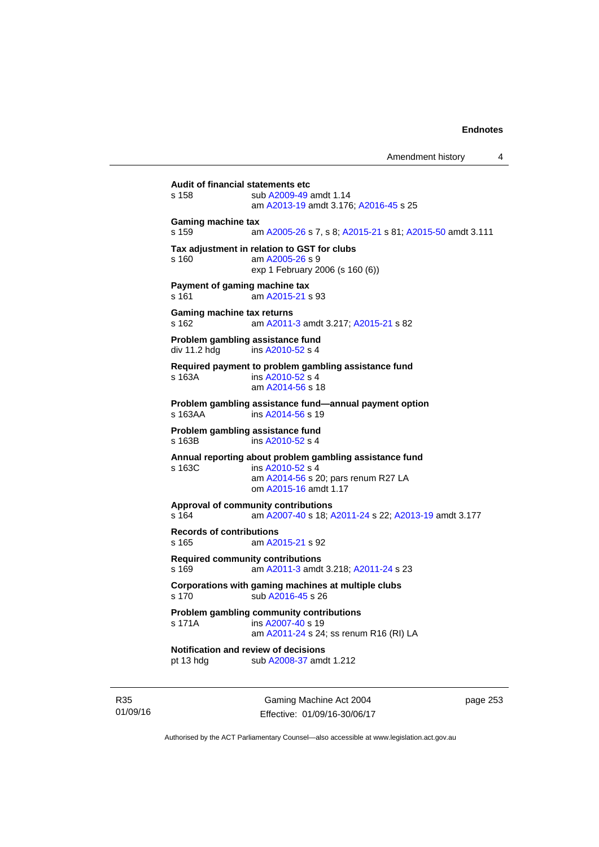Amendment history 4

**Audit of financial statements etc**  s 158 sub [A2009-49](http://www.legislation.act.gov.au/a/2009-49) amdt 1.14 am [A2013-19](http://www.legislation.act.gov.au/a/2013-19) amdt 3.176; [A2016-45](http://www.legislation.act.gov.au/a/2016-45) s 25 **Gaming machine tax**  s 159 am [A2005-26](http://www.legislation.act.gov.au/a/2005-26) s 7, s 8; [A2015-21](http://www.legislation.act.gov.au/a/2015-21/default.asp) s 81; [A2015-50](http://www.legislation.act.gov.au/a/2015-50) amdt 3.111 **Tax adjustment in relation to GST for clubs**  s 160 am [A2005-26](http://www.legislation.act.gov.au/a/2005-26) s 9 exp 1 February 2006 (s 160 (6)) **Payment of gaming machine tax**  s 161 am [A2015-21](http://www.legislation.act.gov.au/a/2015-21) s 93 **Gaming machine tax returns**  s 162 am [A2011-3](http://www.legislation.act.gov.au/a/2011-3) amdt 3.217; [A2015-21](http://www.legislation.act.gov.au/a/2015-21) s 82 **Problem gambling assistance fund**   $div 11.2$  hdg ins  $A2010 - 52$  s 4 **Required payment to problem gambling assistance fund**  s 163A ins [A2010-52](http://www.legislation.act.gov.au/a/2010-52) s 4 am [A2014-56](http://www.legislation.act.gov.au/a/2014-56/default.asp) s 18 **Problem gambling assistance fund—annual payment option**  s 163AA ins [A2014-56](http://www.legislation.act.gov.au/a/2014-56/default.asp) s 19 **Problem gambling assistance fund**  s 163B ins [A2010-52](http://www.legislation.act.gov.au/a/2010-52) s 4 **Annual reporting about problem gambling assistance fund**  s 163C ins [A2010-52](http://www.legislation.act.gov.au/a/2010-52) s 4 am [A2014-56](http://www.legislation.act.gov.au/a/2014-56) s 20; pars renum R27 LA om [A2015-16](http://www.legislation.act.gov.au/a/2015-16) amdt 1.17 **Approval of community contributions**  s 164 am [A2007-40](http://www.legislation.act.gov.au/a/2007-40) s 18; [A2011-24](http://www.legislation.act.gov.au/a/2011-24) s 22; [A2013-19](http://www.legislation.act.gov.au/a/2013-19) amdt 3.177 **Records of contributions**  s 165 am [A2015-21](http://www.legislation.act.gov.au/a/2015-21) s 92 **Required community contributions**  s 169 am [A2011-3](http://www.legislation.act.gov.au/a/2011-3) amdt 3.218; [A2011-24](http://www.legislation.act.gov.au/a/2011-24) s 23 **Corporations with gaming machines at multiple clubs**  s 170 sub [A2016-45](http://www.legislation.act.gov.au/a/2016-45) s 26 **Problem gambling community contributions**  s 171A ins [A2007-40](http://www.legislation.act.gov.au/a/2007-40) s 19 am [A2011-24](http://www.legislation.act.gov.au/a/2011-24) s 24; ss renum R16 (RI) LA **Notification and review of decisions**  pt 13 hdg sub [A2008-37](http://www.legislation.act.gov.au/a/2008-37) amdt 1.212

R35 01/09/16

Gaming Machine Act 2004 Effective: 01/09/16-30/06/17 page 253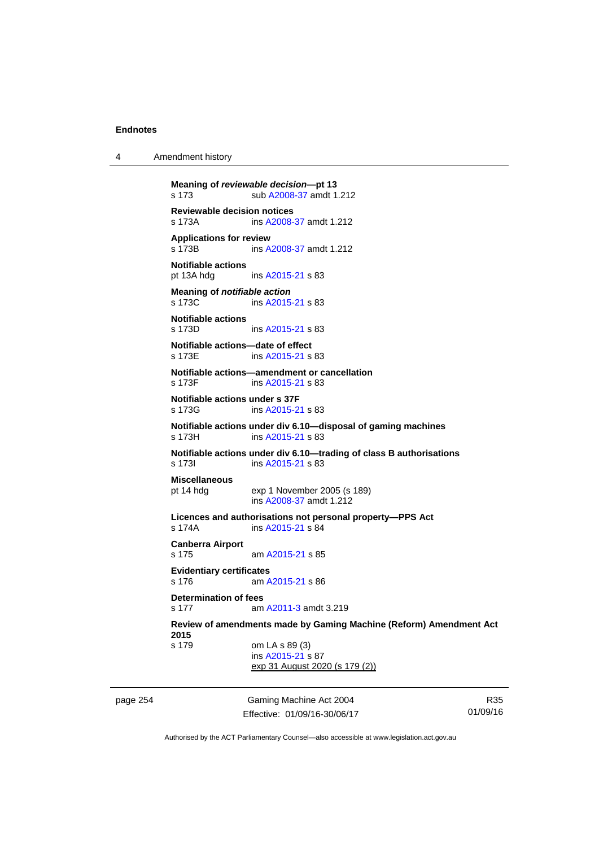4 Amendment history

```
page 254 Gaming Machine Act 2004 
          Meaning of reviewable decision—pt 13 
          s 173 sub A2008-37 amdt 1.212 
          Reviewable decision notices 
          s 173A ins A2008-37 amdt 1.212 
          Applications for review 
          s 173B ins A2008-37 amdt 1.212 
          Notifiable actions 
          pt 13A hdg ins A2015-21 s 83 
          Meaning of notifiable action
          A2015-21 s 83
          Notifiable actions 
                          A2015-21 s 83
          Notifiable actions—date of effect 
          s 173E ins A2015-21 s 83 
          Notifiable actions—amendment or cancellation 
          s 173F ins A2015-21 s 83 
          Notifiable actions under s 37F 
          s 173G ins A2015-21 s 83 
          Notifiable actions under div 6.10—disposal of gaming machines 
          s 173H ins A2015-21 s 83 
          Notifiable actions under div 6.10—trading of class B authorisations 
          s 173I ins A2015-21 s 83 
          Miscellaneous 
          pt 14 hdg exp 1 November 2005 (s 189) 
                           ins A2008-37 amdt 1.212 
          Licences and authorisations not personal property—PPS Act 
          s 174A ins A2015-21 s 84 
          Canberra Airport 
          s 175 am A2015-21 s 85 
          Evidentiary certificates 
          s 176 am A2015-21 s 86 
          Determination of fees 
          s 177  A2011-3 amdt 3.219
          Review of amendments made by Gaming Machine (Reform) Amendment Act 
          2015 
          s 179 om LA s 89 (3) 
                           ins A2015-21 s 87 
                          exp 31 August 2020 (s 179 (2))
```
Effective: 01/09/16-30/06/17

R35 01/09/16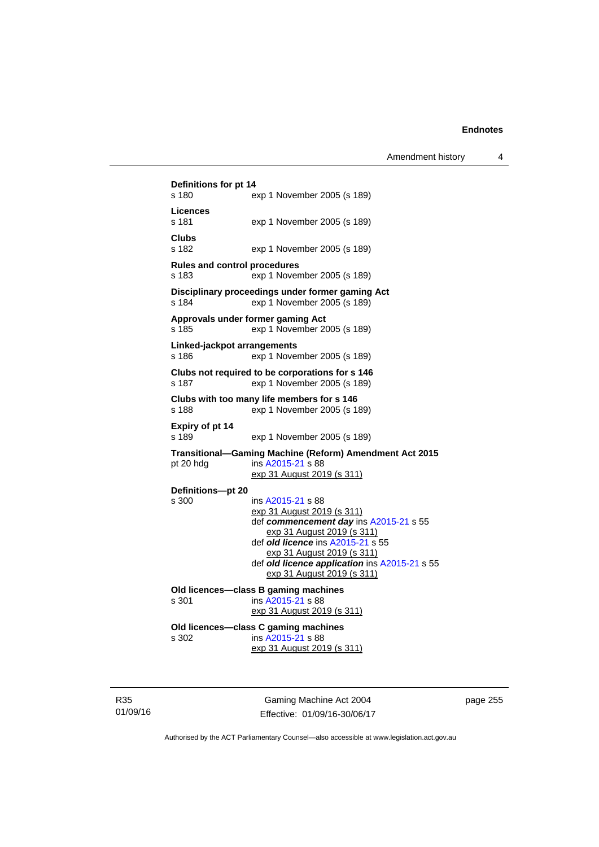```
Definitions for pt 14 
s 180 exp 1 November 2005 (s 189) 
Licences 
                 exp 1 November 2005 (s 189)
Clubs 
                 exp 1 November 2005 (s 189)
Rules and control procedures 
s 183 exp 1 November 2005 (s 189) 
Disciplinary proceedings under former gaming Act 
s 184 exp 1 November 2005 (s 189)
Approvals under former gaming Act 
s 185 exp 1 November 2005 (s 189) 
Linked-jackpot arrangements 
s 186 exp 1 November 2005 (s 189) 
Clubs not required to be corporations for s 146 
s 187 exp 1 November 2005 (s 189) 
Clubs with too many life members for s 146 
s 188 exp 1 November 2005 (s 189) 
Expiry of pt 14 
s 189 exp 1 November 2005 (s 189) 
Transitional—Gaming Machine (Reform) Amendment Act 2015 
pt 20 hdg ins A2015-21 s 88 
                 exp 31 August 2019 (s 311)
Definitions—pt 20 
                 A2015-21 s 88
                 exp 31 August 2019 (s 311)
                  def commencement day ins A2015-21 s 55 
                    exp 31 August 2019 (s 311)
                  def old licence ins A2015-21 s 55 
                    exp 31 August 2019 (s 311)
                  def old licence application ins A2015-21 s 55 
                    exp 31 August 2019 (s 311)
Old licences—class B gaming machines 
s 301 ins A2015-21 s 88 
                 exp 31 August 2019 (s 311)
Old licences—class C gaming machines 
s 302 ins A2015-21 s 88 
                 exp 31 August 2019 (s 311)
```
R35 01/09/16

Gaming Machine Act 2004 Effective: 01/09/16-30/06/17 page 255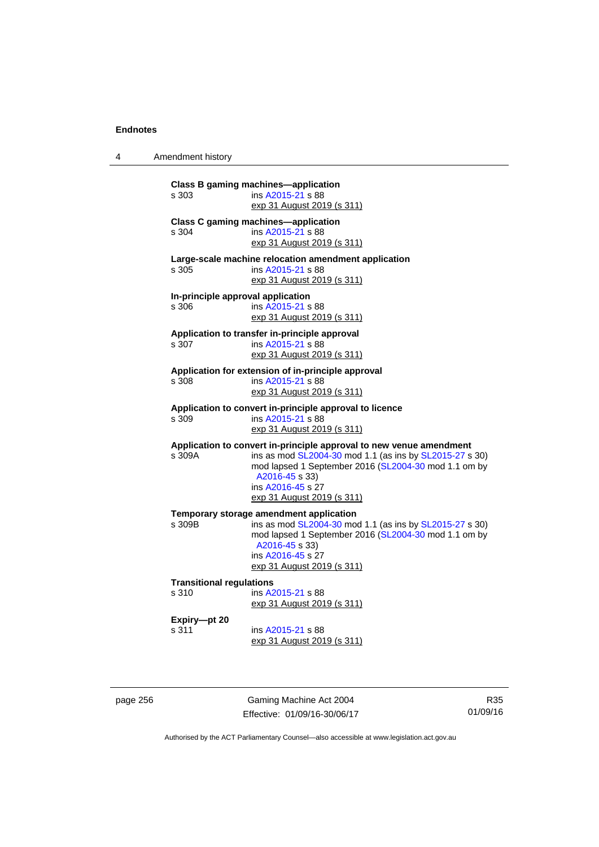4 Amendment history

|                                                                                                                  | s 303                                      | <b>Class B gaming machines-application</b><br>ins A2015-21 s 88<br><u>exp 31 August 2019 (s 311)</u>                                                                                                                                                        |  |  |  |
|------------------------------------------------------------------------------------------------------------------|--------------------------------------------|-------------------------------------------------------------------------------------------------------------------------------------------------------------------------------------------------------------------------------------------------------------|--|--|--|
|                                                                                                                  | s 304                                      | <b>Class C gaming machines-application</b><br>ins A2015-21 s 88<br>exp 31 August 2019 (s 311)                                                                                                                                                               |  |  |  |
| Large-scale machine relocation amendment application<br>ins A2015-21 s 88<br>s 305<br>exp 31 August 2019 (s 311) |                                            |                                                                                                                                                                                                                                                             |  |  |  |
|                                                                                                                  | In-principle approval application<br>s 306 | ins A2015-21 s 88<br>exp 31 August 2019 (s 311)                                                                                                                                                                                                             |  |  |  |
|                                                                                                                  | s 307                                      | Application to transfer in-principle approval<br>ins A2015-21 s 88<br>exp 31 August 2019 (s 311)                                                                                                                                                            |  |  |  |
|                                                                                                                  | s 308                                      | Application for extension of in-principle approval<br>ins A2015-21 s 88<br>exp 31 August 2019 (s 311)                                                                                                                                                       |  |  |  |
|                                                                                                                  | s 309                                      | Application to convert in-principle approval to licence<br>ins A2015-21 s 88<br>exp 31 August 2019 (s 311)                                                                                                                                                  |  |  |  |
|                                                                                                                  | s 309A                                     | Application to convert in-principle approval to new venue amendment<br>ins as mod SL2004-30 mod 1.1 (as ins by SL2015-27 s 30)<br>mod lapsed 1 September 2016 (SL2004-30 mod 1.1 om by<br>A2016-45 s 33)<br>ins A2016-45 s 27<br>exp 31 August 2019 (s 311) |  |  |  |
|                                                                                                                  | s 309B                                     | Temporary storage amendment application<br>ins as mod SL2004-30 mod 1.1 (as ins by SL2015-27 s 30)<br>mod lapsed 1 September 2016 (SL2004-30 mod 1.1 om by<br>A2016-45 s 33)<br>ins A2016-45 s 27<br>exp 31 August 2019 (s 311)                             |  |  |  |
|                                                                                                                  | <b>Transitional regulations</b>            |                                                                                                                                                                                                                                                             |  |  |  |
|                                                                                                                  | s 310                                      | ins A2015-21 s 88<br>exp 31 August 2019 (s 311)                                                                                                                                                                                                             |  |  |  |
|                                                                                                                  | Expiry-pt 20<br>s 311                      | ins A2015-21 s 88<br><u>exp 31 August 2019 (s 311)</u>                                                                                                                                                                                                      |  |  |  |

page 256 Gaming Machine Act 2004 Effective: 01/09/16-30/06/17

R35 01/09/16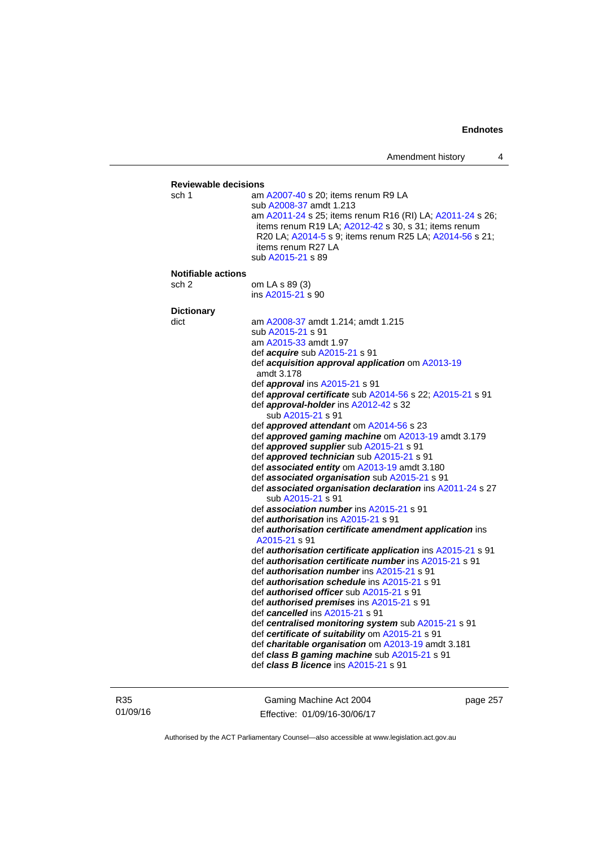## **Reviewable decisions**  sch 1 am [A2007-40](http://www.legislation.act.gov.au/a/2007-40) s 20; items renum R9 LA sub [A2008-37](http://www.legislation.act.gov.au/a/2008-37) amdt 1.213 am [A2011-24](http://www.legislation.act.gov.au/a/2011-24) s 25; items renum R16 (RI) LA; [A2011-24](http://www.legislation.act.gov.au/a/2011-24) s 26; items renum R19 LA; [A2012-42](http://www.legislation.act.gov.au/a/2012-42) s 30, s 31; items renum R20 LA; [A2014-5](http://www.legislation.act.gov.au/a/2014-5) s 9; items renum R25 LA; [A2014-56](http://www.legislation.act.gov.au/a/2014-56) s 21; items renum R27 LA sub [A2015-21](http://www.legislation.act.gov.au/a/2015-21) s 89 **Notifiable actions**  sch 2 om LA s 89 (3) ins [A2015-21](http://www.legislation.act.gov.au/a/2015-21) s 90 **Dictionary**  dict am [A2008-37](http://www.legislation.act.gov.au/a/2008-37) amdt 1.214; amdt 1.215 sub [A2015-21](http://www.legislation.act.gov.au/a/2015-21) s 91 am [A2015-33](http://www.legislation.act.gov.au/a/2015-33) amdt 1.97 def *acquire* sub [A2015-21](http://www.legislation.act.gov.au/a/2015-21) s 91 def *acquisition approval application* om [A2013-19](http://www.legislation.act.gov.au/a/2013-19) amdt 3.178 def *approval* ins [A2015-21](http://www.legislation.act.gov.au/a/2015-21) s 91 def *approval certificate* sub [A2014-56](http://www.legislation.act.gov.au/a/2014-56) s 22; [A2015-21](http://www.legislation.act.gov.au/a/2015-21) s 91 def *approval-holder* ins [A2012-42](http://www.legislation.act.gov.au/a/2012-42) s 32 sub [A2015-21](http://www.legislation.act.gov.au/a/2015-21) s 91 def *approved attendant* om [A2014-56](http://www.legislation.act.gov.au/a/2014-56) s 23 def *approved gaming machine* om [A2013-19](http://www.legislation.act.gov.au/a/2013-19) amdt 3.179 def *approved supplier* sub [A2015-21](http://www.legislation.act.gov.au/a/2015-21) s 91 def *approved technician* sub [A2015-21](http://www.legislation.act.gov.au/a/2015-21) s 91 def *associated entity* om [A2013-19](http://www.legislation.act.gov.au/a/2013-19) amdt 3.180 def *associated organisation* sub [A2015-21](http://www.legislation.act.gov.au/a/2015-21) s 91 def *associated organisation declaration* ins [A2011-24](http://www.legislation.act.gov.au/a/2011-24) s 27 sub [A2015-21](http://www.legislation.act.gov.au/a/2015-21) s 91 def *association number* ins [A2015-21](http://www.legislation.act.gov.au/a/2015-21) s 91 def *authorisation* ins [A2015-21](http://www.legislation.act.gov.au/a/2015-21) s 91 def *authorisation certificate amendment application* ins [A2015-21](http://www.legislation.act.gov.au/a/2015-21) s 91 def *authorisation certificate application* ins [A2015-21](http://www.legislation.act.gov.au/a/2015-21) s 91 def *authorisation certificate number* ins [A2015-21](http://www.legislation.act.gov.au/a/2015-21) s 91 def *authorisation number* ins [A2015-21](http://www.legislation.act.gov.au/a/2015-21) s 91 def *authorisation schedule* ins [A2015-21](http://www.legislation.act.gov.au/a/2015-21) s 91 def *authorised officer* sub [A2015-21](http://www.legislation.act.gov.au/a/2015-21) s 91 def *authorised premises* ins [A2015-21](http://www.legislation.act.gov.au/a/2015-21) s 91 def *cancelled* ins [A2015-21](http://www.legislation.act.gov.au/a/2015-21) s 91 def *centralised monitoring system* sub [A2015-21](http://www.legislation.act.gov.au/a/2015-21) s 91 def *certificate of suitability* om [A2015-21](http://www.legislation.act.gov.au/a/2015-21) s 91 def *charitable organisation* om [A2013-19](http://www.legislation.act.gov.au/a/2013-19) amdt 3.181 def *class B gaming machine* sub [A2015-21](http://www.legislation.act.gov.au/a/2015-21) s 91 def *class B licence* ins [A2015-21](http://www.legislation.act.gov.au/a/2015-21) s 91

R35 01/09/16

Gaming Machine Act 2004 Effective: 01/09/16-30/06/17 page 257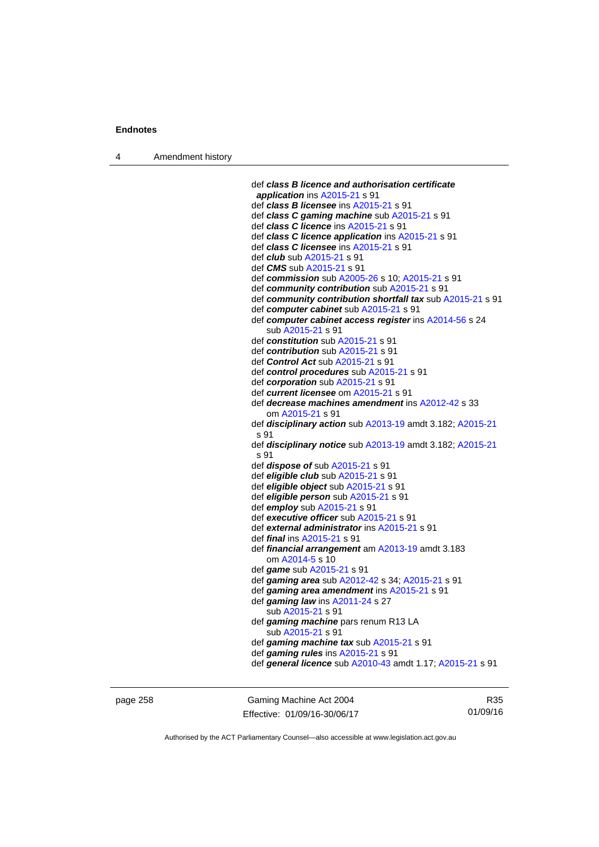4 Amendment history

 def *class B licence and authorisation certificate application* ins [A2015-21](http://www.legislation.act.gov.au/a/2015-21) s 91 def *class B licensee* ins [A2015-21](http://www.legislation.act.gov.au/a/2015-21) s 91 def *class C gaming machine* sub [A2015-21](http://www.legislation.act.gov.au/a/2015-21) s 91 def *class C licence* ins [A2015-21](http://www.legislation.act.gov.au/a/2015-21) s 91 def *class C licence application* ins [A2015-21](http://www.legislation.act.gov.au/a/2015-21) s 91 def *class C licensee* ins [A2015-21](http://www.legislation.act.gov.au/a/2015-21) s 91 def *club* sub [A2015-21](http://www.legislation.act.gov.au/a/2015-21) s 91 def *CMS* sub [A2015-21](http://www.legislation.act.gov.au/a/2015-21) s 91 def *commission* sub [A2005-26](http://www.legislation.act.gov.au/a/2005-26) s 10; [A2015-21](http://www.legislation.act.gov.au/a/2015-21) s 91 def *community contribution* sub [A2015-21](http://www.legislation.act.gov.au/a/2015-21) s 91 def *community contribution shortfall tax* sub [A2015-21](http://www.legislation.act.gov.au/a/2015-21) s 91 def *computer cabinet* sub [A2015-21](http://www.legislation.act.gov.au/a/2015-21) s 91 def *computer cabinet access register* ins [A2014-56](http://www.legislation.act.gov.au/a/2014-56) s 24 sub [A2015-21](http://www.legislation.act.gov.au/a/2015-21) s 91 def *constitution* sub [A2015-21](http://www.legislation.act.gov.au/a/2015-21) s 91 def *contribution* sub [A2015-21](http://www.legislation.act.gov.au/a/2015-21) s 91 def *Control Act* sub [A2015-21](http://www.legislation.act.gov.au/a/2015-21) s 91 def *control procedures* sub [A2015-21](http://www.legislation.act.gov.au/a/2015-21) s 91 def *corporation* sub [A2015-21](http://www.legislation.act.gov.au/a/2015-21) s 91 def *current licensee* om [A2015-21](http://www.legislation.act.gov.au/a/2015-21) s 91 def *decrease machines amendment* ins [A2012-42](http://www.legislation.act.gov.au/a/2012-42) s 33 om [A2015-21](http://www.legislation.act.gov.au/a/2015-21) s 91 def *disciplinary action* sub [A2013-19](http://www.legislation.act.gov.au/a/2013-19) amdt 3.182; [A2015-21](http://www.legislation.act.gov.au/a/2015-21) s 91 def *disciplinary notice* sub [A2013-19](http://www.legislation.act.gov.au/a/2013-19) amdt 3.182; [A2015-21](http://www.legislation.act.gov.au/a/2015-21) s 91 def *dispose of* sub [A2015-21](http://www.legislation.act.gov.au/a/2015-21) s 91 def *eligible club* sub [A2015-21](http://www.legislation.act.gov.au/a/2015-21) s 91 def *eligible object* sub [A2015-21](http://www.legislation.act.gov.au/a/2015-21) s 91 def *eligible person* sub [A2015-21](http://www.legislation.act.gov.au/a/2015-21) s 91 def *employ* sub [A2015-21](http://www.legislation.act.gov.au/a/2015-21) s 91 def *executive officer* sub [A2015-21](http://www.legislation.act.gov.au/a/2015-21) s 91 def *external administrator* ins [A2015-21](http://www.legislation.act.gov.au/a/2015-21) s 91 def *final* ins [A2015-21](http://www.legislation.act.gov.au/a/2015-21) s 91 def *financial arrangement* am [A2013-19](http://www.legislation.act.gov.au/a/2013-19) amdt 3.183 om [A2014-5](http://www.legislation.act.gov.au/a/2014-5) s 10 def *game* sub [A2015-21](http://www.legislation.act.gov.au/a/2015-21) s 91 def *gaming area* sub [A2012-42](http://www.legislation.act.gov.au/a/2012-42) s 34; [A2015-21](http://www.legislation.act.gov.au/a/2015-21) s 91 def *gaming area amendment* ins [A2015-21](http://www.legislation.act.gov.au/a/2015-21) s 91 def *gaming law* ins [A2011-24](http://www.legislation.act.gov.au/a/2011-24) s 27 sub [A2015-21](http://www.legislation.act.gov.au/a/2015-21) s 91 def *gaming machine* pars renum R13 LA sub [A2015-21](http://www.legislation.act.gov.au/a/2015-21) s 91 def *gaming machine tax* sub [A2015-21](http://www.legislation.act.gov.au/a/2015-21) s 91 def *gaming rules* ins [A2015-21](http://www.legislation.act.gov.au/a/2015-21) s 91 def *general licence* sub [A2010-43](http://www.legislation.act.gov.au/a/2010-43) amdt 1.17; [A2015-21](http://www.legislation.act.gov.au/a/2015-21) s 91

page 258 Gaming Machine Act 2004 Effective: 01/09/16-30/06/17

R35 01/09/16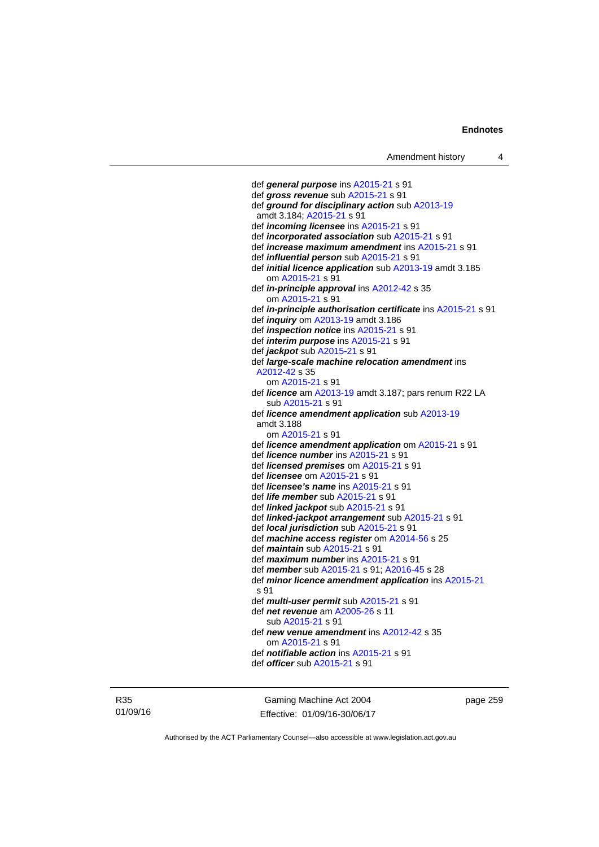```
 def general purpose ins A2015-21 s 91 
 def gross revenue sub A2015-21 s 91 
 def ground for disciplinary action sub A2013-19
 amdt 3.184; A2015-21 s 91 
 def incoming licensee ins A2015-21 s 91 
 def incorporated association sub A2015-21 s 91 
 def increase maximum amendment ins A2015-21 s 91 
 def influential person sub A2015-21 s 91 
 def initial licence application sub A2013-19 amdt 3.185 
    om A2015-21 s 91 
 def in-principle approval ins A2012-42 s 35 
    om A2015-21 s 91 
 def in-principle authorisation certificate ins A2015-21 s 91 
 def inquiry om A2013-19 amdt 3.186 
 def inspection notice ins A2015-21 s 91 
 def interim purpose ins A2015-21 s 91 
 def jackpot sub A2015-21 s 91 
 def large-scale machine relocation amendment ins 
 A2012-42 s 35 
    om A2015-21 s 91 
 def licence am A2013-19 amdt 3.187; pars renum R22 LA 
    sub A2015-21 s 91 
 def licence amendment application sub A2013-19
 amdt 3.188
    om A2015-21 s 91 
 def licence amendment application om A2015-21 s 91 
 def licence number ins A2015-21 s 91 
 def licensed premises om A2015-21 s 91 
 def licensee om A2015-21 s 91 
 def licensee's name ins A2015-21 s 91 
 def life member sub A2015-21 s 91 
 def linked jackpot sub A2015-21 s 91 
 def linked-jackpot arrangement sub A2015-21 s 91 
 def local jurisdiction sub A2015-21 s 91 
 def machine access register om A2014-56 s 25 
 def maintain sub A2015-21 s 91 
 def maximum number ins A2015-21 s 91 
 def member sub A2015-21 s 91; A2016-45 s 28 
 def minor licence amendment application ins A2015-21
s 91 
 def multi-user permit sub A2015-21 s 91 
 def net revenue am A2005-26 s 11 
    sub A2015-21 s 91 
 def new venue amendment ins A2012-42 s 35 
    om A2015-21 s 91 
 def notifiable action ins A2015-21 s 91 
 def officer sub A2015-21 s 91
```
R35 01/09/16

Gaming Machine Act 2004 Effective: 01/09/16-30/06/17 page 259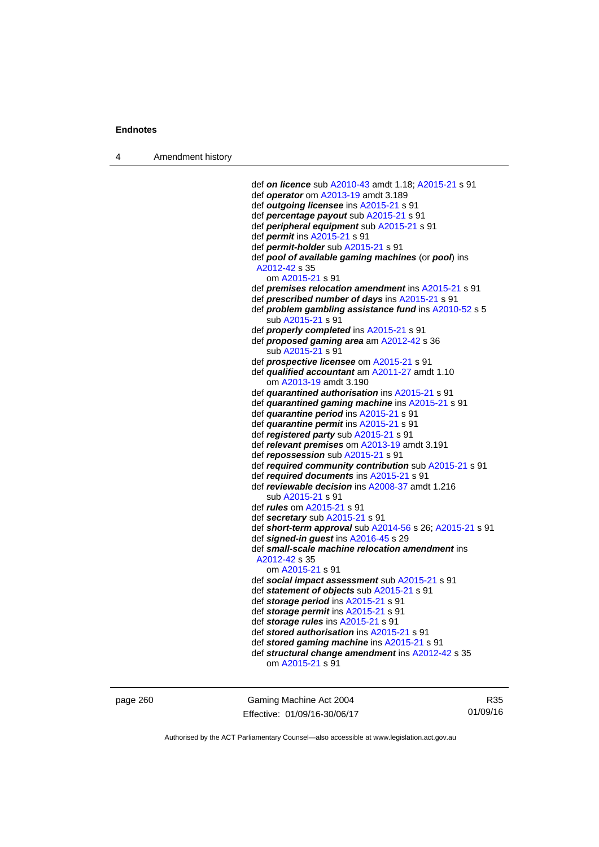4 Amendment history

 def *on licence* sub [A2010-43](http://www.legislation.act.gov.au/a/2010-43) amdt 1.18; [A2015-21](http://www.legislation.act.gov.au/a/2015-21) s 91 def *operator* om [A2013-19](http://www.legislation.act.gov.au/a/2013-19) amdt 3.189 def *outgoing licensee* ins [A2015-21](http://www.legislation.act.gov.au/a/2015-21) s 91 def *percentage payout* sub [A2015-21](http://www.legislation.act.gov.au/a/2015-21) s 91 def *peripheral equipment* sub [A2015-21](http://www.legislation.act.gov.au/a/2015-21) s 91 def *permit* ins [A2015-21](http://www.legislation.act.gov.au/a/2015-21) s 91 def *permit-holder* sub [A2015-21](http://www.legislation.act.gov.au/a/2015-21) s 91 def *pool of available gaming machines* (or *pool*) ins [A2012-42](http://www.legislation.act.gov.au/a/2012-42) s 35 om [A2015-21](http://www.legislation.act.gov.au/a/2015-21) s 91 def *premises relocation amendment* ins [A2015-21](http://www.legislation.act.gov.au/a/2015-21) s 91 def *prescribed number of days* ins [A2015-21](http://www.legislation.act.gov.au/a/2015-21) s 91 def *problem gambling assistance fund* ins [A2010-52](http://www.legislation.act.gov.au/a/2010-52) s 5 sub [A2015-21](http://www.legislation.act.gov.au/a/2015-21) s 91 def *properly completed* ins [A2015-21](http://www.legislation.act.gov.au/a/2015-21) s 91 def *proposed gaming area* am [A2012-42](http://www.legislation.act.gov.au/a/2012-42) s 36 sub [A2015-21](http://www.legislation.act.gov.au/a/2015-21) s 91 def *prospective licensee* om [A2015-21](http://www.legislation.act.gov.au/a/2015-21) s 91 def *qualified accountant* am [A2011-27](http://www.legislation.act.gov.au/a/2011-27) amdt 1.10 om [A2013-19](http://www.legislation.act.gov.au/a/2013-19) amdt 3.190 def *quarantined authorisation* ins [A2015-21](http://www.legislation.act.gov.au/a/2015-21) s 91 def *quarantined gaming machine* ins [A2015-21](http://www.legislation.act.gov.au/a/2015-21) s 91 def *quarantine period* ins [A2015-21](http://www.legislation.act.gov.au/a/2015-21) s 91 def *quarantine permit* ins [A2015-21](http://www.legislation.act.gov.au/a/2015-21) s 91 def *registered party* sub [A2015-21](http://www.legislation.act.gov.au/a/2015-21) s 91 def *relevant premises* om [A2013-19](http://www.legislation.act.gov.au/a/2013-19) amdt 3.191 def *repossession* sub [A2015-21](http://www.legislation.act.gov.au/a/2015-21) s 91 def *required community contribution* sub [A2015-21](http://www.legislation.act.gov.au/a/2015-21) s 91 def *required documents* ins [A2015-21](http://www.legislation.act.gov.au/a/2015-21) s 91 def *reviewable decision* ins [A2008-37](http://www.legislation.act.gov.au/a/2008-37) amdt 1.216 sub [A2015-21](http://www.legislation.act.gov.au/a/2015-21) s 91 def *rules* om [A2015-21](http://www.legislation.act.gov.au/a/2015-21) s 91 def *secretary* sub [A2015-21](http://www.legislation.act.gov.au/a/2015-21) s 91 def *short-term approval* sub [A2014-56](http://www.legislation.act.gov.au/a/2014-56) s 26; [A2015-21](http://www.legislation.act.gov.au/a/2015-21) s 91 def *signed-in guest* ins [A2016-45](http://www.legislation.act.gov.au/a/2016-45) s 29 def *small-scale machine relocation amendment* ins [A2012-42](http://www.legislation.act.gov.au/a/2012-42) s 35 om [A2015-21](http://www.legislation.act.gov.au/a/2015-21) s 91 def *social impact assessment* sub [A2015-21](http://www.legislation.act.gov.au/a/2015-21) s 91 def *statement of objects* sub [A2015-21](http://www.legislation.act.gov.au/a/2015-21) s 91 def *storage period* ins [A2015-21](http://www.legislation.act.gov.au/a/2015-21) s 91 def *storage permit* ins [A2015-21](http://www.legislation.act.gov.au/a/2015-21) s 91 def *storage rules* ins [A2015-21](http://www.legislation.act.gov.au/a/2015-21) s 91 def *stored authorisation* ins [A2015-21](http://www.legislation.act.gov.au/a/2015-21) s 91 def *stored gaming machine* ins [A2015-21](http://www.legislation.act.gov.au/a/2015-21) s 91 def *structural change amendment* ins [A2012-42](http://www.legislation.act.gov.au/a/2012-42) s 35 om [A2015-21](http://www.legislation.act.gov.au/a/2015-21) s 91

page 260 Gaming Machine Act 2004 Effective: 01/09/16-30/06/17

R35 01/09/16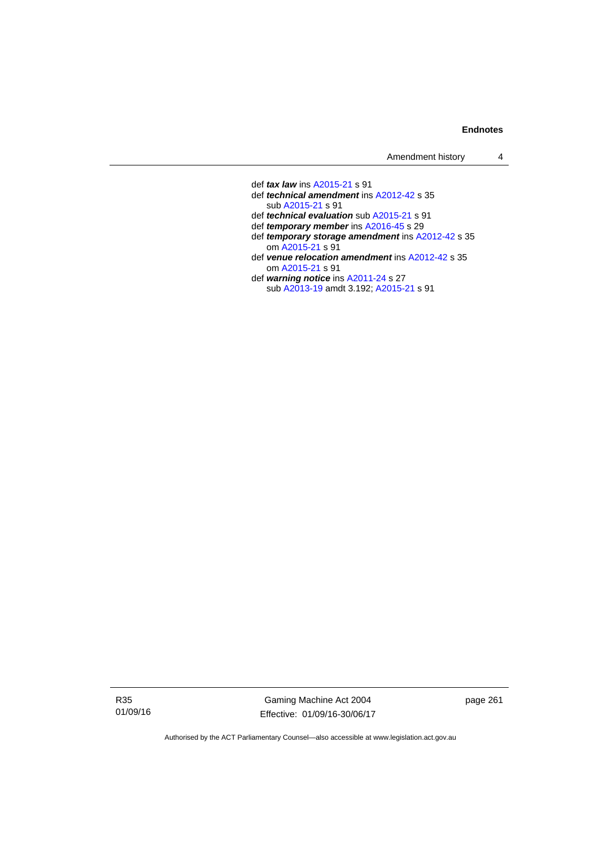| Amendment history |  |
|-------------------|--|
|-------------------|--|

 def *tax law* ins [A2015-21](http://www.legislation.act.gov.au/a/2015-21) s 91 def *technical amendment* ins [A2012-42](http://www.legislation.act.gov.au/a/2012-42) s 35 sub [A2015-21](http://www.legislation.act.gov.au/a/2015-21) s 91 def *technical evaluation* sub [A2015-21](http://www.legislation.act.gov.au/a/2015-21) s 91 def *temporary member* ins [A2016-45](http://www.legislation.act.gov.au/a/2016-45) s 29 def *temporary storage amendment* ins [A2012-42](http://www.legislation.act.gov.au/a/2012-42) s 35 om [A2015-21](http://www.legislation.act.gov.au/a/2015-21) s 91 def *venue relocation amendment* ins [A2012-42](http://www.legislation.act.gov.au/a/2012-42) s 35 om [A2015-21](http://www.legislation.act.gov.au/a/2015-21) s 91 def *warning notice* ins [A2011-24](http://www.legislation.act.gov.au/a/2011-24) s 27 sub [A2013-19](http://www.legislation.act.gov.au/a/2013-19) amdt 3.192; [A2015-21](http://www.legislation.act.gov.au/a/2015-21) s 91

R35 01/09/16

Gaming Machine Act 2004 Effective: 01/09/16-30/06/17 page 261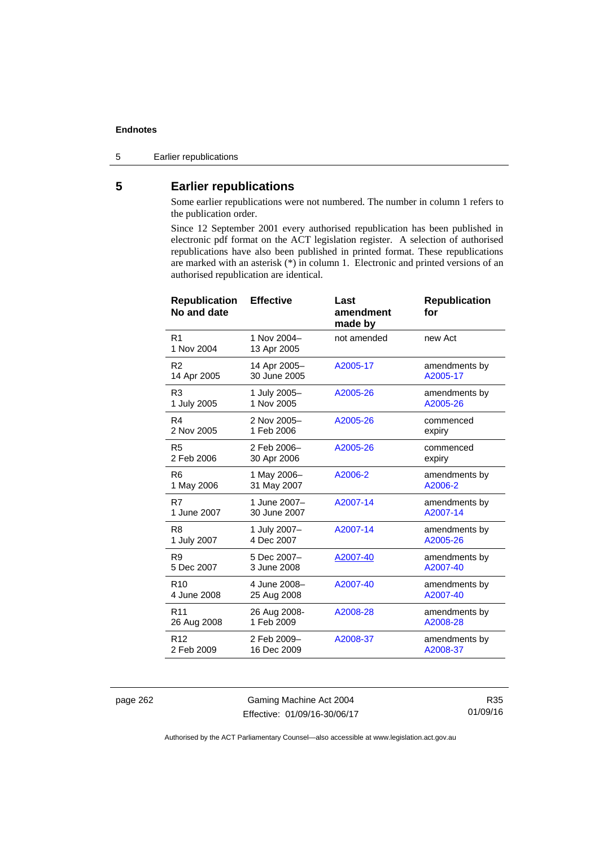5 Earlier republications

# **5 Earlier republications**

Some earlier republications were not numbered. The number in column 1 refers to the publication order.

Since 12 September 2001 every authorised republication has been published in electronic pdf format on the ACT legislation register. A selection of authorised republications have also been published in printed format. These republications are marked with an asterisk (\*) in column 1. Electronic and printed versions of an authorised republication are identical.

| <b>Republication</b><br>No and date | <b>Effective</b>           | Last<br>amendment<br>made by | <b>Republication</b><br>for |
|-------------------------------------|----------------------------|------------------------------|-----------------------------|
| R <sub>1</sub><br>1 Nov 2004        | 1 Nov 2004-<br>13 Apr 2005 | not amended                  | new Act                     |
| R <sub>2</sub>                      | 14 Apr 2005-               | A2005-17                     | amendments by               |
| 14 Apr 2005                         | 30 June 2005               |                              | A2005-17                    |
| R <sub>3</sub>                      | 1 July 2005-               | A2005-26                     | amendments by               |
| 1 July 2005                         | 1 Nov 2005                 |                              | A2005-26                    |
| R4                                  | 2 Nov 2005-                | A2005-26                     | commenced                   |
| 2 Nov 2005                          | 1 Feb 2006                 |                              | expiry                      |
| R <sub>5</sub>                      | 2 Feb 2006-                | A2005-26                     | commenced                   |
| 2 Feb 2006                          | 30 Apr 2006                |                              | expiry                      |
| R <sub>6</sub>                      | 1 May 2006-                | A2006-2                      | amendments by               |
| 1 May 2006                          | 31 May 2007                |                              | A2006-2                     |
| R7                                  | 1 June 2007-               | A2007-14                     | amendments by               |
| 1 June 2007                         | 30 June 2007               |                              | A2007-14                    |
| R <sub>8</sub>                      | 1 July 2007-               | A2007-14                     | amendments by               |
| 1 July 2007                         | 4 Dec 2007                 |                              | A2005-26                    |
| R9                                  | 5 Dec 2007-                | A2007-40                     | amendments by               |
| 5 Dec 2007                          | 3 June 2008                |                              | A2007-40                    |
| R <sub>10</sub>                     | 4 June 2008-               | A2007-40                     | amendments by               |
| 4 June 2008                         | 25 Aug 2008                |                              | A2007-40                    |
| R <sub>11</sub>                     | 26 Aug 2008-               | A2008-28                     | amendments by               |
| 26 Aug 2008                         | 1 Feb 2009                 |                              | A2008-28                    |
| R <sub>12</sub>                     | 2 Feb 2009-                | A2008-37                     | amendments by               |
| 2 Feb 2009                          | 16 Dec 2009                |                              | A2008-37                    |

page 262 Gaming Machine Act 2004 Effective: 01/09/16-30/06/17

R35 01/09/16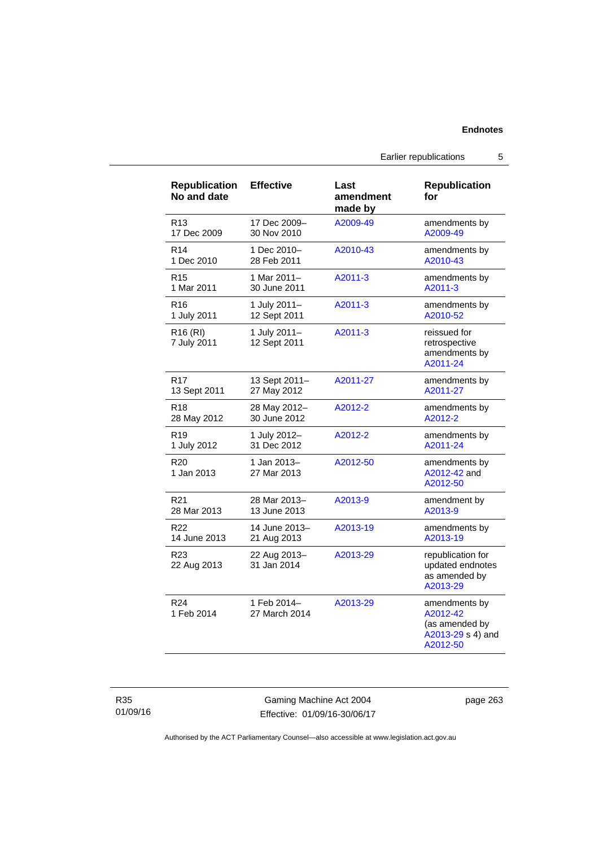## Earlier republications 5

| <b>Republication</b><br>No and date | <b>Effective</b>             | Last<br>amendment<br>made by | <b>Republication</b><br>for                                                  |
|-------------------------------------|------------------------------|------------------------------|------------------------------------------------------------------------------|
| R <sub>13</sub>                     | 17 Dec 2009-                 | A2009-49                     | amendments by                                                                |
| 17 Dec 2009                         | 30 Nov 2010                  |                              | A2009-49                                                                     |
| R <sub>14</sub>                     | 1 Dec 2010-                  | A2010-43                     | amendments by                                                                |
| 1 Dec 2010                          | 28 Feb 2011                  |                              | A2010-43                                                                     |
| R <sub>15</sub>                     | 1 Mar 2011-                  | A2011-3                      | amendments by                                                                |
| 1 Mar 2011                          | 30 June 2011                 |                              | A2011-3                                                                      |
| R <sub>16</sub>                     | 1 July 2011-                 | A2011-3                      | amendments by                                                                |
| 1 July 2011                         | 12 Sept 2011                 |                              | A2010-52                                                                     |
| R <sub>16</sub> (RI)<br>7 July 2011 | 1 July 2011-<br>12 Sept 2011 | A2011-3                      | reissued for<br>retrospective<br>amendments by<br>A2011-24                   |
| R <sub>17</sub>                     | 13 Sept 2011-                | A2011-27                     | amendments by                                                                |
| 13 Sept 2011                        | 27 May 2012                  |                              | A2011-27                                                                     |
| R <sub>18</sub>                     | 28 May 2012-                 | A2012-2                      | amendments by                                                                |
| 28 May 2012                         | 30 June 2012                 |                              | A2012-2                                                                      |
| R <sub>19</sub>                     | 1 July 2012-                 | A2012-2                      | amendments by                                                                |
| 1 July 2012                         | 31 Dec 2012                  |                              | A2011-24                                                                     |
| R <sub>20</sub><br>1 Jan 2013       | 1 Jan 2013-<br>27 Mar 2013   | A2012-50                     | amendments by<br>A2012-42 and<br>A2012-50                                    |
| R <sub>21</sub>                     | 28 Mar 2013-                 | A2013-9                      | amendment by                                                                 |
| 28 Mar 2013                         | 13 June 2013                 |                              | A2013-9                                                                      |
| R <sub>22</sub>                     | 14 June 2013-                | A2013-19                     | amendments by                                                                |
| 14 June 2013                        | 21 Aug 2013                  |                              | A2013-19                                                                     |
| R <sub>23</sub><br>22 Aug 2013      | 22 Aug 2013-<br>31 Jan 2014  | A2013-29                     | republication for<br>updated endnotes<br>as amended by<br>A2013-29           |
| R <sub>24</sub><br>1 Feb 2014       | 1 Feb 2014-<br>27 March 2014 | A2013-29                     | amendments by<br>A2012-42<br>(as amended by<br>A2013-29 s 4) and<br>A2012-50 |

R35 01/09/16

Gaming Machine Act 2004 Effective: 01/09/16-30/06/17 page 263